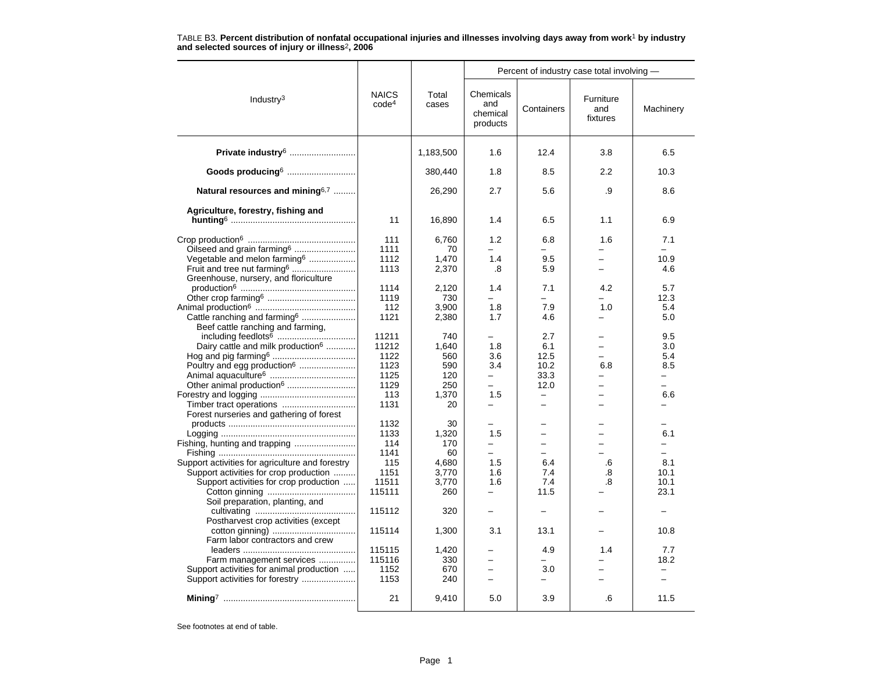|                                                                                                                                                                                 |                                                               |                                                            | Percent of industry case total involving -                                       |                                                                   |                                  |                                             |
|---------------------------------------------------------------------------------------------------------------------------------------------------------------------------------|---------------------------------------------------------------|------------------------------------------------------------|----------------------------------------------------------------------------------|-------------------------------------------------------------------|----------------------------------|---------------------------------------------|
| Industry <sup>3</sup>                                                                                                                                                           | <b>NAICS</b><br>code <sup>4</sup>                             | Total<br>cases                                             | Chemicals<br>and<br>chemical<br>products                                         | Containers                                                        | Furniture<br>and<br>fixtures     | Machinery                                   |
| Private industry <sup>6</sup>                                                                                                                                                   |                                                               | 1,183,500                                                  | 1.6                                                                              | 12.4                                                              | 3.8                              | 6.5                                         |
| Goods producing6                                                                                                                                                                |                                                               | 380,440                                                    | 1.8                                                                              | 8.5                                                               | 2.2                              | 10.3                                        |
| Natural resources and mining <sup>6,7</sup>                                                                                                                                     |                                                               | 26,290                                                     | 2.7                                                                              | 5.6                                                               | .9                               | 8.6                                         |
| Agriculture, forestry, fishing and                                                                                                                                              | 11                                                            | 16,890                                                     | 1.4                                                                              | 6.5                                                               | 1.1                              | 6.9                                         |
| Oilseed and grain farming <sup>6</sup><br>Vegetable and melon farming <sup>6</sup><br>Fruit and tree nut farming <sup>6</sup>                                                   | 111<br>1111<br>1112<br>1113                                   | 6,760<br>70<br>1,470<br>2,370                              | 1.2<br>$=$<br>1.4<br>.8                                                          | 6.8<br>$=$<br>9.5<br>5.9                                          | 1.6<br>$=$<br>$\equiv$           | 7.1<br>10.9<br>4.6                          |
| Greenhouse, nursery, and floriculture<br>Cattle ranching and farming <sup>6</sup>                                                                                               | 1114<br>1119<br>112<br>1121                                   | 2,120<br>730<br>3,900<br>2,380                             | 1.4<br>$\equiv$<br>1.8<br>1.7                                                    | 7.1<br>÷.<br>7.9<br>4.6                                           | 4.2<br>1.0                       | 5.7<br>12.3<br>5.4<br>5.0                   |
| Beef cattle ranching and farming.<br>Dairy cattle and milk production <sup>6</sup><br>Poultry and egg production <sup>6</sup><br>Timber tract operations                        | 11211<br>11212<br>1122<br>1123<br>1125<br>1129<br>113<br>1131 | 740<br>1,640<br>560<br>590<br>120<br>250<br>1,370<br>20    | 1.8<br>3.6<br>3.4<br>$\overline{\phantom{0}}$<br>1.5                             | 2.7<br>6.1<br>12.5<br>10.2<br>33.3<br>12.0<br>$\qquad \qquad -$   | $\equiv$<br>6.8<br>$\equiv$<br>- | 9.5<br>3.0<br>5.4<br>8.5<br>$\equiv$<br>6.6 |
| Forest nurseries and gathering of forest<br>Support activities for agriculture and forestry<br>Support activities for crop production<br>Support activities for crop production | 1132<br>1133<br>114<br>1141<br>115<br>1151<br>11511<br>115111 | 30<br>1,320<br>170<br>60<br>4,680<br>3,770<br>3,770<br>260 | 1.5<br>$\overline{\phantom{0}}$<br>$\overline{\phantom{0}}$<br>1.5<br>1.6<br>1.6 | $\equiv$<br>$\overline{\phantom{0}}$<br>6.4<br>7.4<br>7.4<br>11.5 | .6<br>.8<br>.8                   | 6.1<br>8.1<br>10.1<br>10.1<br>23.1          |
| Soil preparation, planting, and<br>Postharvest crop activities (except                                                                                                          | 115112                                                        | 320                                                        | -                                                                                | $\overline{\phantom{0}}$                                          |                                  |                                             |
| Farm labor contractors and crew<br>Farm management services<br>Support activities for animal production                                                                         | 115114<br>115115<br>115116<br>1152                            | 1,300<br>1,420<br>330<br>670                               | 3.1<br>$\overline{a}$<br>$\overline{\phantom{0}}$                                | 13.1<br>4.9<br>3.0                                                | 1.4                              | 10.8<br>7.7<br>18.2                         |
| Support activities for forestry                                                                                                                                                 | 1153<br>21                                                    | 240<br>9,410                                               | 5.0                                                                              | 3.9                                                               | .6                               | 11.5                                        |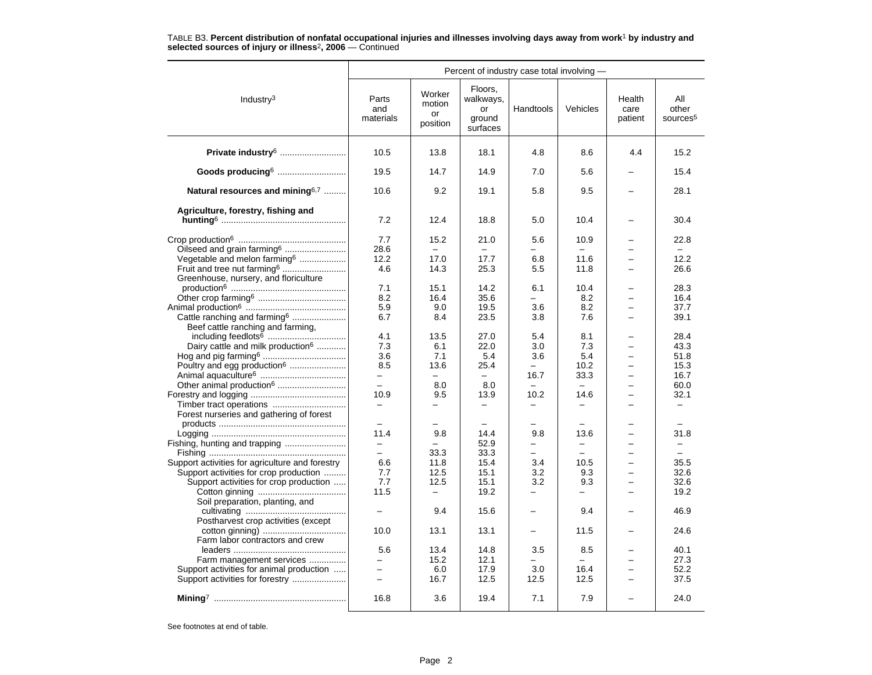| Percent of industry case total involving -      |                                 |                                    |                                                  |                                  |                                  |                           |                                      |
|-------------------------------------------------|---------------------------------|------------------------------------|--------------------------------------------------|----------------------------------|----------------------------------|---------------------------|--------------------------------------|
| Industry <sup>3</sup>                           | Parts<br>and<br>materials       | Worker<br>motion<br>or<br>position | Floors.<br>walkways,<br>or<br>ground<br>surfaces | Handtools                        | Vehicles                         | Health<br>care<br>patient | All<br>other<br>sources <sup>5</sup> |
| Private industry <sup>6</sup>                   | 10.5                            | 13.8                               | 18.1                                             | 4.8                              | 8.6                              | 4.4                       | 15.2                                 |
| Goods producing6                                | 19.5                            | 14.7                               | 14.9                                             | 7.0                              | 5.6                              |                           | 15.4                                 |
| Natural resources and mining <sup>6,7</sup>     | 10.6                            | 9.2                                | 19.1                                             | 5.8                              | 9.5                              |                           | 28.1                                 |
| Agriculture, forestry, fishing and              | 7.2                             | 12.4                               | 18.8                                             | 5.0                              | 10.4                             |                           | 30.4                                 |
|                                                 |                                 |                                    |                                                  |                                  |                                  |                           |                                      |
| Oilseed and grain farming <sup>6</sup>          | 7.7<br>28.6                     | 15.2                               | 21.0                                             | 5.6                              | 10.9                             |                           | 22.8                                 |
| Vegetable and melon farming <sup>6</sup>        | 12.2                            | 17.0                               | 17.7                                             | 6.8                              | 11.6                             |                           | 12.2                                 |
| Fruit and tree nut farming <sup>6</sup>         | 4.6                             | 14.3                               | 25.3                                             | 5.5                              | 11.8                             |                           | 26.6                                 |
| Greenhouse, nursery, and floriculture           |                                 |                                    |                                                  |                                  |                                  |                           |                                      |
|                                                 | 7.1                             | 15.1                               | 14.2                                             | 6.1                              | 10.4                             |                           | 28.3                                 |
|                                                 | 8.2                             | 16.4                               | 35.6                                             | $\overline{\phantom{0}}$         | 8.2                              | -                         | 16.4                                 |
|                                                 | 5.9                             | 9.0                                | 19.5                                             | 3.6                              | 8.2                              |                           | 37.7                                 |
| Cattle ranching and farming <sup>6</sup>        | 6.7                             | 8.4                                | 23.5                                             | 3.8                              | 7.6                              |                           | 39.1                                 |
| Beef cattle ranching and farming,               |                                 |                                    |                                                  |                                  |                                  |                           |                                      |
|                                                 | 4.1                             | 13.5                               | 27.0                                             | 5.4                              | 8.1                              |                           | 28.4                                 |
| Dairy cattle and milk production <sup>6</sup>   | 7.3                             | 6.1                                | 22.0                                             | 3.0                              | 7.3                              |                           | 43.3                                 |
|                                                 | 3.6                             | 7.1                                | 5.4                                              | 3.6                              | 5.4                              | $\overline{\phantom{0}}$  | 51.8                                 |
| Poultry and egg production <sup>6</sup>         | 8.5                             | 13.6                               | 25.4                                             |                                  | 10.2                             |                           | 15.3                                 |
|                                                 | $-$<br>$\overline{\phantom{0}}$ | $\equiv$                           | $\equiv$                                         | 16.7<br>$\overline{\phantom{0}}$ | 33.3<br>$\overline{\phantom{0}}$ | $\overline{\phantom{0}}$  | 16.7                                 |
| Other animal production <sup>6</sup>            | 10.9                            | 8.0<br>9.5                         | 8.0<br>13.9                                      | 10.2                             | 14.6                             |                           | 60.0<br>32.1                         |
|                                                 | $\overline{\phantom{0}}$        |                                    |                                                  | $\overline{\phantom{0}}$         |                                  |                           | $\overline{\phantom{0}}$             |
| Forest nurseries and gathering of forest        |                                 |                                    |                                                  |                                  |                                  |                           |                                      |
|                                                 |                                 |                                    |                                                  |                                  |                                  |                           |                                      |
|                                                 | 11.4                            | 9.8                                | 14.4                                             | 9.8                              | 13.6                             |                           | 31.8                                 |
|                                                 | $\overline{a}$                  |                                    | 52.9                                             | -                                | -                                |                           | -                                    |
|                                                 | $\overline{a}$                  | 33.3                               | 33.3                                             | $\overline{\phantom{0}}$         | $\overline{a}$                   | $\equiv$                  | ÷.                                   |
| Support activities for agriculture and forestry | 6.6                             | 11.8                               | 15.4                                             | 3.4                              | 10.5                             |                           | 35.5                                 |
| Support activities for crop production          | 7.7                             | 12.5                               | 15.1                                             | 3.2                              | 9.3                              |                           | 32.6                                 |
| Support activities for crop production          | 7.7                             | 12.5                               | 15.1                                             | 3.2                              | 9.3                              | $\overline{\phantom{0}}$  | 32.6                                 |
| Soil preparation, planting, and                 | 11.5                            |                                    | 19.2                                             | -                                | —                                |                           | 19.2                                 |
| Postharvest crop activities (except             |                                 | 9.4                                | 15.6                                             | $\overline{\phantom{0}}$         | 9.4                              |                           | 46.9                                 |
| Farm labor contractors and crew                 | 10.0                            | 13.1                               | 13.1                                             |                                  | 11.5                             |                           | 24.6                                 |
|                                                 | 5.6                             | 13.4                               | 14.8                                             | 3.5                              | 8.5                              |                           | 40.1                                 |
| Farm management services                        |                                 | 15.2                               | 12.1                                             |                                  |                                  |                           | 27.3                                 |
| Support activities for animal production        | $\overline{a}$                  | 6.0                                | 17.9                                             | 3.0                              | 16.4                             |                           | 52.2                                 |
| Support activities for forestry                 | $\equiv$                        | 16.7                               | 12.5                                             | 12.5                             | 12.5                             | $\overline{\phantom{0}}$  | 37.5                                 |
|                                                 |                                 |                                    |                                                  |                                  |                                  |                           |                                      |
|                                                 | 16.8                            | 3.6                                | 19.4                                             | 7.1                              | 7.9                              |                           | 24.0                                 |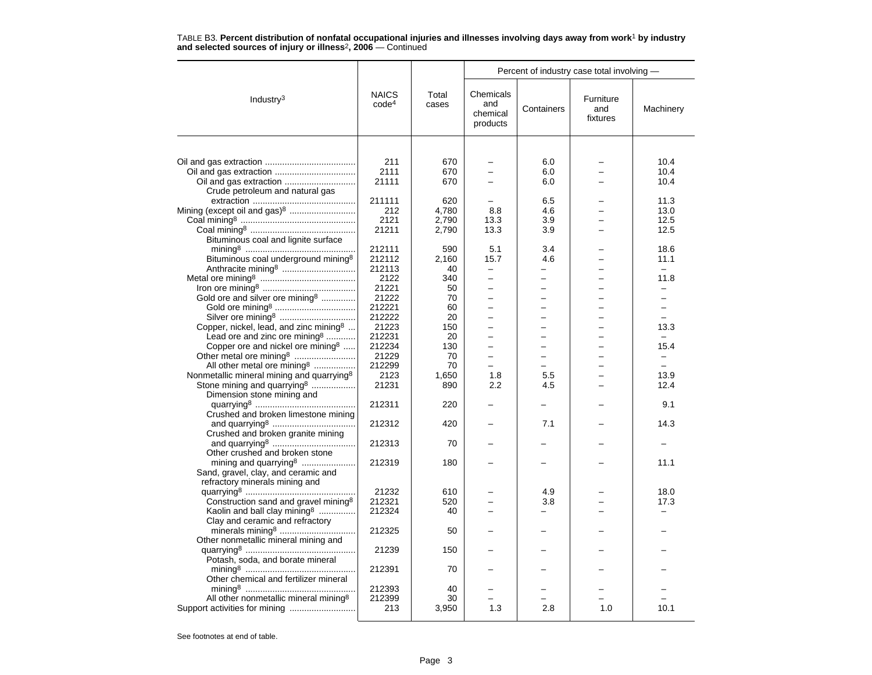|                                                                                                                                                  |                                     |                                | Percent of industry case total involving -                      |                                                      |                              |                                  |
|--------------------------------------------------------------------------------------------------------------------------------------------------|-------------------------------------|--------------------------------|-----------------------------------------------------------------|------------------------------------------------------|------------------------------|----------------------------------|
| Industry <sup>3</sup>                                                                                                                            | <b>NAICS</b><br>code <sup>4</sup>   | Total<br>cases                 | Chemicals<br>and<br>chemical<br>products                        | Containers                                           | Furniture<br>and<br>fixtures | Machinery                        |
|                                                                                                                                                  |                                     |                                |                                                                 |                                                      |                              |                                  |
| Crude petroleum and natural gas                                                                                                                  | 211<br>2111<br>21111                | 670<br>670<br>670              |                                                                 | 6.0<br>6.0<br>6.0                                    |                              | 10.4<br>10.4<br>10.4             |
| Mining (except oil and gas) <sup>8</sup>                                                                                                         | 211111<br>212<br>2121<br>21211      | 620<br>4,780<br>2,790<br>2,790 | 8.8<br>13.3<br>13.3                                             | 6.5<br>4.6<br>3.9<br>3.9                             |                              | 11.3<br>13.0<br>12.5<br>12.5     |
| Bituminous coal and lignite surface<br>Bituminous coal underground mining <sup>8</sup>                                                           | 212111<br>212112<br>212113          | 590<br>2,160<br>40             | 5.1<br>15.7<br>$\overline{\phantom{0}}$                         | 3.4<br>4.6<br>-                                      |                              | 18.6<br>11.1                     |
| Gold ore and silver ore mining <sup>8</sup>                                                                                                      | 2122<br>21221<br>21222<br>212221    | 340<br>50<br>70<br>60          | $\overline{\phantom{0}}$<br>-                                   | -<br>$\overline{a}$<br>-                             |                              | 11.8<br>$\overline{\phantom{0}}$ |
| Copper, nickel, lead, and zinc mining <sup>8</sup><br>Lead ore and zinc ore mining <sup>8</sup><br>Copper ore and nickel ore mining <sup>8</sup> | 212222<br>21223<br>212231<br>212234 | 20<br>150<br>20<br>130         | $\overline{\phantom{0}}$<br>-<br>L.<br>$\overline{\phantom{0}}$ | -<br>▃<br>$\overline{a}$<br>$\overline{\phantom{0}}$ |                              | 13.3<br>15.4                     |
| All other metal ore mining <sup>8</sup><br>Nonmetallic mineral mining and quarrying <sup>8</sup>                                                 | 21229<br>212299<br>2123             | 70<br>70<br>1,650              | $\overline{\phantom{0}}$<br>1.8                                 | $\overline{a}$<br>5.5                                |                              | 13.9                             |
| Stone mining and quarrying <sup>8</sup><br>Dimension stone mining and<br>Crushed and broken limestone mining                                     | 21231<br>212311                     | 890<br>220                     | 2.2                                                             | 4.5                                                  |                              | 12.4<br>9.1                      |
| Crushed and broken granite mining                                                                                                                | 212312                              | 420                            |                                                                 | 7.1                                                  |                              | 14.3                             |
| Other crushed and broken stone<br>mining and quarrying <sup>8</sup>                                                                              | 212313<br>212319                    | 70<br>180                      |                                                                 |                                                      |                              | 11.1                             |
| Sand, gravel, clay, and ceramic and<br>refractory minerals mining and                                                                            |                                     |                                |                                                                 |                                                      |                              |                                  |
| Construction sand and gravel mining <sup>8</sup><br>Kaolin and ball clay mining $\frac{1}{2}$                                                    | 21232<br>212321<br>212324           | 610<br>520<br>40               |                                                                 | 4.9<br>3.8                                           |                              | 18.0<br>17.3                     |
| Clay and ceramic and refractory<br>Other nonmetallic mineral mining and                                                                          | 212325                              | 50                             |                                                                 |                                                      |                              |                                  |
| Potash, soda, and borate mineral                                                                                                                 | 21239<br>212391                     | 150<br>70                      |                                                                 |                                                      |                              |                                  |
| Other chemical and fertilizer mineral                                                                                                            | 212393                              | 40                             |                                                                 |                                                      |                              |                                  |
| All other nonmetallic mineral mining <sup>8</sup>                                                                                                | 212399<br>213                       | 30<br>3,950                    | 1.3                                                             | 2.8                                                  | 1.0                          | 10.1                             |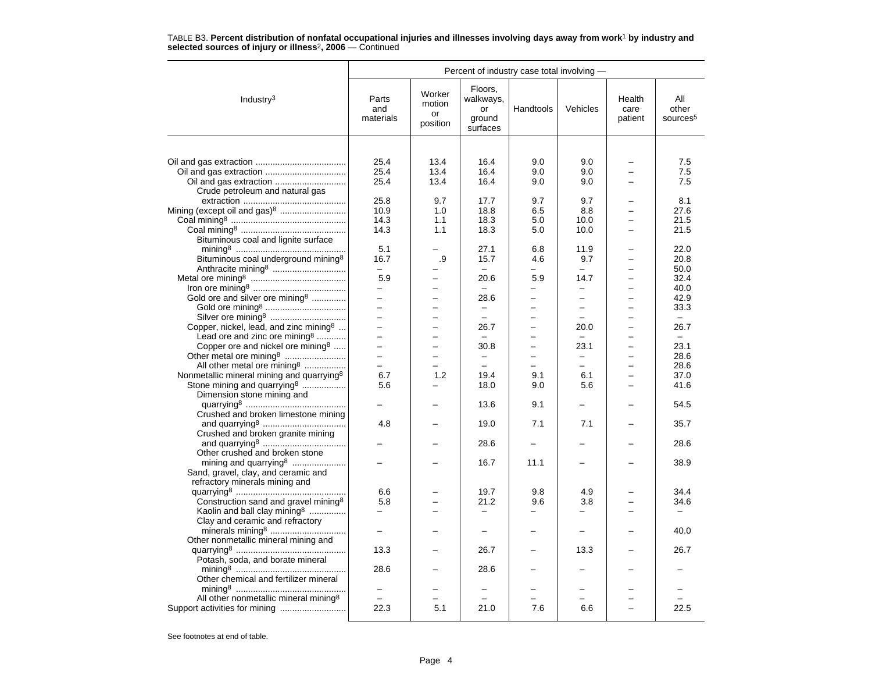| Percent of industry case total involving -                                                                                                                                           |                                                              |                                      |                                                  |                          |                                               |                                                      |                                      |
|--------------------------------------------------------------------------------------------------------------------------------------------------------------------------------------|--------------------------------------------------------------|--------------------------------------|--------------------------------------------------|--------------------------|-----------------------------------------------|------------------------------------------------------|--------------------------------------|
| Industry $3$                                                                                                                                                                         | Parts<br>and<br>materials                                    | Worker<br>motion<br>or<br>position   | Floors.<br>walkways,<br>or<br>ground<br>surfaces | Handtools                | Vehicles                                      | Health<br>care<br>patient                            | All<br>other<br>sources <sup>5</sup> |
|                                                                                                                                                                                      |                                                              |                                      |                                                  |                          |                                               |                                                      |                                      |
| Crude petroleum and natural gas                                                                                                                                                      | 25.4<br>25.4<br>25.4                                         | 13.4<br>13.4<br>13.4                 | 16.4<br>16.4<br>16.4                             | 9.0<br>9.0<br>9.0        | 9.0<br>9.0<br>9.0                             |                                                      | 7.5<br>7.5<br>7.5                    |
| Mining (except oil and gas) <sup>8</sup>                                                                                                                                             | 25.8<br>10.9<br>14.3<br>14.3                                 | 9.7<br>1.0<br>1.1<br>1.1             | 17.7<br>18.8<br>18.3<br>18.3                     | 9.7<br>6.5<br>5.0<br>5.0 | 9.7<br>8.8<br>10.0<br>10.0                    |                                                      | 8.1<br>27.6<br>21.5<br>21.5          |
| Bituminous coal and lignite surface<br>Bituminous coal underground mining <sup>8</sup>                                                                                               | 5.1<br>16.7<br>$\equiv$                                      | .9                                   | 27.1<br>15.7                                     | 6.8<br>4.6               | 11.9<br>9.7<br>L.                             |                                                      | 22.0<br>20.8<br>50.0                 |
| Gold ore and silver ore mining <sup>8</sup>                                                                                                                                          | 5.9<br>-<br>$\overline{a}$                                   |                                      | 20.6<br>$\equiv$<br>28.6                         | 5.9                      | 14.7<br>$\overline{\phantom{0}}$<br>-         |                                                      | 32.4<br>40.0<br>42.9<br>33.3         |
| Copper, nickel, lead, and zinc mining <sup>8</sup><br>Lead ore and zinc ore mining <sup>8</sup>                                                                                      | $\overline{a}$<br>$\overline{a}$<br>$\overline{\phantom{0}}$ | $\overline{\phantom{0}}$<br>$\equiv$ | $\equiv$<br>26.7                                 | $\overline{\phantom{0}}$ | $\equiv$<br>20.0                              | $\overline{\phantom{0}}$<br>$\overline{\phantom{0}}$ | $ \,$<br>26.7                        |
| Copper ore and nickel ore mining $\delta$<br>Other metal ore mining <sup>8</sup><br>All other metal ore mining <sup>8</sup><br>Nonmetallic mineral mining and quarrying <sup>8</sup> | $\overline{a}$<br>$\overline{a}$<br>$\equiv$<br>6.7          | 1.2                                  | 30.8<br>19.4                                     | 9.1                      | 23.1<br>$\overline{\phantom{0}}$<br>L.<br>6.1 | $\overline{\phantom{0}}$                             | 23.1<br>28.6<br>28.6<br>37.0         |
| Stone mining and quarrying <sup>8</sup><br>Dimension stone mining and<br>Crushed and broken limestone mining                                                                         | 5.6                                                          |                                      | 18.0<br>13.6                                     | 9.0<br>9.1               | 5.6                                           |                                                      | 41.6<br>54.5                         |
| Crushed and broken granite mining                                                                                                                                                    | 4.8                                                          |                                      | 19.0                                             | 7.1                      | 7.1                                           |                                                      | 35.7                                 |
| Other crushed and broken stone                                                                                                                                                       |                                                              |                                      | 28.6                                             |                          |                                               |                                                      | 28.6                                 |
| mining and quarrying <sup>8</sup><br>Sand, gravel, clay, and ceramic and<br>refractory minerals mining and                                                                           |                                                              |                                      | 16.7                                             | 11.1                     |                                               |                                                      | 38.9                                 |
| Construction sand and gravel mining <sup>8</sup><br>Kaolin and ball clay mining <sup>8</sup>                                                                                         | 6.6<br>5.8                                                   |                                      | 19.7<br>21.2                                     | 9.8<br>9.6               | 4.9<br>3.8                                    |                                                      | 34.4<br>34.6                         |
| Clay and ceramic and refractory<br>Other nonmetallic mineral mining and                                                                                                              |                                                              |                                      |                                                  |                          | $\overline{\phantom{0}}$                      |                                                      | 40.0                                 |
| Potash, soda, and borate mineral                                                                                                                                                     | 13.3                                                         |                                      | 26.7                                             |                          | 13.3                                          |                                                      | 26.7                                 |
| Other chemical and fertilizer mineral                                                                                                                                                | 28.6                                                         |                                      | 28.6                                             |                          |                                               |                                                      |                                      |
| All other nonmetallic mineral mining <sup>8</sup>                                                                                                                                    | 22.3                                                         | 5.1                                  | 21.0                                             | 7.6                      | 6.6                                           |                                                      | 22.5                                 |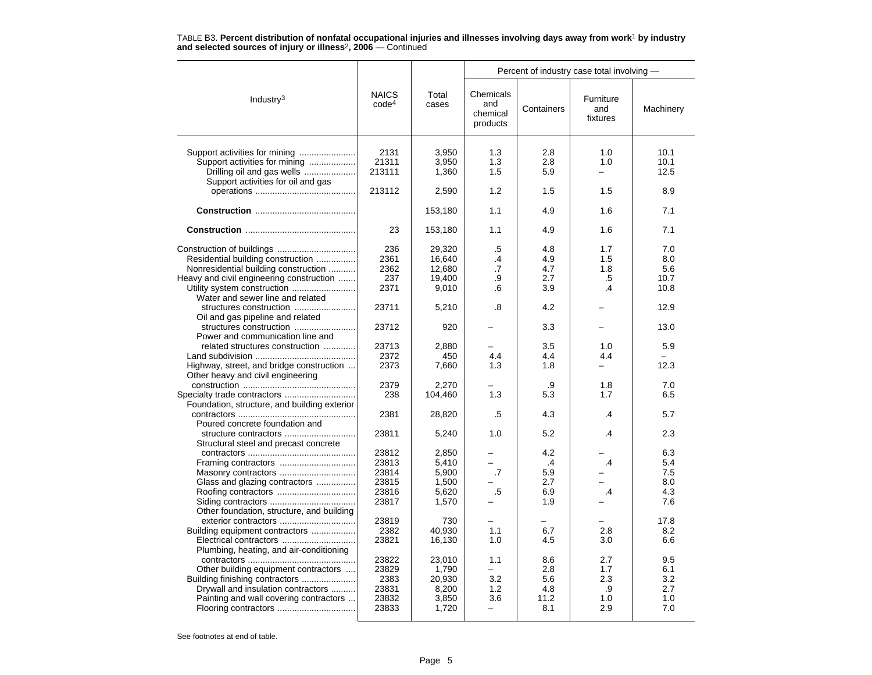|                                                                                                                                                                                                   |                                                    |                                                      | Percent of industry case total involving -   |                                         |                                       |                                        |
|---------------------------------------------------------------------------------------------------------------------------------------------------------------------------------------------------|----------------------------------------------------|------------------------------------------------------|----------------------------------------------|-----------------------------------------|---------------------------------------|----------------------------------------|
| Industry <sup>3</sup>                                                                                                                                                                             | <b>NAICS</b><br>code <sup>4</sup>                  | Total<br>cases                                       | Chemicals<br>and<br>chemical<br>products     | Containers                              | Furniture<br>and<br>fixtures          | Machinery                              |
| Support activities for mining<br>Drilling oil and gas wells<br>Support activities for oil and gas                                                                                                 | 2131<br>21311<br>213111                            | 3,950<br>3.950<br>1,360                              | 1.3<br>1.3<br>1.5                            | 2.8<br>2.8<br>5.9                       | 1.0<br>1.0<br>$\equiv$                | 10.1<br>10.1<br>12.5                   |
|                                                                                                                                                                                                   | 213112                                             | 2,590                                                | 1.2                                          | 1.5                                     | 1.5                                   | 8.9                                    |
|                                                                                                                                                                                                   |                                                    | 153,180                                              | 1.1                                          | 4.9                                     | 1.6                                   | 7.1                                    |
|                                                                                                                                                                                                   | 23                                                 | 153,180                                              | 1.1                                          | 4.9                                     | 1.6                                   | 7.1                                    |
| Residential building construction<br>Nonresidential building construction<br>Heavy and civil engineering construction                                                                             | 236<br>2361<br>2362<br>237<br>2371                 | 29,320<br>16,640<br>12.680<br>19,400<br>9,010        | .5<br>$\cdot$<br>$\overline{.7}$<br>.9<br>.6 | 4.8<br>4.9<br>4.7<br>2.7<br>3.9         | 1.7<br>1.5<br>1.8<br>.5<br>.4         | 7.0<br>8.0<br>5.6<br>10.7<br>10.8      |
| Water and sewer line and related<br>Oil and gas pipeline and related                                                                                                                              | 23711                                              | 5,210                                                | .8                                           | 4.2                                     |                                       | 12.9                                   |
| Power and communication line and                                                                                                                                                                  | 23712                                              | 920                                                  |                                              | 3.3                                     |                                       | 13.0                                   |
| related structures construction                                                                                                                                                                   | 23713                                              | 2,880                                                |                                              | 3.5                                     | 1.0                                   | 5.9                                    |
| Highway, street, and bridge construction<br>Other heavy and civil engineering                                                                                                                     | 2372<br>2373                                       | 450<br>7,660                                         | 4.4<br>1.3                                   | 4.4<br>1.8                              | 4.4<br>-                              | 12.3                                   |
| Foundation, structure, and building exterior                                                                                                                                                      | 2379<br>238                                        | 2,270<br>104,460                                     | 1.3                                          | .9<br>5.3                               | 1.8<br>1.7                            | 7.0<br>6.5                             |
| Poured concrete foundation and                                                                                                                                                                    | 2381                                               | 28,820                                               | .5                                           | 4.3                                     | $\cdot$                               | 5.7                                    |
| structure contractors<br>Structural steel and precast concrete                                                                                                                                    | 23811                                              | 5,240                                                | 1.0                                          | 5.2                                     | $\overline{.4}$                       | 2.3                                    |
| Framing contractors<br>Glass and glazing contractors                                                                                                                                              | 23812<br>23813<br>23814<br>23815<br>23816<br>23817 | 2,850<br>5,410<br>5,900<br>1,500<br>5,620<br>1,570   | .7<br>.5                                     | 4.2<br>.4<br>5.9<br>2.7<br>6.9<br>1.9   | .4<br>.4                              | 6.3<br>5.4<br>7.5<br>8.0<br>4.3<br>7.6 |
| Other foundation, structure, and building<br>exterior contractors<br>Building equipment contractors                                                                                               | 23819<br>2382<br>23821                             | 730<br>40.930<br>16,130                              | 1.1<br>1.0                                   | 6.7<br>4.5                              | 2.8<br>3.0                            | 17.8<br>8.2<br>6.6                     |
| Plumbing, heating, and air-conditioning<br>Other building equipment contractors<br>Building finishing contractors<br>Drywall and insulation contractors<br>Painting and wall covering contractors | 23822<br>23829<br>2383<br>23831<br>23832<br>23833  | 23,010<br>1,790<br>20,930<br>8,200<br>3,850<br>1,720 | 1.1<br>3.2<br>1.2<br>3.6<br>÷                | 8.6<br>2.8<br>5.6<br>4.8<br>11.2<br>8.1 | 2.7<br>1.7<br>2.3<br>.9<br>1.0<br>2.9 | 9.5<br>6.1<br>3.2<br>2.7<br>1.0<br>7.0 |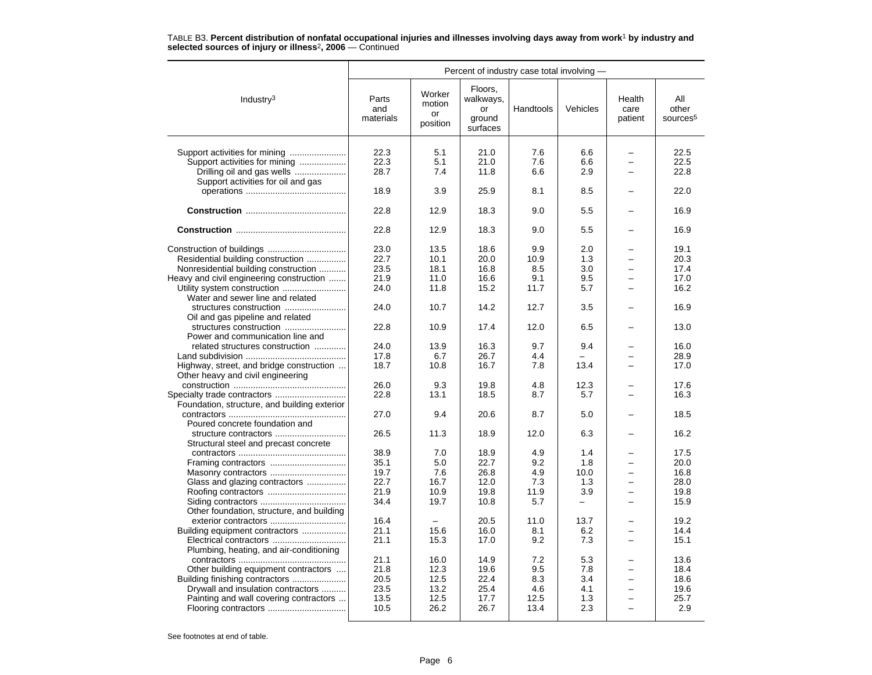|                                                                               |                           |                                    | Percent of industry case total involving -       |            |          |                                                      |                                      |
|-------------------------------------------------------------------------------|---------------------------|------------------------------------|--------------------------------------------------|------------|----------|------------------------------------------------------|--------------------------------------|
| Industry $3$                                                                  | Parts<br>and<br>materials | Worker<br>motion<br>or<br>position | Floors,<br>walkways,<br>or<br>ground<br>surfaces | Handtools  | Vehicles | Health<br>care<br>patient                            | All<br>other<br>sources <sup>5</sup> |
|                                                                               | 22.3                      | 5.1                                | 21.0                                             | 7.6        | 6.6      |                                                      | 22.5                                 |
| Support activities for mining                                                 | 22.3                      | 5.1                                | 21.0                                             | 7.6        | 6.6      | $\equiv$                                             | 22.5                                 |
| Drilling oil and gas wells                                                    | 28.7                      | 7.4                                | 11.8                                             | 6.6        | 2.9      | $\equiv$                                             | 22.8                                 |
| Support activities for oil and gas                                            |                           |                                    |                                                  |            |          |                                                      |                                      |
|                                                                               | 18.9                      | 3.9                                | 25.9                                             | 8.1        | 8.5      |                                                      | 22.0                                 |
|                                                                               |                           |                                    |                                                  |            |          |                                                      |                                      |
|                                                                               | 22.8                      | 12.9                               | 18.3                                             | 9.0        | 5.5      |                                                      | 16.9                                 |
|                                                                               | 22.8                      | 12.9                               | 18.3                                             | 9.0        | 5.5      |                                                      | 16.9                                 |
|                                                                               | 23.0                      | 13.5                               | 18.6                                             | 9.9        | 2.0      |                                                      | 19.1                                 |
| Residential building construction                                             | 22.7                      | 10.1                               | 20.0                                             | 10.9       | 1.3      |                                                      | 20.3                                 |
| Nonresidential building construction                                          | 23.5                      | 18.1                               | 16.8                                             | 8.5        | 3.0      |                                                      | 17.4                                 |
|                                                                               | 21.9                      | 11.0                               | 16.6                                             | 9.1        | 9.5      |                                                      | 17.0                                 |
| Heavy and civil engineering construction                                      | 24.0                      | 11.8                               |                                                  | 11.7       |          |                                                      |                                      |
|                                                                               |                           |                                    | 15.2                                             |            | 5.7      | $\overline{\phantom{0}}$                             | 16.2                                 |
| Water and sewer line and related<br>structures construction                   | 24.0                      | 10.7                               | 14.2                                             | 12.7       | 3.5      |                                                      | 16.9                                 |
|                                                                               |                           |                                    |                                                  |            |          |                                                      |                                      |
| Oil and gas pipeline and related                                              |                           |                                    |                                                  |            |          |                                                      |                                      |
| Power and communication line and                                              | 22.8                      | 10.9                               | 17.4                                             | 12.0       | 6.5      |                                                      | 13.0                                 |
| related structures construction                                               | 24.0                      | 13.9                               | 16.3                                             | 9.7        | 9.4      |                                                      | 16.0                                 |
|                                                                               | 17.8                      | 6.7                                | 26.7                                             | 4.4        |          |                                                      | 28.9                                 |
|                                                                               |                           |                                    |                                                  |            |          |                                                      |                                      |
| Highway, street, and bridge construction<br>Other heavy and civil engineering | 18.7                      | 10.8                               | 16.7                                             | 7.8        | 13.4     |                                                      | 17.0                                 |
|                                                                               | 26.0                      | 9.3                                | 19.8                                             | 4.8        | 12.3     |                                                      | 17.6                                 |
|                                                                               | 22.8                      | 13.1                               | 18.5                                             | 8.7        | 5.7      |                                                      | 16.3                                 |
| Foundation, structure, and building exterior                                  |                           |                                    |                                                  |            |          |                                                      |                                      |
|                                                                               | 27.0                      | 9.4                                | 20.6                                             | 8.7        | 5.0      |                                                      | 18.5                                 |
| Poured concrete foundation and                                                |                           |                                    |                                                  |            |          |                                                      |                                      |
| structure contractors                                                         | 26.5                      | 11.3                               | 18.9                                             | 12.0       | 6.3      |                                                      | 16.2                                 |
| Structural steel and precast concrete                                         |                           |                                    |                                                  |            |          |                                                      |                                      |
|                                                                               | 38.9                      | 7.0                                | 18.9                                             | 4.9        | 1.4      |                                                      | 17.5                                 |
|                                                                               | 35.1                      | 5.0                                | 22.7                                             | 9.2        | 1.8      | $\overline{\phantom{0}}$                             | 20.0                                 |
|                                                                               | 19.7                      | 7.6                                | 26.8                                             | 4.9        | 10.0     | $\overline{\phantom{0}}$                             | 16.8                                 |
| Glass and glazing contractors                                                 | 22.7                      | 16.7                               | 12.0                                             | 7.3        | 1.3      |                                                      | 28.0                                 |
|                                                                               | 21.9                      | 10.9                               | 19.8                                             | 11.9       | 3.9      |                                                      | 19.8                                 |
|                                                                               | 34.4                      | 19.7                               | 10.8                                             | 5.7        |          |                                                      | 15.9                                 |
| Other foundation, structure, and building                                     |                           |                                    |                                                  |            |          |                                                      |                                      |
|                                                                               | 16.4                      |                                    | 20.5                                             | 11.0       | 13.7     | $\overline{\phantom{0}}$                             | 19.2                                 |
|                                                                               | 21.1                      | 15.6                               | 16.0                                             | 8.1        |          |                                                      | 14.4                                 |
| Building equipment contractors                                                |                           |                                    |                                                  |            | 6.2      |                                                      |                                      |
|                                                                               | 21.1                      | 15.3                               | 17.0                                             | 9.2        | 7.3      |                                                      | 15.1                                 |
| Plumbing, heating, and air-conditioning                                       |                           |                                    |                                                  |            |          |                                                      |                                      |
|                                                                               | 21.1                      | 16.0                               | 14.9                                             | 7.2<br>9.5 | 5.3      |                                                      | 13.6                                 |
| Other building equipment contractors                                          | 21.8                      | 12.3                               | 19.6                                             |            | 7.8      | -                                                    | 18.4                                 |
|                                                                               | 20.5                      | 12.5                               | 22.4                                             | 8.3        | 3.4      |                                                      | 18.6                                 |
| Drywall and insulation contractors                                            | 23.5                      | 13.2                               | 25.4                                             | 4.6        | 4.1      |                                                      | 19.6                                 |
| Painting and wall covering contractors                                        | 13.5                      | 12.5                               | 17.7                                             | 12.5       | 1.3      | $\overline{\phantom{0}}$<br>$\overline{\phantom{0}}$ | 25.7                                 |
|                                                                               | 10.5                      | 26.2                               | 26.7                                             | 13.4       | 2.3      |                                                      | 2.9                                  |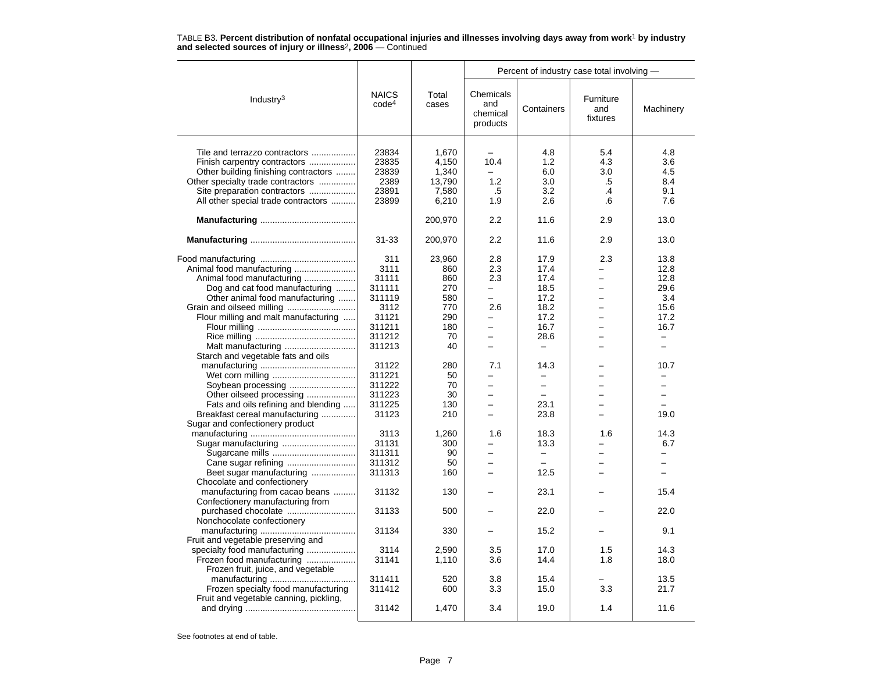|                                        |                                   |                | Percent of industry case total involving - |                          |                              |           |
|----------------------------------------|-----------------------------------|----------------|--------------------------------------------|--------------------------|------------------------------|-----------|
| Industry <sup>3</sup>                  | <b>NAICS</b><br>code <sup>4</sup> | Total<br>cases | Chemicals<br>and<br>chemical<br>products   | Containers               | Furniture<br>and<br>fixtures | Machinery |
|                                        | 23834                             | 1,670          |                                            | 4.8                      | 5.4                          | 4.8       |
| Tile and terrazzo contractors          |                                   |                |                                            |                          |                              |           |
| Finish carpentry contractors           | 23835                             | 4.150          | 10.4                                       | 1.2                      | 4.3                          | 3.6       |
| Other building finishing contractors   | 23839                             | 1,340          | $\overline{\phantom{0}}$                   | 6.0                      | 3.0                          | 4.5       |
| Other specialty trade contractors      | 2389                              | 13,790         | 1.2                                        | 3.0                      | .5                           | 8.4       |
| Site preparation contractors           | 23891                             | 7,580          | .5                                         | 3.2                      | $\cdot$                      | 9.1       |
| All other special trade contractors    | 23899                             | 6,210          | 1.9                                        | 2.6                      | .6                           | 7.6       |
|                                        |                                   | 200,970        | 2.2                                        | 11.6                     | 2.9                          | 13.0      |
|                                        | $31 - 33$                         | 200,970        | 2.2                                        | 11.6                     | 2.9                          | 13.0      |
|                                        | 311                               | 23,960         | 2.8                                        | 17.9                     | 2.3                          | 13.8      |
|                                        | 3111                              | 860            | 2.3                                        | 17.4                     |                              | 12.8      |
| Animal food manufacturing              | 31111                             | 860            | 2.3                                        | 17.4                     |                              | 12.8      |
| Dog and cat food manufacturing         | 311111                            | 270            | $\equiv$                                   | 18.5                     | $\overline{\phantom{0}}$     | 29.6      |
| Other animal food manufacturing        | 311119                            | 580            | $\equiv$                                   | 17.2                     | $\equiv$                     | 3.4       |
|                                        | 3112                              | 770            | 2.6                                        | 18.2                     |                              | 15.6      |
| Flour milling and malt manufacturing   | 31121                             | 290            | $\overline{\phantom{0}}$                   | 17.2                     |                              | 17.2      |
|                                        | 311211                            | 180            | $\overline{\phantom{0}}$                   | 16.7                     |                              | 16.7      |
|                                        | 311212                            | 70             | $\overline{\phantom{0}}$                   | 28.6                     | -                            |           |
|                                        |                                   |                |                                            |                          |                              |           |
|                                        | 311213                            | 40             | $\overline{\phantom{0}}$                   | $\qquad \qquad -$        |                              | $\equiv$  |
| Starch and vegetable fats and oils     |                                   |                |                                            |                          |                              |           |
|                                        | 31122                             | 280            | 7.1                                        | 14.3                     |                              | 10.7      |
|                                        | 311221                            | 50             | -                                          |                          |                              |           |
| Soybean processing                     | 311222                            | 70             | $\equiv$                                   | $\equiv$                 |                              |           |
| Other oilseed processing               | 311223                            | 30             | $\overline{a}$                             |                          |                              | $\equiv$  |
| Fats and oils refining and blending    | 311225                            | 130            |                                            | 23.1                     |                              |           |
| Breakfast cereal manufacturing         | 31123                             | 210            | $\overline{\phantom{0}}$                   | 23.8                     |                              | 19.0      |
| Sugar and confectionery product        |                                   |                |                                            |                          |                              |           |
|                                        | 3113                              | 1,260          | 1.6                                        | 18.3                     | 1.6                          | 14.3      |
|                                        | 31131                             | 300            |                                            | 13.3                     |                              | 6.7       |
|                                        | 311311                            | 90             | -                                          | $\overline{\phantom{0}}$ |                              |           |
|                                        | 311312                            | 50             | $\overline{\phantom{0}}$                   | $\overline{\phantom{0}}$ |                              |           |
| Beet sugar manufacturing               | 311313                            | 160            | $\overline{\phantom{0}}$                   | 12.5                     |                              |           |
| Chocolate and confectionery            |                                   |                |                                            |                          |                              |           |
| manufacturing from cacao beans         | 31132                             | 130            |                                            | 23.1                     |                              | 15.4      |
|                                        |                                   |                |                                            |                          |                              |           |
| Confectionery manufacturing from       |                                   |                |                                            |                          |                              |           |
|                                        | 31133                             | 500            |                                            | 22.0                     |                              | 22.0      |
| Nonchocolate confectionery             |                                   |                |                                            |                          |                              |           |
|                                        | 31134                             | 330            |                                            | 15.2                     |                              | 9.1       |
| Fruit and vegetable preserving and     |                                   |                |                                            |                          |                              |           |
| specialty food manufacturing           | 3114                              | 2,590          | 3.5                                        | 17.0                     | 1.5                          | 14.3      |
| Frozen food manufacturing              | 31141                             | 1,110          | 3.6                                        | 14.4                     | 1.8                          | 18.0      |
| Frozen fruit, juice, and vegetable     |                                   |                |                                            |                          |                              |           |
|                                        | 311411                            | 520            | 3.8                                        | 15.4                     |                              | 13.5      |
| Frozen specialty food manufacturing    | 311412                            | 600            | 3.3                                        | 15.0                     | 3.3                          | 21.7      |
| Fruit and vegetable canning, pickling, |                                   |                |                                            |                          |                              |           |
|                                        | 31142                             | 1,470          | 3.4                                        | 19.0                     | 1.4                          | 11.6      |
|                                        |                                   |                |                                            |                          |                              |           |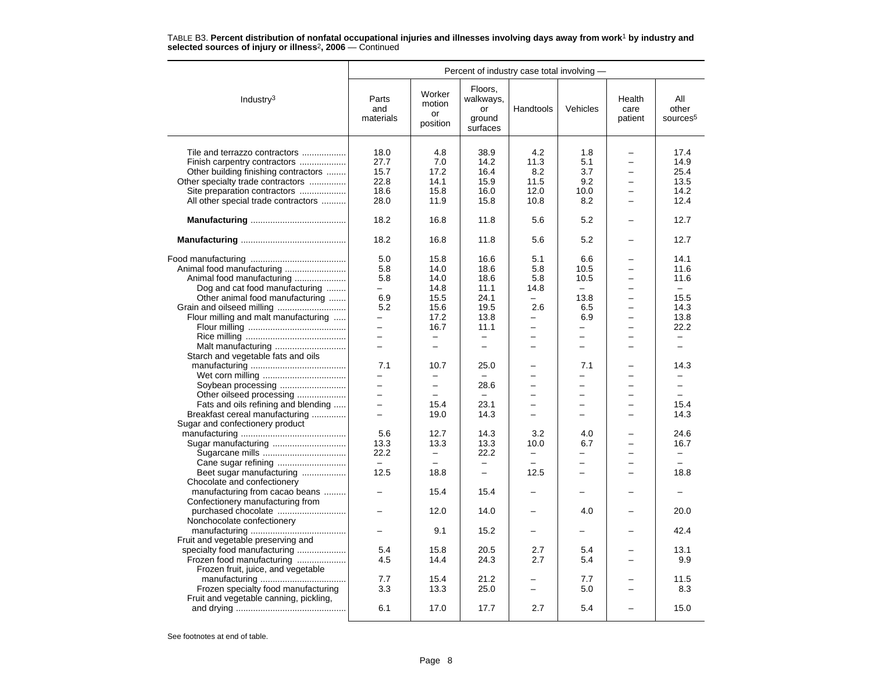|                                                         |                           |                                    | Percent of industry case total involving -       |                          |                          |                           |                                      |
|---------------------------------------------------------|---------------------------|------------------------------------|--------------------------------------------------|--------------------------|--------------------------|---------------------------|--------------------------------------|
| Industry <sup>3</sup>                                   | Parts<br>and<br>materials | Worker<br>motion<br>or<br>position | Floors,<br>walkways,<br>or<br>ground<br>surfaces | Handtools                | Vehicles                 | Health<br>care<br>patient | All<br>other<br>sources <sup>5</sup> |
|                                                         | 18.0                      | 4.8                                | 38.9                                             | 4.2                      | 1.8                      |                           | 17.4                                 |
| Tile and terrazzo contractors                           | 27.7                      | 7.0                                | 14.2                                             | 11.3                     | 5.1                      |                           | 14.9                                 |
| Finish carpentry contractors                            |                           |                                    | 16.4                                             |                          | 3.7                      |                           | 25.4                                 |
| Other building finishing contractors                    | 15.7                      | 17.2                               |                                                  | 8.2                      |                          |                           |                                      |
| Other specialty trade contractors                       | 22.8                      | 14.1                               | 15.9                                             | 11.5                     | 9.2                      |                           | 13.5                                 |
| Site preparation contractors                            | 18.6                      | 15.8                               | 16.0                                             | 12.0                     | 10.0                     | $\equiv$                  | 14.2                                 |
| All other special trade contractors                     | 28.0                      | 11.9                               | 15.8                                             | 10.8                     | 8.2                      | $\equiv$                  | 12.4                                 |
|                                                         | 18.2                      | 16.8                               | 11.8                                             | 5.6                      | 5.2                      |                           | 12.7                                 |
|                                                         | 18.2                      | 16.8                               | 11.8                                             | 5.6                      | 5.2                      |                           | 12.7                                 |
|                                                         | 5.0                       | 15.8                               | 16.6                                             | 5.1                      | 6.6                      |                           | 14.1                                 |
|                                                         | 5.8                       | 14.0                               | 18.6                                             | 5.8                      | 10.5                     |                           | 11.6                                 |
| Animal food manufacturing                               | 5.8                       | 14.0                               | 18.6                                             | 5.8                      | 10.5                     |                           | 11.6                                 |
| Dog and cat food manufacturing                          | $-$                       | 14.8                               | 11.1                                             | 14.8                     | $\equiv$                 | $\equiv$                  | $\sim$                               |
| Other animal food manufacturing                         | 6.9                       | 15.5                               | 24.1                                             | $\overline{\phantom{0}}$ | 13.8                     | $\overline{\phantom{0}}$  | 15.5                                 |
| Grain and oilseed milling                               | 5.2                       | 15.6                               | 19.5                                             | 2.6                      | 6.5                      |                           | 14.3                                 |
| Flour milling and malt manufacturing                    | $\overline{\phantom{0}}$  | 17.2                               | 13.8                                             | -                        | 6.9                      | $\overline{\phantom{0}}$  | 13.8                                 |
|                                                         | $\overline{\phantom{0}}$  | 16.7                               | 11.1                                             | $\overline{\phantom{0}}$ | -                        |                           | 22.2                                 |
|                                                         | $\overline{\phantom{0}}$  |                                    | $\overline{\phantom{0}}$                         |                          | $\overline{\phantom{0}}$ |                           |                                      |
| Malt manufacturing                                      | $\overline{\phantom{0}}$  | $\overline{\phantom{0}}$           | $\overline{\phantom{0}}$                         | $\overline{\phantom{0}}$ | $\overline{\phantom{0}}$ | $\overline{\phantom{0}}$  | $\equiv$                             |
| Starch and vegetable fats and oils                      |                           |                                    |                                                  |                          |                          |                           |                                      |
|                                                         | 7.1                       | 10.7                               | 25.0                                             |                          | 7.1                      |                           | 14.3                                 |
|                                                         | -                         | $\overline{\phantom{0}}$           | $\overline{\phantom{0}}$                         |                          | $\overline{\phantom{0}}$ |                           |                                      |
|                                                         | $\equiv$                  | $\overline{\phantom{0}}$           | 28.6                                             |                          | L.                       |                           | $\equiv$                             |
| Soybean processing                                      | $\overline{\phantom{0}}$  | $\equiv$                           | $\sim$                                           | $\equiv$                 | L.                       | $\overline{\phantom{0}}$  | $\equiv$                             |
| Other oilseed processing                                | -                         | 15.4                               | 23.1                                             |                          |                          |                           | 15.4                                 |
| Fats and oils refining and blending                     |                           |                                    |                                                  |                          |                          |                           |                                      |
| Breakfast cereal manufacturing                          | $\overline{\phantom{0}}$  | 19.0                               | 14.3                                             |                          | $\overline{a}$           |                           | 14.3                                 |
| Sugar and confectionery product                         |                           |                                    |                                                  |                          |                          |                           |                                      |
|                                                         | 5.6                       | 12.7                               | 14.3                                             | 3.2                      | 4.0                      |                           | 24.6                                 |
| Sugar manufacturing                                     | 13.3                      | 13.3                               | 13.3                                             | 10.0                     | 6.7                      | $\equiv$                  | 16.7                                 |
|                                                         | 22.2                      | $\overline{\phantom{0}}$           | 22.2                                             | $\overline{\phantom{0}}$ | $\overline{\phantom{0}}$ |                           | -                                    |
|                                                         | $\equiv$                  |                                    |                                                  |                          | $\overline{\phantom{0}}$ |                           | $-$                                  |
| Beet sugar manufacturing<br>Chocolate and confectionery | 12.5                      | 18.8                               | $\overline{\phantom{0}}$                         | 12.5                     | $\overline{\phantom{0}}$ | -                         | 18.8                                 |
|                                                         | -                         | 15.4                               | 15.4                                             |                          | -                        |                           |                                      |
| manufacturing from cacao beans                          |                           |                                    |                                                  |                          |                          |                           |                                      |
| Confectionery manufacturing from                        |                           |                                    |                                                  |                          |                          |                           |                                      |
| purchased chocolate                                     |                           | 12.0                               | 14.0                                             |                          | 4.0                      |                           | 20.0                                 |
| Nonchocolate confectionery                              |                           |                                    |                                                  |                          |                          |                           |                                      |
|                                                         |                           | 9.1                                | 15.2                                             |                          |                          |                           | 42.4                                 |
| Fruit and vegetable preserving and                      |                           |                                    |                                                  |                          |                          |                           |                                      |
| specialty food manufacturing                            | 5.4                       | 15.8                               | 20.5                                             | 2.7                      | 5.4                      |                           | 13.1                                 |
| Frozen food manufacturing                               | 4.5                       | 14.4                               | 24.3                                             | 2.7                      | 5.4                      |                           | 9.9                                  |
| Frozen fruit, juice, and vegetable                      |                           |                                    |                                                  |                          |                          |                           |                                      |
|                                                         | 7.7                       | 15.4                               | 21.2                                             |                          | 7.7                      |                           | 11.5                                 |
| Frozen specialty food manufacturing                     | 3.3                       | 13.3                               | 25.0                                             |                          | 5.0                      |                           | 8.3                                  |
| Fruit and vegetable canning, pickling,                  |                           |                                    |                                                  |                          |                          |                           |                                      |
|                                                         | 6.1                       | 17.0                               | 17.7                                             | 2.7                      | 5.4                      |                           | 15.0                                 |
|                                                         |                           |                                    |                                                  |                          |                          |                           |                                      |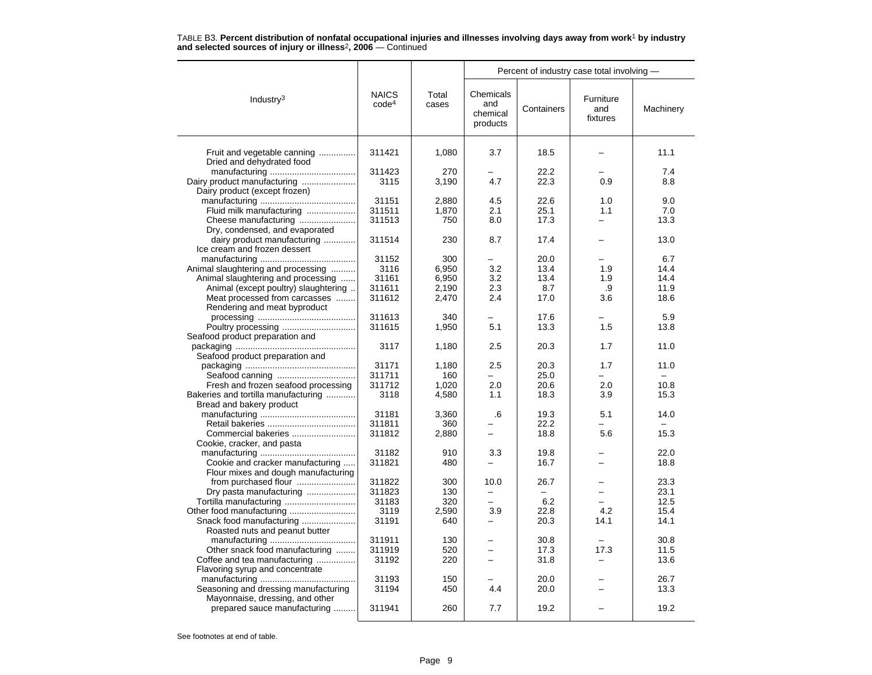| TABLE B3. Percent distribution of nonfatal occupational injuries and illnesses involving days away from work <sup>1</sup> by industry |  |  |
|---------------------------------------------------------------------------------------------------------------------------------------|--|--|
| and selected sources of injury or illness <sup>2</sup> , 2006 – Continued                                                             |  |  |

|                                                                         |                                   |                | Percent of industry case total involving - |            |                              |           |
|-------------------------------------------------------------------------|-----------------------------------|----------------|--------------------------------------------|------------|------------------------------|-----------|
| Industry $3$                                                            | <b>NAICS</b><br>code <sup>4</sup> | Total<br>cases | Chemicals<br>and<br>chemical<br>products   | Containers | Furniture<br>and<br>fixtures | Machinery |
| Fruit and vegetable canning<br>Dried and dehydrated food                | 311421                            | 1,080          | 3.7                                        | 18.5       |                              | 11.1      |
|                                                                         | 311423                            | 270            |                                            | 22.2       |                              | 7.4       |
| Dairy product manufacturing                                             | 3115                              | 3,190          | 4.7                                        | 22.3       | 0.9                          | 8.8       |
| Dairy product (except frozen)                                           |                                   |                |                                            |            |                              |           |
|                                                                         | 31151                             | 2,880          | 4.5                                        | 22.6       | 1.0                          | 9.0       |
| Fluid milk manufacturing                                                | 311511                            | 1,870          | 2.1                                        | 25.1       | 1.1                          | 7.0       |
| Cheese manufacturing                                                    | 311513                            | 750            | 8.0                                        | 17.3       |                              | 13.3      |
| Dry, condensed, and evaporated                                          |                                   |                |                                            |            |                              |           |
| dairy product manufacturing<br>Ice cream and frozen dessert             | 311514                            | 230            | 8.7                                        | 17.4       |                              | 13.0      |
|                                                                         | 31152                             | 300            |                                            | 20.0       |                              | 6.7       |
| Animal slaughtering and processing                                      | 3116                              | 6,950          | 3.2                                        | 13.4       | 1.9                          | 14.4      |
| Animal slaughtering and processing                                      | 31161                             | 6,950          | 3.2                                        | 13.4       | 1.9                          | 14.4      |
| Animal (except poultry) slaughtering                                    | 311611                            | 2,190          | 2.3                                        | 8.7        | .9                           | 11.9      |
| Meat processed from carcasses                                           | 311612                            | 2,470          | 2.4                                        | 17.0       | 3.6                          | 18.6      |
| Rendering and meat byproduct                                            |                                   |                |                                            |            |                              |           |
|                                                                         | 311613                            | 340            |                                            | 17.6       |                              | 5.9       |
|                                                                         | 311615                            | 1,950          | 5.1                                        | 13.3       | 1.5                          | 13.8      |
| Seafood product preparation and                                         |                                   |                |                                            |            |                              |           |
| Seafood product preparation and                                         | 3117                              | 1,180          | 2.5                                        | 20.3       | 1.7                          | 11.0      |
|                                                                         | 31171                             | 1,180          | 2.5                                        | 20.3       | 1.7                          | 11.0      |
|                                                                         | 311711                            | 160            |                                            | 25.0       |                              |           |
| Fresh and frozen seafood processing                                     | 311712                            | 1,020          | 2.0                                        | 20.6       | 2.0                          | 10.8      |
| Bakeries and tortilla manufacturing<br>Bread and bakery product         | 3118                              | 4,580          | 1.1                                        | 18.3       | 3.9                          | 15.3      |
|                                                                         | 31181                             | 3,360          | .6                                         | 19.3       | 5.1                          | 14.0      |
|                                                                         | 311811<br>311812                  | 360            | $\overline{\phantom{0}}$                   | 22.2       | 5.6                          | 15.3      |
| Commercial bakeries<br>Cookie, cracker, and pasta                       |                                   | 2,880          |                                            | 18.8       |                              |           |
|                                                                         | 31182                             | 910            | 3.3                                        | 19.8       |                              | 22.0      |
| Cookie and cracker manufacturing                                        | 311821                            | 480            |                                            | 16.7       |                              | 18.8      |
| Flour mixes and dough manufacturing                                     |                                   |                |                                            |            |                              |           |
| from purchased flour                                                    | 311822                            | 300            | 10.0                                       | 26.7       |                              | 23.3      |
| Dry pasta manufacturing                                                 | 311823                            | 130            |                                            |            | $\overline{\phantom{0}}$     | 23.1      |
| Tortilla manufacturing                                                  | 31183                             | 320            | $\equiv$                                   | 6.2        | -                            | 12.5      |
|                                                                         | 3119                              | 2,590          | 3.9                                        | 22.8       | 4.2                          | 15.4      |
| Snack food manufacturing                                                | 31191                             | 640            |                                            | 20.3       | 14.1                         | 14.1      |
| Roasted nuts and peanut butter                                          |                                   |                |                                            |            |                              |           |
|                                                                         | 311911                            | 130            |                                            | 30.8       |                              | 30.8      |
| Other snack food manufacturing                                          | 311919                            | 520            |                                            | 17.3       | 17.3                         | 11.5      |
| Coffee and tea manufacturing<br>Flavoring syrup and concentrate         | 31192                             | 220            | ÷                                          | 31.8       | -                            | 13.6      |
|                                                                         | 31193                             | 150            | 4.4                                        | 20.0       |                              | 26.7      |
| Seasoning and dressing manufacturing<br>Mayonnaise, dressing, and other | 31194                             | 450            |                                            | 20.0       |                              | 13.3      |
| prepared sauce manufacturing                                            | 311941                            | 260            | 7.7                                        | 19.2       |                              | 19.2      |
|                                                                         |                                   |                |                                            |            |                              |           |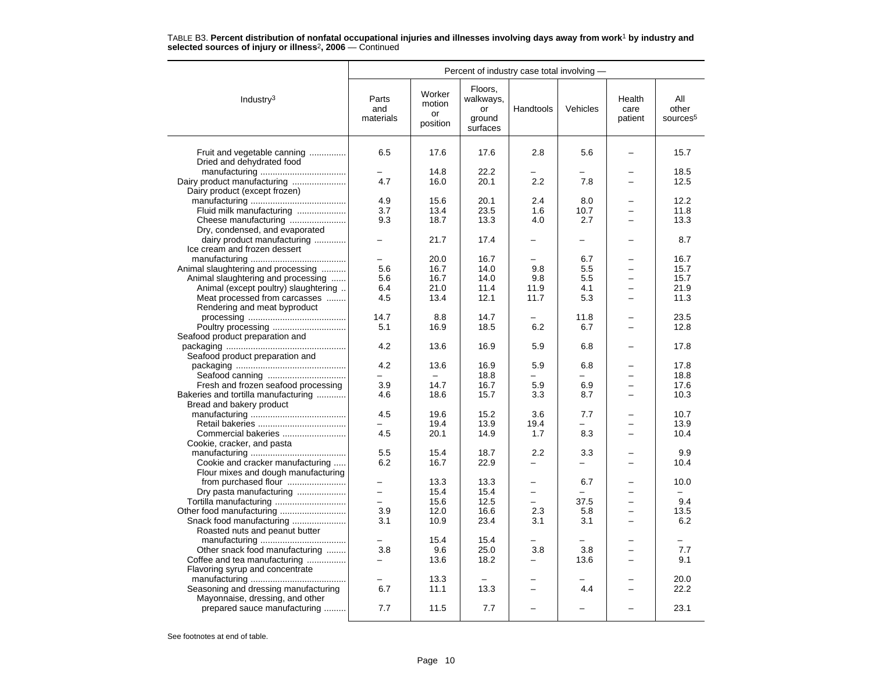|                                                          | Percent of industry case total involving - |                                    |                                                  |                          |          |                           |                                      |
|----------------------------------------------------------|--------------------------------------------|------------------------------------|--------------------------------------------------|--------------------------|----------|---------------------------|--------------------------------------|
| Industry $3$                                             | Parts<br>and<br>materials                  | Worker<br>motion<br>or<br>position | Floors,<br>walkways,<br>or<br>ground<br>surfaces | Handtools                | Vehicles | Health<br>care<br>patient | All<br>other<br>sources <sup>5</sup> |
| Fruit and vegetable canning<br>Dried and dehydrated food | 6.5                                        | 17.6                               | 17.6                                             | 2.8                      | 5.6      |                           | 15.7                                 |
|                                                          | -                                          | 14.8                               | 22.2                                             |                          |          |                           | 18.5                                 |
| Dairy product manufacturing                              | 4.7                                        | 16.0                               | 20.1                                             | 2.2                      | 7.8      |                           | 12.5                                 |
| Dairy product (except frozen)                            |                                            |                                    |                                                  |                          |          |                           |                                      |
|                                                          | 4.9                                        | 15.6                               | 20.1                                             | 2.4                      | 8.0      |                           | 12.2                                 |
| Fluid milk manufacturing                                 | 3.7                                        | 13.4                               | 23.5                                             | 1.6                      | 10.7     |                           | 11.8                                 |
| Cheese manufacturing                                     | 9.3                                        | 18.7                               | 13.3                                             | 4.0                      | 2.7      | -                         | 13.3                                 |
| Dry, condensed, and evaporated                           |                                            |                                    |                                                  |                          |          |                           |                                      |
| dairy product manufacturing                              |                                            | 21.7                               | 17.4                                             |                          |          |                           | 8.7                                  |
| Ice cream and frozen dessert                             |                                            |                                    |                                                  |                          |          |                           |                                      |
|                                                          | $\overline{\phantom{0}}$                   | 20.0                               | 16.7                                             | $\overline{\phantom{0}}$ | 6.7      |                           | 16.7                                 |
| Animal slaughtering and processing                       | 5.6                                        | 16.7                               | 14.0                                             | 9.8                      | 5.5      | $\overline{\phantom{0}}$  | 15.7                                 |
| Animal slaughtering and processing                       | 5.6                                        | 16.7                               | 14.0                                             | 9.8                      | 5.5      |                           | 15.7                                 |
|                                                          |                                            |                                    | 11.4                                             |                          |          |                           | 21.9                                 |
| Animal (except poultry) slaughtering                     | 6.4                                        | 21.0                               |                                                  | 11.9                     | 4.1      | -                         |                                      |
| Meat processed from carcasses                            | 4.5                                        | 13.4                               | 12.1                                             | 11.7                     | 5.3      |                           | 11.3                                 |
| Rendering and meat byproduct                             |                                            |                                    |                                                  |                          |          |                           |                                      |
|                                                          | 14.7                                       | 8.8                                | 14.7                                             |                          | 11.8     |                           | 23.5                                 |
| Poultry processing<br>Seafood product preparation and    | 5.1                                        | 16.9                               | 18.5                                             | 6.2                      | 6.7      |                           | 12.8                                 |
| Seafood product preparation and                          | 4.2                                        | 13.6                               | 16.9                                             | 5.9                      | 6.8      |                           | 17.8                                 |
|                                                          | 4.2                                        | 13.6                               | 16.9                                             | 5.9                      | 6.8      |                           | 17.8                                 |
|                                                          |                                            |                                    | 18.8                                             |                          |          |                           | 18.8                                 |
| Fresh and frozen seafood processing                      | 3.9                                        | 14.7                               | 16.7                                             | 5.9                      | 6.9      |                           | 17.6                                 |
| Bakeries and tortilla manufacturing                      | 4.6                                        | 18.6                               | 15.7                                             | 3.3                      | 8.7      | -                         | 10.3                                 |
| Bread and bakery product                                 |                                            |                                    |                                                  |                          |          |                           |                                      |
|                                                          | 4.5                                        | 19.6                               | 15.2                                             | 3.6                      | 7.7      |                           | 10.7                                 |
|                                                          |                                            | 19.4                               | 13.9                                             | 19.4                     |          |                           | 13.9                                 |
| Commercial bakeries                                      | 4.5                                        | 20.1                               | 14.9                                             | 1.7                      | 8.3      |                           | 10.4                                 |
| Cookie, cracker, and pasta                               |                                            |                                    |                                                  |                          |          |                           |                                      |
|                                                          | 5.5                                        | 15.4                               | 18.7                                             | 2.2                      | 3.3      |                           | 9.9                                  |
| Cookie and cracker manufacturing                         | 6.2                                        | 16.7                               | 22.9                                             | -                        |          |                           | 10.4                                 |
| Flour mixes and dough manufacturing                      |                                            |                                    |                                                  |                          |          |                           |                                      |
|                                                          | $\overline{a}$                             | 13.3                               | 13.3                                             | $\overline{a}$           | 6.7      |                           | 10.0                                 |
| Dry pasta manufacturing                                  | $\equiv$                                   | 15.4                               | 15.4                                             | $\overline{\phantom{0}}$ |          | -                         | $\equiv$                             |
|                                                          | $\overline{a}$                             | 15.6                               | 12.5                                             | $\overline{\phantom{a}}$ | 37.5     |                           | 9.4                                  |
| Other food manufacturing                                 | 3.9                                        | 12.0                               | 16.6                                             | 2.3                      | 5.8      |                           | 13.5                                 |
| Snack food manufacturing                                 | 3.1                                        | 10.9                               | 23.4                                             | 3.1                      | 3.1      |                           | 6.2                                  |
| Roasted nuts and peanut butter                           |                                            |                                    |                                                  |                          |          |                           |                                      |
|                                                          |                                            | 15.4                               | 15.4                                             |                          |          |                           |                                      |
| Other snack food manufacturing                           | 3.8                                        | 9.6                                | 25.0                                             | 3.8                      | 3.8      | $\overline{\phantom{0}}$  | 7.7                                  |
| Coffee and tea manufacturing                             | $\overline{a}$                             | 13.6                               | 18.2                                             | $\overline{\phantom{0}}$ | 13.6     |                           | 9.1                                  |
| Flavoring syrup and concentrate                          |                                            |                                    |                                                  |                          |          |                           |                                      |
|                                                          |                                            | 13.3                               |                                                  |                          |          |                           | 20.0                                 |
| Seasoning and dressing manufacturing                     | 6.7                                        | 11.1                               | 13.3                                             | $\overline{\phantom{0}}$ | 4.4      |                           | 22.2                                 |
| Mayonnaise, dressing, and other                          |                                            |                                    |                                                  |                          |          |                           |                                      |
| prepared sauce manufacturing                             | 7.7                                        | 11.5                               | 7.7                                              |                          |          |                           | 23.1                                 |
|                                                          |                                            |                                    |                                                  |                          |          |                           |                                      |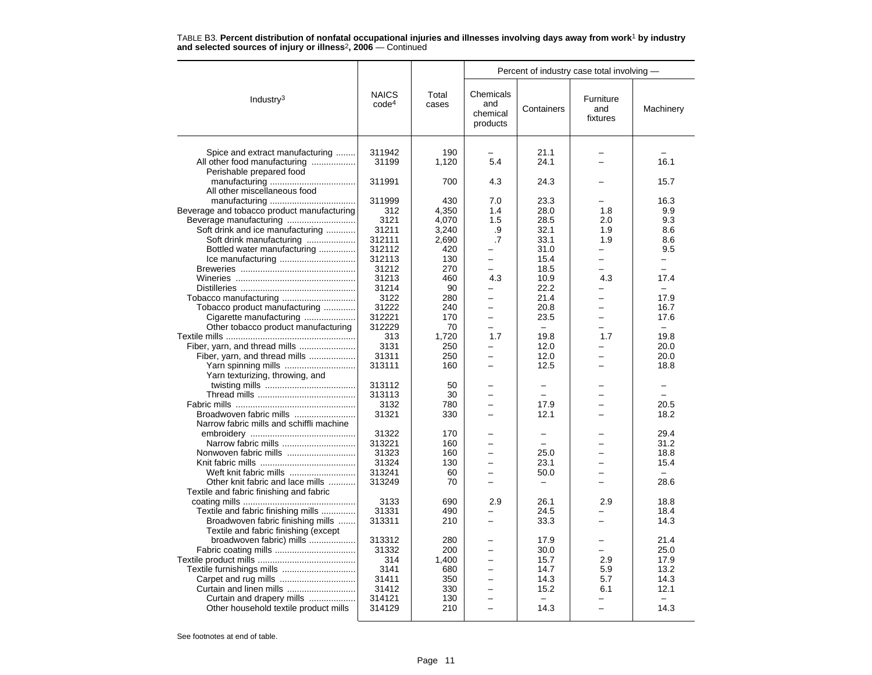|                                                          |                                   |                | Percent of industry case total involving - |                          |                              |                          |
|----------------------------------------------------------|-----------------------------------|----------------|--------------------------------------------|--------------------------|------------------------------|--------------------------|
| Industry <sup>3</sup>                                    | <b>NAICS</b><br>code <sup>4</sup> | Total<br>cases | Chemicals<br>and<br>chemical<br>products   | Containers               | Furniture<br>and<br>fixtures | Machinery                |
|                                                          |                                   |                |                                            |                          |                              |                          |
| Spice and extract manufacturing                          | 311942                            | 190            |                                            | 21.1                     |                              |                          |
| All other food manufacturing<br>Perishable prepared food | 31199                             | 1,120          | 5.4                                        | 24.1                     |                              | 16.1                     |
| All other miscellaneous food                             | 311991                            | 700            | 4.3                                        | 24.3                     |                              | 15.7                     |
|                                                          | 311999                            | 430            | 7.0                                        | 23.3                     |                              | 16.3                     |
| Beverage and tobacco product manufacturing               | 312                               | 4,350          | 1.4                                        | 28.0                     | 1.8                          | 9.9                      |
|                                                          | 3121                              | 4,070          | 1.5                                        | 28.5                     | 2.0                          | 9.3                      |
| Soft drink and ice manufacturing                         | 31211                             | 3,240          | .9                                         | 32.1                     | 1.9                          | 8.6                      |
| Soft drink manufacturing                                 | 312111                            | 2,690          | $\cdot$                                    | 33.1                     | 1.9                          | 8.6                      |
| Bottled water manufacturing                              | 312112                            | 420            |                                            | 31.0                     |                              | 9.5                      |
|                                                          | 312113                            | 130            | $\overline{\phantom{0}}$                   | 15.4                     | Ξ.                           | Ξ.                       |
|                                                          |                                   | 270            |                                            |                          |                              |                          |
|                                                          | 31212                             |                |                                            | 18.5                     |                              |                          |
|                                                          | 31213                             | 460            | 4.3                                        | 10.9                     | 4.3                          | 17.4                     |
|                                                          | 31214                             | 90             | ▃                                          | 22.2                     |                              | $\equiv$                 |
|                                                          | 3122                              | 280            | -                                          | 21.4                     |                              | 17.9                     |
| Tobacco product manufacturing                            | 31222                             | 240            | -                                          | 20.8                     | $\equiv$                     | 16.7                     |
| Cigarette manufacturing                                  | 312221                            | 170            | $\overline{\phantom{0}}$                   | 23.5                     | -                            | 17.6                     |
| Other tobacco product manufacturing                      | 312229                            | 70             |                                            | $\overline{\phantom{a}}$ | $\overline{\phantom{0}}$     | $\overline{\phantom{m}}$ |
|                                                          | 313                               | 1,720          | 1.7                                        | 19.8                     | 1.7                          | 19.8                     |
| Fiber, yarn, and thread mills                            | 3131                              | 250            | $\overline{\phantom{0}}$                   | 12.0                     |                              | 20.0                     |
| Fiber, yarn, and thread mills                            | 31311                             | 250            | -                                          | 12.0                     | $\overline{\phantom{0}}$     | 20.0                     |
|                                                          | 313111                            | 160            | $\overline{\phantom{0}}$                   | 12.5                     | $\overline{\phantom{0}}$     | 18.8                     |
| Yarn texturizing, throwing, and                          |                                   |                |                                            |                          |                              |                          |
|                                                          | 313112                            | 50             |                                            | -                        |                              | -                        |
|                                                          | 313113                            | 30             |                                            |                          |                              |                          |
|                                                          | 3132                              | 780            |                                            | 17.9                     |                              | 20.5                     |
| Broadwoven fabric mills                                  | 31321                             | 330            |                                            | 12.1                     | -                            | 18.2                     |
| Narrow fabric mills and schiffli machine                 |                                   |                |                                            |                          |                              |                          |
|                                                          | 31322                             | 170            |                                            |                          |                              | 29.4                     |
| Narrow fabric mills                                      | 313221                            | 160            | -                                          | -                        |                              |                          |
|                                                          |                                   |                |                                            |                          |                              | 31.2                     |
| Nonwoven fabric mills                                    | 31323                             | 160            | L.                                         | 25.0                     | ÷                            | 18.8                     |
|                                                          | 31324                             | 130            |                                            | 23.1                     |                              | 15.4                     |
| Weft knit fabric mills                                   | 313241                            | 60             | -                                          | 50.0                     | $\equiv$                     | $\equiv$                 |
| Other knit fabric and lace mills                         | 313249                            | 70             |                                            |                          |                              | 28.6                     |
| Textile and fabric finishing and fabric                  |                                   |                |                                            |                          |                              |                          |
|                                                          | 3133                              | 690            | 2.9                                        | 26.1                     | 2.9                          | 18.8                     |
| Textile and fabric finishing mills                       | 31331                             | 490            |                                            | 24.5                     |                              | 18.4                     |
| Broadwoven fabric finishing mills                        | 313311                            | 210            | ÷                                          | 33.3                     | -                            | 14.3                     |
| Textile and fabric finishing (except                     |                                   |                |                                            |                          |                              |                          |
| broadwoven fabric) mills                                 | 313312                            | 280            |                                            | 17.9                     |                              | 21.4                     |
|                                                          | 31332                             | 200            | -                                          | 30.0                     | $\equiv$                     | 25.0                     |
|                                                          | 314                               | 1,400          |                                            | 15.7                     | 2.9                          | 17.9                     |
|                                                          | 3141                              | 680            |                                            | 14.7                     | 5.9                          | 13.2                     |
|                                                          | 31411                             | 350            | $\overline{\phantom{0}}$                   | 14.3                     | 5.7                          | 14.3                     |
| Curtain and linen mills                                  | 31412                             | 330            |                                            | 15.2                     | 6.1                          | 12.1                     |
| Curtain and drapery mills                                | 314121                            | 130            |                                            | -                        | -                            | $\equiv$                 |
|                                                          |                                   |                |                                            |                          |                              |                          |

TABLE B3. **Percent distribution of nonfatal occupational injuries and illnesses involving days away from work**<sup>1</sup> **by industry and selected sources of injury or illness**<sup>2</sup>**, 2006** — Continued

See footnotes at end of table.

Other household textile product mills

Curtain and drapery mills ................... 314121 130 – – – –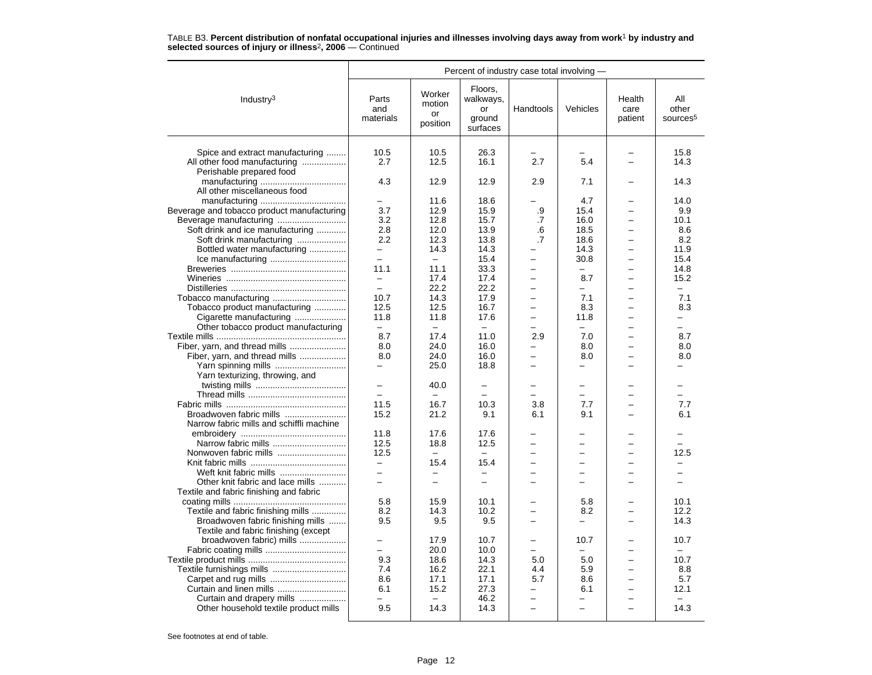|                                                                 | Percent of industry case total involving - |                                    |                                                  |                 |                          |                           |                                      |
|-----------------------------------------------------------------|--------------------------------------------|------------------------------------|--------------------------------------------------|-----------------|--------------------------|---------------------------|--------------------------------------|
| Industry <sup>3</sup>                                           | Parts<br>and<br>materials                  | Worker<br>motion<br>or<br>position | Floors,<br>walkways,<br>or<br>ground<br>surfaces | Handtools       | Vehicles                 | Health<br>care<br>patient | All<br>other<br>sources <sup>5</sup> |
| Spice and extract manufacturing<br>All other food manufacturing | 10.5<br>2.7                                | 10.5<br>12.5                       | 26.3<br>16.1                                     | 2.7             | 5.4                      |                           | 15.8<br>14.3                         |
| Perishable prepared food<br>All other miscellaneous food        | 4.3                                        | 12.9                               | 12.9                                             | 2.9             | 7.1                      |                           | 14.3                                 |
| Beverage and tobacco product manufacturing                      | 3.7                                        | 11.6<br>12.9                       | 18.6<br>15.9                                     | .9              | 4.7<br>15.4              |                           | 14.0<br>9.9                          |
|                                                                 | 3.2                                        | 12.8                               | 15.7                                             | .7              | 16.0                     | L                         | 10.1                                 |
| Soft drink and ice manufacturing                                | 2.8                                        | 12.0                               | 13.9                                             | .6              | 18.5                     | $\overline{\phantom{0}}$  | 8.6                                  |
| Soft drink manufacturing                                        | 2.2                                        | 12.3                               | 13.8                                             | $\overline{.7}$ | 18.6                     | $\overline{\phantom{0}}$  | 8.2                                  |
| Bottled water manufacturing                                     |                                            | 14.3                               | 14.3                                             |                 | 14.3                     | L                         | 11.9                                 |
|                                                                 | $\equiv$                                   | $\equiv$                           | 15.4                                             |                 | 30.8                     | ÷                         | 15.4                                 |
|                                                                 | 11.1                                       | 11.1                               | 33.3                                             |                 | $\frac{1}{2}$            | -                         | 14.8                                 |
|                                                                 | $\equiv$                                   | 17.4                               | 17.4                                             |                 | 8.7                      | L.                        | 15.2                                 |
|                                                                 | $\overline{\phantom{0}}$                   | 22.2                               | 22.2                                             |                 |                          | $\overline{\phantom{0}}$  | $\overline{\phantom{0}}$             |
|                                                                 | 10.7                                       | 14.3                               | 17.9                                             |                 | 7.1                      | ÷                         | 7.1                                  |
| Tobacco product manufacturing                                   | 12.5                                       | 12.5                               | 16.7                                             |                 | 8.3                      | $\overline{\phantom{0}}$  | 8.3                                  |
|                                                                 | 11.8                                       | 11.8                               | 17.6                                             |                 | 11.8                     | -                         | -                                    |
| Cigarette manufacturing                                         | $\equiv$                                   | $-$                                | $\sim$                                           |                 | $\equiv$                 | $\overline{\phantom{0}}$  | $\equiv$                             |
| Other tobacco product manufacturing                             | 8.7                                        | 17.4                               | 11.0                                             | 2.9             | 7.0                      | $\overline{\phantom{0}}$  | 8.7                                  |
|                                                                 |                                            |                                    |                                                  |                 |                          | L                         |                                      |
| Fiber, yarn, and thread mills                                   | 8.0                                        | 24.0                               | 16.0                                             |                 | 8.0                      |                           | 8.0                                  |
| Fiber, yarn, and thread mills                                   | 8.0                                        | 24.0                               | 16.0                                             |                 | 8.0                      | -                         | 8.0                                  |
| Yarn spinning mills                                             | $\equiv$                                   | 25.0                               | 18.8                                             |                 |                          |                           |                                      |
| Yarn texturizing, throwing, and                                 |                                            |                                    |                                                  |                 |                          |                           |                                      |
|                                                                 | —<br>$\overline{a}$                        | 40.0                               | $\overline{\phantom{0}}$                         |                 | -                        |                           |                                      |
|                                                                 |                                            | $\equiv$                           |                                                  |                 | $\equiv$                 | ÷                         |                                      |
|                                                                 | 11.5                                       | 16.7                               | 10.3                                             | 3.8             | 7.7                      | $\overline{\phantom{0}}$  | 7.7                                  |
| Broadwoven fabric mills                                         | 15.2                                       | 21.2                               | 9.1                                              | 6.1             | 9.1                      |                           | 6.1                                  |
| Narrow fabric mills and schiffli machine                        |                                            |                                    |                                                  |                 |                          |                           |                                      |
|                                                                 | 11.8                                       | 17.6                               | 17.6                                             |                 |                          |                           |                                      |
|                                                                 | 12.5                                       | 18.8                               | 12.5                                             |                 |                          |                           |                                      |
|                                                                 | 12.5                                       | $\equiv$                           | $\equiv$                                         |                 | -                        |                           | 12.5                                 |
|                                                                 |                                            | 15.4                               | 15.4                                             |                 |                          |                           |                                      |
| Weft knit fabric mills                                          | ÷                                          | $\equiv$                           | $\equiv$                                         |                 |                          | L                         |                                      |
| Other knit fabric and lace mills                                | $\overline{a}$                             | $\overline{\phantom{0}}$           | $\overline{\phantom{0}}$                         |                 |                          | $\overline{\phantom{0}}$  |                                      |
| Textile and fabric finishing and fabric                         |                                            |                                    |                                                  |                 |                          |                           |                                      |
|                                                                 | 5.8                                        | 15.9                               | 10.1                                             |                 | 5.8                      |                           | 10.1                                 |
| Textile and fabric finishing mills                              | 8.2                                        | 14.3                               | 10.2                                             |                 | 8.2                      |                           | 12.2                                 |
| Broadwoven fabric finishing mills                               | 9.5                                        | 9.5                                | 9.5                                              |                 | $\overline{\phantom{0}}$ | $\overline{\phantom{0}}$  | 14.3                                 |
| Textile and fabric finishing (except                            |                                            |                                    |                                                  |                 |                          |                           |                                      |
| broadwoven fabric) mills                                        |                                            | 17.9                               | 10.7                                             |                 | 10.7                     |                           | 10.7                                 |
|                                                                 | $\equiv$                                   | 20.0                               | 10.0                                             | $=$             | $\overline{\phantom{0}}$ | $\overline{\phantom{0}}$  | $\overline{\phantom{0}}$             |
|                                                                 | 9.3                                        | 18.6                               | 14.3                                             | 5.0             | 5.0                      | $\overline{\phantom{0}}$  | 10.7                                 |
| Textile furnishings mills                                       | 7.4                                        | 16.2                               | 22.1                                             | 4.4             | 5.9                      | $\overline{\phantom{0}}$  | 8.8                                  |
|                                                                 | 8.6                                        | 17.1                               | 17.1                                             | 5.7             | 8.6                      | $\overline{\phantom{0}}$  | 5.7                                  |
| Curtain and linen mills                                         | 6.1                                        | 15.2                               | 27.3                                             |                 | 6.1                      | $\overline{\phantom{0}}$  | 12.1                                 |
| Curtain and drapery mills                                       |                                            |                                    | 46.2                                             |                 | -                        |                           |                                      |
| Other household textile product mills                           | 9.5                                        | 14.3                               | 14.3                                             |                 |                          |                           | 14.3                                 |
|                                                                 |                                            |                                    |                                                  |                 |                          |                           |                                      |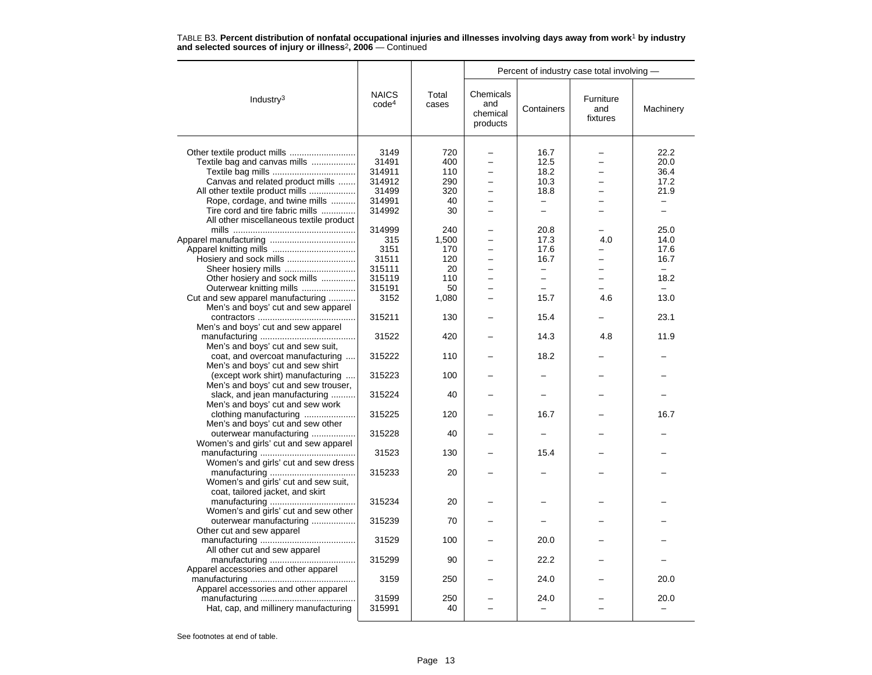|                                         |                                   |                | Percent of industry case total involving - |                          |                              |                          |  |
|-----------------------------------------|-----------------------------------|----------------|--------------------------------------------|--------------------------|------------------------------|--------------------------|--|
| Industry <sup>3</sup>                   | <b>NAICS</b><br>code <sup>4</sup> | Total<br>cases | Chemicals<br>and<br>chemical<br>products   | Containers               | Furniture<br>and<br>fixtures | Machinery                |  |
|                                         |                                   |                |                                            |                          |                              |                          |  |
|                                         | 3149                              | 720            |                                            | 16.7                     |                              | 22.2                     |  |
| Textile bag and canvas mills            | 31491                             | 400            |                                            | 12.5                     |                              | 20.0                     |  |
|                                         | 314911                            | 110            | $\overline{\phantom{0}}$                   | 18.2                     |                              | 36.4                     |  |
| Canvas and related product mills        | 314912                            | 290            |                                            | 10.3                     |                              | 17.2                     |  |
| All other textile product mills         | 31499                             | 320            | -                                          | 18.8                     |                              | 21.9                     |  |
| Rope, cordage, and twine mills          | 314991                            | 40             |                                            | -                        |                              | -                        |  |
| Tire cord and tire fabric mills         | 314992                            | 30             |                                            | $\equiv$                 |                              | $\overline{a}$           |  |
| All other miscellaneous textile product |                                   |                |                                            |                          |                              |                          |  |
|                                         | 314999                            | 240            |                                            | 20.8                     |                              | 25.0                     |  |
|                                         | 315                               | 1,500          |                                            | 17.3                     | 4.0                          | 14.0                     |  |
|                                         | 3151                              | 170            |                                            | 17.6                     |                              | 17.6                     |  |
| Hosiery and sock mills                  | 31511                             | 120            |                                            | 16.7                     |                              | 16.7                     |  |
|                                         | 315111                            | 20             |                                            | $\overline{a}$           |                              | $\overline{\phantom{m}}$ |  |
| Other hosiery and sock mills            | 315119                            | 110            | -                                          | $\overline{\phantom{0}}$ | $\overline{\phantom{0}}$     | 18.2                     |  |
| Outerwear knitting mills                | 315191                            | 50             |                                            |                          |                              | $\equiv$                 |  |
| Cut and sew apparel manufacturing       | 3152                              | 1,080          |                                            | 15.7                     | 4.6                          | 13.0                     |  |
| Men's and boys' cut and sew apparel     |                                   |                |                                            |                          |                              |                          |  |
|                                         | 315211                            | 130            |                                            | 15.4                     |                              | 23.1                     |  |
| Men's and boys' cut and sew apparel     |                                   |                |                                            |                          |                              |                          |  |
|                                         | 31522                             | 420            |                                            | 14.3                     | 4.8                          | 11.9                     |  |
| Men's and boys' cut and sew suit,       |                                   |                |                                            |                          |                              |                          |  |
| coat, and overcoat manufacturing        | 315222                            | 110            |                                            | 18.2                     |                              |                          |  |
| Men's and boys' cut and sew shirt       |                                   |                |                                            |                          |                              |                          |  |
| (except work shirt) manufacturing       | 315223                            | 100            |                                            |                          |                              |                          |  |
| Men's and boys' cut and sew trouser,    |                                   |                |                                            |                          |                              |                          |  |
| slack, and jean manufacturing           | 315224                            | 40             |                                            |                          |                              |                          |  |
| Men's and boys' cut and sew work        |                                   |                |                                            |                          |                              |                          |  |
| clothing manufacturing                  | 315225                            | 120            |                                            | 16.7                     |                              | 16.7                     |  |
| Men's and boys' cut and sew other       |                                   |                |                                            |                          |                              |                          |  |
| outerwear manufacturing                 | 315228                            | 40             |                                            |                          |                              |                          |  |
| Women's and girls' cut and sew apparel  |                                   |                |                                            |                          |                              |                          |  |
|                                         | 31523                             | 130            |                                            | 15.4                     |                              |                          |  |
| Women's and girls' cut and sew dress    |                                   |                |                                            |                          |                              |                          |  |
|                                         | 315233                            | 20             |                                            |                          |                              |                          |  |
| Women's and girls' cut and sew suit,    |                                   |                |                                            |                          |                              |                          |  |
| coat, tailored jacket, and skirt        |                                   |                |                                            |                          |                              |                          |  |
|                                         | 315234                            | 20             |                                            |                          |                              |                          |  |
| Women's and girls' cut and sew other    |                                   |                |                                            |                          |                              |                          |  |
| outerwear manufacturing                 | 315239                            | 70             |                                            |                          |                              |                          |  |
| Other cut and sew apparel               |                                   |                |                                            |                          |                              |                          |  |
|                                         | 31529                             | 100            |                                            | 20.0                     |                              |                          |  |
| All other cut and sew apparel           |                                   |                |                                            |                          |                              |                          |  |
|                                         | 315299                            | 90             |                                            | 22.2                     |                              |                          |  |
| Apparel accessories and other apparel   |                                   |                |                                            |                          |                              |                          |  |
|                                         | 3159                              | 250            |                                            | 24.0                     |                              | 20.0                     |  |
| Apparel accessories and other apparel   |                                   |                |                                            |                          |                              |                          |  |
|                                         | 31599                             | 250            |                                            | 24.0                     |                              | 20.0                     |  |
| Hat, cap, and millinery manufacturing   | 315991                            | 40             |                                            |                          |                              |                          |  |

TABLE B3. **Percent distribution of nonfatal occupational injuries and illnesses involving days away from work**<sup>1</sup> **by industry and selected sources of injury or illness**<sup>2</sup>**, 2006** — Continued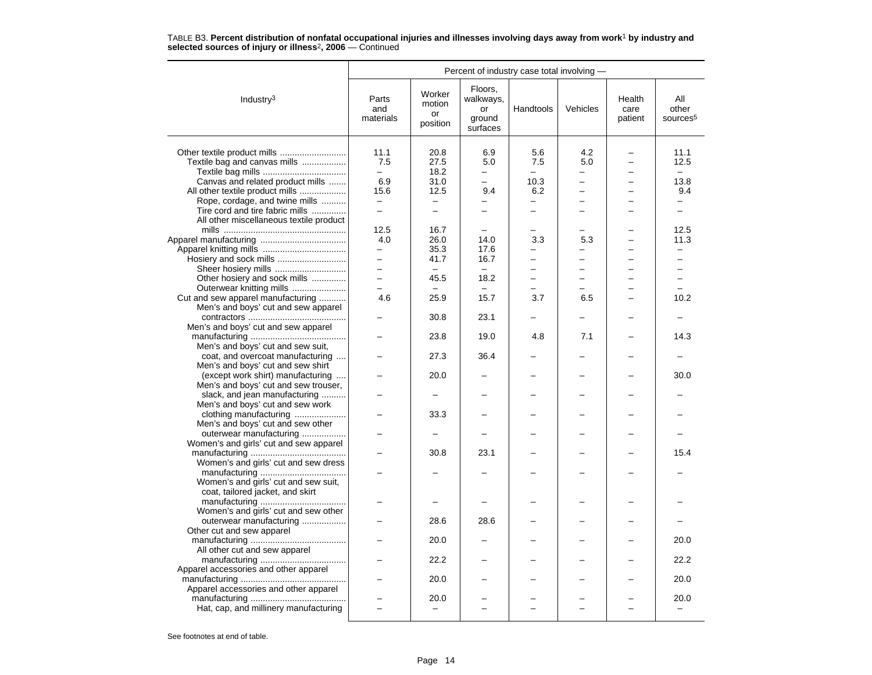|                                         | Percent of industry case total involving - |                                    |                                                  |                          |                |                           |                                      |
|-----------------------------------------|--------------------------------------------|------------------------------------|--------------------------------------------------|--------------------------|----------------|---------------------------|--------------------------------------|
| Industry $3$                            | Parts<br>and<br>materials                  | Worker<br>motion<br>or<br>position | Floors,<br>walkways,<br>or<br>ground<br>surfaces | Handtools                | Vehicles       | Health<br>care<br>patient | All<br>other<br>sources <sup>5</sup> |
| Other textile product mills             | 11.1                                       | 20.8                               | 6.9                                              | 5.6                      | 4.2            |                           | 11.1                                 |
| Textile bag and canvas mills            | 7.5                                        | 27.5                               | 5.0                                              | 7.5                      | 5.0            |                           | 12.5                                 |
|                                         | $\overline{\phantom{0}}$                   | 18.2                               | Ξ.                                               | $\overline{\phantom{0}}$ | -              |                           | $\overline{\phantom{0}}$             |
| Canvas and related product mills        | 6.9                                        | 31.0                               |                                                  | 10.3                     |                |                           | 13.8                                 |
| All other textile product mills         | 15.6                                       | 12.5                               | 9.4                                              | 6.2                      | $\overline{a}$ |                           | 9.4                                  |
| Rope, cordage, and twine mills          | $\overline{\phantom{0}}$                   | $\overline{\phantom{0}}$           | $\overline{\phantom{0}}$                         |                          |                |                           | -                                    |
| Tire cord and tire fabric mills         | $\overline{a}$                             | ÷                                  | ÷                                                | $\overline{\phantom{0}}$ |                |                           | ÷                                    |
| All other miscellaneous textile product |                                            |                                    |                                                  |                          |                |                           |                                      |
|                                         | 12.5                                       | 16.7                               |                                                  |                          |                |                           | 12.5                                 |
|                                         | 4.0                                        | 26.0                               | 14.0                                             | 3.3                      | 5.3            |                           | 11.3                                 |
|                                         | -                                          | 35.3                               | 17.6                                             |                          |                |                           |                                      |
| Hosiery and sock mills                  | $\equiv$                                   | 41.7                               | 16.7                                             | -                        | L.             |                           | L.                                   |
| Sheer hosiery mills                     | $\overline{\phantom{0}}$                   |                                    | $\overline{\phantom{m}}$                         |                          | ▃              |                           | ▃                                    |
| Other hosiery and sock mills            | $\overline{\phantom{0}}$                   | 45.5                               | 18.2                                             |                          |                |                           |                                      |
| Outerwear knitting mills                | L.                                         |                                    | $\equiv$                                         |                          |                |                           | $\equiv$                             |
| Cut and sew apparel manufacturing       | 4.6                                        | 25.9                               | 15.7                                             | 3.7                      | 6.5            |                           | 10.2                                 |
| Men's and boys' cut and sew apparel     |                                            |                                    |                                                  |                          |                |                           |                                      |
|                                         |                                            | 30.8                               | 23.1                                             |                          |                |                           |                                      |
| Men's and boys' cut and sew apparel     |                                            |                                    |                                                  |                          |                |                           |                                      |
|                                         |                                            | 23.8                               | 19.0                                             | 4.8                      | 7.1            |                           | 14.3                                 |
| Men's and boys' cut and sew suit,       |                                            |                                    |                                                  |                          |                |                           |                                      |
| coat, and overcoat manufacturing        |                                            | 27.3                               | 36.4                                             |                          |                |                           |                                      |
| Men's and boys' cut and sew shirt       |                                            |                                    |                                                  |                          |                |                           |                                      |
| (except work shirt) manufacturing       |                                            | 20.0                               |                                                  |                          |                |                           | 30.0                                 |
| Men's and boys' cut and sew trouser,    |                                            |                                    |                                                  |                          |                |                           |                                      |
| slack, and jean manufacturing           |                                            | $\overline{\phantom{m}}$           |                                                  |                          |                |                           |                                      |
| Men's and boys' cut and sew work        |                                            |                                    |                                                  |                          |                |                           |                                      |
| clothing manufacturing                  |                                            | 33.3                               |                                                  |                          |                |                           |                                      |
| Men's and boys' cut and sew other       |                                            |                                    |                                                  |                          |                |                           |                                      |
| outerwear manufacturing                 |                                            |                                    |                                                  |                          |                |                           |                                      |
| Women's and girls' cut and sew apparel  |                                            |                                    |                                                  |                          |                |                           |                                      |
|                                         |                                            | 30.8                               | 23.1                                             |                          |                |                           | 15.4                                 |
| Women's and girls' cut and sew dress    |                                            |                                    |                                                  |                          |                |                           |                                      |
|                                         |                                            |                                    |                                                  |                          |                |                           |                                      |
| Women's and girls' cut and sew suit,    |                                            |                                    |                                                  |                          |                |                           |                                      |
| coat, tailored jacket, and skirt        |                                            |                                    |                                                  |                          |                |                           |                                      |
|                                         |                                            |                                    |                                                  |                          |                |                           |                                      |
| Women's and girls' cut and sew other    |                                            |                                    |                                                  |                          |                |                           |                                      |
| outerwear manufacturing                 |                                            | 28.6                               | 28.6                                             |                          |                |                           |                                      |
| Other cut and sew apparel               |                                            |                                    |                                                  |                          |                |                           |                                      |
|                                         |                                            | 20.0                               |                                                  |                          |                |                           | 20.0                                 |
| All other cut and sew apparel           |                                            |                                    |                                                  |                          |                |                           |                                      |
|                                         |                                            | 22.2                               |                                                  |                          |                |                           | 22.2                                 |
| Apparel accessories and other apparel   |                                            |                                    |                                                  |                          |                |                           |                                      |
|                                         |                                            | 20.0                               |                                                  |                          |                |                           | 20.0                                 |
| Apparel accessories and other apparel   |                                            |                                    |                                                  |                          |                |                           |                                      |
|                                         |                                            | 20.0                               |                                                  |                          |                |                           | 20.0                                 |
| Hat, cap, and millinery manufacturing   |                                            |                                    |                                                  |                          |                |                           |                                      |
|                                         |                                            |                                    |                                                  |                          |                |                           |                                      |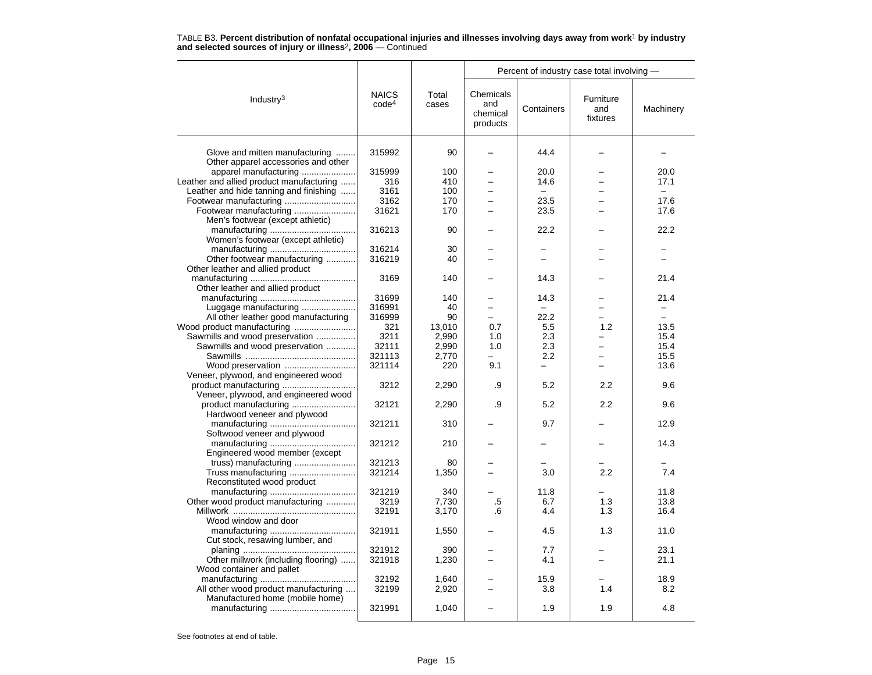|                                          |                                   |                | Percent of industry case total involving - |                          |                              |           |  |
|------------------------------------------|-----------------------------------|----------------|--------------------------------------------|--------------------------|------------------------------|-----------|--|
| Industry $3$                             | <b>NAICS</b><br>code <sup>4</sup> | Total<br>cases | Chemicals<br>and<br>chemical<br>products   | Containers               | Furniture<br>and<br>fixtures | Machinery |  |
| Glove and mitten manufacturing           | 315992                            | 90             | $\overline{\phantom{0}}$                   | 44.4                     |                              |           |  |
| Other apparel accessories and other      |                                   |                |                                            |                          |                              |           |  |
| apparel manufacturing                    | 315999                            | 100            |                                            | 20.0                     |                              | 20.0      |  |
| Leather and allied product manufacturing | 316                               | 410            | $\equiv$                                   | 14.6                     | $\overline{\phantom{0}}$     | 17.1      |  |
| Leather and hide tanning and finishing   | 3161                              | 100            |                                            |                          |                              |           |  |
|                                          | 3162                              | 170            |                                            | 23.5                     |                              | 17.6      |  |
| Footwear manufacturing                   | 31621                             | 170            |                                            | 23.5                     |                              | 17.6      |  |
| Men's footwear (except athletic)         |                                   |                |                                            |                          |                              |           |  |
|                                          | 316213                            | 90             |                                            | 22.2                     |                              | 22.2      |  |
| Women's footwear (except athletic)       |                                   |                |                                            |                          |                              |           |  |
|                                          | 316214                            | 30             |                                            |                          |                              |           |  |
| Other footwear manufacturing             | 316219                            | 40             |                                            | $=$                      |                              |           |  |
| Other leather and allied product         |                                   |                |                                            |                          |                              |           |  |
|                                          | 3169                              | 140            |                                            | 14.3                     |                              | 21.4      |  |
| Other leather and allied product         |                                   |                |                                            |                          |                              |           |  |
|                                          | 31699                             | 140            |                                            | 14.3                     |                              | 21.4      |  |
| Luggage manufacturing                    | 316991                            | 40             |                                            | $\equiv$                 |                              |           |  |
| All other leather good manufacturing     | 316999                            | 90             | $\overline{\phantom{0}}$                   | 22.2                     |                              | $\equiv$  |  |
| Wood product manufacturing               | 321                               | 13,010         | 0.7                                        | 5.5                      | 1.2                          | 13.5      |  |
| Sawmills and wood preservation           | 3211                              | 2,990          | 1.0                                        | 2.3                      |                              | 15.4      |  |
| Sawmills and wood preservation           | 32111                             | 2,990          | 1.0                                        | 2.3                      | $\overline{\phantom{0}}$     | 15.4      |  |
|                                          | 321113                            | 2,770          |                                            | 2.2                      |                              | 15.5      |  |
| Wood preservation                        | 321114                            | 220            | 9.1                                        | $\overline{\phantom{0}}$ | —                            | 13.6      |  |
| Veneer, plywood, and engineered wood     |                                   |                |                                            |                          |                              |           |  |
|                                          | 3212                              | 2,290          | .9                                         | 5.2                      | 2.2                          | 9.6       |  |
| Veneer, plywood, and engineered wood     |                                   |                |                                            |                          |                              |           |  |
|                                          | 32121                             | 2,290          | .9                                         | 5.2                      | 2.2                          | 9.6       |  |
| Hardwood veneer and plywood              |                                   |                |                                            |                          |                              |           |  |
|                                          | 321211                            | 310            |                                            | 9.7                      |                              | 12.9      |  |
| Softwood veneer and plywood              |                                   |                |                                            |                          |                              |           |  |
|                                          | 321212                            | 210            |                                            |                          |                              | 14.3      |  |
| Engineered wood member (except           |                                   |                |                                            |                          |                              |           |  |
| truss) manufacturing                     | 321213                            | 80             |                                            |                          |                              |           |  |
| Truss manufacturing                      | 321214                            | 1,350          |                                            | 3.0                      | 2.2                          | 7.4       |  |
| Reconstituted wood product               |                                   |                |                                            |                          |                              |           |  |
|                                          | 321219                            | 340            |                                            | 11.8                     |                              | 11.8      |  |
| Other wood product manufacturing         | 3219                              | 7,730          | .5                                         | 6.7                      | 1.3                          | 13.8      |  |
|                                          | 32191                             | 3,170          | .6                                         | 4.4                      | 1.3                          | 16.4      |  |
| Wood window and door                     |                                   |                |                                            |                          |                              |           |  |
|                                          | 321911                            | 1,550          |                                            | 4.5                      | 1.3                          | 11.0      |  |
| Cut stock, resawing lumber, and          |                                   |                |                                            |                          |                              |           |  |
|                                          | 321912                            | 390            |                                            | 7.7                      |                              | 23.1      |  |
| Other millwork (including flooring)      | 321918                            | 1,230          |                                            | 4.1                      |                              | 21.1      |  |
| Wood container and pallet                |                                   |                |                                            |                          |                              |           |  |
|                                          | 32192                             | 1,640          |                                            | 15.9                     |                              | 18.9      |  |
| All other wood product manufacturing     | 32199                             |                |                                            | 3.8                      | 1.4                          | 8.2       |  |
|                                          |                                   | 2,920          |                                            |                          |                              |           |  |
| Manufactured home (mobile home)          | 321991                            | 1,040          |                                            | 1.9                      | 1.9                          | 4.8       |  |
|                                          |                                   |                |                                            |                          |                              |           |  |

TABLE B3. **Percent distribution of nonfatal occupational injuries and illnesses involving days away from work**<sup>1</sup> **by industry and selected sources of injury or illness**<sup>2</sup>**, 2006** — Continued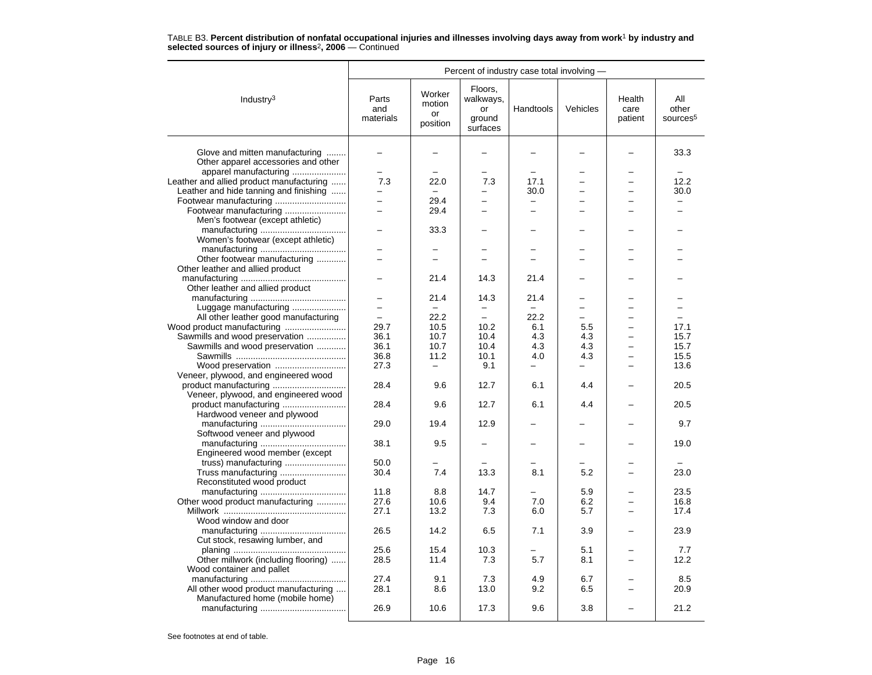|                                                                       |                           |                                    |                                                  | Percent of industry case total involving - |                          |                           |                                      |
|-----------------------------------------------------------------------|---------------------------|------------------------------------|--------------------------------------------------|--------------------------------------------|--------------------------|---------------------------|--------------------------------------|
| Industry $3$                                                          | Parts<br>and<br>materials | Worker<br>motion<br>or<br>position | Floors,<br>walkways,<br>or<br>ground<br>surfaces | Handtools                                  | Vehicles                 | Health<br>care<br>patient | All<br>other<br>sources <sup>5</sup> |
| Glove and mitten manufacturing<br>Other apparel accessories and other |                           |                                    |                                                  |                                            |                          |                           | 33.3                                 |
| apparel manufacturing                                                 | $\overline{\phantom{0}}$  |                                    |                                                  |                                            |                          |                           |                                      |
| Leather and allied product manufacturing                              | 7.3                       | 22.0                               | 7.3                                              | 17.1                                       |                          |                           | 12.2                                 |
| Leather and hide tanning and finishing                                | -                         |                                    |                                                  | 30.0                                       |                          |                           | 30.0                                 |
|                                                                       | $\overline{\phantom{0}}$  | 29.4                               |                                                  |                                            |                          |                           |                                      |
|                                                                       | $\overline{a}$            |                                    | -                                                | ÷                                          |                          |                           |                                      |
| Footwear manufacturing                                                |                           | 29.4                               |                                                  |                                            |                          |                           |                                      |
| Men's footwear (except athletic)                                      |                           |                                    |                                                  |                                            |                          |                           |                                      |
|                                                                       |                           | 33.3                               |                                                  |                                            |                          |                           |                                      |
| Women's footwear (except athletic)                                    |                           |                                    |                                                  |                                            |                          |                           |                                      |
|                                                                       |                           |                                    |                                                  |                                            |                          |                           |                                      |
| Other footwear manufacturing                                          | -                         | $\equiv$                           |                                                  |                                            |                          |                           |                                      |
| Other leather and allied product                                      |                           |                                    |                                                  |                                            |                          |                           |                                      |
|                                                                       |                           | 21.4                               | 14.3                                             | 21.4                                       |                          |                           |                                      |
| Other leather and allied product                                      |                           |                                    |                                                  |                                            |                          |                           |                                      |
|                                                                       | -                         | 21.4                               | 14.3                                             | 21.4                                       |                          |                           |                                      |
| Luggage manufacturing                                                 | $\equiv$                  |                                    |                                                  |                                            |                          |                           |                                      |
| All other leather good manufacturing                                  | $\equiv$                  | 22.2                               | $\equiv$                                         | 22.2                                       | L.                       |                           | ÷                                    |
|                                                                       | 29.7                      | 10.5                               | 10.2                                             | 6.1                                        | 5.5                      |                           | 17.1                                 |
| Sawmills and wood preservation                                        | 36.1                      | 10.7                               | 10.4                                             | 4.3                                        | 4.3                      |                           | 15.7                                 |
| Sawmills and wood preservation                                        | 36.1                      | 10.7                               | 10.4                                             | 4.3                                        | 4.3                      | $\overline{\phantom{0}}$  | 15.7                                 |
|                                                                       | 36.8                      | 11.2                               | 10.1                                             | 4.0                                        | 4.3                      | $\overline{\phantom{0}}$  | 15.5                                 |
|                                                                       | 27.3                      | $\equiv$                           | 9.1                                              |                                            | $\overline{\phantom{0}}$ |                           | 13.6                                 |
| Veneer, plywood, and engineered wood                                  |                           |                                    |                                                  |                                            |                          |                           |                                      |
|                                                                       | 28.4                      | 9.6                                | 12.7                                             | 6.1                                        | 4.4                      |                           | 20.5                                 |
| Veneer, plywood, and engineered wood                                  |                           |                                    |                                                  |                                            |                          |                           |                                      |
| product manufacturing                                                 | 28.4                      | 9.6                                | 12.7                                             | 6.1                                        | 4.4                      |                           | 20.5                                 |
| Hardwood veneer and plywood                                           |                           |                                    |                                                  |                                            |                          |                           |                                      |
|                                                                       | 29.0                      | 19.4                               | 12.9                                             |                                            |                          |                           | 9.7                                  |
| Softwood veneer and plywood                                           |                           |                                    |                                                  |                                            |                          |                           |                                      |
|                                                                       | 38.1                      | 9.5                                |                                                  |                                            |                          |                           | 19.0                                 |
| Engineered wood member (except                                        |                           |                                    |                                                  |                                            |                          |                           |                                      |
|                                                                       | 50.0                      |                                    |                                                  |                                            |                          |                           |                                      |
| Truss manufacturing                                                   | 30.4                      | 7.4                                | 13.3                                             | 8.1                                        | 5.2                      |                           | 23.0                                 |
| Reconstituted wood product                                            |                           |                                    |                                                  |                                            |                          |                           |                                      |
|                                                                       | 11.8                      | 8.8                                | 14.7                                             |                                            | 5.9                      |                           | 23.5                                 |
| Other wood product manufacturing                                      | 27.6                      | 10.6                               | 9.4                                              | 7.0                                        | 6.2                      |                           | 16.8                                 |
|                                                                       | 27.1                      | 13.2                               | 7.3                                              | 6.0                                        | 5.7                      |                           | 17.4                                 |
| Wood window and door                                                  |                           |                                    |                                                  |                                            |                          |                           |                                      |
|                                                                       | 26.5                      | 14.2                               | 6.5                                              | 7.1                                        | 3.9                      |                           | 23.9                                 |
| Cut stock, resawing lumber, and                                       |                           |                                    |                                                  |                                            |                          |                           |                                      |
|                                                                       | 25.6                      | 15.4                               | 10.3                                             |                                            | 5.1                      |                           | 7.7                                  |
| Other millwork (including flooring)                                   | 28.5                      | 11.4                               | 7.3                                              | 5.7                                        |                          |                           | 12.2                                 |
|                                                                       |                           |                                    |                                                  |                                            | 8.1                      |                           |                                      |
| Wood container and pallet                                             |                           |                                    |                                                  |                                            |                          |                           |                                      |
|                                                                       | 27.4                      | 9.1                                | 7.3                                              | 4.9                                        | 6.7                      |                           | 8.5                                  |
| All other wood product manufacturing                                  | 28.1                      | 8.6                                | 13.0                                             | 9.2                                        | 6.5                      |                           | 20.9                                 |
| Manufactured home (mobile home)                                       |                           |                                    |                                                  |                                            |                          |                           |                                      |
|                                                                       | 26.9                      | 10.6                               | 17.3                                             | 9.6                                        | 3.8                      |                           | 21.2                                 |
|                                                                       |                           |                                    |                                                  |                                            |                          |                           |                                      |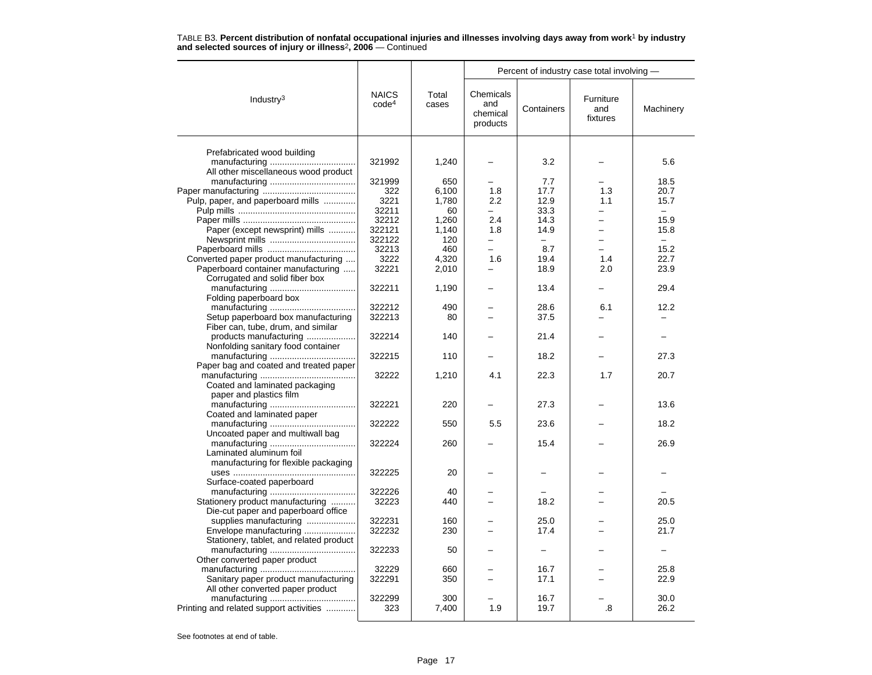|                                                                           | TABLE B3. Percent distribution of nonfatal occupational injuries and illnesses involving days away from work <sup>1</sup> by industry |  |
|---------------------------------------------------------------------------|---------------------------------------------------------------------------------------------------------------------------------------|--|
| and selected sources of injury or illness <sup>2</sup> , 2006 – Continued |                                                                                                                                       |  |

|                                         |                                   |                | Percent of industry case total involving - |            |                              |           |  |
|-----------------------------------------|-----------------------------------|----------------|--------------------------------------------|------------|------------------------------|-----------|--|
| Industry <sup>3</sup>                   | <b>NAICS</b><br>code <sup>4</sup> | Total<br>cases | Chemicals<br>and<br>chemical<br>products   | Containers | Furniture<br>and<br>fixtures | Machinery |  |
|                                         |                                   |                |                                            |            |                              |           |  |
| Prefabricated wood building             | 321992                            |                |                                            | 3.2        |                              | 5.6       |  |
| All other miscellaneous wood product    |                                   | 1,240          |                                            |            |                              |           |  |
|                                         | 321999                            | 650            |                                            | 7.7        |                              | 18.5      |  |
|                                         | 322                               | 6.100          | 1.8                                        | 17.7       | 1.3                          | 20.7      |  |
| Pulp, paper, and paperboard mills       | 3221                              | 1.780          | 2.2                                        | 12.9       | 1.1                          | 15.7      |  |
|                                         | 32211                             | 60             |                                            | 33.3       |                              |           |  |
|                                         | 32212                             | 1,260          | 2.4                                        | 14.3       | ÷.                           | 15.9      |  |
| Paper (except newsprint) mills          | 322121                            | 1,140          | 1.8                                        | 14.9       | -                            | 15.8      |  |
|                                         | 322122                            | 120            |                                            |            |                              |           |  |
|                                         | 32213                             | 460            | -                                          | 8.7        | $\overline{\phantom{0}}$     | 15.2      |  |
| Converted paper product manufacturing   | 3222                              | 4,320          | 1.6                                        | 19.4       | 1.4                          | 22.7      |  |
|                                         |                                   |                |                                            |            |                              |           |  |
| Paperboard container manufacturing      | 32221                             | 2,010          |                                            | 18.9       | 2.0                          | 23.9      |  |
| Corrugated and solid fiber box          |                                   |                |                                            |            |                              |           |  |
|                                         | 322211                            | 1,190          |                                            | 13.4       |                              | 29.4      |  |
| Folding paperboard box                  |                                   |                |                                            |            |                              |           |  |
|                                         | 322212                            | 490            |                                            | 28.6       | 6.1                          | 12.2      |  |
| Setup paperboard box manufacturing      | 322213                            | 80             | -                                          | 37.5       |                              |           |  |
| Fiber can, tube, drum, and similar      |                                   |                |                                            |            |                              |           |  |
| products manufacturing                  | 322214                            | 140            |                                            | 21.4       |                              |           |  |
| Nonfolding sanitary food container      |                                   |                |                                            |            |                              |           |  |
|                                         | 322215                            | 110            |                                            | 18.2       |                              | 27.3      |  |
| Paper bag and coated and treated paper  |                                   |                |                                            |            |                              |           |  |
|                                         | 32222                             | 1,210          | 4.1                                        | 22.3       | 1.7                          | 20.7      |  |
| Coated and laminated packaging          |                                   |                |                                            |            |                              |           |  |
| paper and plastics film                 |                                   |                |                                            |            |                              |           |  |
|                                         | 322221                            | 220            |                                            | 27.3       |                              | 13.6      |  |
| Coated and laminated paper              |                                   |                |                                            |            |                              |           |  |
|                                         | 322222                            | 550            | 5.5                                        | 23.6       |                              | 18.2      |  |
| Uncoated paper and multiwall bag        |                                   |                |                                            |            |                              |           |  |
|                                         | 322224                            | 260            |                                            | 15.4       |                              | 26.9      |  |
| Laminated aluminum foil                 |                                   |                |                                            |            |                              |           |  |
| manufacturing for flexible packaging    |                                   |                |                                            |            |                              |           |  |
|                                         | 322225                            | 20             |                                            |            |                              |           |  |
| Surface-coated paperboard               |                                   |                |                                            |            |                              |           |  |
|                                         | 322226                            | 40             |                                            |            |                              |           |  |
| Stationery product manufacturing        | 32223                             | 440            |                                            | 18.2       |                              | 20.5      |  |
| Die-cut paper and paperboard office     |                                   |                |                                            |            |                              |           |  |
| supplies manufacturing                  | 322231                            | 160            |                                            | 25.0       |                              | 25.0      |  |
| Envelope manufacturing                  | 322232                            | 230            |                                            | 17.4       |                              | 21.7      |  |
| Stationery, tablet, and related product |                                   |                |                                            |            |                              |           |  |
|                                         | 322233                            | 50             |                                            | -          |                              |           |  |
| Other converted paper product           |                                   |                |                                            |            |                              |           |  |
|                                         | 32229                             | 660            |                                            | 16.7       |                              | 25.8      |  |
| Sanitary paper product manufacturing    | 322291                            | 350            |                                            | 17.1       |                              | 22.9      |  |
| All other converted paper product       |                                   |                |                                            |            |                              |           |  |
|                                         | 322299                            | 300            |                                            | 16.7       |                              | 30.0      |  |
| Printing and related support activities | 323                               | 7,400          | 1.9                                        | 19.7       | .8                           | 26.2      |  |
|                                         |                                   |                |                                            |            |                              |           |  |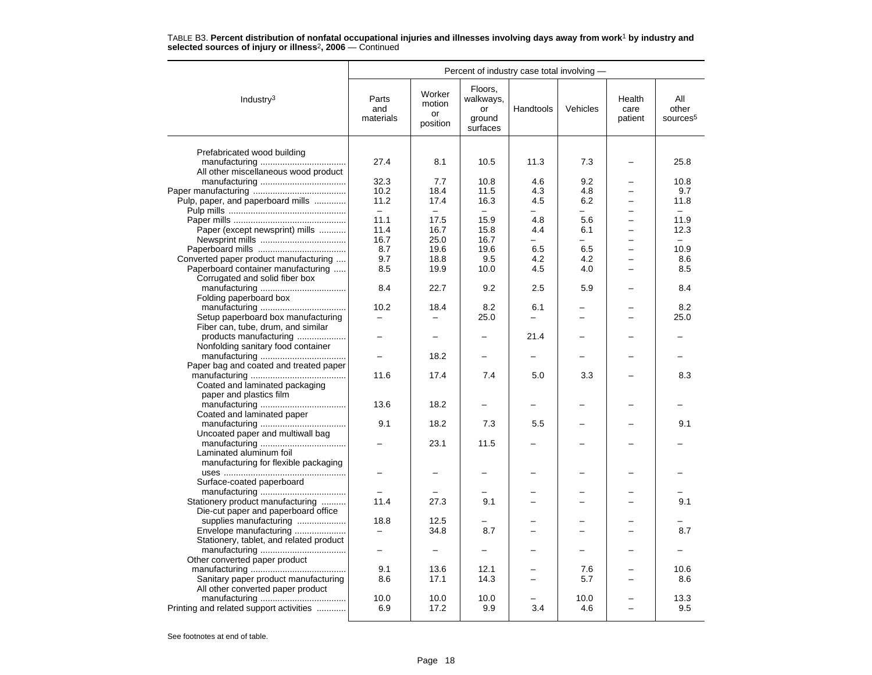|                                         |                           |                                    | Percent of industry case total involving -       |           |          |                           |                                      |  |
|-----------------------------------------|---------------------------|------------------------------------|--------------------------------------------------|-----------|----------|---------------------------|--------------------------------------|--|
| Industry $3$                            | Parts<br>and<br>materials | Worker<br>motion<br>or<br>position | Floors,<br>walkways,<br>or<br>ground<br>surfaces | Handtools | Vehicles | Health<br>care<br>patient | All<br>other<br>sources <sup>5</sup> |  |
| Prefabricated wood building             |                           |                                    |                                                  |           |          |                           |                                      |  |
|                                         | 27.4                      | 8.1                                | 10.5                                             | 11.3      | 7.3      |                           | 25.8                                 |  |
| All other miscellaneous wood product    |                           |                                    |                                                  |           |          |                           |                                      |  |
|                                         | 32.3                      | 7.7                                | 10.8                                             | 4.6       | 9.2      |                           | 10.8                                 |  |
|                                         | 10.2                      | 18.4                               | 11.5                                             | 4.3       | 4.8      |                           | 9.7                                  |  |
| Pulp, paper, and paperboard mills       | 11.2                      | 17.4                               | 16.3                                             | 4.5       | 6.2      | $\equiv$                  | 11.8                                 |  |
|                                         | $\overline{\phantom{0}}$  |                                    |                                                  |           |          |                           |                                      |  |
|                                         | 11.1                      | 17.5                               | 15.9                                             | 4.8       | 5.6      |                           | 11.9                                 |  |
| Paper (except newsprint) mills          | 11.4                      | 16.7                               | 15.8                                             | 4.4       | 6.1      |                           | 12.3                                 |  |
|                                         | 16.7                      | 25.0                               | 16.7                                             |           | L.       |                           | $\equiv$                             |  |
|                                         | 8.7                       | 19.6                               | 19.6                                             | 6.5       | 6.5      | $\overline{\phantom{0}}$  | 10.9                                 |  |
| Converted paper product manufacturing   | 9.7                       | 18.8                               | 9.5                                              | 4.2       | 4.2      |                           | 8.6                                  |  |
| Paperboard container manufacturing      | 8.5                       | 19.9                               | 10.0                                             | 4.5       | 4.0      |                           | 8.5                                  |  |
| Corrugated and solid fiber box          |                           |                                    |                                                  |           |          |                           |                                      |  |
|                                         | 8.4                       | 22.7                               | 9.2                                              | $2.5\,$   | 5.9      |                           | 8.4                                  |  |
| Folding paperboard box                  |                           |                                    |                                                  |           |          |                           |                                      |  |
|                                         | 10.2                      | 18.4                               | 8.2                                              | 6.1       |          |                           | 8.2                                  |  |
| Setup paperboard box manufacturing      |                           |                                    | 25.0                                             |           |          |                           | 25.0                                 |  |
| Fiber can, tube, drum, and similar      |                           |                                    |                                                  |           |          |                           |                                      |  |
| products manufacturing                  |                           |                                    |                                                  | 21.4      |          |                           |                                      |  |
| Nonfolding sanitary food container      |                           |                                    |                                                  |           |          |                           |                                      |  |
|                                         |                           | 18.2                               |                                                  |           |          |                           |                                      |  |
| Paper bag and coated and treated paper  |                           |                                    |                                                  |           |          |                           |                                      |  |
|                                         | 11.6                      | 17.4                               | 7.4                                              | 5.0       | 3.3      |                           | 8.3                                  |  |
| Coated and laminated packaging          |                           |                                    |                                                  |           |          |                           |                                      |  |
| paper and plastics film                 |                           |                                    |                                                  |           |          |                           |                                      |  |
|                                         | 13.6                      | 18.2                               |                                                  |           |          |                           |                                      |  |
| Coated and laminated paper              |                           |                                    |                                                  |           |          |                           |                                      |  |
|                                         | 9.1                       | 18.2                               | 7.3                                              | 5.5       |          |                           | 9.1                                  |  |
| Uncoated paper and multiwall bag        |                           |                                    |                                                  |           |          |                           |                                      |  |
|                                         |                           | 23.1                               | 11.5                                             |           |          |                           |                                      |  |
| Laminated aluminum foil                 |                           |                                    |                                                  |           |          |                           |                                      |  |
| manufacturing for flexible packaging    |                           |                                    |                                                  |           |          |                           |                                      |  |
|                                         |                           |                                    |                                                  |           |          |                           |                                      |  |
| Surface-coated paperboard               |                           |                                    |                                                  |           |          |                           |                                      |  |
|                                         |                           |                                    |                                                  |           |          |                           |                                      |  |
| Stationery product manufacturing        | 11.4                      | 27.3                               | 9.1                                              |           |          |                           | 9.1                                  |  |
| Die-cut paper and paperboard office     |                           |                                    |                                                  |           |          |                           |                                      |  |
| supplies manufacturing                  | 18.8                      | 12.5                               |                                                  |           |          |                           |                                      |  |
| Envelope manufacturing                  |                           | 34.8                               | 8.7                                              |           |          |                           | 8.7                                  |  |
| Stationery, tablet, and related product |                           |                                    |                                                  |           |          |                           |                                      |  |
|                                         | $\overline{\phantom{0}}$  | $\overline{\phantom{0}}$           |                                                  |           |          |                           |                                      |  |
| Other converted paper product           |                           |                                    |                                                  |           |          |                           |                                      |  |
|                                         | 9.1                       | 13.6                               | 12.1                                             |           | 7.6      |                           | 10.6                                 |  |
| Sanitary paper product manufacturing    | 8.6                       | 17.1                               | 14.3                                             |           | 5.7      |                           | 8.6                                  |  |
| All other converted paper product       |                           |                                    |                                                  |           |          |                           |                                      |  |
|                                         | 10.0                      | 10.0                               | 10.0                                             |           | 10.0     |                           | 13.3                                 |  |
| Printing and related support activities | 6.9                       | 17.2                               | 9.9                                              | 3.4       | 4.6      |                           | 9.5                                  |  |
|                                         |                           |                                    |                                                  |           |          |                           |                                      |  |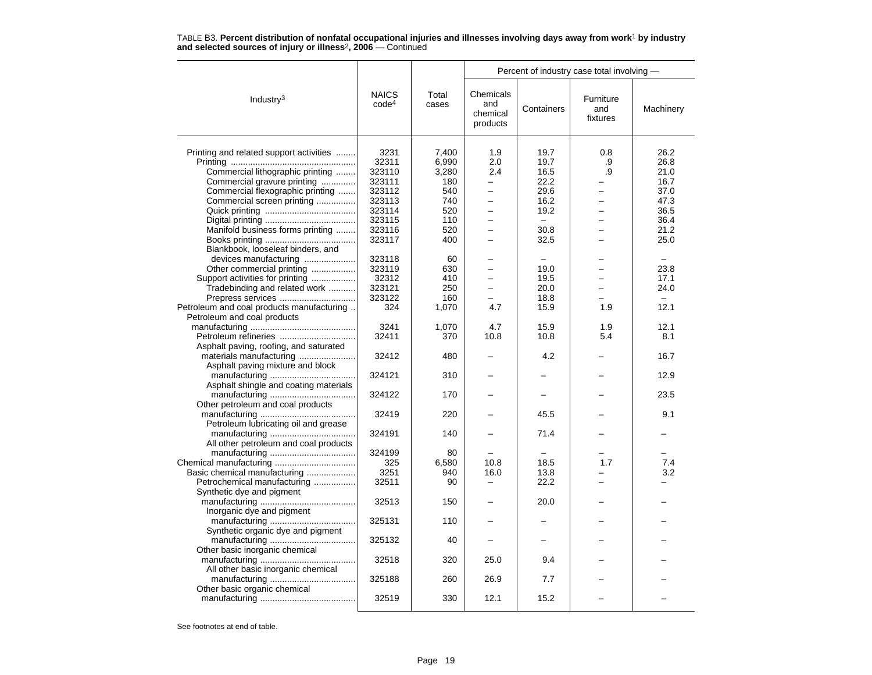|                                           |                                   |                | Percent of industry case total involving - |                          |                              |           |  |
|-------------------------------------------|-----------------------------------|----------------|--------------------------------------------|--------------------------|------------------------------|-----------|--|
| Industry $3$                              | <b>NAICS</b><br>code <sup>4</sup> | Total<br>cases | Chemicals<br>and<br>chemical<br>products   | Containers               | Furniture<br>and<br>fixtures | Machinery |  |
|                                           |                                   |                |                                            |                          |                              |           |  |
| Printing and related support activities   | 3231                              | 7,400          | 1.9                                        | 19.7                     | 0.8                          | 26.2      |  |
|                                           | 32311                             | 6,990          | 2.0                                        | 19.7                     | .9                           | 26.8      |  |
| Commercial lithographic printing          | 323110                            | 3,280          | 2.4                                        | 16.5                     | .9                           | 21.0      |  |
| Commercial gravure printing               | 323111                            | 180            | $\overline{\phantom{0}}$                   | 22.2                     |                              | 16.7      |  |
| Commercial flexographic printing          | 323112                            | 540            | $\overline{a}$                             | 29.6                     |                              | 37.0      |  |
| Commercial screen printing                | 323113                            | 740            | ÷                                          | 16.2                     |                              | 47.3      |  |
|                                           | 323114                            | 520            | -                                          | 19.2                     |                              | 36.5      |  |
|                                           | 323115                            | 110            |                                            | $\overline{\phantom{m}}$ |                              | 36.4      |  |
| Manifold business forms printing          | 323116                            | 520            |                                            | 30.8                     |                              | 21.2      |  |
|                                           | 323117                            | 400            | -                                          | 32.5                     |                              | 25.0      |  |
| Blankbook, looseleaf binders, and         |                                   |                |                                            |                          |                              |           |  |
| devices manufacturing                     | 323118                            | 60             |                                            | $\overline{\phantom{0}}$ |                              | $\equiv$  |  |
| Other commercial printing                 | 323119                            | 630            |                                            | 19.0                     |                              | 23.8      |  |
| Support activities for printing           | 32312                             | 410            |                                            | 19.5                     |                              | 17.1      |  |
| Tradebinding and related work             | 323121                            | 250            |                                            | 20.0                     |                              | 24.0      |  |
| Prepress services                         | 323122                            | 160            |                                            | 18.8                     |                              | Ξ.        |  |
| Petroleum and coal products manufacturing | 324                               | 1,070          | 4.7                                        | 15.9                     | 1.9                          | 12.1      |  |
| Petroleum and coal products               |                                   |                |                                            |                          |                              |           |  |
|                                           | 3241                              | 1,070          | 4.7                                        | 15.9                     | 1.9                          | 12.1      |  |
| Petroleum refineries                      | 32411                             | 370            | 10.8                                       | 10.8                     | 5.4                          | 8.1       |  |
|                                           |                                   |                |                                            |                          |                              |           |  |
| Asphalt paving, roofing, and saturated    |                                   |                |                                            |                          |                              |           |  |
| materials manufacturing                   | 32412                             | 480            |                                            | 4.2                      |                              | 16.7      |  |
| Asphalt paving mixture and block          |                                   |                |                                            |                          |                              |           |  |
|                                           | 324121                            | 310            |                                            |                          |                              | 12.9      |  |
| Asphalt shingle and coating materials     |                                   |                |                                            |                          |                              |           |  |
|                                           | 324122                            | 170            |                                            |                          |                              | 23.5      |  |
| Other petroleum and coal products         |                                   |                |                                            |                          |                              |           |  |
|                                           | 32419                             | 220            |                                            | 45.5                     |                              | 9.1       |  |
| Petroleum lubricating oil and grease      |                                   |                |                                            |                          |                              |           |  |
|                                           | 324191                            | 140            |                                            | 71.4                     |                              |           |  |
| All other petroleum and coal products     |                                   |                |                                            |                          |                              |           |  |
|                                           | 324199                            | 80             |                                            |                          |                              |           |  |
|                                           | 325                               | 6,580          | 10.8                                       | 18.5                     | 1.7                          | 7.4       |  |
| Basic chemical manufacturing              | 3251                              | 940            | 16.0                                       | 13.8                     |                              | 3.2       |  |
| Petrochemical manufacturing               | 32511                             | 90             |                                            | 22.2                     |                              |           |  |
| Synthetic dye and pigment                 |                                   |                |                                            |                          |                              |           |  |
|                                           | 32513                             | 150            |                                            | 20.0                     |                              |           |  |
| Inorganic dye and pigment                 |                                   |                |                                            |                          |                              |           |  |
|                                           | 325131                            | 110            |                                            |                          |                              |           |  |
| Synthetic organic dye and pigment         |                                   |                |                                            |                          |                              |           |  |
|                                           | 325132                            | 40             |                                            |                          |                              |           |  |
| Other basic inorganic chemical            |                                   |                |                                            |                          |                              |           |  |
|                                           | 32518                             | 320            | 25.0                                       | 9.4                      |                              |           |  |
| All other basic inorganic chemical        |                                   |                |                                            |                          |                              |           |  |
|                                           | 325188                            | 260            | 26.9                                       | 7.7                      |                              |           |  |
| Other basic organic chemical              |                                   |                |                                            |                          |                              |           |  |
|                                           | 32519                             | 330            | 12.1                                       | 15.2                     |                              |           |  |
|                                           |                                   |                |                                            |                          |                              |           |  |
|                                           |                                   |                |                                            |                          |                              |           |  |

TABLE B3. **Percent distribution of nonfatal occupational injuries and illnesses involving days away from work**<sup>1</sup> **by industry and selected sources of injury or illness**<sup>2</sup>**, 2006** — Continued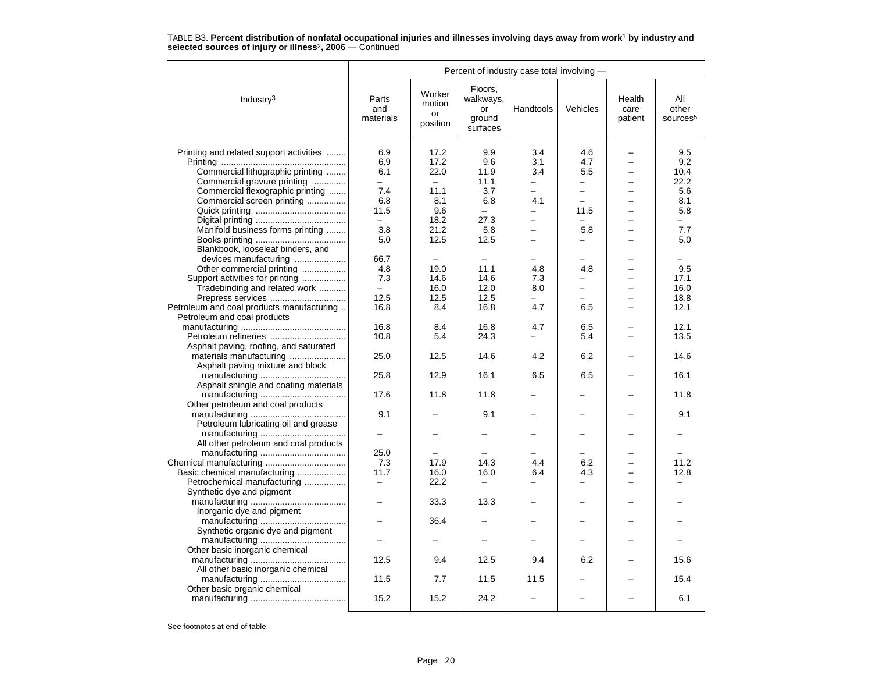|                                           |                           |                                    | Percent of industry case total involving -       |                          |                          |                           |                                      |
|-------------------------------------------|---------------------------|------------------------------------|--------------------------------------------------|--------------------------|--------------------------|---------------------------|--------------------------------------|
| Industry $3$                              | Parts<br>and<br>materials | Worker<br>motion<br>or<br>position | Floors.<br>walkways,<br>or<br>ground<br>surfaces | Handtools                | Vehicles                 | Health<br>care<br>patient | All<br>other<br>sources <sup>5</sup> |
| Printing and related support activities   | 6.9                       | 17.2                               | 9.9                                              | 3.4                      | 4.6                      |                           | 9.5                                  |
|                                           | 6.9                       | 17.2                               | 9.6                                              | 3.1                      | 4.7                      |                           | 9.2                                  |
| Commercial lithographic printing          | 6.1                       | 22.0                               | 11.9                                             | 3.4                      | 5.5                      |                           | 10.4                                 |
| Commercial gravure printing               | $\overline{\phantom{0}}$  | $\overline{a}$                     | 11.1                                             | $\overline{\phantom{0}}$ | $\overline{\phantom{0}}$ |                           | 22.2                                 |
| Commercial flexographic printing          | 7.4                       | 11.1                               | 3.7                                              | $\overline{\phantom{0}}$ | $\overline{a}$           |                           | 5.6                                  |
| Commercial screen printing                | 6.8                       | 8.1                                | 6.8                                              | 4.1                      | $\equiv$                 |                           | 8.1                                  |
|                                           | 11.5                      | 9.6                                | $-$                                              | -                        | 11.5                     |                           | 5.8                                  |
|                                           | $\equiv$                  | 18.2                               | 27.3                                             | $\overline{\phantom{0}}$ |                          |                           |                                      |
| Manifold business forms printing          | 3.8                       | 21.2                               | 5.8                                              | $\overline{\phantom{0}}$ | 5.8                      |                           | 7.7                                  |
|                                           | 5.0                       | 12.5                               | 12.5                                             | -                        | -                        |                           | 5.0                                  |
| Blankbook, looseleaf binders, and         |                           |                                    |                                                  |                          |                          |                           |                                      |
| devices manufacturing                     | 66.7                      | $\overline{\phantom{0}}$           | $\overline{\phantom{0}}$                         | ÷                        | L.                       |                           |                                      |
| Other commercial printing                 | 4.8                       | 19.0                               | 11.1                                             | 4.8                      | 4.8                      | $\overline{\phantom{0}}$  | 9.5                                  |
| Support activities for printing           | 7.3                       | 14.6                               | 14.6                                             | 7.3                      |                          |                           | 17.1                                 |
| Tradebinding and related work             | $-$                       | 16.0                               | 12.0                                             | 8.0                      | $\equiv$                 |                           | 16.0                                 |
| Prepress services                         | 12.5                      | 12.5                               | 12.5                                             |                          | -                        |                           | 18.8                                 |
| Petroleum and coal products manufacturing | 16.8                      | 8.4                                | 16.8                                             | 4.7                      | 6.5                      |                           | 12.1                                 |
| Petroleum and coal products               |                           |                                    |                                                  |                          |                          |                           |                                      |
|                                           | 16.8                      | 8.4                                | 16.8                                             | 4.7                      | 6.5                      |                           | 12.1                                 |
| Petroleum refineries                      | 10.8                      | 5.4                                | 24.3                                             |                          | 5.4                      |                           | 13.5                                 |
| Asphalt paving, roofing, and saturated    |                           |                                    |                                                  |                          |                          |                           |                                      |
|                                           | 25.0                      | 12.5                               | 14.6                                             | 4.2                      | 6.2                      |                           | 14.6                                 |
| Asphalt paving mixture and block          |                           |                                    |                                                  |                          |                          |                           |                                      |
|                                           | 25.8                      | 12.9                               | 16.1                                             | 6.5                      | 6.5                      |                           | 16.1                                 |
| Asphalt shingle and coating materials     |                           |                                    |                                                  |                          |                          |                           |                                      |
|                                           | 17.6                      | 11.8                               | 11.8                                             |                          |                          |                           | 11.8                                 |
| Other petroleum and coal products         |                           |                                    |                                                  |                          |                          |                           |                                      |
|                                           | 9.1                       |                                    | 9.1                                              |                          |                          |                           | 9.1                                  |
| Petroleum lubricating oil and grease      |                           |                                    |                                                  |                          |                          |                           |                                      |
|                                           |                           |                                    |                                                  |                          |                          |                           |                                      |
| All other petroleum and coal products     |                           |                                    |                                                  |                          |                          |                           |                                      |
|                                           | 25.0                      |                                    |                                                  |                          |                          |                           |                                      |
|                                           | 7.3                       | 17.9                               | 14.3                                             | 4.4                      | 6.2                      |                           | 11.2                                 |
| Basic chemical manufacturing              | 11.7                      | 16.0                               | 16.0                                             | 6.4                      | 4.3                      |                           | 12.8                                 |
| Petrochemical manufacturing               | $\overline{\phantom{m}}$  | 22.2                               | $\equiv$                                         |                          |                          |                           |                                      |
| Synthetic dye and pigment                 |                           |                                    |                                                  |                          |                          |                           |                                      |
|                                           |                           | 33.3                               | 13.3                                             |                          |                          |                           |                                      |
| Inorganic dye and pigment                 |                           |                                    |                                                  |                          |                          |                           |                                      |
|                                           | $\overline{\phantom{0}}$  | 36.4                               |                                                  |                          | -                        |                           |                                      |
| Synthetic organic dye and pigment         |                           |                                    |                                                  |                          |                          |                           |                                      |
|                                           |                           |                                    |                                                  |                          |                          |                           |                                      |
| Other basic inorganic chemical            |                           |                                    |                                                  |                          |                          |                           |                                      |
|                                           | 12.5                      | 9.4                                | 12.5                                             | 9.4                      | 6.2                      |                           | 15.6                                 |
| All other basic inorganic chemical        |                           |                                    |                                                  |                          |                          |                           |                                      |
|                                           | 11.5                      | 7.7                                | 11.5                                             | 11.5                     |                          |                           | 15.4                                 |
| Other basic organic chemical              |                           |                                    |                                                  |                          |                          |                           |                                      |
|                                           | 15.2                      | 15.2                               | 24.2                                             |                          |                          |                           | 6.1                                  |
|                                           |                           |                                    |                                                  |                          |                          |                           |                                      |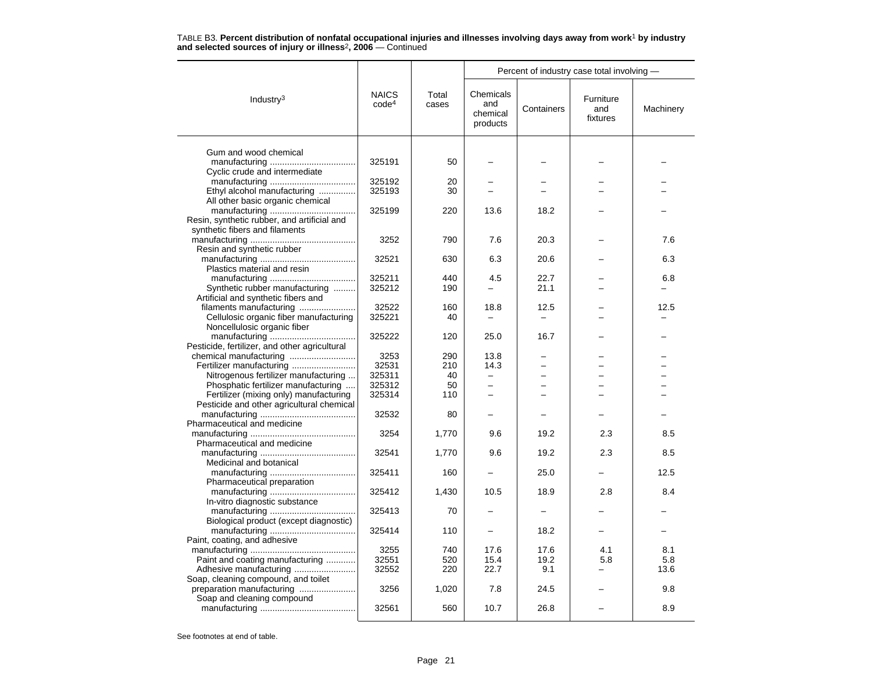|                                               |                                   |                | Percent of industry case total involving - |                          |                              |           |  |
|-----------------------------------------------|-----------------------------------|----------------|--------------------------------------------|--------------------------|------------------------------|-----------|--|
| Industry $3$                                  | <b>NAICS</b><br>code <sup>4</sup> | Total<br>cases | Chemicals<br>and<br>chemical<br>products   | Containers               | Furniture<br>and<br>fixtures | Machinery |  |
|                                               |                                   |                |                                            |                          |                              |           |  |
| Gum and wood chemical                         | 325191                            | 50             |                                            |                          |                              |           |  |
| Cyclic crude and intermediate                 |                                   |                |                                            |                          |                              |           |  |
|                                               | 325192                            | 20             |                                            |                          |                              |           |  |
| Ethyl alcohol manufacturing                   | 325193                            | 30             |                                            |                          |                              |           |  |
| All other basic organic chemical              |                                   |                |                                            |                          |                              |           |  |
|                                               | 325199                            | 220            | 13.6                                       | 18.2                     |                              |           |  |
| Resin, synthetic rubber, and artificial and   |                                   |                |                                            |                          |                              |           |  |
| synthetic fibers and filaments                |                                   |                |                                            |                          |                              |           |  |
|                                               | 3252                              | 790            | 7.6                                        | 20.3                     |                              | 7.6       |  |
| Resin and synthetic rubber                    |                                   |                |                                            |                          |                              |           |  |
|                                               | 32521                             | 630            | 6.3                                        | 20.6                     |                              | 6.3       |  |
| Plastics material and resin                   |                                   |                |                                            |                          |                              |           |  |
|                                               | 325211                            | 440            | 4.5                                        | 22.7                     |                              | 6.8       |  |
| Synthetic rubber manufacturing                | 325212                            | 190            | $\equiv$                                   | 21.1                     |                              |           |  |
| Artificial and synthetic fibers and           |                                   |                |                                            |                          |                              |           |  |
| filaments manufacturing                       | 32522                             | 160            | 18.8                                       | 12.5                     |                              | 12.5      |  |
| Cellulosic organic fiber manufacturing        | 325221                            | 40             | $\overline{\phantom{0}}$                   | $\overline{\phantom{0}}$ |                              |           |  |
| Noncellulosic organic fiber                   |                                   |                |                                            |                          |                              |           |  |
|                                               | 325222                            | 120            | 25.0                                       | 16.7                     |                              |           |  |
| Pesticide, fertilizer, and other agricultural |                                   |                |                                            |                          |                              |           |  |
|                                               | 3253                              | 290            | 13.8                                       |                          |                              |           |  |
|                                               | 32531                             | 210            | 14.3                                       |                          |                              |           |  |
| Nitrogenous fertilizer manufacturing          | 325311                            | 40             |                                            |                          |                              |           |  |
| Phosphatic fertilizer manufacturing           | 325312                            | 50             | $\equiv$                                   | L.                       |                              |           |  |
| Fertilizer (mixing only) manufacturing        | 325314                            | 110            | $\overline{\phantom{0}}$                   |                          |                              |           |  |
| Pesticide and other agricultural chemical     |                                   |                |                                            |                          |                              |           |  |
|                                               | 32532                             | 80             |                                            |                          |                              |           |  |
| Pharmaceutical and medicine                   |                                   |                |                                            |                          |                              |           |  |
|                                               | 3254                              | 1,770          | 9.6                                        | 19.2                     | 2.3                          | 8.5       |  |
| Pharmaceutical and medicine                   |                                   |                |                                            |                          |                              |           |  |
|                                               | 32541                             | 1,770          | 9.6                                        | 19.2                     | 2.3                          | 8.5       |  |
| Medicinal and botanical                       |                                   |                |                                            |                          |                              |           |  |
|                                               | 325411                            | 160            |                                            | 25.0                     |                              | 12.5      |  |
| Pharmaceutical preparation                    |                                   |                |                                            |                          |                              |           |  |
|                                               | 325412                            | 1,430          | 10.5                                       | 18.9                     | 2.8                          | 8.4       |  |
| In-vitro diagnostic substance                 |                                   |                |                                            |                          |                              |           |  |
|                                               | 325413                            | 70             |                                            |                          |                              |           |  |
| Biological product (except diagnostic)        |                                   |                |                                            |                          |                              |           |  |
|                                               | 325414                            | 110            |                                            | 18.2                     |                              |           |  |
| Paint, coating, and adhesive                  | 3255                              | 740            | 17.6                                       | 17.6                     | 4.1                          | 8.1       |  |
| Paint and coating manufacturing               | 32551                             | 520            | 15.4                                       | 19.2                     | 5.8                          | 5.8       |  |
|                                               | 32552                             | 220            | 22.7                                       | 9.1                      |                              | 13.6      |  |
| Soap, cleaning compound, and toilet           |                                   |                |                                            |                          |                              |           |  |
| preparation manufacturing                     | 3256                              | 1,020          | 7.8                                        | 24.5                     |                              | 9.8       |  |
| Soap and cleaning compound                    |                                   |                |                                            |                          |                              |           |  |
|                                               | 32561                             | 560            | 10.7                                       | 26.8                     |                              | 8.9       |  |
|                                               |                                   |                |                                            |                          |                              |           |  |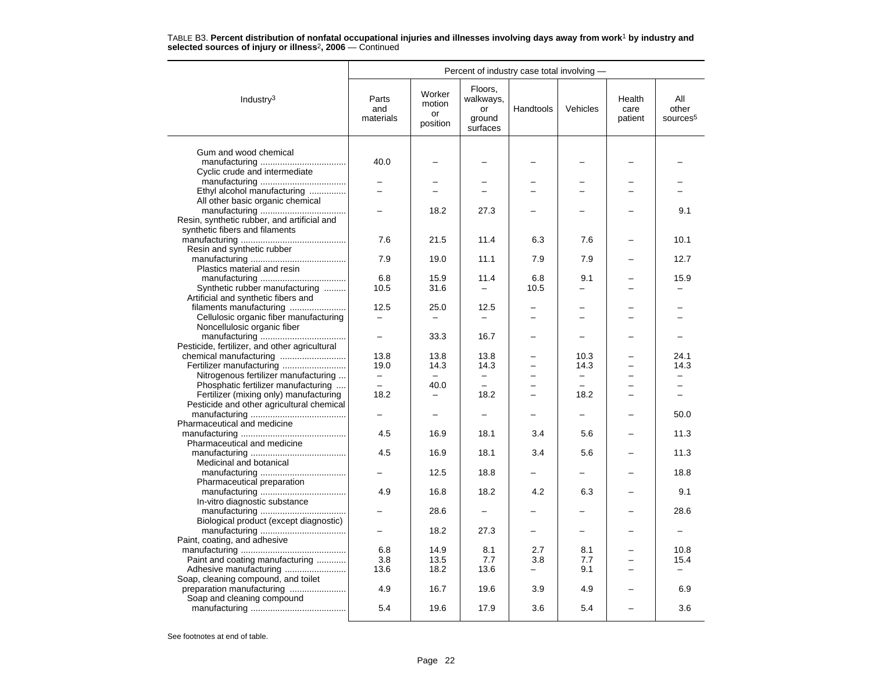|                                               |                           | Percent of industry case total involving - |                                                  |           |                   |                           |                                      |
|-----------------------------------------------|---------------------------|--------------------------------------------|--------------------------------------------------|-----------|-------------------|---------------------------|--------------------------------------|
| Industry $3$                                  | Parts<br>and<br>materials | Worker<br>motion<br>or<br>position         | Floors,<br>walkways,<br>or<br>ground<br>surfaces | Handtools | Vehicles          | Health<br>care<br>patient | All<br>other<br>sources <sup>5</sup> |
| Gum and wood chemical                         |                           |                                            |                                                  |           |                   |                           |                                      |
|                                               | 40.0                      |                                            |                                                  |           |                   |                           |                                      |
| Cyclic crude and intermediate                 |                           |                                            |                                                  |           |                   |                           |                                      |
|                                               |                           |                                            |                                                  |           |                   |                           |                                      |
| Ethyl alcohol manufacturing                   |                           |                                            |                                                  |           |                   |                           |                                      |
| All other basic organic chemical              |                           |                                            |                                                  |           |                   |                           |                                      |
|                                               |                           | 18.2                                       | 27.3                                             |           |                   |                           | 9.1                                  |
| Resin, synthetic rubber, and artificial and   |                           |                                            |                                                  |           |                   |                           |                                      |
| synthetic fibers and filaments                |                           |                                            |                                                  |           |                   |                           |                                      |
|                                               | 7.6                       | 21.5                                       | 11.4                                             | 6.3       | 7.6               |                           | 10.1                                 |
| Resin and synthetic rubber                    |                           |                                            |                                                  |           |                   |                           |                                      |
|                                               | 7.9                       | 19.0                                       | 11.1                                             | 7.9       | 7.9               |                           | 12.7                                 |
| Plastics material and resin                   |                           |                                            |                                                  |           |                   |                           |                                      |
|                                               | 6.8                       | 15.9                                       | 11.4                                             | 6.8       | 9.1               |                           | 15.9                                 |
| Synthetic rubber manufacturing                | 10.5                      | 31.6                                       |                                                  | 10.5      |                   |                           |                                      |
| Artificial and synthetic fibers and           |                           |                                            |                                                  |           |                   |                           |                                      |
| filaments manufacturing                       | 12.5                      | 25.0                                       | 12.5                                             |           |                   |                           |                                      |
| Cellulosic organic fiber manufacturing        | $\overline{\phantom{0}}$  | $\overline{\phantom{a}}$                   |                                                  |           | -                 |                           |                                      |
| Noncellulosic organic fiber                   |                           |                                            |                                                  |           |                   |                           |                                      |
|                                               | $\overline{a}$            | 33.3                                       | 16.7                                             |           |                   |                           |                                      |
| Pesticide, fertilizer, and other agricultural |                           |                                            |                                                  |           |                   |                           |                                      |
|                                               | 13.8                      | 13.8                                       | 13.8                                             |           | 10.3              |                           | 24.1                                 |
| Fertilizer manufacturing                      | 19.0                      | 14.3                                       | 14.3                                             |           | 14.3              |                           | 14.3                                 |
| Nitrogenous fertilizer manufacturing          | $-$                       | $-$                                        | $\overline{\phantom{0}}$                         |           | $\qquad \qquad -$ |                           |                                      |
| Phosphatic fertilizer manufacturing           | $-$                       | 40.0                                       |                                                  | -         | $\equiv$          |                           | -                                    |
| Fertilizer (mixing only) manufacturing        | 18.2                      | $\overline{\phantom{0}}$                   | 18.2                                             | $\equiv$  | 18.2              | -                         | $-$                                  |
| Pesticide and other agricultural chemical     |                           |                                            |                                                  |           |                   |                           |                                      |
|                                               |                           |                                            |                                                  |           |                   |                           | 50.0                                 |
| Pharmaceutical and medicine                   |                           |                                            |                                                  |           |                   |                           |                                      |
|                                               | 4.5                       | 16.9                                       | 18.1                                             | 3.4       | 5.6               |                           | 11.3                                 |
| Pharmaceutical and medicine                   | 4.5                       | 16.9                                       | 18.1                                             | 3.4       | 5.6               |                           | 11.3                                 |
| Medicinal and botanical                       |                           |                                            |                                                  |           |                   |                           |                                      |
|                                               |                           | 12.5                                       | 18.8                                             |           |                   |                           | 18.8                                 |
| Pharmaceutical preparation                    |                           |                                            |                                                  |           |                   |                           |                                      |
|                                               | 4.9                       | 16.8                                       | 18.2                                             | 4.2       | 6.3               |                           | 9.1                                  |
| In-vitro diagnostic substance                 |                           |                                            |                                                  |           |                   |                           |                                      |
|                                               |                           | 28.6                                       |                                                  |           |                   |                           | 28.6                                 |
| Biological product (except diagnostic)        |                           |                                            |                                                  |           |                   |                           |                                      |
|                                               |                           | 18.2                                       | 27.3                                             |           |                   |                           |                                      |
| Paint, coating, and adhesive                  |                           |                                            |                                                  |           |                   |                           |                                      |
|                                               | 6.8                       | 14.9                                       | 8.1                                              | 2.7       | 8.1               |                           | 10.8                                 |
| Paint and coating manufacturing               | 3.8                       | 13.5                                       | 7.7                                              | 3.8       | 7.7               |                           | 15.4                                 |
|                                               | 13.6                      | 18.2                                       | 13.6                                             | Ξ.        | 9.1               |                           | $-$                                  |
| Soap, cleaning compound, and toilet           |                           |                                            |                                                  |           |                   |                           |                                      |
| preparation manufacturing                     | 4.9                       | 16.7                                       | 19.6                                             | 3.9       | 4.9               |                           | 6.9                                  |
| Soap and cleaning compound                    |                           |                                            |                                                  |           |                   |                           |                                      |
|                                               | 5.4                       | 19.6                                       | 17.9                                             | 3.6       | 5.4               |                           | 3.6                                  |
|                                               |                           |                                            |                                                  |           |                   |                           |                                      |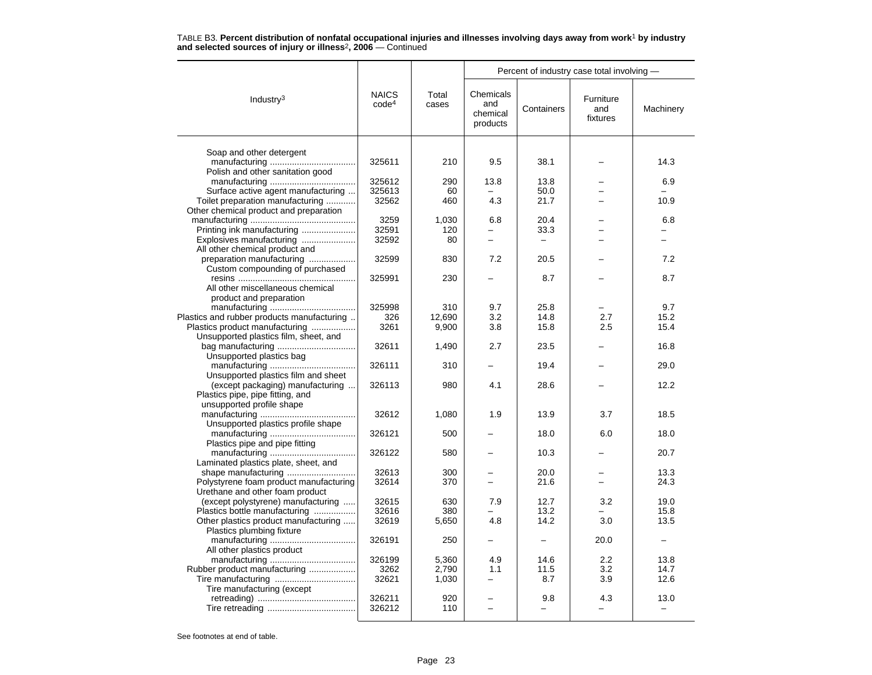|                                                                       |                                   |                | Percent of industry case total involving - |                                 |                              |                                  |  |  |
|-----------------------------------------------------------------------|-----------------------------------|----------------|--------------------------------------------|---------------------------------|------------------------------|----------------------------------|--|--|
| Industry $3$                                                          | <b>NAICS</b><br>code <sup>4</sup> | Total<br>cases | Chemicals<br>and<br>chemical<br>products   | Containers                      | Furniture<br>and<br>fixtures | Machinery                        |  |  |
|                                                                       |                                   |                |                                            |                                 |                              |                                  |  |  |
| Soap and other detergent                                              | 325611                            | 210            | 9.5                                        | 38.1                            |                              | 14.3                             |  |  |
| Polish and other sanitation good                                      |                                   |                |                                            |                                 |                              |                                  |  |  |
|                                                                       | 325612                            | 290            | 13.8                                       | 13.8                            |                              | 6.9                              |  |  |
| Surface active agent manufacturing                                    | 325613                            | 60             |                                            | 50.0                            |                              |                                  |  |  |
| Toilet preparation manufacturing                                      | 32562                             | 460            | 4.3                                        | 21.7                            |                              | 10.9                             |  |  |
| Other chemical product and preparation                                |                                   |                |                                            |                                 |                              |                                  |  |  |
|                                                                       | 3259                              | 1,030          | 6.8                                        | 20.4                            |                              | 6.8                              |  |  |
| Printing ink manufacturing                                            | 32591                             | 120            |                                            | 33.3                            |                              |                                  |  |  |
| Explosives manufacturing                                              | 32592                             | 80             | $\overline{\phantom{0}}$                   | $\equiv$                        |                              |                                  |  |  |
| All other chemical product and                                        |                                   |                |                                            |                                 |                              |                                  |  |  |
| preparation manufacturing                                             | 32599                             | 830            | 7.2                                        | 20.5                            |                              | 7.2                              |  |  |
| Custom compounding of purchased                                       | 325991                            | 230            |                                            | 8.7                             |                              | 8.7                              |  |  |
| All other miscellaneous chemical                                      |                                   |                |                                            |                                 |                              |                                  |  |  |
| product and preparation                                               |                                   |                |                                            |                                 |                              |                                  |  |  |
|                                                                       | 325998                            | 310            | 9.7                                        | 25.8                            |                              | 9.7                              |  |  |
| Plastics and rubber products manufacturing                            | 326                               | 12,690         | 3.2                                        | 14.8                            | 2.7                          | 15.2                             |  |  |
| Plastics product manufacturing                                        | 3261                              | 9,900          | 3.8                                        | 15.8                            | 2.5                          | 15.4                             |  |  |
| Unsupported plastics film, sheet, and                                 |                                   |                |                                            |                                 |                              |                                  |  |  |
|                                                                       | 32611                             | 1,490          | 2.7                                        | 23.5                            |                              | 16.8                             |  |  |
| Unsupported plastics bag                                              |                                   |                |                                            |                                 |                              |                                  |  |  |
|                                                                       | 326111                            | 310            |                                            | 19.4                            |                              | 29.0                             |  |  |
| Unsupported plastics film and sheet                                   |                                   |                |                                            |                                 |                              |                                  |  |  |
| (except packaging) manufacturing<br>Plastics pipe, pipe fitting, and  | 326113                            | 980            | 4.1                                        | 28.6                            |                              | 12.2                             |  |  |
| unsupported profile shape                                             |                                   |                |                                            |                                 |                              |                                  |  |  |
|                                                                       | 32612                             | 1,080          | 1.9                                        | 13.9                            | 3.7                          | 18.5                             |  |  |
| Unsupported plastics profile shape                                    |                                   |                |                                            |                                 |                              |                                  |  |  |
|                                                                       | 326121                            | 500            |                                            | 18.0                            | 6.0                          | 18.0                             |  |  |
| Plastics pipe and pipe fitting                                        |                                   |                |                                            |                                 |                              |                                  |  |  |
|                                                                       | 326122                            | 580            |                                            | 10.3                            |                              | 20.7                             |  |  |
| Laminated plastics plate, sheet, and                                  |                                   |                |                                            |                                 |                              |                                  |  |  |
| shape manufacturing                                                   | 32613                             | 300            |                                            | 20.0                            |                              | 13.3                             |  |  |
| Polystyrene foam product manufacturing                                | 32614                             | 370            | $\overline{a}$                             | 21.6                            | $\equiv$                     | 24.3                             |  |  |
| Urethane and other foam product<br>(except polystyrene) manufacturing | 32615                             | 630            | 7.9                                        | 12.7                            | 3.2                          | 19.0                             |  |  |
| Plastics bottle manufacturing                                         | 32616                             | 380            |                                            | 13.2                            |                              | 15.8                             |  |  |
| Other plastics product manufacturing                                  | 32619                             | 5,650          | 4.8                                        | 14.2                            | 3.0                          | 13.5                             |  |  |
| Plastics plumbing fixture                                             |                                   |                |                                            |                                 |                              |                                  |  |  |
|                                                                       | 326191                            | 250            |                                            |                                 | 20.0                         |                                  |  |  |
| All other plastics product                                            |                                   |                |                                            |                                 |                              |                                  |  |  |
|                                                                       | 326199                            | 5,360          | 4.9                                        | 14.6                            | 2.2                          | 13.8                             |  |  |
| Rubber product manufacturing                                          | 3262                              | 2,790          | 1.1                                        | 11.5                            | 3.2                          | 14.7                             |  |  |
|                                                                       | 32621                             | 1,030          |                                            | 8.7                             | 3.9                          | 12.6                             |  |  |
| Tire manufacturing (except                                            |                                   |                |                                            |                                 |                              |                                  |  |  |
|                                                                       | 326211<br>326212                  | 920<br>110     | ÷,                                         | 9.8<br>$\overline{\phantom{0}}$ | 4.3                          | 13.0<br>$\overline{\phantom{0}}$ |  |  |
|                                                                       |                                   |                |                                            |                                 |                              |                                  |  |  |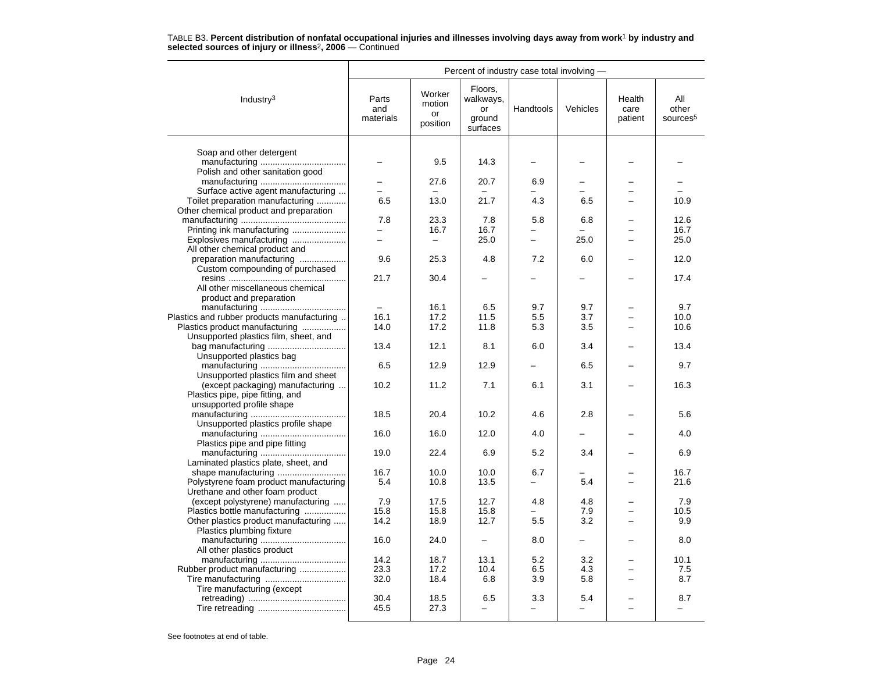|                                                               | Percent of industry case total involving - |                                    |                                                  |           |                 |                           |                                      |  |
|---------------------------------------------------------------|--------------------------------------------|------------------------------------|--------------------------------------------------|-----------|-----------------|---------------------------|--------------------------------------|--|
| Industry $3$                                                  | Parts<br>and<br>materials                  | Worker<br>motion<br>or<br>position | Floors,<br>walkways,<br>or<br>ground<br>surfaces | Handtools | Vehicles        | Health<br>care<br>patient | All<br>other<br>sources <sup>5</sup> |  |
|                                                               |                                            |                                    |                                                  |           |                 |                           |                                      |  |
| Soap and other detergent                                      |                                            | 9.5                                | 14.3                                             |           |                 |                           |                                      |  |
| Polish and other sanitation good                              |                                            |                                    |                                                  |           |                 |                           |                                      |  |
|                                                               |                                            | 27.6                               | 20.7                                             | 6.9       |                 |                           |                                      |  |
| Surface active agent manufacturing                            | $\equiv$                                   |                                    |                                                  |           |                 |                           |                                      |  |
| Toilet preparation manufacturing                              | 6.5                                        | 13.0                               | 21.7                                             | 4.3       | 6.5             |                           | 10.9                                 |  |
| Other chemical product and preparation                        |                                            |                                    |                                                  |           |                 |                           |                                      |  |
|                                                               | 7.8                                        | 23.3                               | 7.8                                              | 5.8       | 6.8             |                           | 12.6                                 |  |
| Printing ink manufacturing                                    | $\equiv$                                   | 16.7                               | 16.7                                             | $\equiv$  |                 |                           | 16.7                                 |  |
| Explosives manufacturing<br>All other chemical product and    |                                            | $\qquad \qquad -$                  | 25.0                                             |           | 25.0            |                           | 25.0                                 |  |
| preparation manufacturing                                     | 9.6                                        | 25.3                               | 4.8                                              | 7.2       | 6.0             |                           | 12.0                                 |  |
| Custom compounding of purchased                               |                                            |                                    |                                                  |           |                 |                           |                                      |  |
|                                                               | 21.7                                       | 30.4                               |                                                  |           |                 |                           | 17.4                                 |  |
| All other miscellaneous chemical                              |                                            |                                    |                                                  |           |                 |                           |                                      |  |
| product and preparation                                       |                                            |                                    |                                                  |           |                 |                           |                                      |  |
|                                                               |                                            | 16.1                               | 6.5                                              | 9.7       | 9.7             |                           | 9.7                                  |  |
| Plastics and rubber products manufacturing                    | 16.1                                       | 17.2                               | 11.5                                             | 5.5       | 3.7             |                           | 10.0                                 |  |
| Plastics product manufacturing                                | 14.0                                       | 17.2                               | 11.8                                             | 5.3       | 3.5             |                           | 10.6                                 |  |
| Unsupported plastics film, sheet, and                         |                                            |                                    |                                                  |           |                 |                           |                                      |  |
| bag manufacturing                                             | 13.4                                       | 12.1                               | 8.1                                              | 6.0       | 3.4             |                           | 13.4                                 |  |
| Unsupported plastics bag                                      |                                            |                                    |                                                  |           |                 |                           |                                      |  |
| Unsupported plastics film and sheet                           | 6.5                                        | 12.9                               | 12.9                                             |           | 6.5             |                           | 9.7                                  |  |
| (except packaging) manufacturing                              | 10.2                                       | 11.2                               | 7.1                                              | 6.1       | 3.1             |                           | 16.3                                 |  |
| Plastics pipe, pipe fitting, and                              |                                            |                                    |                                                  |           |                 |                           |                                      |  |
| unsupported profile shape                                     |                                            |                                    |                                                  |           |                 |                           |                                      |  |
|                                                               | 18.5                                       | 20.4                               | 10.2                                             | 4.6       | 2.8             |                           | 5.6                                  |  |
| Unsupported plastics profile shape                            |                                            |                                    |                                                  |           |                 |                           |                                      |  |
|                                                               | 16.0                                       | 16.0                               | 12.0                                             | 4.0       |                 |                           | 4.0                                  |  |
| Plastics pipe and pipe fitting                                |                                            |                                    |                                                  |           |                 |                           |                                      |  |
|                                                               | 19.0                                       | 22.4                               | 6.9                                              | 5.2       | 3.4             |                           | 6.9                                  |  |
| Laminated plastics plate, sheet, and                          |                                            |                                    |                                                  |           |                 |                           |                                      |  |
| shape manufacturing<br>Polystyrene foam product manufacturing | 16.7<br>5.4                                | 10.0<br>10.8                       | 10.0<br>13.5                                     | 6.7       | 5.4             |                           | 16.7<br>21.6                         |  |
| Urethane and other foam product                               |                                            |                                    |                                                  |           |                 |                           |                                      |  |
| (except polystyrene) manufacturing                            | 7.9                                        | 17.5                               | 12.7                                             | 4.8       | 4.8             |                           | 7.9                                  |  |
| Plastics bottle manufacturing                                 | 15.8                                       | 15.8                               | 15.8                                             |           | 7.9             |                           | 10.5                                 |  |
| Other plastics product manufacturing                          | 14.2                                       | 18.9                               | 12.7                                             | 5.5       | 3.2             |                           | 9.9                                  |  |
| Plastics plumbing fixture                                     |                                            |                                    |                                                  |           |                 |                           |                                      |  |
|                                                               | 16.0                                       | 24.0                               |                                                  | 8.0       |                 |                           | 8.0                                  |  |
| All other plastics product                                    |                                            |                                    |                                                  |           |                 |                           |                                      |  |
|                                                               | 14.2                                       | 18.7                               | 13.1                                             | 5.2       | 3.2             |                           | 10.1                                 |  |
| Rubber product manufacturing                                  | 23.3                                       | 17.2                               | 10.4                                             | 6.5       | 4.3             |                           | 7.5                                  |  |
|                                                               | 32.0                                       | 18.4                               | 6.8                                              | 3.9       | 5.8             |                           | 8.7                                  |  |
| Tire manufacturing (except                                    | 30.4                                       | 18.5                               | 6.5                                              | 3.3       |                 |                           | 8.7                                  |  |
|                                                               | 45.5                                       | 27.3                               | ÷                                                |           | 5.4<br>$\equiv$ |                           |                                      |  |
|                                                               |                                            |                                    |                                                  |           |                 |                           |                                      |  |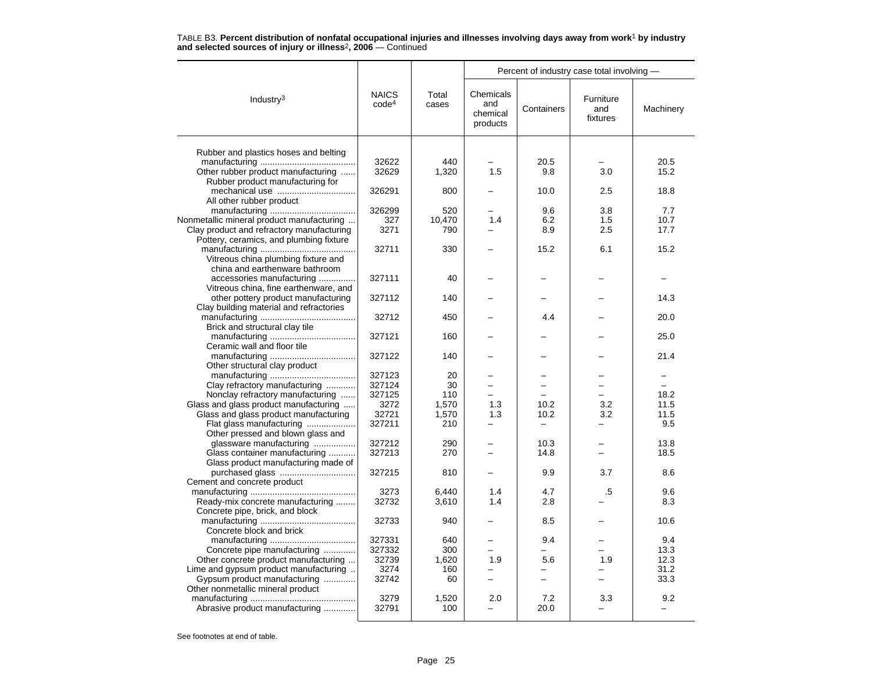|                                                                     |                                   |                | Percent of industry case total involving - |            |                              |             |  |  |
|---------------------------------------------------------------------|-----------------------------------|----------------|--------------------------------------------|------------|------------------------------|-------------|--|--|
| Industry $3$                                                        | <b>NAICS</b><br>code <sup>4</sup> | Total<br>cases | Chemicals<br>and<br>chemical<br>products   | Containers | Furniture<br>and<br>fixtures | Machinery   |  |  |
| Rubber and plastics hoses and belting                               |                                   |                |                                            |            |                              |             |  |  |
|                                                                     | 32622                             | 440            |                                            | 20.5       |                              | 20.5        |  |  |
| Other rubber product manufacturing                                  | 32629                             | 1,320          | 1.5                                        | 9.8        | 3.0                          | 15.2        |  |  |
| Rubber product manufacturing for                                    |                                   |                |                                            |            |                              |             |  |  |
|                                                                     | 326291                            | 800            |                                            | 10.0       | 2.5                          | 18.8        |  |  |
| All other rubber product                                            |                                   |                |                                            |            |                              |             |  |  |
|                                                                     | 326299                            | 520            |                                            | 9.6        | 3.8                          | 7.7         |  |  |
| Nonmetallic mineral product manufacturing                           | 327                               | 10,470         | 1.4                                        | 6.2        | 1.5                          | 10.7        |  |  |
| Clay product and refractory manufacturing                           | 3271                              | 790            |                                            | 8.9        | 2.5                          | 17.7        |  |  |
| Pottery, ceramics, and plumbing fixture                             |                                   |                |                                            |            |                              |             |  |  |
|                                                                     | 32711                             | 330            |                                            | 15.2       | 6.1                          | 15.2        |  |  |
| Vitreous china plumbing fixture and                                 |                                   |                |                                            |            |                              |             |  |  |
| china and earthenware bathroom                                      |                                   |                |                                            |            |                              |             |  |  |
| accessories manufacturing                                           | 327111                            | 40             |                                            |            |                              |             |  |  |
| Vitreous china, fine earthenware, and                               |                                   |                |                                            |            |                              |             |  |  |
| other pottery product manufacturing                                 | 327112                            | 140            |                                            |            |                              | 14.3        |  |  |
| Clay building material and refractories                             |                                   |                |                                            |            |                              |             |  |  |
|                                                                     | 32712                             | 450            |                                            | 4.4        |                              | 20.0        |  |  |
| Brick and structural clay tile                                      |                                   |                |                                            |            |                              |             |  |  |
|                                                                     | 327121                            | 160            |                                            |            |                              | 25.0        |  |  |
| Ceramic wall and floor tile                                         |                                   |                |                                            |            |                              |             |  |  |
|                                                                     | 327122                            | 140            |                                            |            |                              | 21.4        |  |  |
| Other structural clay product                                       | 327123                            | 20             |                                            |            |                              |             |  |  |
| Clay refractory manufacturing                                       | 327124                            | 30             | $\overline{\phantom{0}}$                   |            |                              |             |  |  |
| Nonclay refractory manufacturing                                    | 327125                            | 110            |                                            |            |                              | 18.2        |  |  |
| Glass and glass product manufacturing                               | 3272                              | 1,570          | 1.3                                        | 10.2       | 3.2                          | 11.5        |  |  |
| Glass and glass product manufacturing                               | 32721                             | 1,570          | 1.3                                        | 10.2       | 3.2                          | 11.5        |  |  |
| Flat glass manufacturing                                            | 327211                            | 210            | $\overline{\phantom{0}}$                   |            |                              | 9.5         |  |  |
| Other pressed and blown glass and                                   |                                   |                |                                            |            |                              |             |  |  |
| glassware manufacturing                                             | 327212                            | 290            |                                            | 10.3       |                              | 13.8        |  |  |
| Glass container manufacturing                                       | 327213                            | 270            |                                            | 14.8       |                              | 18.5        |  |  |
| Glass product manufacturing made of                                 |                                   |                |                                            |            |                              |             |  |  |
| purchased glass                                                     | 327215                            | 810            |                                            | 9.9        | 3.7                          | 8.6         |  |  |
| Cement and concrete product                                         |                                   |                |                                            |            |                              |             |  |  |
|                                                                     | 3273                              | 6,440          | 1.4                                        | 4.7        | .5                           | 9.6         |  |  |
| Ready-mix concrete manufacturing                                    | 32732                             | 3,610          | 1.4                                        | 2.8        |                              | 8.3         |  |  |
| Concrete pipe, brick, and block                                     |                                   |                |                                            |            |                              |             |  |  |
|                                                                     | 32733                             | 940            |                                            | 8.5        |                              | 10.6        |  |  |
| Concrete block and brick                                            |                                   |                |                                            |            |                              |             |  |  |
|                                                                     | 327331<br>327332                  | 640<br>300     |                                            | 9.4        |                              | 9.4<br>13.3 |  |  |
| Concrete pipe manufacturing<br>Other concrete product manufacturing | 32739                             | 1,620          | 1.9                                        | 5.6        | 1.9                          | 12.3        |  |  |
| Lime and gypsum product manufacturing                               | 3274                              | 160            |                                            |            |                              | 31.2        |  |  |
| Gypsum product manufacturing                                        | 32742                             | 60             | $\overline{\phantom{0}}$                   |            |                              | 33.3        |  |  |
| Other nonmetallic mineral product                                   |                                   |                |                                            |            |                              |             |  |  |
|                                                                     | 3279                              | 1,520          | 2.0                                        | 7.2        | 3.3                          | 9.2         |  |  |
| Abrasive product manufacturing                                      | 32791                             | 100            |                                            | 20.0       |                              |             |  |  |
|                                                                     |                                   |                |                                            |            |                              |             |  |  |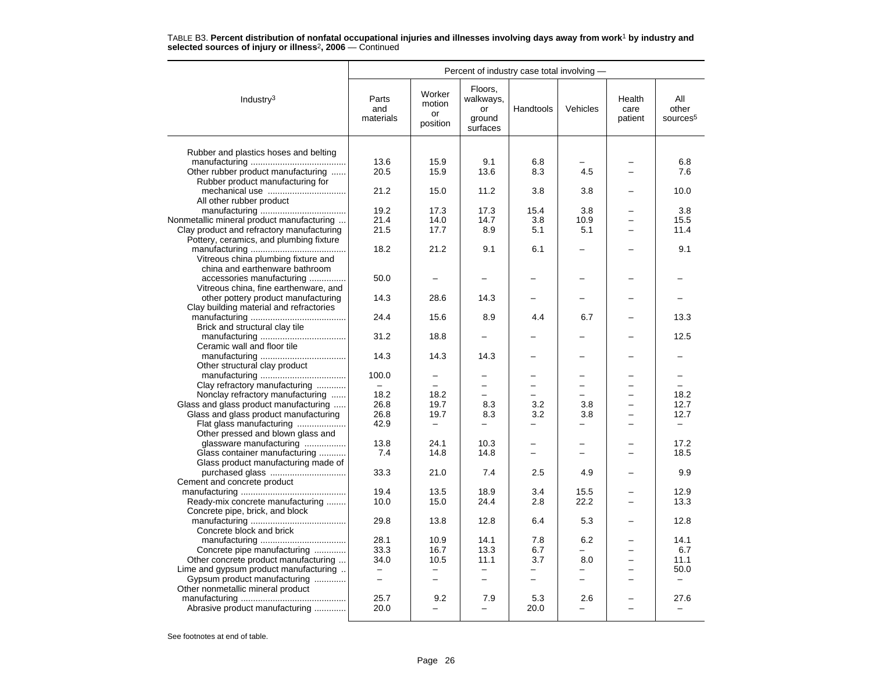|                                                                                |                           |                                    |                                                  | Percent of industry case total involving - |                          |                           |                                      |
|--------------------------------------------------------------------------------|---------------------------|------------------------------------|--------------------------------------------------|--------------------------------------------|--------------------------|---------------------------|--------------------------------------|
| Industry <sup>3</sup>                                                          | Parts<br>and<br>materials | Worker<br>motion<br>or<br>position | Floors,<br>walkways,<br>or<br>ground<br>surfaces | Handtools                                  | Vehicles                 | Health<br>care<br>patient | All<br>other<br>sources <sup>5</sup> |
|                                                                                |                           |                                    |                                                  |                                            |                          |                           |                                      |
| Rubber and plastics hoses and belting                                          | 13.6                      | 15.9                               | 9.1                                              | 6.8                                        |                          |                           | 6.8                                  |
| Other rubber product manufacturing                                             | 20.5                      | 15.9                               | 13.6                                             | 8.3                                        | 4.5                      |                           | 7.6                                  |
| Rubber product manufacturing for                                               |                           |                                    |                                                  |                                            |                          |                           |                                      |
|                                                                                | 21.2                      | 15.0                               | 11.2                                             | 3.8                                        | 3.8                      |                           | 10.0                                 |
| All other rubber product                                                       |                           |                                    |                                                  |                                            |                          |                           |                                      |
|                                                                                | 19.2                      | 17.3                               | 17.3                                             | 15.4                                       | 3.8                      |                           | 3.8                                  |
| Nonmetallic mineral product manufacturing                                      | 21.4                      | 14.0                               | 14.7                                             | 3.8                                        | 10.9                     |                           | 15.5                                 |
| Clay product and refractory manufacturing                                      | 21.5                      | 17.7                               | 8.9                                              | 5.1                                        | 5.1                      |                           | 11.4                                 |
| Pottery, ceramics, and plumbing fixture                                        |                           |                                    |                                                  |                                            |                          |                           |                                      |
|                                                                                | 18.2                      | 21.2                               | 9.1                                              | 6.1                                        |                          |                           | 9.1                                  |
| Vitreous china plumbing fixture and                                            |                           |                                    |                                                  |                                            |                          |                           |                                      |
| china and earthenware bathroom                                                 |                           |                                    |                                                  |                                            |                          |                           |                                      |
| accessories manufacturing                                                      | 50.0                      |                                    |                                                  |                                            |                          |                           |                                      |
| Vitreous china, fine earthenware, and<br>other pottery product manufacturing   | 14.3                      | 28.6                               | 14.3                                             |                                            |                          |                           |                                      |
| Clay building material and refractories                                        |                           |                                    |                                                  |                                            |                          |                           |                                      |
|                                                                                | 24.4                      | 15.6                               | 8.9                                              | 4.4                                        | 6.7                      |                           | 13.3                                 |
| Brick and structural clay tile                                                 |                           |                                    |                                                  |                                            |                          |                           |                                      |
|                                                                                | 31.2                      | 18.8                               |                                                  |                                            |                          |                           | 12.5                                 |
| Ceramic wall and floor tile                                                    |                           |                                    |                                                  |                                            |                          |                           |                                      |
|                                                                                | 14.3                      | 14.3                               | 14.3                                             |                                            |                          |                           |                                      |
| Other structural clay product                                                  |                           |                                    |                                                  |                                            |                          |                           |                                      |
|                                                                                | 100.0                     |                                    |                                                  |                                            |                          |                           |                                      |
| Clay refractory manufacturing                                                  | $\sim$                    | $\overline{\phantom{0}}$           | $\overline{\phantom{0}}$<br>L.                   |                                            | L.<br>$\overline{ }$     |                           | $\sim$                               |
| Nonclay refractory manufacturing                                               | 18.2<br>26.8              | 18.2<br>19.7                       | 8.3                                              | 3.2                                        | 3.8                      |                           | 18.2<br>12.7                         |
| Glass and glass product manufacturing<br>Glass and glass product manufacturing | 26.8                      | 19.7                               | 8.3                                              | 3.2                                        | 3.8                      |                           | 12.7                                 |
| Flat glass manufacturing                                                       | 42.9                      | $\qquad \qquad -$                  | $\overline{\phantom{0}}$                         |                                            | $\overline{\phantom{0}}$ |                           | $-$                                  |
| Other pressed and blown glass and                                              |                           |                                    |                                                  |                                            |                          |                           |                                      |
| glassware manufacturing                                                        | 13.8                      | 24.1                               | 10.3                                             |                                            |                          |                           | 17.2                                 |
| Glass container manufacturing                                                  | 7.4                       | 14.8                               | 14.8                                             |                                            |                          |                           | 18.5                                 |
| Glass product manufacturing made of                                            |                           |                                    |                                                  |                                            |                          |                           |                                      |
|                                                                                | 33.3                      | 21.0                               | 7.4                                              | 2.5                                        | 4.9                      |                           | 9.9                                  |
| Cement and concrete product                                                    |                           |                                    |                                                  |                                            |                          |                           |                                      |
|                                                                                | 19.4                      | 13.5                               | 18.9                                             | 3.4                                        | 15.5                     |                           | 12.9                                 |
| Ready-mix concrete manufacturing                                               | 10.0                      | 15.0                               | 24.4                                             | 2.8                                        | 22.2                     |                           | 13.3                                 |
| Concrete pipe, brick, and block                                                |                           |                                    |                                                  |                                            |                          |                           |                                      |
|                                                                                | 29.8                      | 13.8                               | 12.8                                             | 6.4                                        | 5.3                      |                           | 12.8                                 |
| Concrete block and brick                                                       |                           |                                    |                                                  |                                            |                          |                           |                                      |
|                                                                                | 28.1<br>33.3              | 10.9<br>16.7                       | 14.1<br>13.3                                     | 7.8<br>6.7                                 | 6.2                      |                           | 14.1<br>6.7                          |
| Concrete pipe manufacturing<br>Other concrete product manufacturing            | 34.0                      | 10.5                               | 11.1                                             | 3.7                                        | 8.0                      |                           | 11.1                                 |
| Lime and gypsum product manufacturing                                          | $-$                       | $\qquad \qquad -$                  | $\overline{\phantom{0}}$                         | -                                          | -                        |                           | 50.0                                 |
| Gypsum product manufacturing                                                   | $\qquad \qquad -$         | $\qquad \qquad -$                  | $\overline{\phantom{0}}$                         |                                            | —                        |                           |                                      |
| Other nonmetallic mineral product                                              |                           |                                    |                                                  |                                            |                          |                           |                                      |
|                                                                                | 25.7                      | 9.2                                | 7.9                                              | 5.3                                        | 2.6                      |                           | 27.6                                 |
| Abrasive product manufacturing                                                 | 20.0                      | $\overline{\phantom{0}}$           |                                                  | 20.0                                       |                          |                           |                                      |
|                                                                                |                           |                                    |                                                  |                                            |                          |                           |                                      |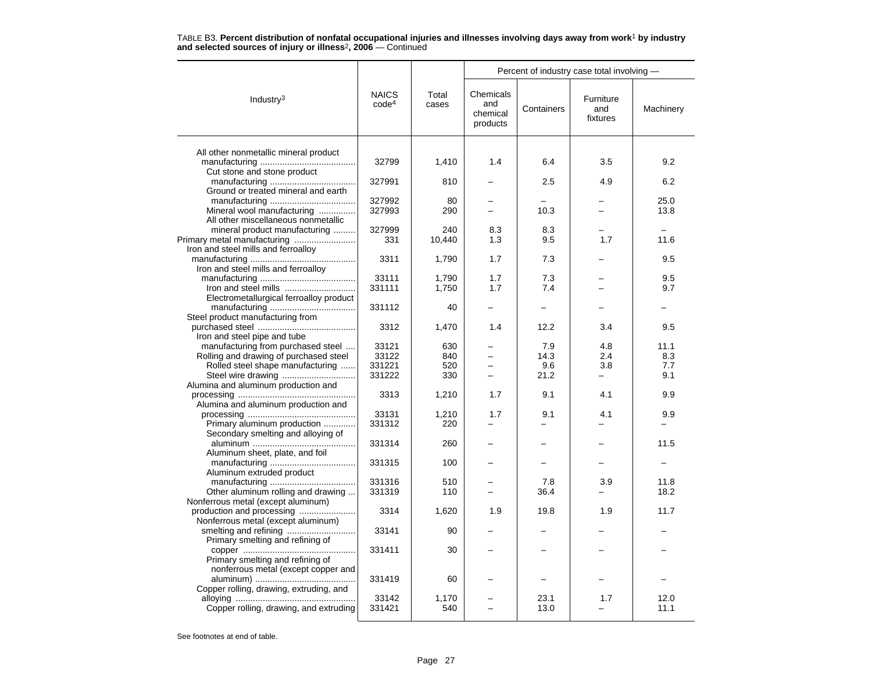|                                         |                                   |                | Percent of industry case total involving - |             |                              |              |  |  |
|-----------------------------------------|-----------------------------------|----------------|--------------------------------------------|-------------|------------------------------|--------------|--|--|
| Industry <sup>3</sup>                   | <b>NAICS</b><br>code <sup>4</sup> | Total<br>cases | Chemicals<br>and<br>chemical<br>products   | Containers  | Furniture<br>and<br>fixtures | Machinery    |  |  |
|                                         |                                   |                |                                            |             |                              |              |  |  |
| All other nonmetallic mineral product   | 32799                             | 1,410          | 1.4                                        | 6.4         | 3.5                          | 9.2          |  |  |
| Cut stone and stone product             |                                   |                |                                            |             |                              |              |  |  |
|                                         | 327991                            | 810            |                                            | 2.5         | 4.9                          | 6.2          |  |  |
| Ground or treated mineral and earth     |                                   |                |                                            |             |                              |              |  |  |
|                                         | 327992                            | 80             |                                            |             |                              | 25.0         |  |  |
| Mineral wool manufacturing              | 327993                            | 290            |                                            | 10.3        |                              | 13.8         |  |  |
| All other miscellaneous nonmetallic     |                                   |                |                                            |             |                              |              |  |  |
| mineral product manufacturing           | 327999                            | 240            | 8.3                                        | 8.3         |                              |              |  |  |
|                                         | 331                               | 10,440         | 1.3                                        | 9.5         | 1.7                          | 11.6         |  |  |
| Iron and steel mills and ferroalloy     |                                   |                |                                            |             |                              |              |  |  |
|                                         | 3311                              | 1,790          | 1.7                                        | 7.3         |                              | 9.5          |  |  |
| Iron and steel mills and ferroalloy     |                                   |                |                                            |             |                              |              |  |  |
|                                         | 33111                             | 1,790          | 1.7                                        | 7.3         |                              | 9.5          |  |  |
|                                         | 331111                            | 1,750          | 1.7                                        | 7.4         |                              | 9.7          |  |  |
| Electrometallurgical ferroalloy product | 331112                            | 40             |                                            |             |                              |              |  |  |
| Steel product manufacturing from        |                                   |                |                                            |             |                              |              |  |  |
|                                         | 3312                              | 1,470          | 1.4                                        | 12.2        | 3.4                          | 9.5          |  |  |
| Iron and steel pipe and tube            |                                   |                |                                            |             |                              |              |  |  |
| manufacturing from purchased steel      | 33121                             | 630            |                                            | 7.9         | 4.8                          | 11.1         |  |  |
| Rolling and drawing of purchased steel  | 33122                             | 840            |                                            | 14.3        | 2.4                          | 8.3          |  |  |
| Rolled steel shape manufacturing        | 331221                            | 520            |                                            | 9.6         | 3.8                          | 7.7          |  |  |
|                                         | 331222                            | 330            |                                            | 21.2        |                              | 9.1          |  |  |
| Alumina and aluminum production and     |                                   |                |                                            |             |                              |              |  |  |
|                                         | 3313                              | 1,210          | 1.7                                        | 9.1         | 4.1                          | 9.9          |  |  |
| Alumina and aluminum production and     |                                   |                |                                            |             |                              |              |  |  |
|                                         | 33131                             | 1,210          | 1.7                                        | 9.1         | 4.1                          | 9.9          |  |  |
| Primary aluminum production             | 331312                            | 220            |                                            |             |                              |              |  |  |
| Secondary smelting and alloying of      |                                   |                |                                            |             |                              |              |  |  |
|                                         | 331314                            | 260            |                                            |             |                              | 11.5         |  |  |
| Aluminum sheet, plate, and foil         |                                   |                |                                            |             |                              |              |  |  |
|                                         | 331315                            | 100            |                                            |             |                              |              |  |  |
| Aluminum extruded product               |                                   |                |                                            |             |                              |              |  |  |
| Other aluminum rolling and drawing      | 331316<br>331319                  | 510<br>110     | L.                                         | 7.8<br>36.4 | 3.9                          | 11.8<br>18.2 |  |  |
| Nonferrous metal (except aluminum)      |                                   |                |                                            |             |                              |              |  |  |
|                                         | 3314                              | 1,620          | 1.9                                        | 19.8        | 1.9                          | 11.7         |  |  |
| Nonferrous metal (except aluminum)      |                                   |                |                                            |             |                              |              |  |  |
|                                         | 33141                             | 90             |                                            |             |                              |              |  |  |
| Primary smelting and refining of        |                                   |                |                                            |             |                              |              |  |  |
|                                         | 331411                            | 30             |                                            |             |                              |              |  |  |
| Primary smelting and refining of        |                                   |                |                                            |             |                              |              |  |  |
| nonferrous metal (except copper and     |                                   |                |                                            |             |                              |              |  |  |
|                                         | 331419                            | 60             |                                            |             |                              |              |  |  |
| Copper rolling, drawing, extruding, and |                                   |                |                                            |             |                              |              |  |  |
|                                         | 33142                             | 1,170          |                                            | 23.1        | 1.7                          | 12.0         |  |  |
| Copper rolling, drawing, and extruding  | 331421                            | 540            |                                            | 13.0        |                              | 11.1         |  |  |
|                                         |                                   |                |                                            |             |                              |              |  |  |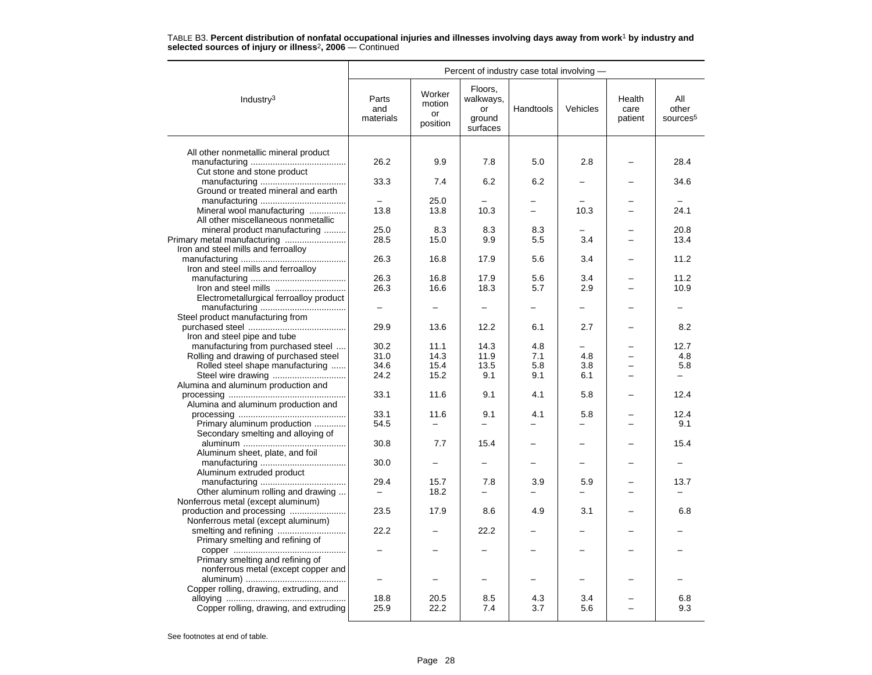|                                         | Percent of industry case total involving - |                                    |                                                  |                          |          |                           |                                      |  |
|-----------------------------------------|--------------------------------------------|------------------------------------|--------------------------------------------------|--------------------------|----------|---------------------------|--------------------------------------|--|
| Industry <sup>3</sup>                   | Parts<br>and<br>materials                  | Worker<br>motion<br>or<br>position | Floors,<br>walkways,<br>or<br>ground<br>surfaces | Handtools                | Vehicles | Health<br>care<br>patient | All<br>other<br>sources <sup>5</sup> |  |
|                                         |                                            |                                    |                                                  |                          |          |                           |                                      |  |
| All other nonmetallic mineral product   | 26.2                                       | 9.9                                | 7.8                                              | 5.0                      | 2.8      |                           | 28.4                                 |  |
| Cut stone and stone product             |                                            |                                    |                                                  |                          |          |                           |                                      |  |
|                                         | 33.3                                       | 7.4                                | 6.2                                              | 6.2                      |          |                           | 34.6                                 |  |
| Ground or treated mineral and earth     |                                            |                                    |                                                  |                          |          |                           |                                      |  |
|                                         |                                            | 25.0                               |                                                  | -                        |          |                           |                                      |  |
| Mineral wool manufacturing              | 13.8                                       | 13.8                               | 10.3                                             | $\overline{\phantom{a}}$ | 10.3     |                           | 24.1                                 |  |
| All other miscellaneous nonmetallic     |                                            |                                    |                                                  |                          |          |                           |                                      |  |
| mineral product manufacturing           | 25.0                                       | 8.3                                | 8.3                                              | 8.3                      |          |                           | 20.8                                 |  |
|                                         | 28.5                                       | 15.0                               | 9.9                                              | 5.5                      | 3.4      |                           | 13.4                                 |  |
| Iron and steel mills and ferroalloy     | 26.3                                       | 16.8                               | 17.9                                             | 5.6                      | 3.4      |                           | 11.2                                 |  |
| Iron and steel mills and ferroalloy     |                                            |                                    |                                                  |                          |          |                           |                                      |  |
|                                         | 26.3                                       | 16.8                               | 17.9                                             | 5.6                      | 3.4      |                           | 11.2                                 |  |
|                                         | 26.3                                       | 16.6                               | 18.3                                             | 5.7                      | 2.9      |                           | 10.9                                 |  |
| Electrometallurgical ferroalloy product |                                            |                                    |                                                  |                          |          |                           |                                      |  |
|                                         |                                            |                                    |                                                  |                          |          |                           |                                      |  |
| Steel product manufacturing from        |                                            |                                    |                                                  |                          |          |                           |                                      |  |
|                                         | 29.9                                       | 13.6                               | 12.2                                             | 6.1                      | 2.7      |                           | 8.2                                  |  |
| Iron and steel pipe and tube            |                                            |                                    |                                                  |                          |          |                           |                                      |  |
| manufacturing from purchased steel      | 30.2                                       | 11.1                               | 14.3                                             | 4.8                      |          |                           | 12.7                                 |  |
| Rolling and drawing of purchased steel  | 31.0                                       | 14.3                               | 11.9                                             | 7.1                      | 4.8      |                           | 4.8                                  |  |
| Rolled steel shape manufacturing        | 34.6                                       | 15.4                               | 13.5                                             | 5.8                      | 3.8      |                           | 5.8                                  |  |
| Steel wire drawing                      | 24.2                                       | 15.2                               | 9.1                                              | 9.1                      | 6.1      |                           | -                                    |  |
| Alumina and aluminum production and     | 33.1                                       | 11.6                               | 9.1                                              | 4.1                      | 5.8      |                           | 12.4                                 |  |
| Alumina and aluminum production and     |                                            |                                    |                                                  |                          |          |                           |                                      |  |
|                                         | 33.1                                       | 11.6                               | 9.1                                              | 4.1                      | 5.8      |                           | 12.4                                 |  |
| Primary aluminum production             | 54.5                                       | -                                  | $\equiv$                                         |                          |          |                           | 9.1                                  |  |
| Secondary smelting and alloying of      |                                            |                                    |                                                  |                          |          |                           |                                      |  |
|                                         | 30.8                                       | 7.7                                | 15.4                                             |                          |          |                           | 15.4                                 |  |
| Aluminum sheet, plate, and foil         |                                            |                                    |                                                  |                          |          |                           |                                      |  |
|                                         | 30.0                                       |                                    |                                                  |                          |          |                           |                                      |  |
| Aluminum extruded product               |                                            |                                    |                                                  |                          |          |                           |                                      |  |
|                                         | 29.4                                       | 15.7                               | 7.8                                              | 3.9                      | 5.9      |                           | 13.7                                 |  |
| Other aluminum rolling and drawing      |                                            | 18.2                               |                                                  |                          |          |                           |                                      |  |
| Nonferrous metal (except aluminum)      |                                            |                                    |                                                  |                          |          |                           |                                      |  |
| Nonferrous metal (except aluminum)      | 23.5                                       | 17.9                               | 8.6                                              | 4.9                      | 3.1      |                           | 6.8                                  |  |
|                                         | 22.2                                       |                                    | 22.2                                             |                          |          |                           |                                      |  |
| Primary smelting and refining of        |                                            |                                    |                                                  |                          |          |                           |                                      |  |
|                                         |                                            |                                    |                                                  |                          |          |                           |                                      |  |
| Primary smelting and refining of        |                                            |                                    |                                                  |                          |          |                           |                                      |  |
| nonferrous metal (except copper and     |                                            |                                    |                                                  |                          |          |                           |                                      |  |
|                                         |                                            |                                    |                                                  |                          |          |                           |                                      |  |
| Copper rolling, drawing, extruding, and |                                            |                                    |                                                  |                          |          |                           |                                      |  |
|                                         | 18.8                                       | 20.5                               | 8.5                                              | 4.3                      | 3.4      |                           | 6.8                                  |  |
| Copper rolling, drawing, and extruding  | 25.9                                       | 22.2                               | 7.4                                              | 3.7                      | 5.6      |                           | 9.3                                  |  |
|                                         |                                            |                                    |                                                  |                          |          |                           |                                      |  |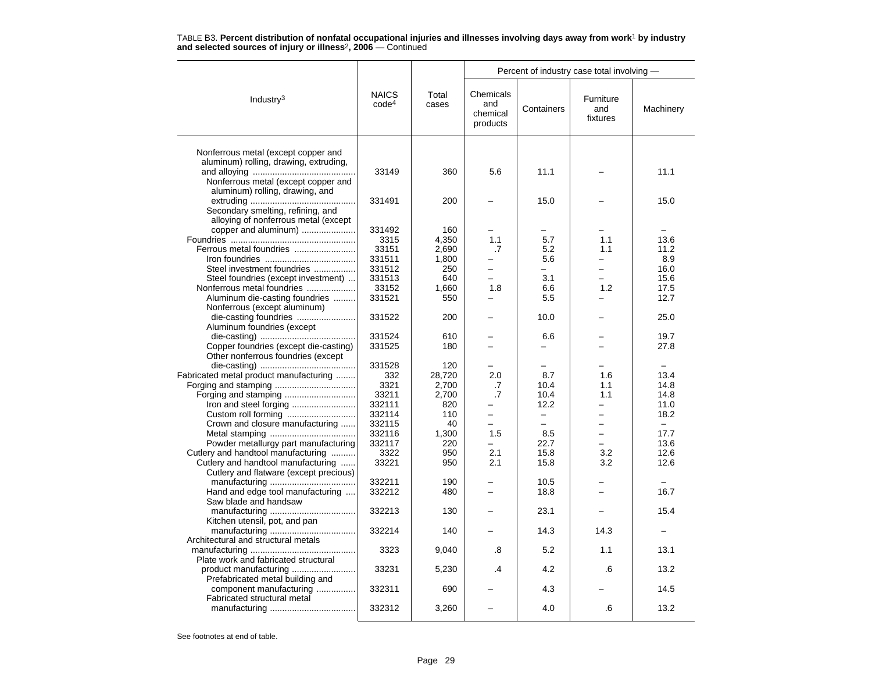|                                        |                                   |                | Percent of industry case total involving - |                          |                              |                   |  |  |
|----------------------------------------|-----------------------------------|----------------|--------------------------------------------|--------------------------|------------------------------|-------------------|--|--|
| Industry <sup>3</sup>                  | <b>NAICS</b><br>code <sup>4</sup> | Total<br>cases | Chemicals<br>and<br>chemical<br>products   | Containers               | Furniture<br>and<br>fixtures | Machinery         |  |  |
| Nonferrous metal (except copper and    |                                   |                |                                            |                          |                              |                   |  |  |
| aluminum) rolling, drawing, extruding, |                                   |                |                                            |                          |                              |                   |  |  |
|                                        | 33149                             | 360            | 5.6                                        | 11.1                     |                              | 11.1              |  |  |
| Nonferrous metal (except copper and    |                                   |                |                                            |                          |                              |                   |  |  |
| aluminum) rolling, drawing, and        |                                   |                |                                            |                          |                              |                   |  |  |
|                                        | 331491                            | 200            |                                            | 15.0                     |                              | 15.0              |  |  |
| Secondary smelting, refining, and      |                                   |                |                                            |                          |                              |                   |  |  |
| alloying of nonferrous metal (except   |                                   |                |                                            |                          |                              |                   |  |  |
| copper and aluminum)                   | 331492                            | 160            |                                            |                          |                              |                   |  |  |
|                                        | 3315                              | 4,350          | 1.1                                        | 5.7                      | 1.1                          | 13.6              |  |  |
| Ferrous metal foundries                | 33151                             | 2,690          | .7                                         | 5.2                      | 1.1                          | 11.2              |  |  |
|                                        | 331511                            | 1,800          |                                            | 5.6                      |                              | 8.9               |  |  |
| Steel investment foundries             | 331512                            | 250            | $\overline{\phantom{0}}$                   | $\overline{\phantom{0}}$ |                              | 16.0              |  |  |
| Steel foundries (except investment)    | 331513                            | 640            |                                            | 3.1                      |                              | 15.6              |  |  |
| Nonferrous metal foundries             | 33152                             | 1,660          | 1.8                                        | 6.6                      | 1.2                          | 17.5              |  |  |
| Aluminum die-casting foundries         | 331521                            | 550            |                                            | 5.5                      |                              | 12.7              |  |  |
| Nonferrous (except aluminum)           |                                   |                |                                            |                          |                              |                   |  |  |
| die-casting foundries                  | 331522                            | 200            |                                            | 10.0                     |                              | 25.0              |  |  |
| Aluminum foundries (except             |                                   |                |                                            |                          |                              |                   |  |  |
|                                        | 331524                            | 610            |                                            | 6.6                      |                              | 19.7              |  |  |
| Copper foundries (except die-casting)  | 331525                            | 180            |                                            | $\overline{\phantom{0}}$ |                              | 27.8              |  |  |
| Other nonferrous foundries (except     |                                   |                |                                            |                          |                              |                   |  |  |
|                                        | 331528                            | 120            |                                            |                          |                              |                   |  |  |
| Fabricated metal product manufacturing | 332                               | 28,720         | 2.0                                        | 8.7                      | 1.6                          | 13.4              |  |  |
|                                        | 3321                              | 2.700          | .7                                         | 10.4                     | 1.1                          | 14.8              |  |  |
|                                        | 33211                             | 2,700          | .7                                         | 10.4                     | 1.1                          | 14.8              |  |  |
| Iron and steel forging                 | 332111                            | 820            |                                            | 12.2                     |                              | 11.0              |  |  |
|                                        | 332114                            | 110            | $\equiv$                                   | $\equiv$                 | $\overline{\phantom{0}}$     | 18.2              |  |  |
| Crown and closure manufacturing        | 332115                            | 40             | $\overline{\phantom{0}}$                   | $\equiv$                 | $\equiv$                     | $\qquad \qquad -$ |  |  |
|                                        | 332116                            | 1,300          | 1.5                                        | 8.5                      |                              | 17.7              |  |  |
| Powder metallurgy part manufacturing   | 332117                            | 220            | $\overline{\phantom{0}}$                   | 22.7                     |                              | 13.6              |  |  |
| Cutlery and handtool manufacturing     | 3322                              | 950            | 2.1                                        | 15.8                     | 3.2                          | 12.6              |  |  |
| Cutlery and handtool manufacturing     | 33221                             | 950            | 2.1                                        | 15.8                     | 3.2                          | 12.6              |  |  |
| Cutlery and flatware (except precious) |                                   |                |                                            |                          |                              |                   |  |  |
|                                        | 332211                            | 190            |                                            | 10.5                     |                              |                   |  |  |
| Hand and edge tool manufacturing       | 332212                            | 480            |                                            | 18.8                     |                              | 16.7              |  |  |
| Saw blade and handsaw                  |                                   |                |                                            |                          |                              |                   |  |  |
|                                        | 332213                            | 130            |                                            | 23.1                     |                              | 15.4              |  |  |
| Kitchen utensil, pot, and pan          |                                   |                |                                            |                          |                              |                   |  |  |
|                                        | 332214                            | 140            |                                            | 14.3                     | 14.3                         |                   |  |  |
| Architectural and structural metals    |                                   |                |                                            |                          |                              |                   |  |  |
|                                        | 3323                              | 9,040          | .8                                         | 5.2                      | 1.1                          | 13.1              |  |  |
| Plate work and fabricated structural   |                                   |                |                                            |                          |                              |                   |  |  |
|                                        | 33231                             | 5,230          | .4                                         | 4.2                      | .6                           | 13.2              |  |  |
| Prefabricated metal building and       |                                   |                |                                            |                          |                              |                   |  |  |
| component manufacturing                | 332311                            | 690            |                                            | 4.3                      |                              | 14.5              |  |  |
| Fabricated structural metal            | 332312                            | 3,260          |                                            | 4.0                      | .6                           | 13.2              |  |  |
|                                        |                                   |                |                                            |                          |                              |                   |  |  |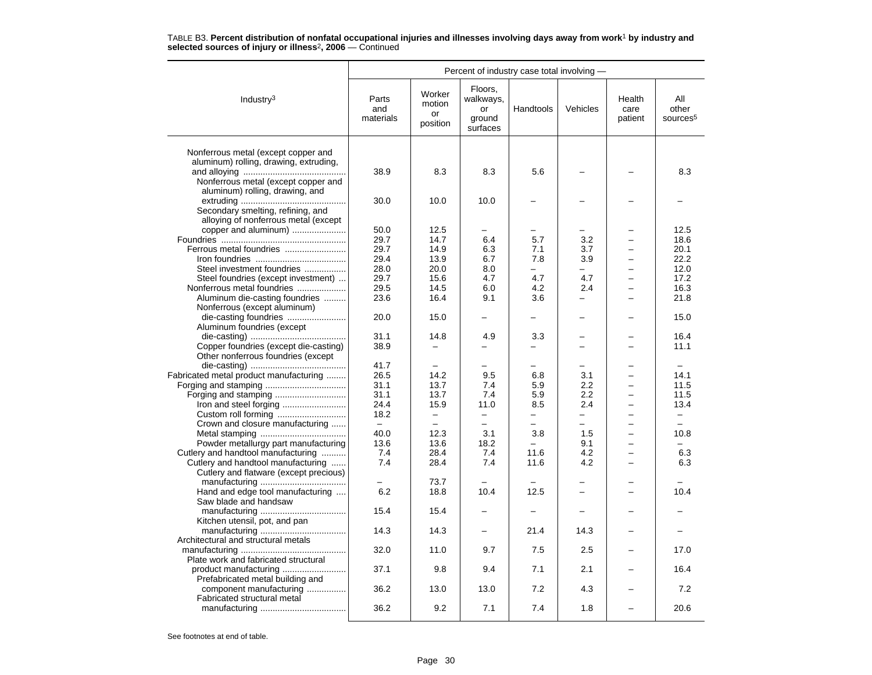|                                                                               | Percent of industry case total involving - |                                               |                                                  |                                 |                                 |                           |                                                      |  |
|-------------------------------------------------------------------------------|--------------------------------------------|-----------------------------------------------|--------------------------------------------------|---------------------------------|---------------------------------|---------------------------|------------------------------------------------------|--|
| Industry $3$                                                                  | Parts<br>and<br>materials                  | Worker<br>motion<br>or<br>position            | Floors,<br>walkways,<br>or<br>ground<br>surfaces | Handtools                       | Vehicles                        | Health<br>care<br>patient | All<br>other<br>sources <sup>5</sup>                 |  |
|                                                                               |                                            |                                               |                                                  |                                 |                                 |                           |                                                      |  |
| Nonferrous metal (except copper and<br>aluminum) rolling, drawing, extruding, |                                            |                                               |                                                  |                                 |                                 |                           |                                                      |  |
|                                                                               | 38.9                                       | 8.3                                           | 8.3                                              | 5.6                             |                                 |                           | 8.3                                                  |  |
| Nonferrous metal (except copper and                                           |                                            |                                               |                                                  |                                 |                                 |                           |                                                      |  |
| aluminum) rolling, drawing, and                                               |                                            |                                               |                                                  |                                 |                                 |                           |                                                      |  |
|                                                                               | 30.0                                       | 10.0                                          | 10.0                                             | -                               |                                 |                           |                                                      |  |
| Secondary smelting, refining, and                                             |                                            |                                               |                                                  |                                 |                                 |                           |                                                      |  |
| alloying of nonferrous metal (except                                          |                                            |                                               |                                                  |                                 |                                 |                           |                                                      |  |
| copper and aluminum)                                                          | 50.0                                       | 12.5                                          |                                                  |                                 |                                 |                           | 12.5                                                 |  |
|                                                                               | 29.7                                       | 14.7                                          | 6.4                                              | 5.7                             | 3.2                             |                           | 18.6                                                 |  |
| Ferrous metal foundries                                                       | 29.7                                       | 14.9                                          | 6.3                                              | 7.1                             | 3.7                             |                           | 20.1                                                 |  |
|                                                                               | 29.4                                       | 13.9                                          | 6.7                                              | 7.8                             | 3.9                             |                           | 22.2                                                 |  |
| Steel investment foundries                                                    | 28.0                                       | 20.0                                          | 8.0                                              | $=$                             |                                 |                           | 12.0                                                 |  |
| Steel foundries (except investment)                                           | 29.7                                       | 15.6                                          | 4.7                                              | 4.7                             | 4.7                             |                           | 17.2                                                 |  |
| Nonferrous metal foundries                                                    | 29.5                                       | 14.5                                          | 6.0                                              | 4.2                             | 2.4                             | $=$                       | 16.3                                                 |  |
| Aluminum die-casting foundries                                                | 23.6                                       | 16.4                                          | 9.1                                              | 3.6                             | $\overline{\phantom{0}}$        |                           | 21.8                                                 |  |
| Nonferrous (except aluminum)                                                  |                                            |                                               |                                                  |                                 |                                 |                           |                                                      |  |
|                                                                               | 20.0                                       | 15.0                                          |                                                  |                                 |                                 |                           | 15.0                                                 |  |
| Aluminum foundries (except                                                    |                                            |                                               |                                                  |                                 |                                 |                           |                                                      |  |
|                                                                               | 31.1                                       | 14.8                                          | 4.9                                              | 3.3                             |                                 |                           | 16.4                                                 |  |
| Copper foundries (except die-casting)                                         | 38.9                                       | $\equiv$                                      |                                                  |                                 |                                 |                           | 11.1                                                 |  |
| Other nonferrous foundries (except                                            |                                            |                                               |                                                  |                                 |                                 |                           |                                                      |  |
|                                                                               | 41.7                                       | $\overline{\phantom{0}}$                      |                                                  |                                 |                                 | ÷.                        |                                                      |  |
| Fabricated metal product manufacturing                                        | 26.5                                       | 14.2                                          | 9.5                                              | 6.8                             | 3.1                             |                           | 14.1                                                 |  |
|                                                                               | 31.1                                       | 13.7                                          | 7.4                                              | 5.9<br>5.9                      | 2.2<br>2.2                      |                           | 11.5                                                 |  |
|                                                                               | 31.1                                       | 13.7                                          | 7.4                                              |                                 |                                 |                           | 11.5                                                 |  |
|                                                                               | 24.4<br>18.2                               | 15.9                                          | 11.0<br>$\overline{\phantom{0}}$                 | 8.5<br>$\overline{\phantom{0}}$ | 2.4<br>$\overline{\phantom{0}}$ | $\overline{ }$            | 13.4                                                 |  |
| Crown and closure manufacturing                                               | $ \,$                                      | $\qquad \qquad -$<br>$\overline{\phantom{0}}$ | $\equiv$                                         | $\overline{\phantom{0}}$        | $\equiv$                        | −                         | $\overline{\phantom{0}}$<br>$\overline{\phantom{0}}$ |  |
|                                                                               | 40.0                                       | 12.3                                          | 3.1                                              | 3.8                             | 1.5                             |                           | 10.8                                                 |  |
|                                                                               | 13.6                                       | 13.6                                          | 18.2                                             | L.                              | 9.1                             | L.                        |                                                      |  |
| Powder metallurgy part manufacturing                                          | 7.4                                        | 28.4                                          | 7.4                                              | 11.6                            | 4.2                             | $\overline{\phantom{0}}$  | 6.3                                                  |  |
| Cutlery and handtool manufacturing<br>Cutlery and handtool manufacturing      | 7.4                                        | 28.4                                          | 7.4                                              | 11.6                            | 4.2                             |                           | 6.3                                                  |  |
| Cutlery and flatware (except precious)                                        |                                            |                                               |                                                  |                                 |                                 |                           |                                                      |  |
|                                                                               |                                            | 73.7                                          |                                                  |                                 |                                 |                           |                                                      |  |
| Hand and edge tool manufacturing                                              | 6.2                                        | 18.8                                          | 10.4                                             | 12.5                            | -                               | $\overline{ }$            | 10.4                                                 |  |
| Saw blade and handsaw                                                         |                                            |                                               |                                                  |                                 |                                 |                           |                                                      |  |
|                                                                               | 15.4                                       | 15.4                                          |                                                  |                                 |                                 |                           |                                                      |  |
| Kitchen utensil, pot, and pan                                                 |                                            |                                               |                                                  |                                 |                                 |                           |                                                      |  |
|                                                                               | 14.3                                       | 14.3                                          |                                                  | 21.4                            | 14.3                            |                           |                                                      |  |
| Architectural and structural metals                                           |                                            |                                               |                                                  |                                 |                                 |                           |                                                      |  |
|                                                                               | 32.0                                       | 11.0                                          | 9.7                                              | 7.5                             | 2.5                             |                           | 17.0                                                 |  |
| Plate work and fabricated structural                                          |                                            |                                               |                                                  |                                 |                                 |                           |                                                      |  |
|                                                                               | 37.1                                       | 9.8                                           | 9.4                                              | 7.1                             | 2.1                             |                           | 16.4                                                 |  |
| Prefabricated metal building and                                              |                                            |                                               |                                                  |                                 |                                 |                           |                                                      |  |
| component manufacturing                                                       | 36.2                                       | 13.0                                          | 13.0                                             | 7.2                             | 4.3                             |                           | 7.2                                                  |  |
| Fabricated structural metal                                                   |                                            |                                               |                                                  |                                 |                                 |                           |                                                      |  |
|                                                                               | 36.2                                       | 9.2                                           | 7.1                                              | 7.4                             | 1.8                             | $\overline{\phantom{0}}$  | 20.6                                                 |  |
|                                                                               |                                            |                                               |                                                  |                                 |                                 |                           |                                                      |  |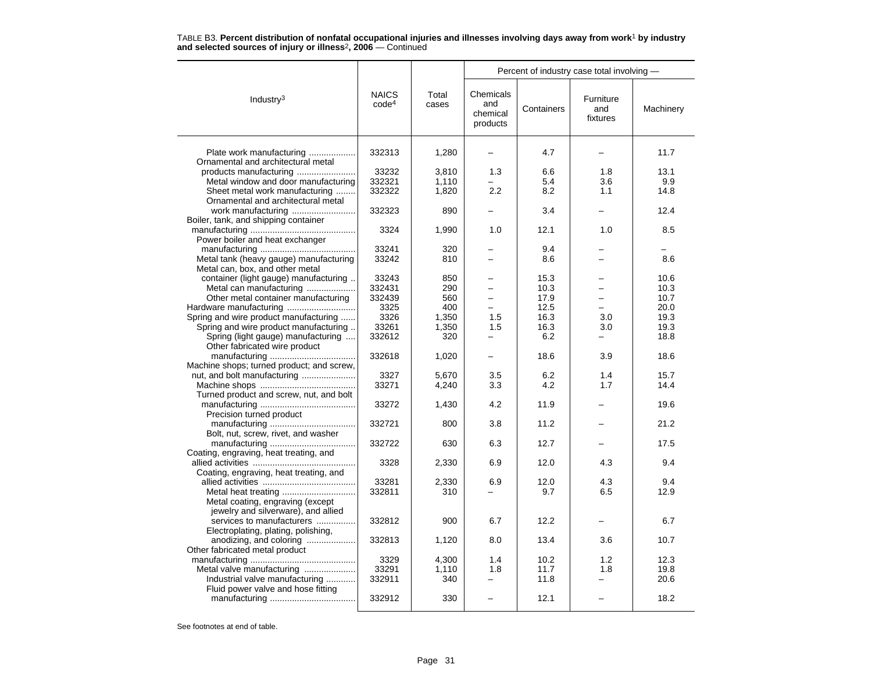|                                                                                |                                   |                | Percent of industry case total involving - |              |                              |              |  |  |
|--------------------------------------------------------------------------------|-----------------------------------|----------------|--------------------------------------------|--------------|------------------------------|--------------|--|--|
| Industry <sup>3</sup>                                                          | <b>NAICS</b><br>code <sup>4</sup> | Total<br>cases | Chemicals<br>and<br>chemical<br>products   | Containers   | Furniture<br>and<br>fixtures | Machinery    |  |  |
| Plate work manufacturing<br>Ornamental and architectural metal                 | 332313                            | 1,280          |                                            | 4.7          |                              | 11.7         |  |  |
| products manufacturing                                                         | 33232                             | 3.810          | 1.3                                        | 6.6          | 1.8                          | 13.1         |  |  |
| Metal window and door manufacturing                                            | 332321                            | 1,110          |                                            | 5.4          | 3.6                          | 9.9          |  |  |
| Sheet metal work manufacturing                                                 | 332322                            | 1,820          | 2.2                                        | 8.2          | 1.1                          | 14.8         |  |  |
| Ornamental and architectural metal                                             |                                   |                |                                            |              |                              |              |  |  |
| work manufacturing                                                             | 332323                            | 890            |                                            | 3.4          |                              | 12.4         |  |  |
| Boiler, tank, and shipping container                                           |                                   |                |                                            |              |                              |              |  |  |
|                                                                                | 3324                              | 1,990          | 1.0                                        | 12.1         | 1.0                          | 8.5          |  |  |
| Power boiler and heat exchanger                                                |                                   |                |                                            |              |                              |              |  |  |
|                                                                                | 33241                             | 320            |                                            | 9.4          |                              |              |  |  |
| Metal tank (heavy gauge) manufacturing                                         | 33242                             | 810            | $\overline{\phantom{0}}$                   | 8.6          | -                            | 8.6          |  |  |
| Metal can, box, and other metal                                                |                                   |                |                                            |              |                              |              |  |  |
| container (light gauge) manufacturing                                          | 33243                             | 850            |                                            | 15.3         |                              | 10.6         |  |  |
| Metal can manufacturing                                                        | 332431                            | 290            |                                            | 10.3         | $\equiv$                     | 10.3         |  |  |
| Other metal container manufacturing                                            | 332439                            | 560            | $\qquad \qquad -$                          | 17.9         | $\overline{\phantom{0}}$     | 10.7         |  |  |
|                                                                                | 3325                              | 400            |                                            | 12.5         |                              | 20.0         |  |  |
| Spring and wire product manufacturing<br>Spring and wire product manufacturing | 3326<br>33261                     | 1,350          | 1.5<br>1.5                                 | 16.3<br>16.3 | 3.0                          | 19.3<br>19.3 |  |  |
| Spring (light gauge) manufacturing                                             | 332612                            | 1,350<br>320   |                                            | 6.2          | 3.0                          | 18.8         |  |  |
| Other fabricated wire product                                                  |                                   |                |                                            |              |                              |              |  |  |
|                                                                                | 332618                            | 1,020          | -                                          | 18.6         | 3.9                          | 18.6         |  |  |
| Machine shops; turned product; and screw,                                      |                                   |                |                                            |              |                              |              |  |  |
|                                                                                | 3327                              | 5,670          | 3.5                                        | 6.2          | 1.4                          | 15.7         |  |  |
|                                                                                | 33271                             | 4,240          | 3.3                                        | 4.2          | 1.7                          | 14.4         |  |  |
| Turned product and screw, nut, and bolt                                        |                                   |                |                                            |              |                              |              |  |  |
|                                                                                | 33272                             | 1,430          | 4.2                                        | 11.9         |                              | 19.6         |  |  |
| Precision turned product                                                       |                                   |                |                                            |              |                              |              |  |  |
|                                                                                | 332721                            | 800            | 3.8                                        | 11.2         |                              | 21.2         |  |  |
| Bolt, nut, screw, rivet, and washer                                            | 332722                            | 630            | 6.3                                        | 12.7         |                              | 17.5         |  |  |
| Coating, engraving, heat treating, and                                         |                                   |                |                                            |              |                              |              |  |  |
|                                                                                | 3328                              | 2,330          | 6.9                                        | 12.0         | 4.3                          | 9.4          |  |  |
| Coating, engraving, heat treating, and                                         |                                   |                |                                            |              |                              |              |  |  |
|                                                                                | 33281                             | 2,330          | 6.9                                        | 12.0         | 4.3                          | 9.4          |  |  |
| Metal heat treating                                                            | 332811                            | 310            |                                            | 9.7          | 6.5                          | 12.9         |  |  |
| Metal coating, engraving (except                                               |                                   |                |                                            |              |                              |              |  |  |
| jewelry and silverware), and allied                                            |                                   |                |                                            |              |                              |              |  |  |
| services to manufacturers                                                      | 332812                            | 900            | 6.7                                        | 12.2         |                              | 6.7          |  |  |
| Electroplating, plating, polishing,                                            |                                   |                |                                            |              |                              |              |  |  |
| anodizing, and coloring                                                        | 332813                            | 1,120          | 8.0                                        | 13.4         | 3.6                          | 10.7         |  |  |
| Other fabricated metal product                                                 |                                   |                |                                            |              |                              |              |  |  |
| Metal valve manufacturing                                                      | 3329<br>33291                     | 4,300<br>1,110 | 1.4<br>1.8                                 | 10.2<br>11.7 | 1.2<br>1.8                   | 12.3<br>19.8 |  |  |
| Industrial valve manufacturing                                                 | 332911                            | 340            | $\equiv$                                   | 11.8         | $=$                          | 20.6         |  |  |
| Fluid power valve and hose fitting                                             |                                   |                |                                            |              |                              |              |  |  |
|                                                                                | 332912                            | 330            |                                            | 12.1         |                              | 18.2         |  |  |
|                                                                                |                                   |                |                                            |              |                              |              |  |  |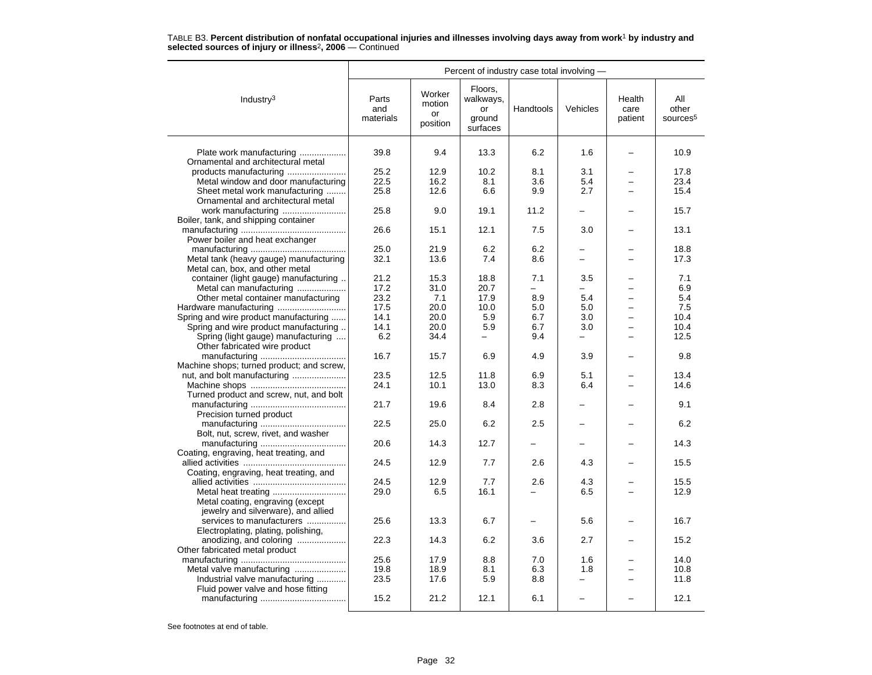|                                                                      |                           |                                    | Percent of industry case total involving -       |            |            |                           |                                      |
|----------------------------------------------------------------------|---------------------------|------------------------------------|--------------------------------------------------|------------|------------|---------------------------|--------------------------------------|
| Industry $3$                                                         | Parts<br>and<br>materials | Worker<br>motion<br>or<br>position | Floors,<br>walkways,<br>or<br>ground<br>surfaces | Handtools  | Vehicles   | Health<br>care<br>patient | All<br>other<br>sources <sup>5</sup> |
| Plate work manufacturing<br>Ornamental and architectural metal       | 39.8                      | 9.4                                | 13.3                                             | 6.2        | 1.6        |                           | 10.9                                 |
|                                                                      | 25.2                      | 12.9                               | 10.2                                             | 8.1        | 3.1        |                           | 17.8                                 |
| Metal window and door manufacturing                                  | 22.5                      | 16.2                               | 8.1                                              | 3.6        | 5.4        |                           | 23.4                                 |
| Sheet metal work manufacturing                                       | 25.8                      | 12.6                               | 6.6                                              | 9.9        | 2.7        |                           | 15.4                                 |
| Ornamental and architectural metal                                   |                           |                                    |                                                  |            |            |                           |                                      |
| work manufacturing                                                   | 25.8                      | 9.0                                | 19.1                                             | 11.2       |            |                           | 15.7                                 |
| Boiler, tank, and shipping container                                 |                           |                                    |                                                  |            |            |                           |                                      |
|                                                                      | 26.6                      | 15.1                               | 12.1                                             | 7.5        | 3.0        |                           | 13.1                                 |
| Power boiler and heat exchanger                                      |                           |                                    |                                                  |            |            |                           |                                      |
|                                                                      | 25.0                      | 21.9                               | 6.2                                              | 6.2        |            |                           | 18.8                                 |
| Metal tank (heavy gauge) manufacturing                               | 32.1                      | 13.6                               | 7.4                                              | 8.6        |            |                           | 17.3                                 |
| Metal can, box, and other metal                                      |                           |                                    |                                                  |            |            |                           |                                      |
| container (light gauge) manufacturing                                | 21.2                      | 15.3                               | 18.8                                             | 7.1        | 3.5        |                           | 7.1                                  |
| Metal can manufacturing                                              | 17.2                      | 31.0                               | 20.7                                             | ÷          |            |                           | 6.9                                  |
| Other metal container manufacturing                                  | 23.2                      | 7.1                                | 17.9                                             | 8.9        | 5.4        |                           | 5.4                                  |
|                                                                      | 17.5                      | 20.0                               | 10.0                                             | 5.0        | 5.0        |                           | 7.5                                  |
| Spring and wire product manufacturing                                | 14.1                      | 20.0                               | 5.9                                              | 6.7        | 3.0        |                           | 10.4                                 |
| Spring and wire product manufacturing                                | 14.1                      | 20.0                               | 5.9                                              | 6.7        | 3.0        |                           | 10.4                                 |
| Spring (light gauge) manufacturing                                   | 6.2                       | 34.4                               |                                                  | 9.4        | $\equiv$   | -                         | 12.5                                 |
| Other fabricated wire product                                        |                           |                                    |                                                  |            |            |                           |                                      |
|                                                                      | 16.7                      | 15.7                               | 6.9                                              | 4.9        | 3.9        |                           | 9.8                                  |
| Machine shops; turned product; and screw,                            |                           |                                    |                                                  |            |            |                           |                                      |
|                                                                      | 23.5                      | 12.5                               | 11.8                                             | 6.9        | 5.1        |                           | 13.4                                 |
|                                                                      | 24.1                      | 10.1                               | 13.0                                             | 8.3        | 6.4        |                           | 14.6                                 |
| Turned product and screw, nut, and bolt                              |                           |                                    |                                                  |            |            |                           |                                      |
|                                                                      | 21.7                      | 19.6                               | 8.4                                              | 2.8        |            |                           | 9.1                                  |
| Precision turned product                                             |                           |                                    |                                                  |            |            |                           |                                      |
|                                                                      | 22.5                      | 25.0                               | 6.2                                              | 2.5        |            |                           | 6.2                                  |
| Bolt, nut, screw, rivet, and washer                                  |                           |                                    |                                                  |            |            |                           |                                      |
|                                                                      | 20.6                      | 14.3                               | 12.7                                             |            |            |                           | 14.3                                 |
| Coating, engraving, heat treating, and                               |                           |                                    |                                                  |            |            |                           |                                      |
|                                                                      | 24.5                      | 12.9                               | 7.7                                              | 2.6        | 4.3        |                           | 15.5                                 |
| Coating, engraving, heat treating, and                               |                           |                                    |                                                  |            |            |                           |                                      |
|                                                                      | 24.5                      | 12.9                               | 7.7                                              | 2.6        | 4.3        |                           | 15.5                                 |
|                                                                      | 29.0                      | 6.5                                | 16.1                                             |            | 6.5        |                           | 12.9                                 |
| Metal coating, engraving (except                                     |                           |                                    |                                                  |            |            |                           |                                      |
| jewelry and silverware), and allied                                  |                           |                                    |                                                  |            |            |                           |                                      |
| services to manufacturers                                            | 25.6                      | 13.3                               | 6.7                                              |            | 5.6        |                           | 16.7                                 |
| Electroplating, plating, polishing,                                  |                           |                                    |                                                  |            |            |                           |                                      |
| anodizing, and coloring                                              | 22.3                      | 14.3                               | 6.2                                              | 3.6        | 2.7        |                           | 15.2                                 |
| Other fabricated metal product                                       |                           |                                    |                                                  |            |            |                           | 14.0                                 |
|                                                                      | 25.6<br>19.8              | 17.9<br>18.9                       | 8.8<br>8.1                                       | 7.0<br>6.3 | 1.6<br>1.8 | -                         | 10.8                                 |
| Metal valve manufacturing                                            | 23.5                      | 17.6                               | 5.9                                              | 8.8        |            |                           | 11.8                                 |
| Industrial valve manufacturing<br>Fluid power valve and hose fitting |                           |                                    |                                                  |            |            |                           |                                      |
|                                                                      | 15.2                      | 21.2                               | 12.1                                             | 6.1        | $\equiv$   |                           | 12.1                                 |
|                                                                      |                           |                                    |                                                  |            |            |                           |                                      |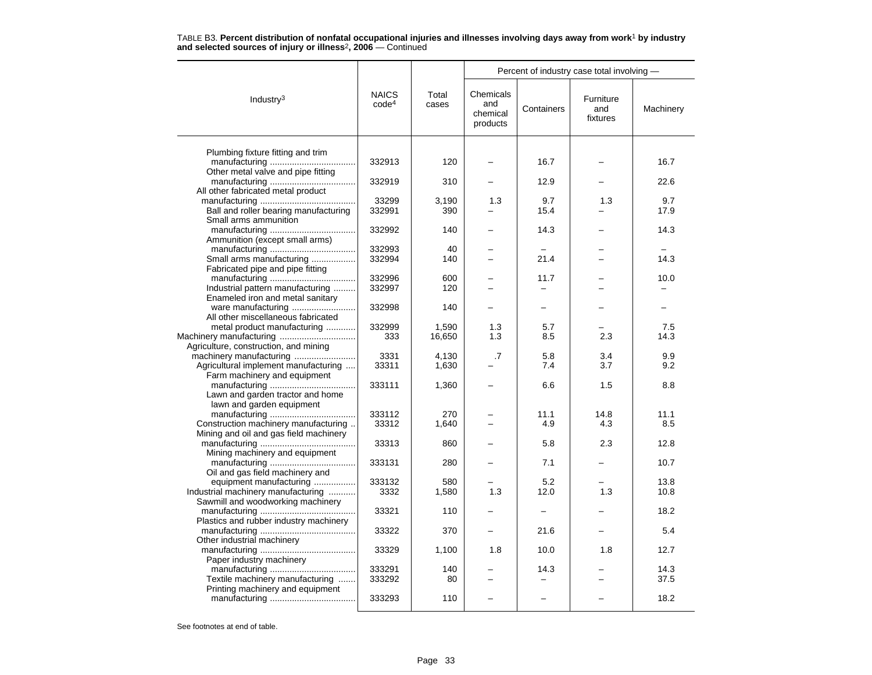|                                                                      | <b>NAICS</b><br>code <sup>4</sup> | Total<br>cases | Percent of industry case total involving - |            |                              |           |  |
|----------------------------------------------------------------------|-----------------------------------|----------------|--------------------------------------------|------------|------------------------------|-----------|--|
| Industry $3$                                                         |                                   |                | Chemicals<br>and<br>chemical<br>products   | Containers | Furniture<br>and<br>fixtures | Machinery |  |
|                                                                      |                                   |                |                                            |            |                              |           |  |
| Plumbing fixture fitting and trim                                    | 332913                            | 120            |                                            | 16.7       |                              | 16.7      |  |
| Other metal valve and pipe fitting                                   |                                   |                |                                            |            |                              |           |  |
|                                                                      | 332919                            | 310            |                                            | 12.9       |                              | 22.6      |  |
| All other fabricated metal product                                   |                                   |                |                                            |            |                              |           |  |
|                                                                      | 33299                             | 3,190          | 1.3                                        | 9.7        | 1.3                          | 9.7       |  |
| Ball and roller bearing manufacturing<br>Small arms ammunition       | 332991                            | 390            |                                            | 15.4       |                              | 17.9      |  |
|                                                                      | 332992                            | 140            |                                            | 14.3       |                              | 14.3      |  |
| Ammunition (except small arms)                                       |                                   |                |                                            |            |                              |           |  |
|                                                                      | 332993                            | 40             |                                            |            |                              |           |  |
| Small arms manufacturing                                             | 332994                            | 140            |                                            | 21.4       |                              | 14.3      |  |
| Fabricated pipe and pipe fitting                                     |                                   |                |                                            |            |                              |           |  |
|                                                                      | 332996                            | 600            |                                            | 11.7       |                              | 10.0      |  |
| Industrial pattern manufacturing<br>Enameled iron and metal sanitary | 332997                            | 120            |                                            |            |                              |           |  |
|                                                                      | 332998                            | 140            |                                            |            |                              |           |  |
| All other miscellaneous fabricated                                   |                                   |                |                                            |            |                              |           |  |
| metal product manufacturing                                          | 332999                            | 1,590          | 1.3                                        | 5.7        |                              | 7.5       |  |
|                                                                      | 333                               | 16,650         | 1.3                                        | 8.5        | 2.3                          | 14.3      |  |
| Agriculture, construction, and mining                                |                                   |                |                                            |            |                              |           |  |
| machinery manufacturing                                              | 3331                              | 4,130          | .7                                         | 5.8        | 3.4                          | 9.9       |  |
| Agricultural implement manufacturing<br>Farm machinery and equipment | 33311                             | 1,630          |                                            | 7.4        | 3.7                          | 9.2       |  |
|                                                                      | 333111                            | 1,360          |                                            | 6.6        | 1.5                          | 8.8       |  |
| Lawn and garden tractor and home<br>lawn and garden equipment        |                                   |                |                                            |            |                              |           |  |
|                                                                      | 333112                            | 270            |                                            | 11.1       | 14.8                         | 11.1      |  |
| Construction machinery manufacturing                                 | 33312                             | 1,640          |                                            | 4.9        | 4.3                          | 8.5       |  |
| Mining and oil and gas field machinery                               |                                   |                |                                            |            |                              |           |  |
|                                                                      | 33313                             | 860            |                                            | 5.8        | 2.3                          | 12.8      |  |
| Mining machinery and equipment                                       | 333131                            | 280            |                                            | 7.1        |                              | 10.7      |  |
| Oil and gas field machinery and                                      |                                   |                |                                            |            |                              |           |  |
| equipment manufacturing                                              | 333132                            | 580            |                                            | 5.2        |                              | 13.8      |  |
| Industrial machinery manufacturing                                   | 3332                              | 1,580          | 1.3                                        | 12.0       | 1.3                          | 10.8      |  |
| Sawmill and woodworking machinery                                    |                                   |                |                                            |            |                              |           |  |
|                                                                      | 33321                             | 110            |                                            |            |                              | 18.2      |  |
| Plastics and rubber industry machinery                               | 33322                             | 370            |                                            | 21.6       |                              | 5.4       |  |
| Other industrial machinery                                           |                                   |                |                                            |            |                              |           |  |
|                                                                      | 33329                             | 1,100          | 1.8                                        | 10.0       | 1.8                          | 12.7      |  |
| Paper industry machinery                                             |                                   |                |                                            |            |                              |           |  |
|                                                                      | 333291                            | 140            |                                            | 14.3       |                              | 14.3      |  |
| Textile machinery manufacturing                                      | 333292                            | 80             |                                            |            |                              | 37.5      |  |
| Printing machinery and equipment                                     | 333293                            | 110            |                                            | -          |                              | 18.2      |  |
|                                                                      |                                   |                |                                            |            |                              |           |  |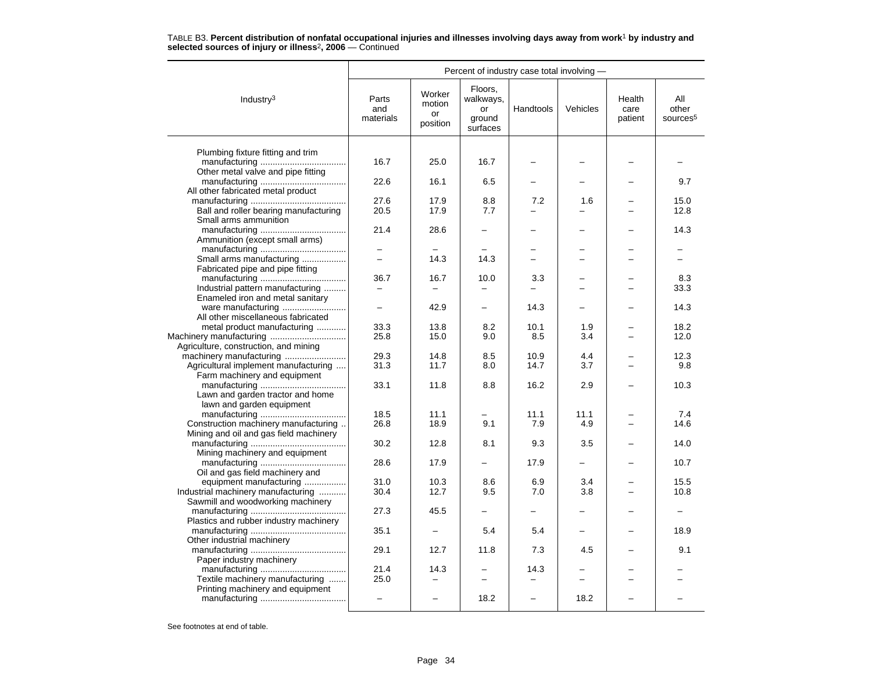|                                        |                           |                                    | Percent of industry case total involving -       |           |          |                           |                                      |
|----------------------------------------|---------------------------|------------------------------------|--------------------------------------------------|-----------|----------|---------------------------|--------------------------------------|
| Industry <sup>3</sup>                  | Parts<br>and<br>materials | Worker<br>motion<br>or<br>position | Floors,<br>walkways,<br>or<br>ground<br>surfaces | Handtools | Vehicles | Health<br>care<br>patient | All<br>other<br>sources <sup>5</sup> |
|                                        |                           |                                    |                                                  |           |          |                           |                                      |
| Plumbing fixture fitting and trim      | 16.7                      | 25.0                               | 16.7                                             |           |          |                           |                                      |
| Other metal valve and pipe fitting     |                           |                                    |                                                  |           |          |                           |                                      |
|                                        | 22.6                      | 16.1                               | 6.5                                              |           |          |                           | 9.7                                  |
| All other fabricated metal product     |                           |                                    |                                                  |           |          |                           |                                      |
|                                        | 27.6                      | 17.9                               | 8.8                                              | 7.2       | 1.6      |                           | 15.0                                 |
| Ball and roller bearing manufacturing  | 20.5                      | 17.9                               | 7.7                                              |           |          |                           | 12.8                                 |
| Small arms ammunition                  |                           |                                    |                                                  |           |          |                           |                                      |
|                                        | 21.4                      | 28.6                               |                                                  |           |          |                           | 14.3                                 |
| Ammunition (except small arms)         |                           |                                    |                                                  |           |          |                           |                                      |
|                                        |                           |                                    |                                                  |           |          |                           |                                      |
| Small arms manufacturing               |                           | 14.3                               | 14.3                                             | ÷         |          |                           |                                      |
| Fabricated pipe and pipe fitting       | 36.7                      |                                    |                                                  |           |          |                           |                                      |
| Industrial pattern manufacturing       |                           | 16.7                               | 10.0                                             | 3.3       |          |                           | 8.3<br>33.3                          |
| Enameled iron and metal sanitary       |                           |                                    |                                                  |           |          |                           |                                      |
| ware manufacturing                     |                           | 42.9                               | $\overline{\phantom{0}}$                         | 14.3      |          |                           | 14.3                                 |
| All other miscellaneous fabricated     |                           |                                    |                                                  |           |          |                           |                                      |
| metal product manufacturing            | 33.3                      | 13.8                               | 8.2                                              | 10.1      | 1.9      |                           | 18.2                                 |
|                                        | 25.8                      | 15.0                               | 9.0                                              | 8.5       | 3.4      |                           | 12.0                                 |
| Agriculture, construction, and mining  |                           |                                    |                                                  |           |          |                           |                                      |
|                                        | 29.3                      | 14.8                               | 8.5                                              | 10.9      | 4.4      |                           | 12.3                                 |
| Agricultural implement manufacturing   | 31.3                      | 11.7                               | 8.0                                              | 14.7      | 3.7      |                           | 9.8                                  |
| Farm machinery and equipment           |                           |                                    |                                                  |           |          |                           |                                      |
|                                        | 33.1                      | 11.8                               | 8.8                                              | 16.2      | 2.9      |                           | 10.3                                 |
| Lawn and garden tractor and home       |                           |                                    |                                                  |           |          |                           |                                      |
| lawn and garden equipment              |                           |                                    |                                                  |           |          |                           |                                      |
|                                        | 18.5                      | 11.1                               |                                                  | 11.1      | 11.1     |                           | 7.4                                  |
| Construction machinery manufacturing   | 26.8                      | 18.9                               | 9.1                                              | 7.9       | 4.9      |                           | 14.6                                 |
| Mining and oil and gas field machinery |                           |                                    |                                                  |           |          |                           |                                      |
|                                        | 30.2                      | 12.8                               | 8.1                                              | 9.3       | 3.5      |                           | 14.0                                 |
| Mining machinery and equipment         | 28.6                      | 17.9                               |                                                  | 17.9      |          |                           | 10.7                                 |
| Oil and gas field machinery and        |                           |                                    |                                                  |           |          |                           |                                      |
| equipment manufacturing                | 31.0                      | 10.3                               | 8.6                                              | 6.9       | 3.4      |                           | 15.5                                 |
| Industrial machinery manufacturing     | 30.4                      | 12.7                               | 9.5                                              | 7.0       | 3.8      |                           | 10.8                                 |
| Sawmill and woodworking machinery      |                           |                                    |                                                  |           |          |                           |                                      |
|                                        | 27.3                      | 45.5                               |                                                  |           |          |                           |                                      |
| Plastics and rubber industry machinery |                           |                                    |                                                  |           |          |                           |                                      |
|                                        | 35.1                      |                                    | 5.4                                              | 5.4       |          |                           | 18.9                                 |
| Other industrial machinery             |                           |                                    |                                                  |           |          |                           |                                      |
|                                        | 29.1                      | 12.7                               | 11.8                                             | 7.3       | 4.5      |                           | 9.1                                  |
| Paper industry machinery               |                           |                                    |                                                  |           |          |                           |                                      |
|                                        | 21.4                      | 14.3                               |                                                  | 14.3      |          |                           |                                      |
| Textile machinery manufacturing        | 25.0                      |                                    |                                                  |           |          |                           |                                      |
| Printing machinery and equipment       |                           |                                    |                                                  |           |          |                           |                                      |
|                                        |                           |                                    | 18.2                                             |           | 18.2     |                           |                                      |
|                                        |                           |                                    |                                                  |           |          |                           |                                      |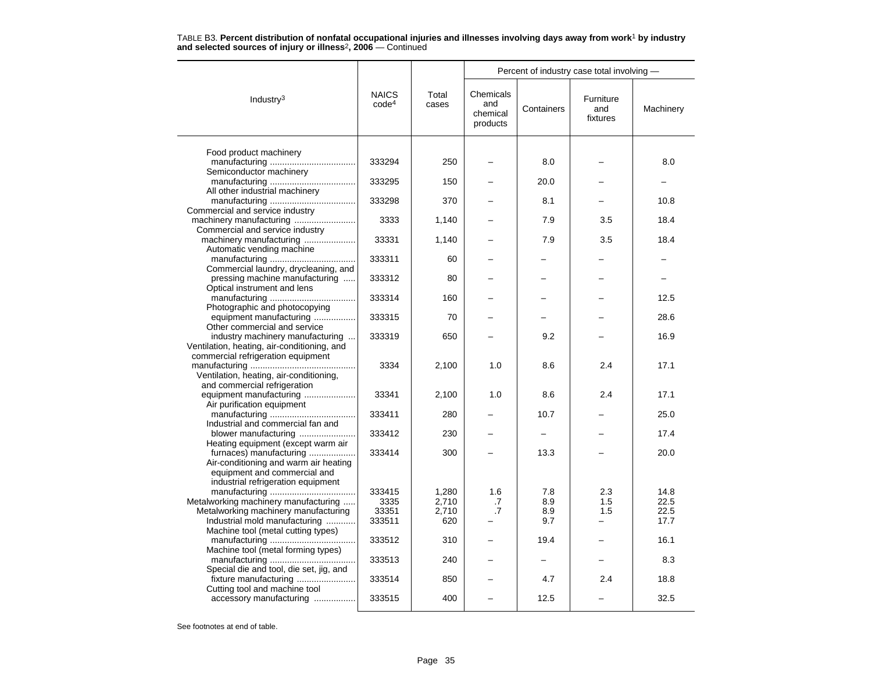|                                                                  | <b>NAICS</b><br>code <sup>4</sup> | Total<br>cases | Percent of industry case total involving - |            |                              |           |  |
|------------------------------------------------------------------|-----------------------------------|----------------|--------------------------------------------|------------|------------------------------|-----------|--|
| Industry <sup>3</sup>                                            |                                   |                | Chemicals<br>and<br>chemical<br>products   | Containers | Furniture<br>and<br>fixtures | Machinery |  |
|                                                                  |                                   |                |                                            |            |                              |           |  |
| Food product machinery                                           | 333294                            | 250            |                                            | 8.0        |                              | 8.0       |  |
| Semiconductor machinery                                          |                                   |                |                                            |            |                              |           |  |
|                                                                  | 333295                            | 150            |                                            | 20.0       |                              |           |  |
| All other industrial machinery                                   |                                   |                |                                            |            |                              |           |  |
|                                                                  | 333298                            | 370            |                                            | 8.1        |                              | 10.8      |  |
| Commercial and service industry                                  |                                   |                |                                            |            |                              |           |  |
| machinery manufacturing<br>Commercial and service industry       | 3333                              | 1,140          |                                            | 7.9        | 3.5                          | 18.4      |  |
| machinery manufacturing                                          | 33331                             | 1,140          |                                            | 7.9        | 3.5                          | 18.4      |  |
| Automatic vending machine                                        |                                   |                |                                            |            |                              |           |  |
|                                                                  | 333311                            | 60             |                                            |            |                              |           |  |
| Commercial laundry, drycleaning, and                             |                                   |                |                                            |            |                              |           |  |
| pressing machine manufacturing                                   | 333312                            | 80             |                                            |            |                              |           |  |
| Optical instrument and lens                                      |                                   |                |                                            |            |                              |           |  |
|                                                                  | 333314                            | 160            |                                            |            |                              | 12.5      |  |
| Photographic and photocopying                                    | 333315                            | 70             |                                            |            |                              | 28.6      |  |
| equipment manufacturing<br>Other commercial and service          |                                   |                |                                            |            |                              |           |  |
| industry machinery manufacturing                                 | 333319                            | 650            |                                            | 9.2        |                              | 16.9      |  |
| Ventilation, heating, air-conditioning, and                      |                                   |                |                                            |            |                              |           |  |
| commercial refrigeration equipment                               |                                   |                |                                            |            |                              |           |  |
|                                                                  | 3334                              | 2,100          | 1.0                                        | 8.6        | 2.4                          | 17.1      |  |
| Ventilation, heating, air-conditioning,                          |                                   |                |                                            |            |                              |           |  |
| and commercial refrigeration                                     |                                   |                |                                            |            |                              |           |  |
| equipment manufacturing                                          | 33341                             | 2,100          | 1.0                                        | 8.6        | 2.4                          | 17.1      |  |
| Air purification equipment                                       | 333411                            | 280            |                                            | 10.7       |                              | 25.0      |  |
| Industrial and commercial fan and                                |                                   |                |                                            |            |                              |           |  |
| blower manufacturing                                             | 333412                            | 230            |                                            |            |                              | 17.4      |  |
| Heating equipment (except warm air                               |                                   |                |                                            |            |                              |           |  |
| furnaces) manufacturing                                          | 333414                            | 300            |                                            | 13.3       |                              | 20.0      |  |
| Air-conditioning and warm air heating                            |                                   |                |                                            |            |                              |           |  |
| equipment and commercial and                                     |                                   |                |                                            |            |                              |           |  |
| industrial refrigeration equipment                               | 333415                            | 1,280          | 1.6                                        | 7.8        | 2.3                          | 14.8      |  |
| Metalworking machinery manufacturing                             | 3335                              | 2,710          | $\cdot$ 7                                  | 8.9        | 1.5                          | 22.5      |  |
| Metalworking machinery manufacturing                             | 33351                             | 2,710          | .7                                         | 8.9        | 1.5                          | 22.5      |  |
| Industrial mold manufacturing                                    | 333511                            | 620            |                                            | 9.7        |                              | 17.7      |  |
| Machine tool (metal cutting types)                               |                                   |                |                                            |            |                              |           |  |
|                                                                  | 333512                            | 310            |                                            | 19.4       |                              | 16.1      |  |
| Machine tool (metal forming types)                               |                                   |                |                                            |            |                              |           |  |
|                                                                  | 333513                            | 240            |                                            |            |                              | 8.3       |  |
| Special die and tool, die set, jig, and<br>fixture manufacturing | 333514                            | 850            |                                            | 4.7        | 2.4                          | 18.8      |  |
| Cutting tool and machine tool                                    |                                   |                |                                            |            |                              |           |  |
| accessory manufacturing                                          | 333515                            | 400            |                                            | 12.5       |                              | 32.5      |  |
|                                                                  |                                   |                |                                            |            |                              |           |  |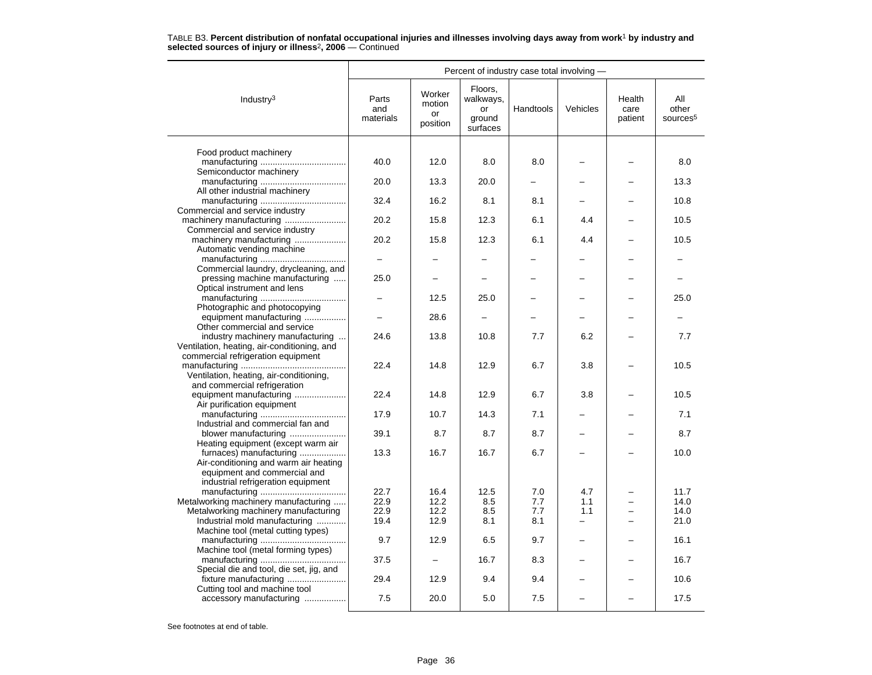|                                                                         | Percent of industry case total involving - |                                    |                                                  |           |                          |                           |                                      |  |
|-------------------------------------------------------------------------|--------------------------------------------|------------------------------------|--------------------------------------------------|-----------|--------------------------|---------------------------|--------------------------------------|--|
| Industry <sup>3</sup>                                                   | Parts<br>and<br>materials                  | Worker<br>motion<br>or<br>position | Floors,<br>walkways,<br>or<br>ground<br>surfaces | Handtools | Vehicles                 | Health<br>care<br>patient | All<br>other<br>sources <sup>5</sup> |  |
|                                                                         |                                            |                                    |                                                  |           |                          |                           |                                      |  |
| Food product machinery                                                  |                                            |                                    |                                                  |           |                          |                           |                                      |  |
|                                                                         | 40.0                                       | 12.0                               | 8.0                                              | 8.0       |                          |                           | 8.0                                  |  |
| Semiconductor machinery                                                 | 20.0                                       | 13.3                               | 20.0                                             |           |                          |                           | 13.3                                 |  |
| All other industrial machinery                                          |                                            |                                    |                                                  |           |                          |                           |                                      |  |
|                                                                         | 32.4                                       | 16.2                               | 8.1                                              | 8.1       |                          |                           | 10.8                                 |  |
| Commercial and service industry                                         |                                            |                                    |                                                  |           |                          |                           |                                      |  |
|                                                                         | 20.2                                       | 15.8                               | 12.3                                             | 6.1       | 4.4                      |                           | 10.5                                 |  |
| Commercial and service industry                                         |                                            |                                    |                                                  |           |                          |                           |                                      |  |
| machinery manufacturing                                                 | 20.2                                       | 15.8                               | 12.3                                             | 6.1       | 4.4                      |                           | 10.5                                 |  |
| Automatic vending machine                                               |                                            |                                    |                                                  |           |                          |                           |                                      |  |
|                                                                         |                                            |                                    |                                                  |           |                          |                           |                                      |  |
| Commercial laundry, drycleaning, and<br>pressing machine manufacturing  | 25.0                                       |                                    |                                                  |           |                          |                           |                                      |  |
| Optical instrument and lens                                             |                                            |                                    |                                                  |           |                          |                           |                                      |  |
|                                                                         |                                            | 12.5                               | 25.0                                             |           |                          |                           | 25.0                                 |  |
| Photographic and photocopying                                           |                                            |                                    |                                                  |           |                          |                           |                                      |  |
| equipment manufacturing                                                 |                                            | 28.6                               |                                                  |           |                          |                           |                                      |  |
| Other commercial and service                                            |                                            |                                    |                                                  |           |                          |                           |                                      |  |
| industry machinery manufacturing                                        | 24.6                                       | 13.8                               | 10.8                                             | 7.7       | 6.2                      |                           | 7.7                                  |  |
| Ventilation, heating, air-conditioning, and                             |                                            |                                    |                                                  |           |                          |                           |                                      |  |
| commercial refrigeration equipment                                      |                                            |                                    |                                                  |           |                          |                           |                                      |  |
|                                                                         | 22.4                                       | 14.8                               | 12.9                                             | 6.7       | 3.8                      |                           | 10.5                                 |  |
| Ventilation, heating, air-conditioning,<br>and commercial refrigeration |                                            |                                    |                                                  |           |                          |                           |                                      |  |
| equipment manufacturing                                                 | 22.4                                       | 14.8                               | 12.9                                             | 6.7       | 3.8                      |                           | 10.5                                 |  |
| Air purification equipment                                              |                                            |                                    |                                                  |           |                          |                           |                                      |  |
|                                                                         | 17.9                                       | 10.7                               | 14.3                                             | 7.1       |                          |                           | 7.1                                  |  |
| Industrial and commercial fan and                                       |                                            |                                    |                                                  |           |                          |                           |                                      |  |
| blower manufacturing                                                    | 39.1                                       | 8.7                                | 8.7                                              | 8.7       |                          |                           | 8.7                                  |  |
| Heating equipment (except warm air                                      |                                            |                                    |                                                  |           |                          |                           |                                      |  |
| furnaces) manufacturing                                                 | 13.3                                       | 16.7                               | 16.7                                             | 6.7       |                          |                           | 10.0                                 |  |
| Air-conditioning and warm air heating                                   |                                            |                                    |                                                  |           |                          |                           |                                      |  |
| equipment and commercial and<br>industrial refrigeration equipment      |                                            |                                    |                                                  |           |                          |                           |                                      |  |
|                                                                         | 22.7                                       | 16.4                               | 12.5                                             | 7.0       | 4.7                      |                           | 11.7                                 |  |
| Metalworking machinery manufacturing                                    | 22.9                                       | 12.2                               | 8.5                                              | 7.7       | 1.1                      |                           | 14.0                                 |  |
| Metalworking machinery manufacturing                                    | 22.9                                       | 12.2                               | 8.5                                              | 7.7       | 1.1                      |                           | 14.0                                 |  |
| Industrial mold manufacturing                                           | 19.4                                       | 12.9                               | 8.1                                              | 8.1       | $\overline{\phantom{0}}$ |                           | 21.0                                 |  |
| Machine tool (metal cutting types)                                      |                                            |                                    |                                                  |           |                          |                           |                                      |  |
|                                                                         | 9.7                                        | 12.9                               | 6.5                                              | 9.7       |                          |                           | 16.1                                 |  |
| Machine tool (metal forming types)                                      |                                            |                                    |                                                  |           |                          |                           |                                      |  |
|                                                                         | 37.5                                       |                                    | 16.7                                             | 8.3       |                          |                           | 16.7                                 |  |
| Special die and tool, die set, jig, and                                 |                                            |                                    |                                                  |           |                          |                           |                                      |  |
| Cutting tool and machine tool                                           | 29.4                                       | 12.9                               | 9.4                                              | 9.4       |                          |                           | 10.6                                 |  |
| accessory manufacturing                                                 | 7.5                                        | 20.0                               | 5.0                                              | 7.5       |                          |                           | 17.5                                 |  |
|                                                                         |                                            |                                    |                                                  |           |                          |                           |                                      |  |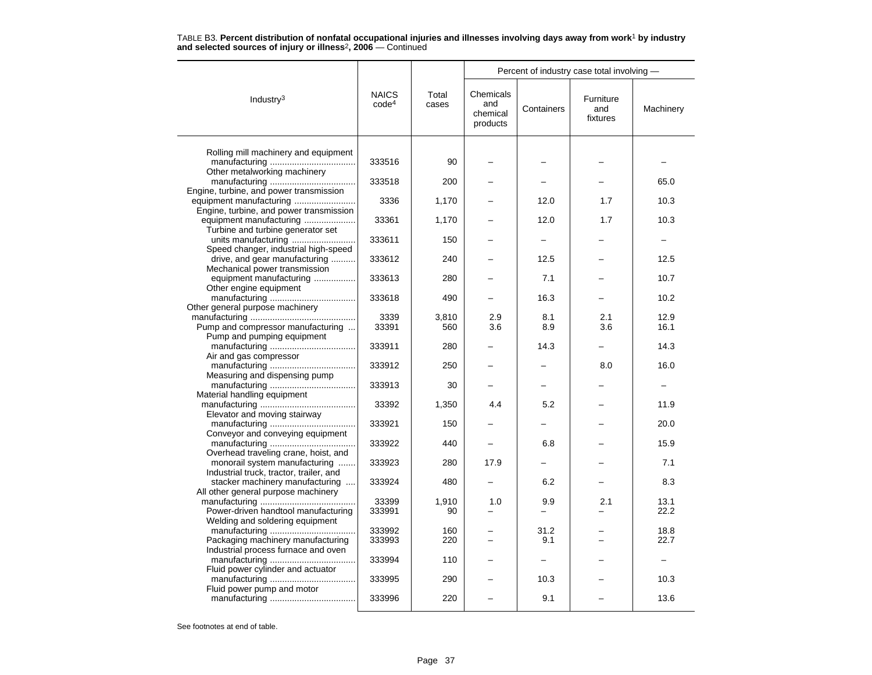|                                                                            |                                   |                | Percent of industry case total involving - |             |                              |              |  |
|----------------------------------------------------------------------------|-----------------------------------|----------------|--------------------------------------------|-------------|------------------------------|--------------|--|
| Industry $3$                                                               | <b>NAICS</b><br>code <sup>4</sup> | Total<br>cases | Chemicals<br>and<br>chemical<br>products   | Containers  | Furniture<br>and<br>fixtures | Machinery    |  |
|                                                                            |                                   |                |                                            |             |                              |              |  |
| Rolling mill machinery and equipment                                       | 333516                            | 90             |                                            |             |                              |              |  |
| Other metalworking machinery                                               |                                   |                |                                            |             |                              |              |  |
|                                                                            | 333518                            | 200            |                                            |             |                              | 65.0         |  |
| Engine, turbine, and power transmission                                    |                                   |                |                                            |             |                              |              |  |
| equipment manufacturing<br>Engine, turbine, and power transmission         | 3336                              | 1,170          |                                            | 12.0        | 1.7                          | 10.3         |  |
| equipment manufacturing                                                    | 33361                             | 1,170          |                                            | 12.0        | 1.7                          | 10.3         |  |
| Turbine and turbine generator set                                          |                                   |                |                                            |             |                              |              |  |
| units manufacturing                                                        | 333611                            | 150            |                                            |             |                              |              |  |
| Speed changer, industrial high-speed                                       |                                   |                |                                            |             |                              |              |  |
| drive, and gear manufacturing<br>Mechanical power transmission             | 333612                            | 240            |                                            | 12.5        |                              | 12.5         |  |
| equipment manufacturing                                                    | 333613                            | 280            |                                            | 7.1         |                              | 10.7         |  |
| Other engine equipment                                                     |                                   |                |                                            |             |                              |              |  |
|                                                                            | 333618                            | 490            |                                            | 16.3        |                              | 10.2         |  |
| Other general purpose machinery                                            |                                   |                | 2.9                                        |             |                              | 12.9         |  |
| Pump and compressor manufacturing                                          | 3339<br>33391                     | 3,810<br>560   | 3.6                                        | 8.1<br>8.9  | 2.1<br>3.6                   | 16.1         |  |
| Pump and pumping equipment                                                 |                                   |                |                                            |             |                              |              |  |
|                                                                            | 333911                            | 280            |                                            | 14.3        |                              | 14.3         |  |
| Air and gas compressor                                                     |                                   |                |                                            |             |                              |              |  |
| Measuring and dispensing pump                                              | 333912                            | 250            |                                            |             | 8.0                          | 16.0         |  |
|                                                                            | 333913                            | 30             |                                            |             |                              |              |  |
| Material handling equipment                                                |                                   |                |                                            |             |                              |              |  |
|                                                                            | 33392                             | 1,350          | 4.4                                        | 5.2         |                              | 11.9         |  |
| Elevator and moving stairway                                               |                                   |                |                                            |             |                              |              |  |
| Conveyor and conveying equipment                                           | 333921                            | 150            |                                            |             |                              | 20.0         |  |
|                                                                            | 333922                            | 440            |                                            | 6.8         |                              | 15.9         |  |
| Overhead traveling crane, hoist, and                                       |                                   |                |                                            |             |                              |              |  |
| monorail system manufacturing                                              | 333923                            | 280            | 17.9                                       |             |                              | 7.1          |  |
| Industrial truck, tractor, trailer, and<br>stacker machinery manufacturing | 333924                            | 480            |                                            | 6.2         |                              | 8.3          |  |
| All other general purpose machinery                                        |                                   |                |                                            |             |                              |              |  |
|                                                                            | 33399                             | 1,910          | 1.0                                        | 9.9         | 2.1                          | 13.1         |  |
| Power-driven handtool manufacturing                                        | 333991                            | 90             |                                            |             |                              | 22.2         |  |
| Welding and soldering equipment                                            |                                   |                |                                            |             |                              |              |  |
| Packaging machinery manufacturing                                          | 333992<br>333993                  | 160<br>220     |                                            | 31.2<br>9.1 |                              | 18.8<br>22.7 |  |
| Industrial process furnace and oven                                        |                                   |                |                                            |             |                              |              |  |
|                                                                            | 333994                            | 110            |                                            |             |                              |              |  |
| Fluid power cylinder and actuator                                          |                                   |                |                                            |             |                              |              |  |
| Fluid power pump and motor                                                 | 333995                            | 290            |                                            | 10.3        |                              | 10.3         |  |
|                                                                            | 333996                            | 220            |                                            | 9.1         |                              | 13.6         |  |
|                                                                            |                                   |                |                                            |             |                              |              |  |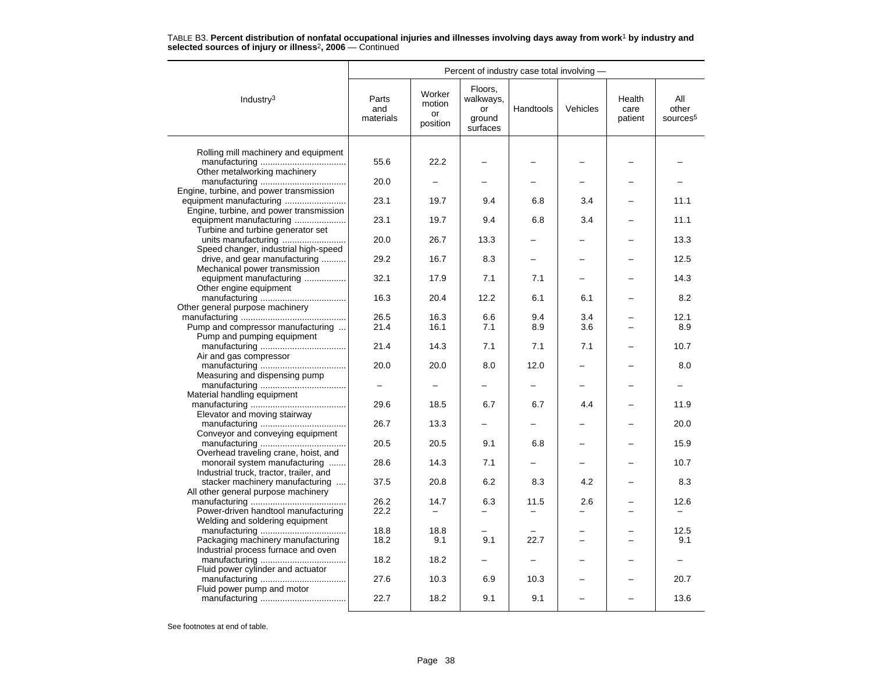| Percent of industry case total involving -                            |                           |                                    |                                                  |           |                          |                           |                                      |
|-----------------------------------------------------------------------|---------------------------|------------------------------------|--------------------------------------------------|-----------|--------------------------|---------------------------|--------------------------------------|
| Industry <sup>3</sup>                                                 | Parts<br>and<br>materials | Worker<br>motion<br>or<br>position | Floors,<br>walkways,<br>or<br>ground<br>surfaces | Handtools | Vehicles                 | Health<br>care<br>patient | All<br>other<br>sources <sup>5</sup> |
|                                                                       |                           |                                    |                                                  |           |                          |                           |                                      |
| Rolling mill machinery and equipment                                  | 55.6                      | 22.2                               |                                                  |           |                          |                           |                                      |
| Other metalworking machinery                                          |                           |                                    |                                                  |           |                          |                           |                                      |
|                                                                       | 20.0                      |                                    |                                                  |           |                          |                           |                                      |
| Engine, turbine, and power transmission                               |                           |                                    |                                                  |           |                          |                           |                                      |
| equipment manufacturing                                               | 23.1                      | 19.7                               | 9.4                                              | 6.8       | 3.4                      |                           | 11.1                                 |
| Engine, turbine, and power transmission                               |                           |                                    |                                                  |           |                          |                           |                                      |
| equipment manufacturing                                               | 23.1                      | 19.7                               | 9.4                                              | 6.8       | 3.4                      |                           | 11.1                                 |
| Turbine and turbine generator set                                     |                           |                                    |                                                  |           |                          |                           |                                      |
|                                                                       | 20.0                      | 26.7                               | 13.3                                             |           |                          |                           | 13.3                                 |
| Speed changer, industrial high-speed<br>drive, and gear manufacturing | 29.2                      | 16.7                               | 8.3                                              |           |                          |                           | 12.5                                 |
| Mechanical power transmission                                         |                           |                                    |                                                  |           |                          |                           |                                      |
| equipment manufacturing                                               | 32.1                      | 17.9                               | 7.1                                              | 7.1       |                          |                           | 14.3                                 |
| Other engine equipment                                                |                           |                                    |                                                  |           |                          |                           |                                      |
|                                                                       | 16.3                      | 20.4                               | 12.2                                             | 6.1       | 6.1                      |                           | 8.2                                  |
| Other general purpose machinery                                       |                           |                                    |                                                  |           |                          |                           |                                      |
|                                                                       | 26.5                      | 16.3                               | 6.6                                              | 9.4       | 3.4                      |                           | 12.1                                 |
| Pump and compressor manufacturing                                     | 21.4                      | 16.1                               | 7.1                                              | 8.9       | 3.6                      |                           | 8.9                                  |
| Pump and pumping equipment                                            |                           |                                    |                                                  |           |                          |                           |                                      |
|                                                                       | 21.4                      | 14.3                               | 7.1                                              | 7.1       | 7.1                      |                           | 10.7                                 |
| Air and gas compressor                                                | 20.0                      | 20.0                               | 8.0                                              | 12.0      |                          |                           | 8.0                                  |
| Measuring and dispensing pump                                         |                           |                                    |                                                  |           |                          |                           |                                      |
|                                                                       |                           |                                    |                                                  | -         |                          |                           |                                      |
| Material handling equipment                                           |                           |                                    |                                                  |           |                          |                           |                                      |
|                                                                       | 29.6                      | 18.5                               | 6.7                                              | 6.7       | 4.4                      |                           | 11.9                                 |
| Elevator and moving stairway                                          |                           |                                    |                                                  |           |                          |                           |                                      |
|                                                                       | 26.7                      | 13.3                               |                                                  |           |                          |                           | 20.0                                 |
| Conveyor and conveying equipment                                      |                           |                                    |                                                  |           |                          |                           |                                      |
|                                                                       | 20.5                      | 20.5                               | 9.1                                              | 6.8       |                          |                           | 15.9                                 |
| Overhead traveling crane, hoist, and<br>monorail system manufacturing | 28.6                      | 14.3                               | 7.1                                              |           |                          |                           | 10.7                                 |
| Industrial truck, tractor, trailer, and                               |                           |                                    |                                                  |           |                          |                           |                                      |
| stacker machinery manufacturing                                       | 37.5                      | 20.8                               | 6.2                                              | 8.3       | 4.2                      |                           | 8.3                                  |
| All other general purpose machinery                                   |                           |                                    |                                                  |           |                          |                           |                                      |
|                                                                       | 26.2                      | 14.7                               | 6.3                                              | 11.5      | 2.6                      |                           | 12.6                                 |
| Power-driven handtool manufacturing                                   | 22.2                      | $\overline{\phantom{0}}$           |                                                  |           |                          |                           | $\overline{\phantom{0}}$             |
| Welding and soldering equipment                                       |                           |                                    |                                                  |           |                          |                           |                                      |
|                                                                       | 18.8                      | 18.8                               |                                                  |           |                          |                           | 12.5                                 |
| Packaging machinery manufacturing                                     | 18.2                      | 9.1                                | 9.1                                              | 22.7      | $\overline{\phantom{0}}$ |                           | 9.1                                  |
| Industrial process furnace and oven                                   | 18.2                      | 18.2                               |                                                  |           |                          |                           |                                      |
| Fluid power cylinder and actuator                                     |                           |                                    |                                                  |           |                          |                           |                                      |
|                                                                       | 27.6                      | 10.3                               | 6.9                                              | 10.3      |                          |                           | 20.7                                 |
| Fluid power pump and motor                                            |                           |                                    |                                                  |           |                          |                           |                                      |
|                                                                       | 22.7                      | 18.2                               | 9.1                                              | 9.1       |                          |                           | 13.6                                 |
|                                                                       |                           |                                    |                                                  |           |                          |                           |                                      |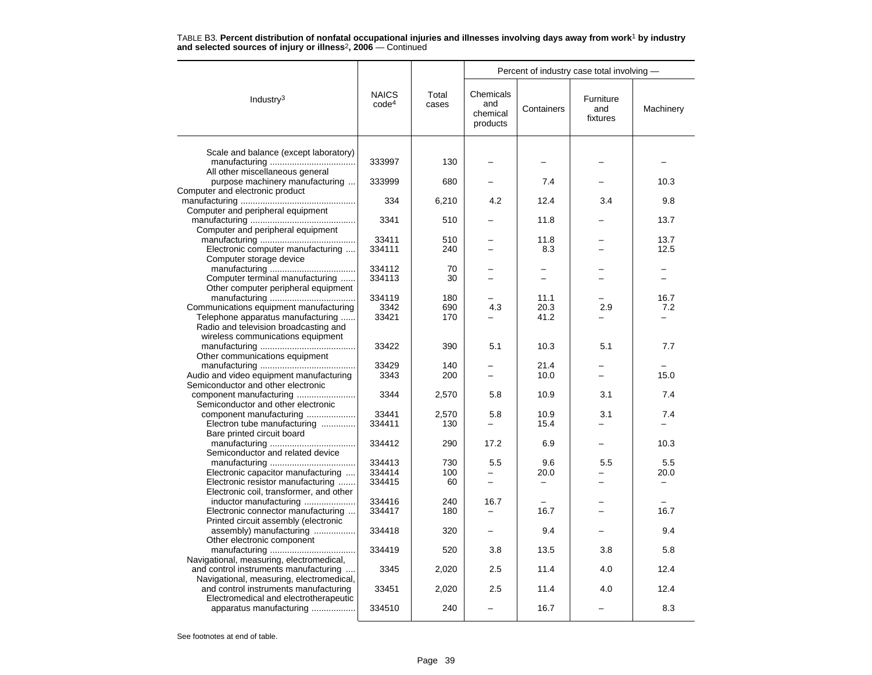|                                                                                                                    | <b>NAICS</b><br>code <sup>4</sup> | Total<br>cases | Percent of industry case total involving - |                          |                              |             |  |
|--------------------------------------------------------------------------------------------------------------------|-----------------------------------|----------------|--------------------------------------------|--------------------------|------------------------------|-------------|--|
| Industry <sup>3</sup>                                                                                              |                                   |                | Chemicals<br>and<br>chemical<br>products   | Containers               | Furniture<br>and<br>fixtures | Machinery   |  |
| Scale and balance (except laboratory)                                                                              |                                   |                |                                            |                          |                              |             |  |
|                                                                                                                    | 333997                            | 130            |                                            |                          |                              |             |  |
| All other miscellaneous general<br>purpose machinery manufacturing                                                 | 333999                            | 680            |                                            | 7.4                      |                              | 10.3        |  |
| Computer and electronic product                                                                                    | 334                               | 6,210          | 4.2                                        | 12.4                     | 3.4                          | 9.8         |  |
| Computer and peripheral equipment                                                                                  | 3341                              | 510            |                                            | 11.8                     |                              | 13.7        |  |
| Computer and peripheral equipment                                                                                  | 33411                             | 510            |                                            | 11.8                     |                              | 13.7        |  |
| Electronic computer manufacturing<br>Computer storage device                                                       | 334111                            | 240            | $=$                                        | 8.3                      | $=$                          | 12.5        |  |
| Computer terminal manufacturing                                                                                    | 334112<br>334113                  | 70<br>30       |                                            |                          |                              |             |  |
| Other computer peripheral equipment                                                                                |                                   |                |                                            |                          |                              |             |  |
| Communications equipment manufacturing                                                                             | 334119<br>3342                    | 180<br>690     | 4.3                                        | 11.1<br>20.3             | 2.9                          | 16.7<br>7.2 |  |
| Telephone apparatus manufacturing<br>Radio and television broadcasting and<br>wireless communications equipment    | 33421                             | 170            |                                            | 41.2                     |                              |             |  |
| Other communications equipment                                                                                     | 33422                             | 390            | 5.1                                        | 10.3                     | 5.1                          | 7.7         |  |
|                                                                                                                    | 33429                             | 140            |                                            | 21.4                     |                              |             |  |
| Audio and video equipment manufacturing<br>Semiconductor and other electronic                                      | 3343                              | 200            |                                            | 10.0                     |                              | 15.0        |  |
| component manufacturing<br>Semiconductor and other electronic                                                      | 3344                              | 2,570          | 5.8                                        | 10.9                     | 3.1                          | 7.4         |  |
| component manufacturing<br>Electron tube manufacturing                                                             | 33441<br>334411                   | 2,570<br>130   | 5.8<br>$\overline{\phantom{0}}$            | 10.9<br>15.4             | 3.1                          | 7.4         |  |
| Bare printed circuit board                                                                                         | 334412                            | 290            | 17.2                                       | 6.9                      |                              | 10.3        |  |
| Semiconductor and related device                                                                                   |                                   |                |                                            |                          |                              |             |  |
|                                                                                                                    | 334413<br>334414                  | 730<br>100     | 5.5<br>-                                   | 9.6<br>20.0              | 5.5                          | 5.5         |  |
| Electronic capacitor manufacturing<br>Electronic resistor manufacturing<br>Electronic coil, transformer, and other | 334415                            | 60             | $\equiv$                                   | $\overline{\phantom{0}}$ |                              | 20.0        |  |
| inductor manufacturing                                                                                             | 334416                            | 240            | 16.7                                       |                          |                              |             |  |
| Electronic connector manufacturing<br>Printed circuit assembly (electronic                                         | 334417                            | 180            | $\overline{\phantom{0}}$                   | 16.7                     |                              | 16.7        |  |
| assembly) manufacturing<br>Other electronic component                                                              | 334418                            | 320            |                                            | 9.4                      |                              | 9.4         |  |
| Navigational, measuring, electromedical,                                                                           | 334419                            | 520            | 3.8                                        | 13.5                     | 3.8                          | 5.8         |  |
| and control instruments manufacturing<br>Navigational, measuring, electromedical,                                  | 3345                              | 2,020          | 2.5                                        | 11.4                     | 4.0                          | 12.4        |  |
| and control instruments manufacturing                                                                              | 33451                             | 2,020          | 2.5                                        | 11.4                     | 4.0                          | 12.4        |  |
| Electromedical and electrotherapeutic<br>apparatus manufacturing                                                   | 334510                            | 240            |                                            | 16.7                     |                              | 8.3         |  |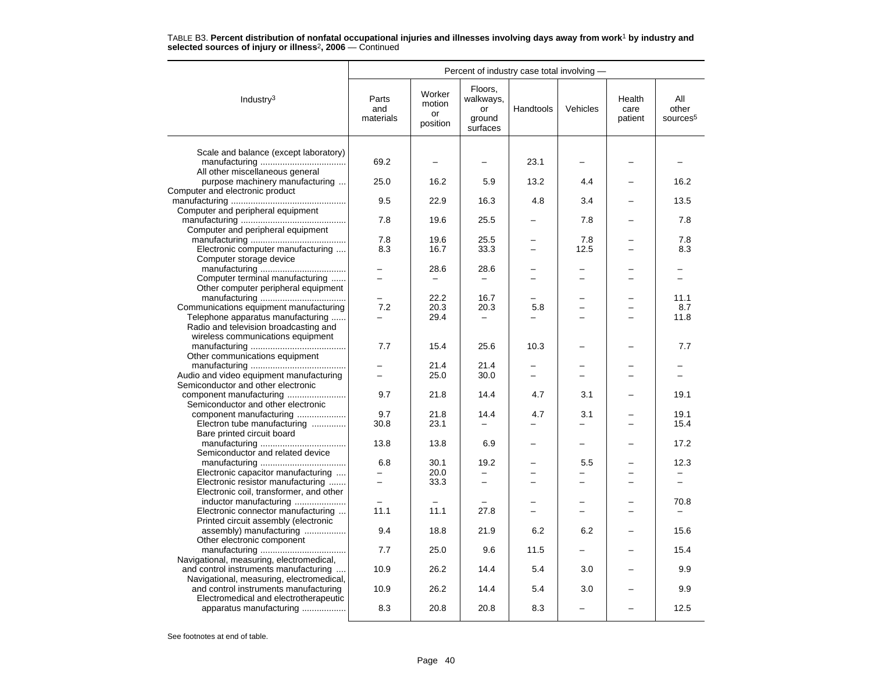|                                                                                | Percent of industry case total involving - |                                    |                                                  |                          |                          |                           |                                      |  |
|--------------------------------------------------------------------------------|--------------------------------------------|------------------------------------|--------------------------------------------------|--------------------------|--------------------------|---------------------------|--------------------------------------|--|
| Industry <sup>3</sup>                                                          | Parts<br>and<br>materials                  | Worker<br>motion<br>or<br>position | Floors,<br>walkways,<br>or<br>ground<br>surfaces | Handtools                | Vehicles                 | Health<br>care<br>patient | All<br>other<br>sources <sup>5</sup> |  |
| Scale and balance (except laboratory)                                          |                                            |                                    |                                                  |                          |                          |                           |                                      |  |
| All other miscellaneous general                                                | 69.2                                       |                                    |                                                  | 23.1                     |                          |                           |                                      |  |
| purpose machinery manufacturing                                                | 25.0                                       | 16.2                               | 5.9                                              | 13.2                     | 4.4                      |                           | 16.2                                 |  |
| Computer and electronic product<br>Computer and peripheral equipment           | 9.5                                        | 22.9                               | 16.3                                             | 4.8                      | 3.4                      |                           | 13.5                                 |  |
| Computer and peripheral equipment                                              | 7.8                                        | 19.6                               | 25.5                                             |                          | 7.8                      |                           | 7.8                                  |  |
|                                                                                | 7.8                                        | 19.6                               | 25.5                                             |                          | 7.8                      |                           | 7.8                                  |  |
| Electronic computer manufacturing                                              | 8.3                                        | 16.7                               | 33.3                                             | -                        | 12.5                     |                           | 8.3                                  |  |
| Computer storage device                                                        |                                            | 28.6                               | 28.6                                             |                          |                          |                           |                                      |  |
| Computer terminal manufacturing                                                |                                            |                                    |                                                  |                          |                          |                           |                                      |  |
| Other computer peripheral equipment                                            |                                            |                                    |                                                  |                          |                          |                           |                                      |  |
|                                                                                |                                            | 22.2                               | 16.7                                             |                          |                          |                           | 11.1                                 |  |
| Communications equipment manufacturing<br>Telephone apparatus manufacturing    | 7.2                                        | 20.3<br>29.4                       | 20.3                                             | 5.8                      |                          |                           | 8.7<br>11.8                          |  |
| Radio and television broadcasting and                                          |                                            |                                    |                                                  |                          |                          |                           |                                      |  |
| wireless communications equipment                                              |                                            |                                    |                                                  |                          |                          |                           |                                      |  |
|                                                                                | 7.7                                        | 15.4                               | 25.6                                             | 10.3                     |                          |                           | 7.7                                  |  |
| Other communications equipment                                                 |                                            |                                    |                                                  |                          |                          |                           |                                      |  |
|                                                                                |                                            | 21.4                               | 21.4                                             |                          |                          |                           |                                      |  |
| Audio and video equipment manufacturing<br>Semiconductor and other electronic  | $=$                                        | 25.0                               | 30.0                                             | $\overline{\phantom{0}}$ | $=$                      | $=$                       |                                      |  |
| component manufacturing                                                        | 9.7                                        | 21.8                               | 14.4                                             | 4.7                      | 3.1                      |                           | 19.1                                 |  |
| Semiconductor and other electronic                                             |                                            |                                    |                                                  |                          |                          |                           |                                      |  |
| component manufacturing                                                        | 9.7                                        | 21.8                               | 14.4                                             | 4.7                      | 3.1                      |                           | 19.1                                 |  |
| Electron tube manufacturing                                                    | 30.8                                       | 23.1                               |                                                  |                          |                          |                           | 15.4                                 |  |
| Bare printed circuit board                                                     |                                            |                                    |                                                  |                          |                          |                           |                                      |  |
| Semiconductor and related device                                               | 13.8                                       | 13.8                               | 6.9                                              |                          |                          |                           | 17.2                                 |  |
|                                                                                | 6.8                                        | 30.1                               | 19.2                                             |                          | 5.5                      |                           | 12.3                                 |  |
| Electronic capacitor manufacturing                                             | $\overline{\phantom{0}}$                   | 20.0                               |                                                  |                          |                          |                           |                                      |  |
| Electronic resistor manufacturing                                              |                                            | 33.3                               |                                                  |                          |                          |                           |                                      |  |
| Electronic coil, transformer, and other                                        |                                            |                                    |                                                  |                          |                          |                           |                                      |  |
| inductor manufacturing                                                         |                                            | $\overline{\phantom{0}}$           |                                                  |                          | $\overline{\phantom{0}}$ |                           | 70.8                                 |  |
| Electronic connector manufacturing                                             | 11.1                                       | 11.1                               | 27.8                                             |                          |                          |                           |                                      |  |
| Printed circuit assembly (electronic<br>assembly) manufacturing                | 9.4                                        | 18.8                               | 21.9                                             | 6.2                      | 6.2                      |                           | 15.6                                 |  |
| Other electronic component                                                     |                                            |                                    |                                                  |                          |                          |                           |                                      |  |
|                                                                                | 7.7                                        | 25.0                               | 9.6                                              | 11.5                     |                          |                           | 15.4                                 |  |
| Navigational, measuring, electromedical,                                       |                                            |                                    |                                                  |                          |                          |                           |                                      |  |
| and control instruments manufacturing                                          | 10.9                                       | 26.2                               | 14.4                                             | 5.4                      | 3.0                      |                           | 9.9                                  |  |
| Navigational, measuring, electromedical,                                       | 10.9                                       | 26.2                               | 14.4                                             | 5.4                      | 3.0                      |                           | 9.9                                  |  |
| and control instruments manufacturing<br>Electromedical and electrotherapeutic |                                            |                                    |                                                  |                          |                          |                           |                                      |  |
| apparatus manufacturing                                                        | 8.3                                        | 20.8                               | 20.8                                             | 8.3                      |                          |                           | 12.5                                 |  |
|                                                                                |                                            |                                    |                                                  |                          |                          |                           |                                      |  |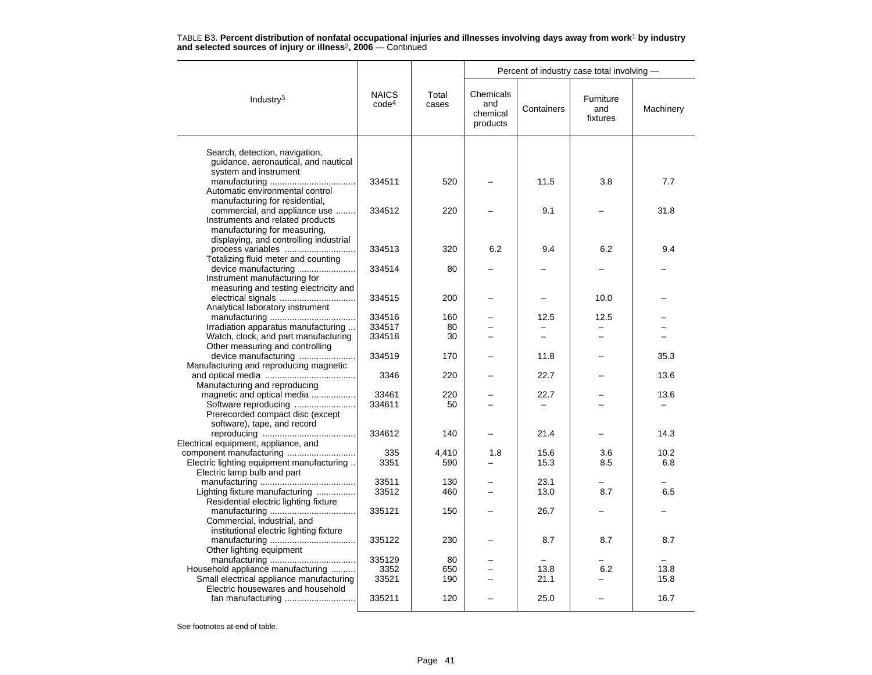| TABLE B3. Percent distribution of nonfatal occupational injuries and illnesses involving days away from work <sup>1</sup> by industry |  |  |
|---------------------------------------------------------------------------------------------------------------------------------------|--|--|
| and selected sources of injury or illness <sup>2</sup> , 2006 — Continued                                                             |  |  |

|                                                                             |                                   |                |                                          | Percent of industry case total involving - |                              |           |  |
|-----------------------------------------------------------------------------|-----------------------------------|----------------|------------------------------------------|--------------------------------------------|------------------------------|-----------|--|
| Industry <sup>3</sup>                                                       | <b>NAICS</b><br>code <sup>4</sup> | Total<br>cases | Chemicals<br>and<br>chemical<br>products | Containers                                 | Furniture<br>and<br>fixtures | Machinery |  |
|                                                                             |                                   |                |                                          |                                            |                              |           |  |
| Search, detection, navigation,<br>guidance, aeronautical, and nautical      |                                   |                |                                          |                                            |                              |           |  |
| system and instrument                                                       |                                   |                |                                          |                                            |                              |           |  |
|                                                                             | 334511                            | 520            |                                          | 11.5                                       | 3.8                          | 7.7       |  |
| Automatic environmental control                                             |                                   |                |                                          |                                            |                              |           |  |
| manufacturing for residential,                                              |                                   |                |                                          |                                            |                              |           |  |
| commercial, and appliance use                                               | 334512                            | 220            |                                          | 9.1                                        |                              | 31.8      |  |
| Instruments and related products                                            |                                   |                |                                          |                                            |                              |           |  |
| manufacturing for measuring,                                                |                                   |                |                                          |                                            |                              |           |  |
| displaying, and controlling industrial                                      |                                   |                |                                          |                                            |                              |           |  |
|                                                                             | 334513                            | 320            | 6.2                                      | 9.4                                        | 6.2                          | 9.4       |  |
| Totalizing fluid meter and counting                                         |                                   |                |                                          |                                            |                              |           |  |
| device manufacturing                                                        | 334514                            | 80             |                                          |                                            |                              |           |  |
| Instrument manufacturing for                                                |                                   |                |                                          |                                            |                              |           |  |
| measuring and testing electricity and                                       |                                   |                |                                          |                                            |                              |           |  |
| electrical signals                                                          | 334515                            | 200            |                                          |                                            | 10.0                         |           |  |
| Analytical laboratory instrument                                            |                                   |                |                                          |                                            |                              |           |  |
|                                                                             | 334516<br>334517                  | 160            | $\overline{\phantom{0}}$                 | 12.5<br>$\overline{\phantom{0}}$           | 12.5<br>$=$                  |           |  |
| Irradiation apparatus manufacturing<br>Watch, clock, and part manufacturing | 334518                            | 80<br>30       |                                          |                                            |                              |           |  |
| Other measuring and controlling                                             |                                   |                |                                          |                                            |                              |           |  |
| device manufacturing                                                        | 334519                            | 170            |                                          | 11.8                                       |                              | 35.3      |  |
| Manufacturing and reproducing magnetic                                      |                                   |                |                                          |                                            |                              |           |  |
|                                                                             | 3346                              | 220            |                                          | 22.7                                       |                              | 13.6      |  |
| Manufacturing and reproducing                                               |                                   |                |                                          |                                            |                              |           |  |
| magnetic and optical media                                                  | 33461                             | 220            |                                          | 22.7                                       |                              | 13.6      |  |
| Software reproducing                                                        | 334611                            | 50             |                                          |                                            |                              |           |  |
| Prerecorded compact disc (except                                            |                                   |                |                                          |                                            |                              |           |  |
| software), tape, and record                                                 |                                   |                |                                          |                                            |                              |           |  |
|                                                                             | 334612                            | 140            |                                          | 21.4                                       |                              | 14.3      |  |
| Electrical equipment, appliance, and                                        |                                   |                |                                          |                                            |                              |           |  |
| component manufacturing                                                     | 335                               | 4,410          | 1.8                                      | 15.6                                       | 3.6                          | 10.2      |  |
| Electric lighting equipment manufacturing                                   | 3351                              | 590            |                                          | 15.3                                       | 8.5                          | 6.8       |  |
| Electric lamp bulb and part                                                 |                                   |                |                                          |                                            |                              |           |  |
|                                                                             | 33511                             | 130            |                                          | 23.1                                       |                              |           |  |
| Lighting fixture manufacturing                                              | 33512                             | 460            |                                          | 13.0                                       | 8.7                          | 6.5       |  |
| Residential electric lighting fixture                                       |                                   |                |                                          |                                            |                              |           |  |
|                                                                             | 335121                            | 150            |                                          | 26.7                                       |                              |           |  |
| Commercial, industrial, and                                                 |                                   |                |                                          |                                            |                              |           |  |
| institutional electric lighting fixture                                     |                                   |                |                                          |                                            |                              |           |  |
|                                                                             | 335122                            | 230            |                                          | 8.7                                        | 8.7                          | 8.7       |  |
| Other lighting equipment                                                    |                                   |                |                                          |                                            |                              |           |  |
|                                                                             | 335129                            | 80             |                                          |                                            |                              |           |  |
| Household appliance manufacturing                                           | 3352                              | 650            | $\equiv$                                 | 13.8                                       | 6.2                          | 13.8      |  |
| Small electrical appliance manufacturing                                    | 33521                             | 190            |                                          | 21.1                                       |                              | 15.8      |  |
| Electric housewares and household                                           |                                   |                |                                          |                                            |                              |           |  |
|                                                                             | 335211                            | 120            |                                          | 25.0                                       |                              | 16.7      |  |
|                                                                             |                                   |                |                                          |                                            |                              |           |  |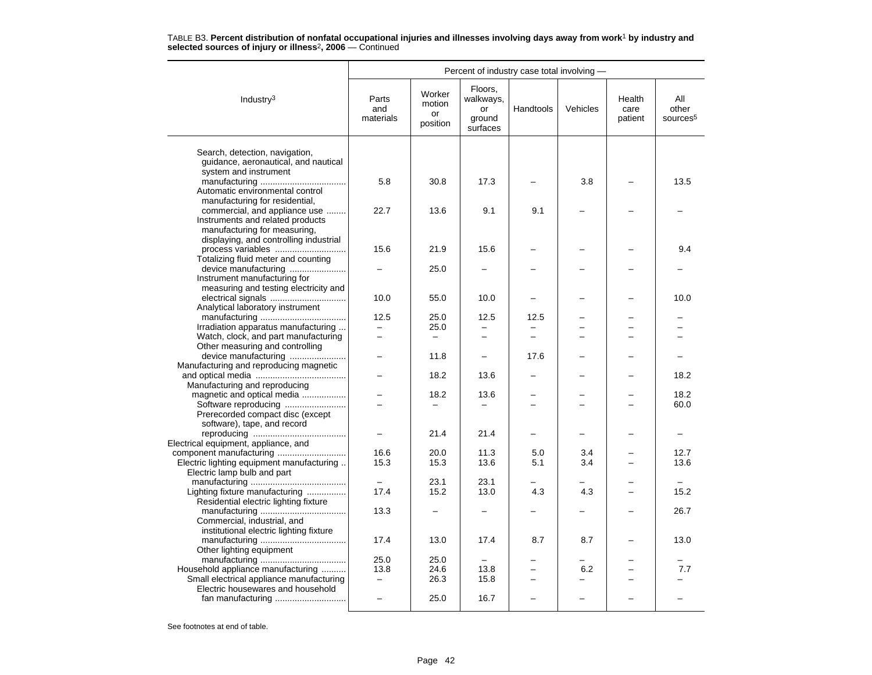|                                                                                                     | Percent of industry case total involving - |                                    |                                                  |                          |          |                           |                                      |
|-----------------------------------------------------------------------------------------------------|--------------------------------------------|------------------------------------|--------------------------------------------------|--------------------------|----------|---------------------------|--------------------------------------|
| Industry $3$                                                                                        | Parts<br>and<br>materials                  | Worker<br>motion<br>or<br>position | Floors,<br>walkways,<br>or<br>ground<br>surfaces | Handtools                | Vehicles | Health<br>care<br>patient | All<br>other<br>sources <sup>5</sup> |
|                                                                                                     |                                            |                                    |                                                  |                          |          |                           |                                      |
| Search, detection, navigation,<br>guidance, aeronautical, and nautical<br>system and instrument     |                                            |                                    |                                                  |                          |          |                           |                                      |
| Automatic environmental control                                                                     | 5.8                                        | 30.8                               | 17.3                                             |                          | 3.8      |                           | 13.5                                 |
| manufacturing for residential,<br>commercial, and appliance use<br>Instruments and related products | 22.7                                       | 13.6                               | 9.1                                              | 9.1                      |          |                           |                                      |
| manufacturing for measuring,<br>displaying, and controlling industrial                              |                                            |                                    |                                                  |                          |          |                           |                                      |
| process variables<br>Totalizing fluid meter and counting                                            | 15.6                                       | 21.9                               | 15.6                                             |                          |          |                           | 9.4                                  |
| device manufacturing<br>Instrument manufacturing for                                                |                                            | 25.0                               |                                                  |                          |          |                           |                                      |
| measuring and testing electricity and<br>Analytical laboratory instrument                           | 10.0                                       | 55.0                               | 10.0                                             |                          |          |                           | 10.0                                 |
|                                                                                                     | 12.5                                       | 25.0                               | 12.5                                             | 12.5                     |          |                           |                                      |
| Irradiation apparatus manufacturing                                                                 |                                            | 25.0                               |                                                  |                          |          |                           |                                      |
| Watch, clock, and part manufacturing                                                                |                                            | $\overline{\phantom{0}}$           |                                                  |                          |          |                           |                                      |
| Other measuring and controlling<br>device manufacturing                                             |                                            | 11.8                               |                                                  | 17.6                     |          |                           |                                      |
| Manufacturing and reproducing magnetic                                                              |                                            |                                    |                                                  |                          |          |                           |                                      |
|                                                                                                     |                                            | 18.2                               | 13.6                                             |                          |          |                           | 18.2                                 |
| Manufacturing and reproducing                                                                       |                                            |                                    |                                                  |                          |          |                           |                                      |
| magnetic and optical media                                                                          |                                            | 18.2                               | 13.6                                             |                          |          |                           | 18.2                                 |
| Software reproducing                                                                                |                                            |                                    |                                                  |                          |          |                           | 60.0                                 |
| Prerecorded compact disc (except                                                                    |                                            |                                    |                                                  |                          |          |                           |                                      |
| software), tape, and record                                                                         |                                            | 21.4                               | 21.4                                             |                          |          |                           |                                      |
| Electrical equipment, appliance, and                                                                |                                            |                                    |                                                  |                          |          |                           |                                      |
|                                                                                                     | 16.6                                       | 20.0                               | 11.3                                             | 5.0                      | 3.4      |                           | 12.7                                 |
| Electric lighting equipment manufacturing                                                           | 15.3                                       | 15.3                               | 13.6                                             | 5.1                      | 3.4      |                           | 13.6                                 |
| Electric lamp bulb and part                                                                         |                                            |                                    |                                                  |                          |          |                           |                                      |
|                                                                                                     |                                            | 23.1                               | 23.1                                             |                          |          |                           |                                      |
| Lighting fixture manufacturing<br>Residential electric lighting fixture                             | 17.4                                       | 15.2                               | 13.0                                             | 4.3                      | 4.3      |                           | 15.2                                 |
| Commercial, industrial, and<br>institutional electric lighting fixture                              | 13.3                                       |                                    |                                                  |                          |          |                           | 26.7                                 |
| Other lighting equipment                                                                            | 17.4                                       | 13.0                               | 17.4                                             | 8.7                      | 8.7      |                           | 13.0                                 |
|                                                                                                     | 25.0                                       | 25.0                               |                                                  |                          |          |                           |                                      |
| Household appliance manufacturing                                                                   | 13.8                                       | 24.6                               | 13.8                                             | $\overline{\phantom{0}}$ | 6.2      |                           | 7.7                                  |
| Small electrical appliance manufacturing                                                            | -                                          | 26.3                               | 15.8                                             | $\overline{\phantom{0}}$ |          |                           |                                      |
| Electric housewares and household                                                                   |                                            |                                    |                                                  |                          |          |                           |                                      |
|                                                                                                     |                                            | 25.0                               | 16.7                                             |                          |          |                           |                                      |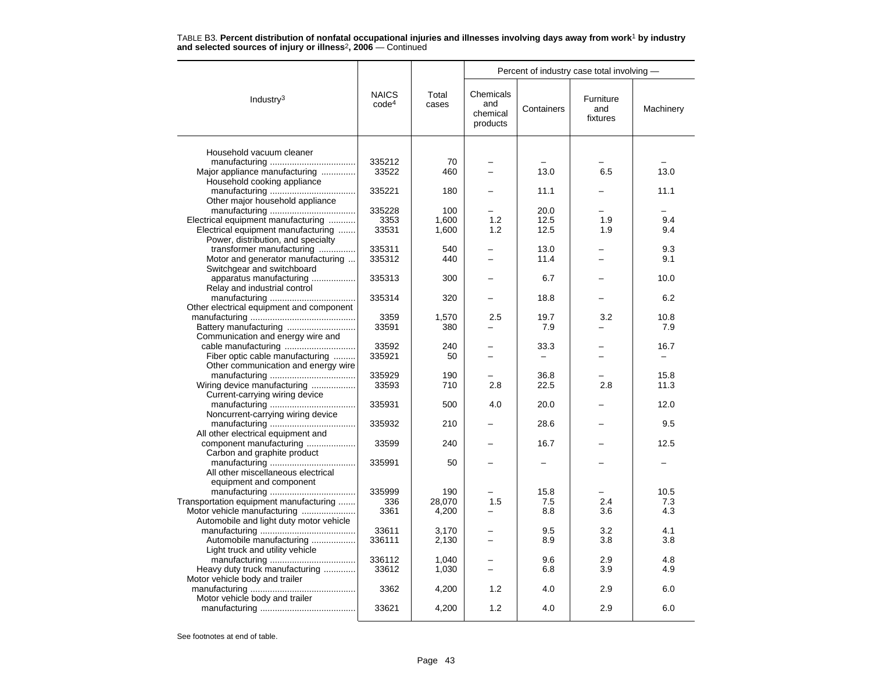|                                                                           | TABLE B3. Percent distribution of nonfatal occupational injuries and illnesses involving days away from work <sup>1</sup> by industry |  |
|---------------------------------------------------------------------------|---------------------------------------------------------------------------------------------------------------------------------------|--|
| and selected sources of injury or illness <sup>2</sup> , 2006 – Continued |                                                                                                                                       |  |

|                                                                          |                                   | Total<br>cases | Percent of industry case total involving - |              |                              |            |  |
|--------------------------------------------------------------------------|-----------------------------------|----------------|--------------------------------------------|--------------|------------------------------|------------|--|
| Industry <sup>3</sup>                                                    | <b>NAICS</b><br>code <sup>4</sup> |                | Chemicals<br>and<br>chemical<br>products   | Containers   | Furniture<br>and<br>fixtures | Machinery  |  |
| Household vacuum cleaner                                                 |                                   |                |                                            |              |                              |            |  |
|                                                                          | 335212                            | 70             |                                            |              |                              |            |  |
|                                                                          | 33522                             |                |                                            | 13.0         | 6.5                          | 13.0       |  |
| Major appliance manufacturing                                            |                                   | 460            |                                            |              |                              |            |  |
| Household cooking appliance                                              | 335221                            | 180            |                                            | 11.1         |                              | 11.1       |  |
|                                                                          |                                   |                |                                            |              |                              |            |  |
| Other major household appliance                                          | 335228                            | 100            |                                            | 20.0         |                              |            |  |
|                                                                          |                                   |                |                                            |              |                              |            |  |
| Electrical equipment manufacturing<br>Electrical equipment manufacturing | 3353<br>33531                     | 1,600<br>1,600 | 1.2<br>1.2                                 | 12.5<br>12.5 | 1.9<br>1.9                   | 9.4<br>9.4 |  |
|                                                                          |                                   |                |                                            |              |                              |            |  |
| Power, distribution, and specialty<br>transformer manufacturing          | 335311                            | 540            |                                            | 13.0         |                              | 9.3        |  |
| Motor and generator manufacturing                                        | 335312                            | 440            |                                            | 11.4         |                              | 9.1        |  |
| Switchgear and switchboard                                               |                                   |                |                                            |              |                              |            |  |
| apparatus manufacturing                                                  | 335313                            | 300            |                                            | 6.7          |                              | 10.0       |  |
| Relay and industrial control                                             |                                   |                |                                            |              |                              |            |  |
|                                                                          | 335314                            | 320            |                                            | 18.8         |                              | 6.2        |  |
| Other electrical equipment and component                                 |                                   |                |                                            |              |                              |            |  |
|                                                                          | 3359                              | 1,570          | 2.5                                        | 19.7         | 3.2                          | 10.8       |  |
|                                                                          | 33591                             | 380            |                                            | 7.9          |                              | 7.9        |  |
| Communication and energy wire and                                        |                                   |                |                                            |              |                              |            |  |
|                                                                          | 33592                             | 240            |                                            | 33.3         |                              | 16.7       |  |
| Fiber optic cable manufacturing                                          | 335921                            | 50             |                                            |              |                              |            |  |
| Other communication and energy wire                                      |                                   |                |                                            |              |                              |            |  |
|                                                                          | 335929                            | 190            |                                            | 36.8         |                              | 15.8       |  |
| Wiring device manufacturing                                              | 33593                             | 710            | 2.8                                        | 22.5         | 2.8                          | 11.3       |  |
| Current-carrying wiring device                                           |                                   |                |                                            |              |                              |            |  |
|                                                                          | 335931                            | 500            | 4.0                                        | 20.0         |                              | 12.0       |  |
| Noncurrent-carrying wiring device                                        |                                   |                |                                            |              |                              |            |  |
|                                                                          | 335932                            | 210            |                                            | 28.6         |                              | 9.5        |  |
| All other electrical equipment and                                       |                                   |                |                                            |              |                              |            |  |
| component manufacturing                                                  | 33599                             | 240            |                                            | 16.7         |                              | 12.5       |  |
| Carbon and graphite product                                              |                                   |                |                                            |              |                              |            |  |
|                                                                          | 335991                            | 50             |                                            |              |                              |            |  |
| All other miscellaneous electrical                                       |                                   |                |                                            |              |                              |            |  |
| equipment and component                                                  |                                   |                |                                            |              |                              |            |  |
|                                                                          | 335999                            | 190            |                                            | 15.8         |                              | 10.5       |  |
| Transportation equipment manufacturing                                   | 336                               | 28,070         | 1.5                                        | 7.5          | 2.4                          | 7.3        |  |
| Motor vehicle manufacturing                                              | 3361                              | 4,200          |                                            | 8.8          | 3.6                          | 4.3        |  |
| Automobile and light duty motor vehicle                                  |                                   |                |                                            |              |                              |            |  |
|                                                                          | 33611                             | 3,170          |                                            | 9.5          | 3.2                          | 4.1        |  |
| Automobile manufacturing                                                 | 336111                            | 2,130          |                                            | 8.9          | 3.8                          | 3.8        |  |
| Light truck and utility vehicle                                          | 336112                            | 1,040          |                                            | 9.6          | 2.9                          | 4.8        |  |
| Heavy duty truck manufacturing                                           | 33612                             | 1,030          |                                            | 6.8          | 3.9                          | 4.9        |  |
| Motor vehicle body and trailer                                           |                                   |                |                                            |              |                              |            |  |
|                                                                          | 3362                              | 4,200          | 1.2                                        | 4.0          | 2.9                          | 6.0        |  |
| Motor vehicle body and trailer                                           |                                   |                |                                            |              |                              |            |  |
|                                                                          | 33621                             | 4,200          | 1.2                                        | 4.0          | 2.9                          | 6.0        |  |
|                                                                          |                                   |                |                                            |              |                              |            |  |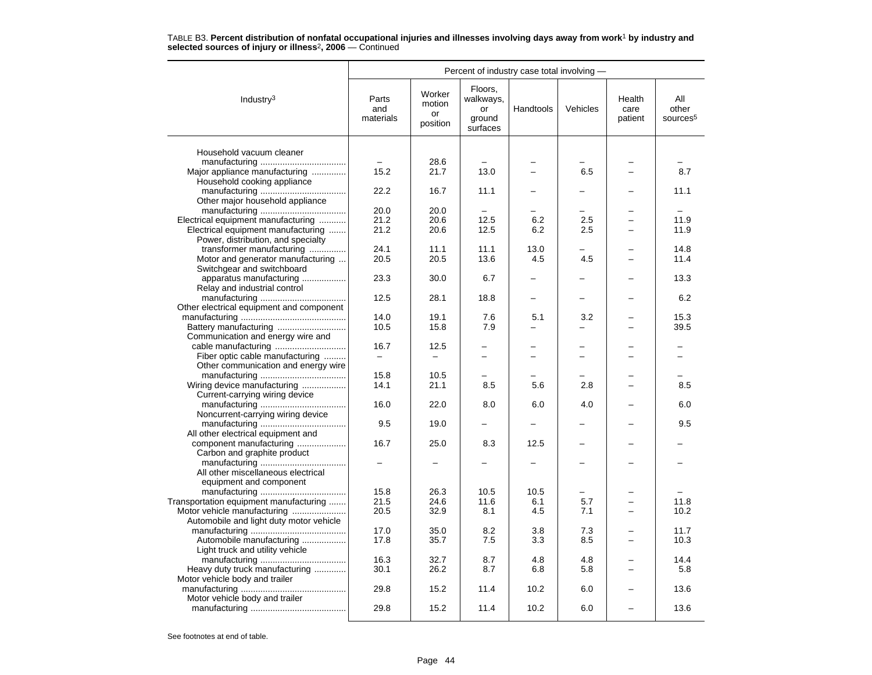|                                          | Percent of industry case total involving - |                                    |                                                  |           |                          |                           |                                      |  |
|------------------------------------------|--------------------------------------------|------------------------------------|--------------------------------------------------|-----------|--------------------------|---------------------------|--------------------------------------|--|
| Industry $3$                             | Parts<br>and<br>materials                  | Worker<br>motion<br>or<br>position | Floors,<br>walkways,<br>or<br>ground<br>surfaces | Handtools | Vehicles                 | Health<br>care<br>patient | All<br>other<br>sources <sup>5</sup> |  |
| Household vacuum cleaner                 |                                            |                                    |                                                  |           |                          |                           |                                      |  |
|                                          |                                            |                                    |                                                  |           |                          |                           |                                      |  |
|                                          |                                            | 28.6                               |                                                  |           |                          |                           |                                      |  |
| Major appliance manufacturing            | 15.2                                       | 21.7                               | 13.0                                             |           | 6.5                      |                           | 8.7                                  |  |
| Household cooking appliance              |                                            |                                    |                                                  |           |                          |                           |                                      |  |
|                                          | 22.2                                       | 16.7                               | 11.1                                             |           |                          |                           | 11.1                                 |  |
| Other major household appliance          |                                            |                                    |                                                  |           |                          |                           |                                      |  |
|                                          | 20.0                                       | 20.0                               |                                                  |           |                          |                           |                                      |  |
| Electrical equipment manufacturing       | 21.2                                       | 20.6                               | 12.5                                             | 6.2       | 2.5                      |                           | 11.9                                 |  |
| Electrical equipment manufacturing       | 21.2                                       | 20.6                               | 12.5                                             | 6.2       | 2.5                      |                           | 11.9                                 |  |
| Power, distribution, and specialty       |                                            |                                    |                                                  |           |                          |                           |                                      |  |
| transformer manufacturing                | 24.1                                       | 11.1                               | 11.1                                             | 13.0      |                          |                           | 14.8                                 |  |
| Motor and generator manufacturing        | 20.5                                       | 20.5                               | 13.6                                             | 4.5       | 4.5                      |                           | 11.4                                 |  |
| Switchgear and switchboard               |                                            |                                    |                                                  |           |                          |                           |                                      |  |
| apparatus manufacturing                  | 23.3                                       | 30.0                               | 6.7                                              |           |                          |                           | 13.3                                 |  |
| Relay and industrial control             |                                            |                                    |                                                  |           |                          |                           |                                      |  |
|                                          | 12.5                                       | 28.1                               | 18.8                                             | -         | $\overline{\phantom{0}}$ |                           | 6.2                                  |  |
| Other electrical equipment and component |                                            |                                    |                                                  |           |                          |                           |                                      |  |
|                                          | 14.0                                       | 19.1                               | 7.6                                              | 5.1       | 3.2                      |                           | 15.3                                 |  |
|                                          | 10.5                                       | 15.8                               | 7.9                                              |           |                          |                           | 39.5                                 |  |
| Communication and energy wire and        |                                            |                                    |                                                  |           |                          |                           |                                      |  |
|                                          | 16.7                                       | 12.5                               |                                                  |           |                          |                           |                                      |  |
| Fiber optic cable manufacturing          | $\qquad \qquad -$                          | $\overline{\phantom{0}}$           |                                                  |           |                          |                           |                                      |  |
| Other communication and energy wire      |                                            |                                    |                                                  |           |                          |                           |                                      |  |
|                                          | 15.8                                       | 10.5                               |                                                  |           |                          |                           |                                      |  |
| Wiring device manufacturing              | 14.1                                       | 21.1                               | 8.5                                              | 5.6       | 2.8                      |                           | 8.5                                  |  |
| Current-carrying wiring device           |                                            |                                    |                                                  |           |                          |                           |                                      |  |
|                                          | 16.0                                       | 22.0                               | 8.0                                              | 6.0       | 4.0                      |                           | 6.0                                  |  |
| Noncurrent-carrying wiring device        |                                            |                                    |                                                  |           |                          |                           |                                      |  |
|                                          | 9.5                                        | 19.0                               |                                                  |           |                          |                           | 9.5                                  |  |
| All other electrical equipment and       |                                            |                                    |                                                  |           |                          |                           |                                      |  |
| component manufacturing                  | 16.7                                       | 25.0                               | 8.3                                              | 12.5      |                          |                           |                                      |  |
| Carbon and graphite product              |                                            |                                    |                                                  |           |                          |                           |                                      |  |
|                                          |                                            |                                    |                                                  |           |                          |                           |                                      |  |
| All other miscellaneous electrical       |                                            |                                    |                                                  |           |                          |                           |                                      |  |
| equipment and component                  |                                            |                                    |                                                  |           |                          |                           |                                      |  |
|                                          | 15.8                                       | 26.3                               | 10.5                                             | 10.5      |                          |                           |                                      |  |
| Transportation equipment manufacturing   | 21.5                                       | 24.6                               | 11.6                                             | 6.1       | 5.7                      |                           | 11.8                                 |  |
|                                          | 20.5                                       | 32.9                               | 8.1                                              | 4.5       | 7.1                      |                           | 10.2                                 |  |
| Automobile and light duty motor vehicle  |                                            |                                    |                                                  |           |                          |                           |                                      |  |
|                                          | 17.0                                       | 35.0                               | 8.2                                              | 3.8       | 7.3                      |                           | 11.7                                 |  |
| Automobile manufacturing                 | 17.8                                       | 35.7                               | 7.5                                              | 3.3       | 8.5                      |                           | 10.3                                 |  |
| Light truck and utility vehicle          |                                            |                                    |                                                  |           |                          |                           |                                      |  |
|                                          | 16.3                                       | 32.7                               | 8.7                                              | 4.8       | 4.8                      |                           | 14.4                                 |  |
| Heavy duty truck manufacturing           | 30.1                                       | 26.2                               | 8.7                                              | 6.8       | 5.8                      |                           | 5.8                                  |  |
| Motor vehicle body and trailer           |                                            |                                    |                                                  |           |                          |                           |                                      |  |
|                                          | 29.8                                       | 15.2                               | 11.4                                             | 10.2      | 6.0                      |                           | 13.6                                 |  |
| Motor vehicle body and trailer           |                                            |                                    |                                                  |           |                          |                           |                                      |  |
|                                          | 29.8                                       | 15.2                               | 11.4                                             | 10.2      | 6.0                      |                           | 13.6                                 |  |
|                                          |                                            |                                    |                                                  |           |                          |                           |                                      |  |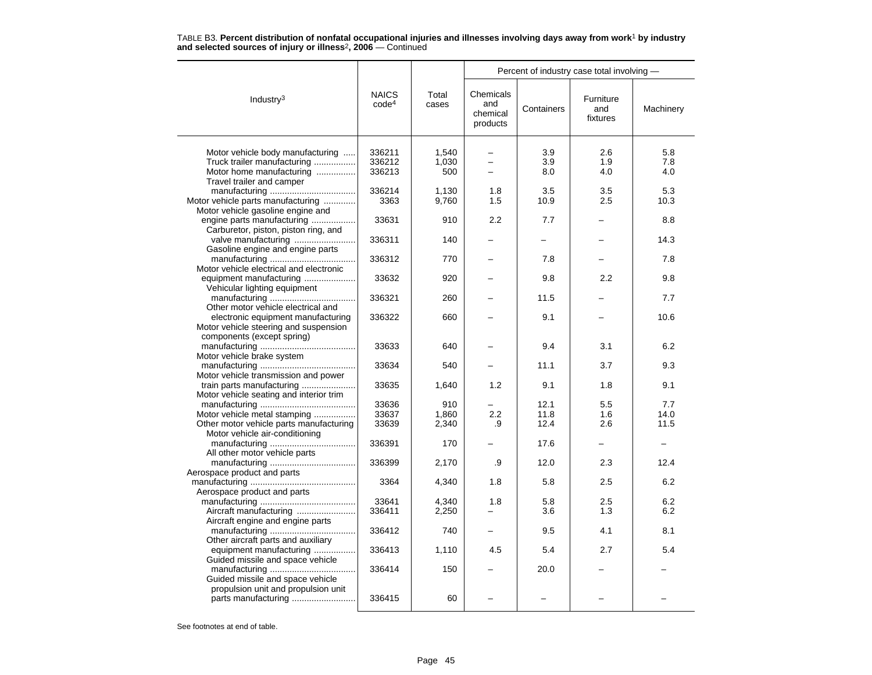|                                                                        |                                   | Total<br>cases | Percent of industry case total involving - |            |                              |           |  |
|------------------------------------------------------------------------|-----------------------------------|----------------|--------------------------------------------|------------|------------------------------|-----------|--|
| Industry <sup>3</sup>                                                  | <b>NAICS</b><br>code <sup>4</sup> |                | Chemicals<br>and<br>chemical<br>products   | Containers | Furniture<br>and<br>fixtures | Machinery |  |
|                                                                        | 336211                            | 1.540          |                                            | 3.9        | 2.6                          | 5.8       |  |
| Motor vehicle body manufacturing<br>Truck trailer manufacturing        | 336212                            |                | -                                          |            | 1.9                          | 7.8       |  |
|                                                                        |                                   | 1,030          | $\overline{\phantom{0}}$<br>$\equiv$       | 3.9        |                              |           |  |
| Motor home manufacturing<br>Travel trailer and camper                  | 336213                            | 500            |                                            | 8.0        | 4.0                          | 4.0       |  |
|                                                                        | 336214                            | 1.130          | 1.8                                        | 3.5        | 3.5                          | 5.3       |  |
|                                                                        |                                   |                |                                            |            |                              |           |  |
| Motor vehicle parts manufacturing<br>Motor vehicle gasoline engine and | 3363                              | 9,760          | 1.5                                        | 10.9       | 2.5                          | 10.3      |  |
| engine parts manufacturing                                             | 33631                             | 910            | 2.2                                        | 7.7        |                              | 8.8       |  |
| Carburetor, piston, piston ring, and                                   |                                   |                |                                            |            |                              |           |  |
| valve manufacturing                                                    | 336311                            | 140            |                                            |            |                              | 14.3      |  |
| Gasoline engine and engine parts                                       |                                   |                |                                            |            |                              |           |  |
|                                                                        | 336312                            | 770            |                                            | 7.8        |                              | 7.8       |  |
| Motor vehicle electrical and electronic                                |                                   |                |                                            |            |                              |           |  |
| equipment manufacturing                                                | 33632                             | 920            |                                            | 9.8        | 2.2                          | 9.8       |  |
| Vehicular lighting equipment                                           |                                   |                |                                            |            |                              |           |  |
|                                                                        | 336321                            | 260            |                                            | 11.5       |                              | 7.7       |  |
| Other motor vehicle electrical and                                     |                                   |                |                                            |            |                              |           |  |
| electronic equipment manufacturing                                     | 336322                            | 660            |                                            | 9.1        |                              | 10.6      |  |
| Motor vehicle steering and suspension                                  |                                   |                |                                            |            |                              |           |  |
| components (except spring)                                             |                                   |                |                                            |            |                              |           |  |
|                                                                        | 33633                             | 640            |                                            | 9.4        | 3.1                          | 6.2       |  |
| Motor vehicle brake system                                             |                                   |                |                                            |            |                              |           |  |
|                                                                        | 33634                             | 540            |                                            | 11.1       | 3.7                          | 9.3       |  |
| Motor vehicle transmission and power                                   |                                   |                |                                            |            |                              |           |  |
| train parts manufacturing                                              | 33635                             | 1,640          | 1.2                                        | 9.1        | 1.8                          | 9.1       |  |
| Motor vehicle seating and interior trim                                |                                   |                |                                            |            |                              |           |  |
|                                                                        | 33636                             | 910            |                                            | 12.1       | 5.5                          | 7.7       |  |
| Motor vehicle metal stamping                                           | 33637                             | 1,860          | 2.2                                        | 11.8       | 1.6                          | 14.0      |  |
| Other motor vehicle parts manufacturing                                | 33639                             | 2,340          | .9                                         | 12.4       | 2.6                          | 11.5      |  |
| Motor vehicle air-conditioning                                         |                                   |                |                                            |            |                              |           |  |
|                                                                        | 336391                            | 170            |                                            | 17.6       |                              |           |  |
| All other motor vehicle parts                                          |                                   |                |                                            |            |                              |           |  |
|                                                                        | 336399                            | 2,170          | .9                                         | 12.0       | 2.3                          | 12.4      |  |
| Aerospace product and parts                                            |                                   |                |                                            |            |                              |           |  |
|                                                                        | 3364                              | 4,340          | 1.8                                        | 5.8        | 2.5                          | 6.2       |  |
| Aerospace product and parts                                            |                                   |                |                                            |            |                              |           |  |
|                                                                        | 33641                             | 4,340          | 1.8                                        | 5.8        | 2.5                          | 6.2       |  |
| Aircraft manufacturing                                                 | 336411                            | 2,250          |                                            | 3.6        | 1.3                          | 6.2       |  |
| Aircraft engine and engine parts                                       |                                   |                |                                            |            |                              |           |  |
| Other aircraft parts and auxiliary                                     | 336412                            | 740            |                                            | 9.5        | 4.1                          | 8.1       |  |
| equipment manufacturing                                                | 336413                            | 1,110          | 4.5                                        | 5.4        | 2.7                          | 5.4       |  |
| Guided missile and space vehicle                                       |                                   |                |                                            |            |                              |           |  |
|                                                                        | 336414                            | 150            |                                            | 20.0       |                              |           |  |
| Guided missile and space vehicle                                       |                                   |                |                                            |            |                              |           |  |
| propulsion unit and propulsion unit                                    |                                   |                |                                            |            |                              |           |  |
| parts manufacturing                                                    | 336415                            | 60             |                                            |            |                              |           |  |
|                                                                        |                                   |                |                                            |            |                              |           |  |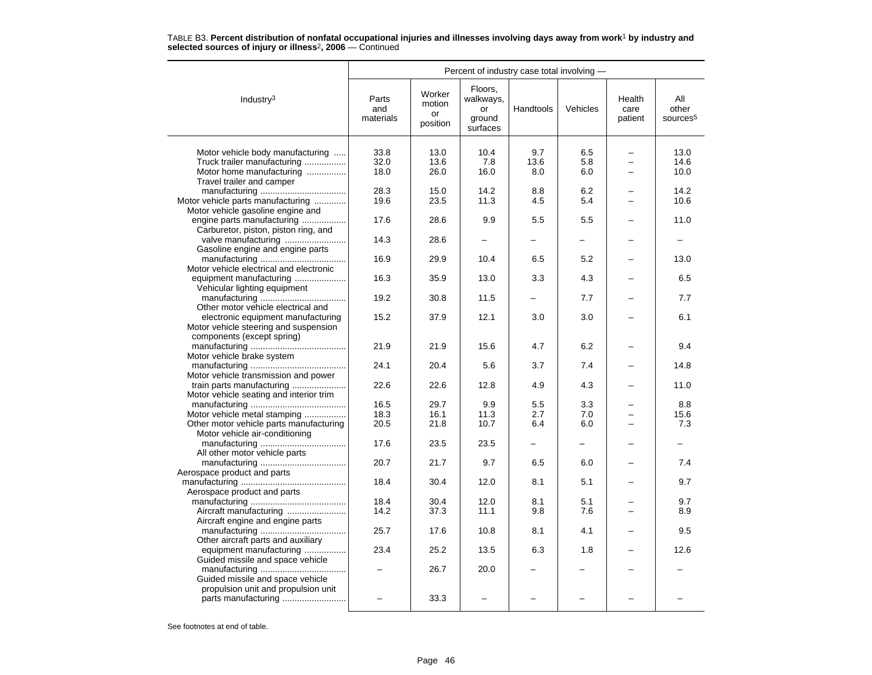|                                         | Percent of industry case total involving - |                                    |                                                  |           |          |                           |                                      |
|-----------------------------------------|--------------------------------------------|------------------------------------|--------------------------------------------------|-----------|----------|---------------------------|--------------------------------------|
| Industry <sup>3</sup>                   | Parts<br>and<br>materials                  | Worker<br>motion<br>or<br>position | Floors,<br>walkways,<br>or<br>ground<br>surfaces | Handtools | Vehicles | Health<br>care<br>patient | All<br>other<br>sources <sup>5</sup> |
|                                         |                                            |                                    |                                                  |           |          |                           |                                      |
| Motor vehicle body manufacturing        | 33.8                                       | 13.0                               | 10.4                                             | 9.7       | 6.5      |                           | 13.0                                 |
| Truck trailer manufacturing             | 32.0                                       | 13.6                               | 7.8                                              | 13.6      | 5.8      | $\overline{\phantom{0}}$  | 14.6                                 |
| Motor home manufacturing                | 18.0                                       | 26.0                               | 16.0                                             | 8.0       | 6.0      |                           | 10.0                                 |
| Travel trailer and camper               |                                            |                                    |                                                  |           |          |                           |                                      |
|                                         | 28.3                                       | 15.0                               | 14.2                                             | 8.8       | 6.2      |                           | 14.2                                 |
| Motor vehicle parts manufacturing       | 19.6                                       | 23.5                               | 11.3                                             | 4.5       | 5.4      |                           | 10.6                                 |
| Motor vehicle gasoline engine and       |                                            |                                    |                                                  |           |          |                           |                                      |
| engine parts manufacturing              | 17.6                                       | 28.6                               | 9.9                                              | 5.5       | 5.5      |                           | 11.0                                 |
| Carburetor, piston, piston ring, and    |                                            |                                    |                                                  |           |          |                           |                                      |
| valve manufacturing                     | 14.3                                       | 28.6                               |                                                  |           |          |                           |                                      |
| Gasoline engine and engine parts        |                                            |                                    |                                                  |           |          |                           |                                      |
|                                         | 16.9                                       | 29.9                               | 10.4                                             | 6.5       | 5.2      |                           | 13.0                                 |
| Motor vehicle electrical and electronic |                                            |                                    |                                                  |           |          |                           |                                      |
| equipment manufacturing                 | 16.3                                       | 35.9                               | 13.0                                             | 3.3       | 4.3      |                           | 6.5                                  |
| Vehicular lighting equipment            |                                            |                                    |                                                  |           |          |                           |                                      |
|                                         | 19.2                                       | 30.8                               | 11.5                                             |           | 7.7      |                           | 7.7                                  |
| Other motor vehicle electrical and      |                                            |                                    |                                                  |           |          |                           |                                      |
| electronic equipment manufacturing      | 15.2                                       | 37.9                               | 12.1                                             | 3.0       | 3.0      |                           | 6.1                                  |
| Motor vehicle steering and suspension   |                                            |                                    |                                                  |           |          |                           |                                      |
| components (except spring)              |                                            |                                    |                                                  |           |          |                           |                                      |
|                                         | 21.9                                       | 21.9                               | 15.6                                             | 4.7       | 6.2      |                           | 9.4                                  |
| Motor vehicle brake system              |                                            |                                    |                                                  |           |          |                           |                                      |
|                                         | 24.1                                       | 20.4                               | 5.6                                              | 3.7       | 7.4      |                           | 14.8                                 |
| Motor vehicle transmission and power    |                                            |                                    |                                                  |           |          |                           |                                      |
| train parts manufacturing               | 22.6                                       | 22.6                               | 12.8                                             | 4.9       | 4.3      |                           | 11.0                                 |
| Motor vehicle seating and interior trim |                                            |                                    |                                                  |           |          |                           |                                      |
|                                         | 16.5                                       | 29.7                               | 9.9                                              | 5.5       | 3.3      |                           | 8.8                                  |
| Motor vehicle metal stamping            | 18.3                                       | 16.1                               | 11.3                                             | 2.7       | 7.0      |                           | 15.6                                 |
| Other motor vehicle parts manufacturing | 20.5                                       | 21.8                               | 10.7                                             | 6.4       | 6.0      |                           | 7.3                                  |
| Motor vehicle air-conditioning          |                                            |                                    |                                                  |           |          |                           |                                      |
|                                         | 17.6                                       | 23.5                               | 23.5                                             |           |          |                           |                                      |
| All other motor vehicle parts           | 20.7                                       |                                    | 9.7                                              |           |          |                           |                                      |
| Aerospace product and parts             |                                            | 21.7                               |                                                  | 6.5       | 6.0      |                           | 7.4                                  |
|                                         | 18.4                                       | 30.4                               | 12.0                                             | 8.1       | 5.1      |                           | 9.7                                  |
|                                         |                                            |                                    |                                                  |           |          |                           |                                      |
| Aerospace product and parts             | 18.4                                       | 30.4                               | 12.0                                             | 8.1       | 5.1      |                           | 9.7                                  |
| Aircraft manufacturing                  | 14.2                                       | 37.3                               |                                                  |           |          |                           |                                      |
|                                         |                                            |                                    | 11.1                                             | 9.8       | 7.6      |                           | 8.9                                  |
| Aircraft engine and engine parts        | 25.7                                       | 17.6                               | 10.8                                             | 8.1       | 4.1      |                           | 9.5                                  |
| Other aircraft parts and auxiliary      |                                            |                                    |                                                  |           |          |                           |                                      |
| equipment manufacturing                 | 23.4                                       | 25.2                               | 13.5                                             | 6.3       | 1.8      |                           | 12.6                                 |
| Guided missile and space vehicle        |                                            |                                    |                                                  |           |          |                           |                                      |
|                                         |                                            | 26.7                               | 20.0                                             |           |          |                           |                                      |
| Guided missile and space vehicle        |                                            |                                    |                                                  |           |          |                           |                                      |
| propulsion unit and propulsion unit     |                                            |                                    |                                                  |           |          |                           |                                      |
| parts manufacturing                     |                                            | 33.3                               |                                                  |           |          |                           |                                      |
|                                         |                                            |                                    |                                                  |           |          |                           |                                      |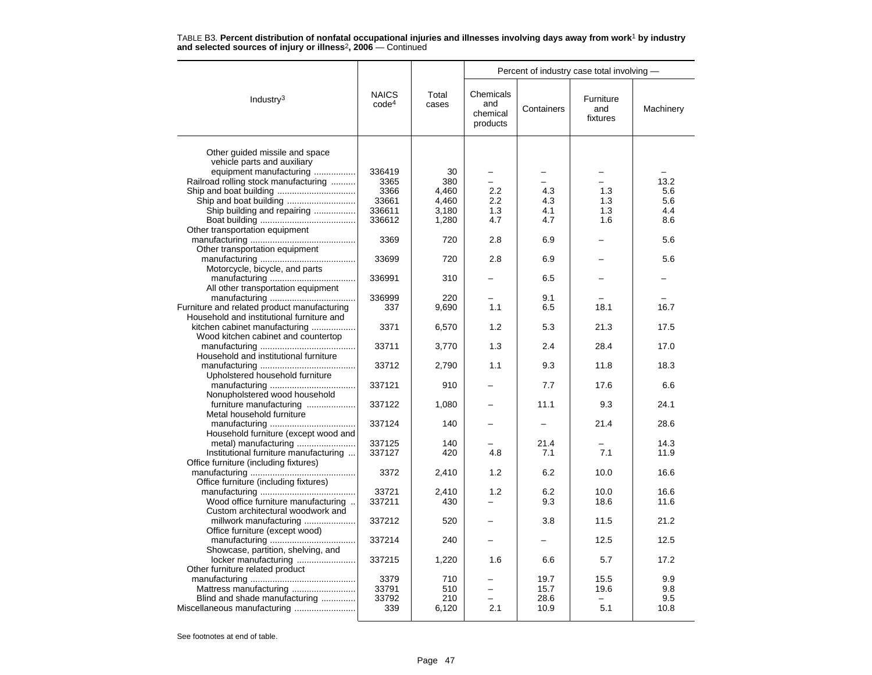|                                             |                                   |                | Percent of industry case total involving - |            |                              |           |  |  |
|---------------------------------------------|-----------------------------------|----------------|--------------------------------------------|------------|------------------------------|-----------|--|--|
| Industry $3$                                | <b>NAICS</b><br>code <sup>4</sup> | Total<br>cases | Chemicals<br>and<br>chemical<br>products   | Containers | Furniture<br>and<br>fixtures | Machinery |  |  |
|                                             |                                   |                |                                            |            |                              |           |  |  |
| Other guided missile and space              |                                   |                |                                            |            |                              |           |  |  |
| vehicle parts and auxiliary                 |                                   |                |                                            |            |                              |           |  |  |
| equipment manufacturing                     | 336419                            | 30             | $\overline{\phantom{0}}$                   |            |                              |           |  |  |
| Railroad rolling stock manufacturing        | 3365                              | 380            |                                            |            |                              | 13.2      |  |  |
|                                             | 3366                              | 4,460          | 2.2                                        | 4.3        | 1.3                          | 5.6       |  |  |
|                                             | 33661                             | 4,460          | 2.2                                        | 4.3        | 1.3                          | 5.6       |  |  |
| Ship building and repairing                 | 336611                            | 3,180          | 1.3                                        | 4.1        | 1.3                          | 4.4       |  |  |
|                                             | 336612                            | 1,280          | 4.7                                        | 4.7        | 1.6                          | 8.6       |  |  |
| Other transportation equipment              |                                   |                |                                            |            |                              |           |  |  |
|                                             | 3369                              | 720            | 2.8                                        | 6.9        |                              | 5.6       |  |  |
| Other transportation equipment              |                                   |                |                                            |            |                              |           |  |  |
|                                             | 33699                             | 720            | 2.8                                        | 6.9        |                              | 5.6       |  |  |
| Motorcycle, bicycle, and parts              |                                   |                |                                            |            |                              |           |  |  |
|                                             | 336991                            | 310            |                                            | 6.5        |                              |           |  |  |
| All other transportation equipment          |                                   |                |                                            |            |                              |           |  |  |
|                                             | 336999                            | 220            |                                            | 9.1        |                              |           |  |  |
|                                             |                                   |                | 1.1                                        |            |                              | 16.7      |  |  |
| Furniture and related product manufacturing | 337                               | 9,690          |                                            | 6.5        | 18.1                         |           |  |  |
| Household and institutional furniture and   |                                   |                |                                            |            |                              |           |  |  |
| kitchen cabinet manufacturing               | 3371                              | 6,570          | 1.2                                        | 5.3        | 21.3                         | 17.5      |  |  |
| Wood kitchen cabinet and countertop         |                                   |                |                                            |            |                              |           |  |  |
|                                             | 33711                             | 3,770          | 1.3                                        | 2.4        | 28.4                         | 17.0      |  |  |
| Household and institutional furniture       |                                   |                |                                            |            |                              |           |  |  |
|                                             | 33712                             | 2,790          | 1.1                                        | 9.3        | 11.8                         | 18.3      |  |  |
| Upholstered household furniture             |                                   |                |                                            |            |                              |           |  |  |
|                                             | 337121                            | 910            |                                            | 7.7        | 17.6                         | 6.6       |  |  |
| Nonupholstered wood household               |                                   |                |                                            |            |                              |           |  |  |
| furniture manufacturing                     | 337122                            | 1,080          |                                            | 11.1       | 9.3                          | 24.1      |  |  |
| Metal household furniture                   |                                   |                |                                            |            |                              |           |  |  |
|                                             | 337124                            | 140            |                                            |            | 21.4                         | 28.6      |  |  |
| Household furniture (except wood and        |                                   |                |                                            |            |                              |           |  |  |
|                                             | 337125                            | 140            |                                            | 21.4       |                              | 14.3      |  |  |
| Institutional furniture manufacturing       | 337127                            | 420            | 4.8                                        | 7.1        | 7.1                          | 11.9      |  |  |
| Office furniture (including fixtures)       |                                   |                |                                            |            |                              |           |  |  |
|                                             | 3372                              | 2,410          | 1.2                                        | 6.2        | 10.0                         | 16.6      |  |  |
| Office furniture (including fixtures)       |                                   |                |                                            |            |                              |           |  |  |
|                                             | 33721                             | 2,410          | 1.2                                        | 6.2        | 10.0                         | 16.6      |  |  |
| Wood office furniture manufacturing         | 337211                            | 430            |                                            | 9.3        | 18.6                         | 11.6      |  |  |
| Custom architectural woodwork and           |                                   |                |                                            |            |                              |           |  |  |
|                                             | 337212                            | 520            |                                            | 3.8        | 11.5                         | 21.2      |  |  |
| millwork manufacturing                      |                                   |                |                                            |            |                              |           |  |  |
| Office furniture (except wood)              |                                   |                |                                            |            |                              |           |  |  |
|                                             | 337214                            | 240            |                                            |            | 12.5                         | 12.5      |  |  |
| Showcase, partition, shelving, and          |                                   |                |                                            |            |                              |           |  |  |
| locker manufacturing                        | 337215                            | 1,220          | 1.6                                        | 6.6        | 5.7                          | 17.2      |  |  |
| Other furniture related product             |                                   |                |                                            |            |                              |           |  |  |
|                                             | 3379                              | 710            |                                            | 19.7       | 15.5                         | 9.9       |  |  |
|                                             | 33791                             | 510            |                                            | 15.7       | 19.6                         | 9.8       |  |  |
| Blind and shade manufacturing               | 33792                             | 210            |                                            | 28.6       | $\equiv$                     | 9.5       |  |  |
|                                             | 339                               | 6,120          | 2.1                                        | 10.9       | 5.1                          | 10.8      |  |  |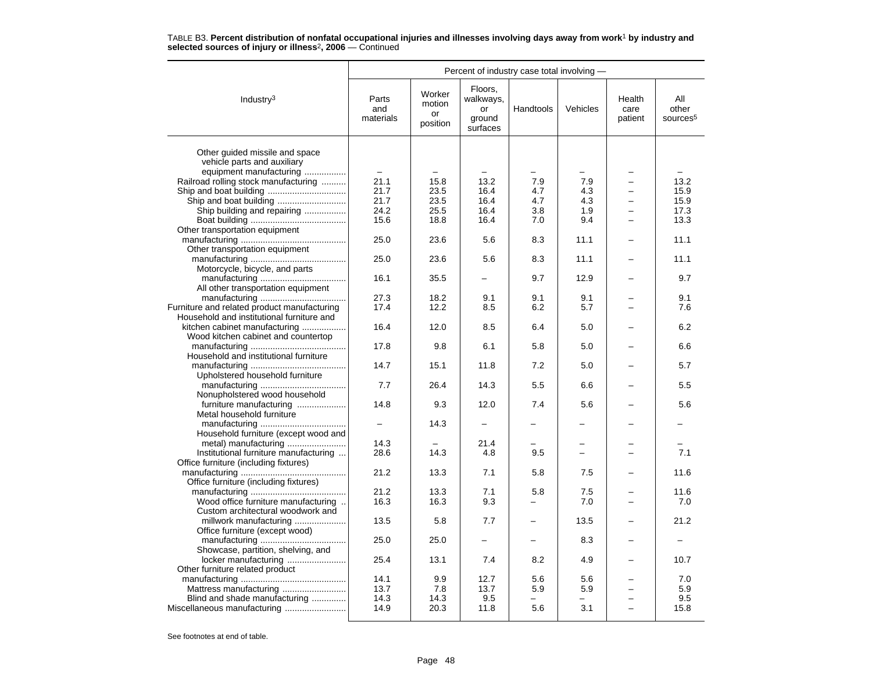|                                             | Percent of industry case total involving - |                                    |                                                  |           |          |                           |                                      |  |  |
|---------------------------------------------|--------------------------------------------|------------------------------------|--------------------------------------------------|-----------|----------|---------------------------|--------------------------------------|--|--|
| Industry $3$                                | Parts<br>and<br>materials                  | Worker<br>motion<br>or<br>position | Floors,<br>walkways,<br>or<br>ground<br>surfaces | Handtools | Vehicles | Health<br>care<br>patient | All<br>other<br>sources <sup>5</sup> |  |  |
| Other quided missile and space              |                                            |                                    |                                                  |           |          |                           |                                      |  |  |
|                                             |                                            |                                    |                                                  |           |          |                           |                                      |  |  |
| vehicle parts and auxiliary                 |                                            |                                    |                                                  |           |          |                           |                                      |  |  |
| equipment manufacturing                     | $\overline{\phantom{m}}$                   |                                    |                                                  |           |          |                           |                                      |  |  |
| Railroad rolling stock manufacturing        | 21.1                                       | 15.8                               | 13.2                                             | 7.9       | 7.9      |                           | 13.2                                 |  |  |
|                                             | 21.7                                       | 23.5                               | 16.4                                             | 4.7       | 4.3      |                           | 15.9                                 |  |  |
|                                             | 21.7                                       | 23.5                               | 16.4                                             | 4.7       | 4.3      | $\equiv$                  | 15.9                                 |  |  |
| Ship building and repairing                 | 24.2                                       | 25.5                               | 16.4                                             | 3.8       | 1.9      |                           | 17.3                                 |  |  |
|                                             | 15.6                                       | 18.8                               | 16.4                                             | 7.0       | 9.4      |                           | 13.3                                 |  |  |
| Other transportation equipment              |                                            |                                    |                                                  |           |          |                           |                                      |  |  |
|                                             | 25.0                                       | 23.6                               | 5.6                                              | 8.3       | 11.1     |                           | 11.1                                 |  |  |
| Other transportation equipment              |                                            |                                    |                                                  |           |          |                           |                                      |  |  |
|                                             | 25.0                                       | 23.6                               | 5.6                                              | 8.3       | 11.1     |                           | 11.1                                 |  |  |
| Motorcycle, bicycle, and parts              |                                            |                                    |                                                  |           |          |                           |                                      |  |  |
|                                             | 16.1                                       | 35.5                               |                                                  | 9.7       | 12.9     |                           | 9.7                                  |  |  |
| All other transportation equipment          |                                            |                                    |                                                  |           |          |                           |                                      |  |  |
|                                             | 27.3                                       | 18.2                               | 9.1                                              | 9.1       | 9.1      |                           | 9.1                                  |  |  |
| Furniture and related product manufacturing | 17.4                                       | 12.2                               | 8.5                                              | 6.2       | 5.7      |                           | 7.6                                  |  |  |
| Household and institutional furniture and   |                                            |                                    |                                                  |           |          |                           |                                      |  |  |
| kitchen cabinet manufacturing               | 16.4                                       | 12.0                               | 8.5                                              | 6.4       | 5.0      |                           | 6.2                                  |  |  |
| Wood kitchen cabinet and countertop         |                                            |                                    |                                                  |           |          |                           |                                      |  |  |
|                                             | 17.8                                       | 9.8                                | 6.1                                              | 5.8       | 5.0      |                           | 6.6                                  |  |  |
| Household and institutional furniture       |                                            |                                    |                                                  |           |          |                           |                                      |  |  |
|                                             | 14.7                                       | 15.1                               | 11.8                                             | 7.2       | 5.0      |                           | 5.7                                  |  |  |
| Upholstered household furniture             |                                            |                                    |                                                  |           |          |                           |                                      |  |  |
|                                             | 7.7                                        | 26.4                               | 14.3                                             | 5.5       | 6.6      |                           | 5.5                                  |  |  |
| Nonupholstered wood household               |                                            |                                    |                                                  |           |          |                           |                                      |  |  |
| furniture manufacturing                     | 14.8                                       | 9.3                                | 12.0                                             | 7.4       | 5.6      |                           | 5.6                                  |  |  |
| Metal household furniture                   |                                            |                                    |                                                  |           |          |                           |                                      |  |  |
|                                             |                                            | 14.3                               |                                                  |           |          |                           |                                      |  |  |
|                                             |                                            |                                    |                                                  |           |          |                           |                                      |  |  |
| Household furniture (except wood and        | 14.3                                       |                                    | 21.4                                             |           |          |                           |                                      |  |  |
| metal) manufacturing                        |                                            |                                    |                                                  |           | ╾        |                           |                                      |  |  |
| Institutional furniture manufacturing       | 28.6                                       | 14.3                               | 4.8                                              | 9.5       |          |                           | 7.1                                  |  |  |
| Office furniture (including fixtures)       |                                            |                                    |                                                  |           |          |                           |                                      |  |  |
|                                             | 21.2                                       | 13.3                               | 7.1                                              | 5.8       | 7.5      |                           | 11.6                                 |  |  |
| Office furniture (including fixtures)       |                                            |                                    |                                                  |           |          |                           |                                      |  |  |
|                                             | 21.2                                       | 13.3                               | 7.1                                              | 5.8       | 7.5      |                           | 11.6                                 |  |  |
| Wood office furniture manufacturing         | 16.3                                       | 16.3                               | 9.3                                              | -         | 7.0      |                           | 7.0                                  |  |  |
| Custom architectural woodwork and           |                                            |                                    |                                                  |           |          |                           |                                      |  |  |
| millwork manufacturing                      | 13.5                                       | 5.8                                | 7.7                                              |           | 13.5     |                           | 21.2                                 |  |  |
| Office furniture (except wood)              |                                            |                                    |                                                  |           |          |                           |                                      |  |  |
|                                             | 25.0                                       | 25.0                               |                                                  |           | 8.3      |                           |                                      |  |  |
| Showcase, partition, shelving, and          |                                            |                                    |                                                  |           |          |                           |                                      |  |  |
| locker manufacturing                        | 25.4                                       | 13.1                               | 7.4                                              | 8.2       | 4.9      |                           | 10.7                                 |  |  |
| Other furniture related product             |                                            |                                    |                                                  |           |          |                           |                                      |  |  |
|                                             | 14.1                                       | 9.9                                | 12.7                                             | 5.6       | 5.6      |                           | 7.0                                  |  |  |
| Mattress manufacturing                      | 13.7                                       | 7.8                                | 13.7                                             | 5.9       | 5.9      |                           | 5.9                                  |  |  |
| Blind and shade manufacturing               | 14.3                                       | 14.3                               | 9.5                                              |           |          |                           | 9.5                                  |  |  |
|                                             | 14.9                                       | 20.3                               | 11.8                                             | 5.6       | 3.1      |                           | 15.8                                 |  |  |
|                                             |                                            |                                    |                                                  |           |          |                           |                                      |  |  |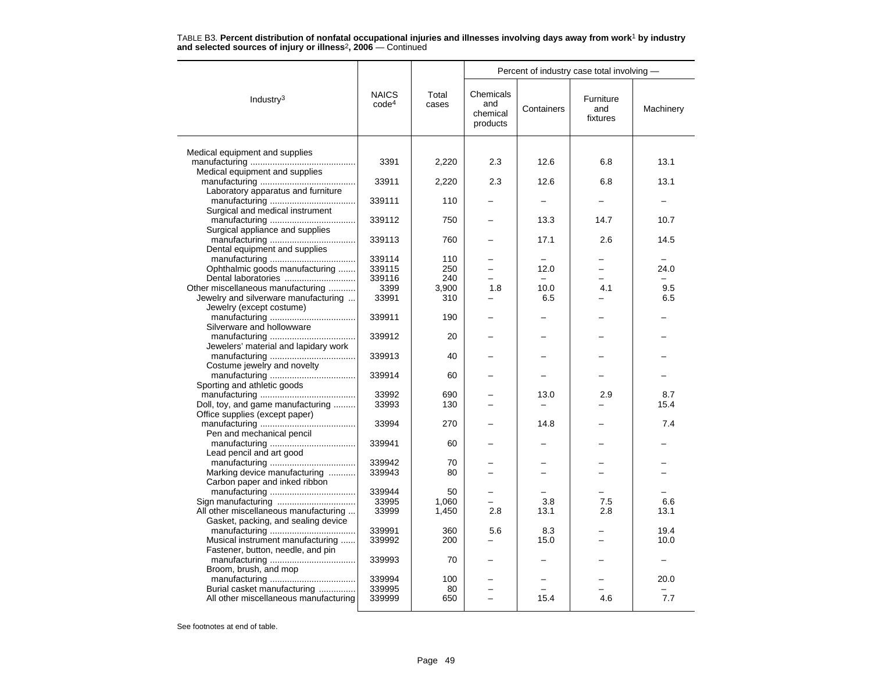|                                                                  |                                   |                |                                          |            | Percent of industry case total involving - |           |  |
|------------------------------------------------------------------|-----------------------------------|----------------|------------------------------------------|------------|--------------------------------------------|-----------|--|
| Industry $3$                                                     | <b>NAICS</b><br>code <sup>4</sup> | Total<br>cases | Chemicals<br>and<br>chemical<br>products | Containers | Furniture<br>and<br>fixtures               | Machinery |  |
|                                                                  |                                   |                |                                          |            |                                            |           |  |
| Medical equipment and supplies                                   | 3391                              | 2,220          | 2.3                                      | 12.6       | 6.8                                        | 13.1      |  |
| Medical equipment and supplies                                   |                                   |                |                                          |            |                                            |           |  |
|                                                                  | 33911                             | 2,220          | 2.3                                      | 12.6       | 6.8                                        | 13.1      |  |
| Laboratory apparatus and furniture                               |                                   |                |                                          |            |                                            |           |  |
|                                                                  | 339111                            | 110            |                                          |            |                                            |           |  |
| Surgical and medical instrument                                  |                                   |                |                                          |            |                                            |           |  |
| Surgical appliance and supplies                                  | 339112                            | 750            |                                          | 13.3       | 14.7                                       | 10.7      |  |
|                                                                  | 339113                            | 760            |                                          | 17.1       | 2.6                                        | 14.5      |  |
| Dental equipment and supplies                                    |                                   |                |                                          |            |                                            |           |  |
|                                                                  | 339114                            | 110            |                                          |            |                                            |           |  |
| Ophthalmic goods manufacturing                                   | 339115                            | 250            |                                          | 12.0       | -                                          | 24.0      |  |
| Dental laboratories                                              | 339116                            | 240            |                                          |            |                                            |           |  |
| Other miscellaneous manufacturing                                | 3399                              | 3.900          | 1.8                                      | 10.0       | 4.1                                        | 9.5       |  |
| Jewelry and silverware manufacturing<br>Jewelry (except costume) | 33991                             | 310            |                                          | 6.5        |                                            | 6.5       |  |
|                                                                  | 339911                            | 190            |                                          |            |                                            |           |  |
| Silverware and hollowware                                        |                                   |                |                                          |            |                                            |           |  |
|                                                                  | 339912                            | 20             |                                          |            |                                            |           |  |
| Jewelers' material and lapidary work                             |                                   |                |                                          |            |                                            |           |  |
|                                                                  | 339913                            | 40             |                                          |            |                                            |           |  |
| Costume jewelry and novelty                                      |                                   |                |                                          |            |                                            |           |  |
|                                                                  | 339914                            | 60             |                                          |            |                                            |           |  |
| Sporting and athletic goods                                      | 33992                             | 690            |                                          | 13.0       | 2.9                                        | 8.7       |  |
| Doll, toy, and game manufacturing                                | 33993                             | 130            |                                          |            |                                            | 15.4      |  |
| Office supplies (except paper)                                   |                                   |                |                                          |            |                                            |           |  |
|                                                                  | 33994                             | 270            |                                          | 14.8       |                                            | 7.4       |  |
| Pen and mechanical pencil                                        |                                   |                |                                          |            |                                            |           |  |
|                                                                  | 339941                            | 60             |                                          |            |                                            |           |  |
| Lead pencil and art good                                         |                                   |                |                                          |            |                                            |           |  |
|                                                                  | 339942                            | 70             |                                          |            |                                            |           |  |
| Marking device manufacturing<br>Carbon paper and inked ribbon    | 339943                            | 80             |                                          |            |                                            |           |  |
|                                                                  | 339944                            | 50             |                                          |            |                                            |           |  |
| Sign manufacturing                                               | 33995                             | 1,060          |                                          | 3.8        | 7.5                                        | 6.6       |  |
| All other miscellaneous manufacturing                            | 33999                             | 1,450          | 2.8                                      | 13.1       | 2.8                                        | 13.1      |  |
| Gasket, packing, and sealing device                              |                                   |                |                                          |            |                                            |           |  |
|                                                                  | 339991                            | 360            | 5.6                                      | 8.3        |                                            | 19.4      |  |
| Musical instrument manufacturing                                 | 339992                            | 200            |                                          | 15.0       |                                            | 10.0      |  |
| Fastener, button, needle, and pin                                |                                   |                |                                          |            |                                            |           |  |
| Broom, brush, and mop                                            | 339993                            | 70             |                                          |            |                                            |           |  |
|                                                                  | 339994                            | 100            |                                          |            |                                            | 20.0      |  |
| Burial casket manufacturing                                      | 339995                            | 80             |                                          |            |                                            |           |  |
| All other miscellaneous manufacturing                            | 339999                            | 650            |                                          | 15.4       | 4.6                                        | 7.7       |  |
|                                                                  |                                   |                |                                          |            |                                            |           |  |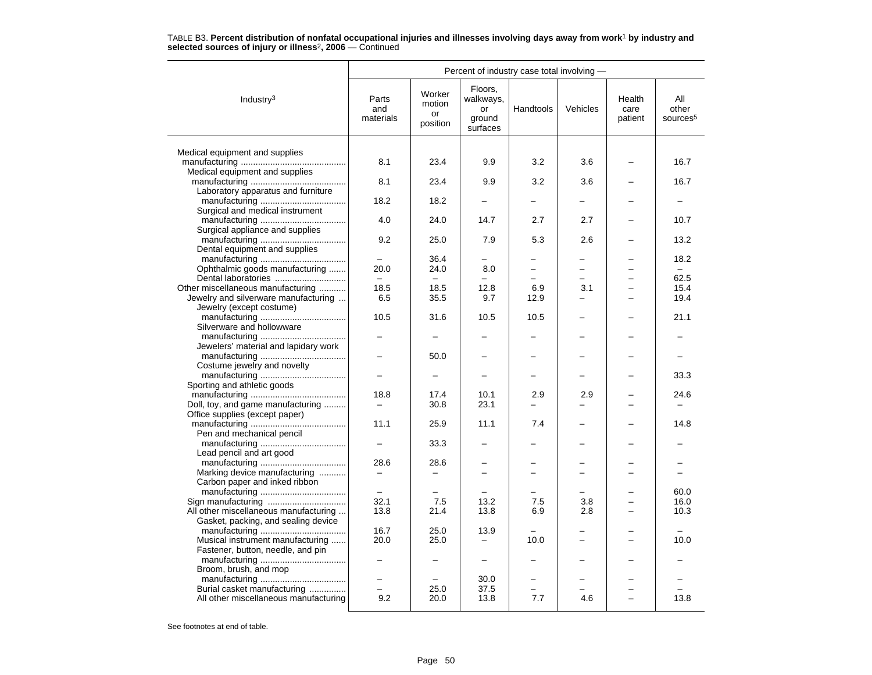|                                       | Percent of industry case total involving - |                                    |                                                  |                          |                          |                           |                                      |  |  |
|---------------------------------------|--------------------------------------------|------------------------------------|--------------------------------------------------|--------------------------|--------------------------|---------------------------|--------------------------------------|--|--|
| Industry <sup>3</sup>                 | Parts<br>and<br>materials                  | Worker<br>motion<br>or<br>position | Floors,<br>walkways,<br>or<br>ground<br>surfaces | Handtools                | Vehicles                 | Health<br>care<br>patient | All<br>other<br>sources <sup>5</sup> |  |  |
|                                       |                                            |                                    |                                                  |                          |                          |                           |                                      |  |  |
| Medical equipment and supplies        |                                            |                                    |                                                  |                          |                          |                           |                                      |  |  |
| Medical equipment and supplies        | 8.1                                        | 23.4                               | 9.9                                              | 3.2                      | 3.6                      |                           | 16.7                                 |  |  |
|                                       | 8.1                                        | 23.4                               | 9.9                                              | 3.2                      | 3.6                      |                           | 16.7                                 |  |  |
| Laboratory apparatus and furniture    |                                            |                                    |                                                  |                          |                          |                           |                                      |  |  |
|                                       | 18.2                                       | 18.2                               |                                                  |                          |                          |                           |                                      |  |  |
| Surgical and medical instrument       |                                            |                                    |                                                  |                          |                          |                           |                                      |  |  |
|                                       | 4.0                                        | 24.0                               | 14.7                                             | 2.7                      | 2.7                      |                           | 10.7                                 |  |  |
| Surgical appliance and supplies       |                                            |                                    |                                                  |                          |                          |                           |                                      |  |  |
|                                       | 9.2                                        | 25.0                               | 7.9                                              | 5.3                      | 2.6                      |                           | 13.2                                 |  |  |
| Dental equipment and supplies         |                                            |                                    |                                                  |                          |                          |                           |                                      |  |  |
| Ophthalmic goods manufacturing        | 20.0                                       | 36.4<br>24.0                       | 8.0                                              | $\overline{\phantom{0}}$ | $\overline{\phantom{0}}$ |                           | 18.2<br>$\equiv$                     |  |  |
| Dental laboratories                   |                                            |                                    |                                                  |                          |                          |                           | 62.5                                 |  |  |
| Other miscellaneous manufacturing     | 18.5                                       | 18.5                               | 12.8                                             | 6.9                      | 3.1                      |                           | 15.4                                 |  |  |
| Jewelry and silverware manufacturing  | 6.5                                        | 35.5                               | 9.7                                              | 12.9                     | -                        |                           | 19.4                                 |  |  |
| Jewelry (except costume)              |                                            |                                    |                                                  |                          |                          |                           |                                      |  |  |
|                                       | 10.5                                       | 31.6                               | 10.5                                             | 10.5                     |                          |                           | 21.1                                 |  |  |
| Silverware and hollowware             |                                            |                                    |                                                  |                          |                          |                           |                                      |  |  |
|                                       |                                            |                                    |                                                  |                          |                          |                           |                                      |  |  |
| Jewelers' material and lapidary work  |                                            |                                    |                                                  |                          |                          |                           |                                      |  |  |
|                                       |                                            | 50.0                               |                                                  |                          |                          |                           |                                      |  |  |
| Costume jewelry and novelty           |                                            |                                    |                                                  |                          |                          |                           |                                      |  |  |
|                                       |                                            | $\overline{\phantom{0}}$           |                                                  |                          |                          |                           | 33.3                                 |  |  |
| Sporting and athletic goods           | 18.8                                       | 17.4                               |                                                  | 2.9                      | 2.9                      |                           | 24.6                                 |  |  |
| Doll, toy, and game manufacturing     | —                                          | 30.8                               | 10.1<br>23.1                                     |                          |                          |                           |                                      |  |  |
| Office supplies (except paper)        |                                            |                                    |                                                  |                          |                          |                           |                                      |  |  |
|                                       | 11.1                                       | 25.9                               | 11.1                                             | 7.4                      |                          |                           | 14.8                                 |  |  |
| Pen and mechanical pencil             |                                            |                                    |                                                  |                          |                          |                           |                                      |  |  |
|                                       |                                            | 33.3                               |                                                  |                          |                          |                           |                                      |  |  |
| Lead pencil and art good              |                                            |                                    |                                                  |                          |                          |                           |                                      |  |  |
|                                       | 28.6                                       | 28.6                               |                                                  |                          |                          |                           |                                      |  |  |
| Marking device manufacturing          |                                            | $\overline{\phantom{0}}$           |                                                  |                          |                          |                           |                                      |  |  |
| Carbon paper and inked ribbon         |                                            |                                    |                                                  |                          |                          |                           |                                      |  |  |
|                                       | $\overline{\phantom{0}}$                   | $\overline{\phantom{0}}$           |                                                  | $\equiv$                 |                          |                           | 60.0                                 |  |  |
|                                       | 32.1                                       | 7.5                                | 13.2                                             | 7.5                      | 3.8                      |                           | 16.0                                 |  |  |
| All other miscellaneous manufacturing | 13.8                                       | 21.4                               | 13.8                                             | 6.9                      | 2.8                      |                           | 10.3                                 |  |  |
| Gasket, packing, and sealing device   | 16.7                                       | 25.0                               | 13.9                                             |                          |                          |                           |                                      |  |  |
| Musical instrument manufacturing      | 20.0                                       | 25.0                               | $\overline{\phantom{0}}$                         | 10.0                     |                          |                           | 10.0                                 |  |  |
| Fastener, button, needle, and pin     |                                            |                                    |                                                  |                          |                          |                           |                                      |  |  |
|                                       |                                            |                                    | $\equiv$                                         |                          |                          |                           |                                      |  |  |
| Broom, brush, and mop                 |                                            |                                    |                                                  |                          |                          |                           |                                      |  |  |
|                                       | $\overline{\phantom{0}}$                   |                                    | 30.0                                             | -                        |                          |                           |                                      |  |  |
| Burial casket manufacturing           |                                            | 25.0                               | 37.5                                             | ÷                        |                          |                           |                                      |  |  |
| All other miscellaneous manufacturing | 9.2                                        | 20.0                               | 13.8                                             | 7.7                      | 4.6                      |                           | 13.8                                 |  |  |
|                                       |                                            |                                    |                                                  |                          |                          |                           |                                      |  |  |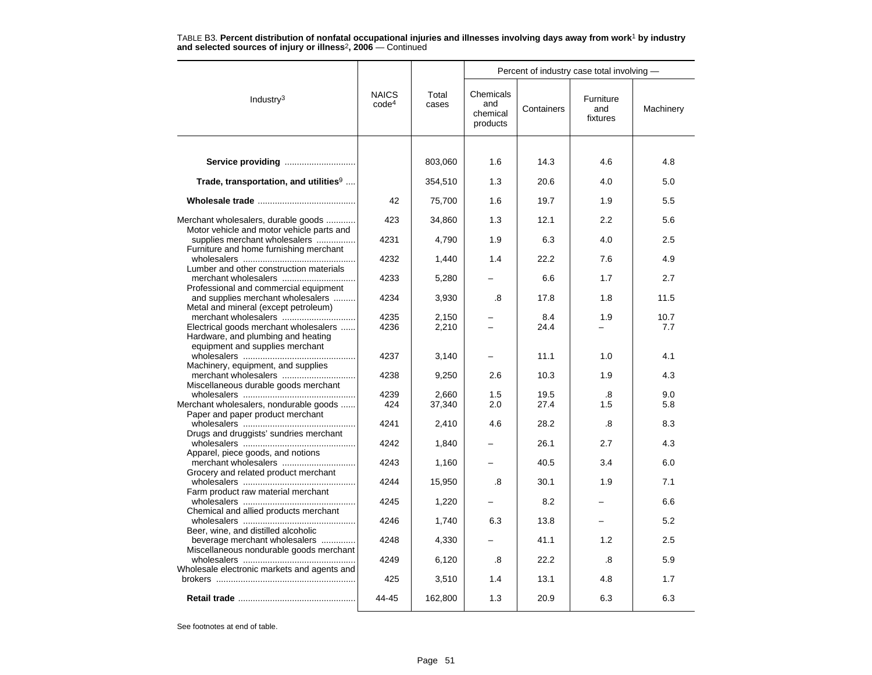|                                                                                  |                                   |                | Percent of industry case total involving - |             |                              |             |  |  |
|----------------------------------------------------------------------------------|-----------------------------------|----------------|--------------------------------------------|-------------|------------------------------|-------------|--|--|
| Industry $3$                                                                     | <b>NAICS</b><br>code <sup>4</sup> | Total<br>cases | Chemicals<br>and<br>chemical<br>products   | Containers  | Furniture<br>and<br>fixtures | Machinery   |  |  |
|                                                                                  |                                   |                |                                            |             |                              |             |  |  |
| Service providing                                                                |                                   | 803,060        | 1.6                                        | 14.3        | 4.6                          | 4.8         |  |  |
| Trade, transportation, and utilities <sup>9</sup>                                |                                   | 354,510        | 1.3                                        | 20.6        | 4.0                          | 5.0         |  |  |
|                                                                                  | 42                                | 75,700         | 1.6                                        | 19.7        | 1.9                          | 5.5         |  |  |
| Merchant wholesalers, durable goods<br>Motor vehicle and motor vehicle parts and | 423                               | 34,860         | 1.3                                        | 12.1        | 2.2                          | 5.6         |  |  |
| supplies merchant wholesalers<br>Furniture and home furnishing merchant          | 4231                              | 4,790          | 1.9                                        | 6.3         | 4.0                          | 2.5         |  |  |
| Lumber and other construction materials                                          | 4232                              | 1.440          | 1.4                                        | 22.2        | 7.6                          | 4.9         |  |  |
| Professional and commercial equipment                                            | 4233                              | 5,280          |                                            | 6.6         | 1.7                          | 2.7         |  |  |
| and supplies merchant wholesalers<br>Metal and mineral (except petroleum)        | 4234                              | 3,930          | .8                                         | 17.8        | 1.8                          | 11.5        |  |  |
| Electrical goods merchant wholesalers<br>Hardware, and plumbing and heating      | 4235<br>4236                      | 2,150<br>2,210 |                                            | 8.4<br>24.4 | 1.9                          | 10.7<br>7.7 |  |  |
| equipment and supplies merchant                                                  | 4237                              | 3,140          |                                            | 11.1        | 1.0                          | 4.1         |  |  |
| Machinery, equipment, and supplies<br>Miscellaneous durable goods merchant       | 4238                              | 9,250          | 2.6                                        | 10.3        | 1.9                          | 4.3         |  |  |
|                                                                                  | 4239                              | 2.660          | 1.5                                        | 19.5        | .8                           | 9.0         |  |  |
| Merchant wholesalers, nondurable goods<br>Paper and paper product merchant       | 424                               | 37,340         | 2.0                                        | 27.4        | 1.5                          | 5.8         |  |  |
| Drugs and druggists' sundries merchant                                           | 4241                              | 2,410          | 4.6                                        | 28.2        | .8                           | 8.3         |  |  |
| Apparel, piece goods, and notions                                                | 4242                              | 1,840          |                                            | 26.1        | 2.7                          | 4.3         |  |  |
| Grocery and related product merchant                                             | 4243                              | 1,160          |                                            | 40.5        | 3.4                          | 6.0         |  |  |
| Farm product raw material merchant                                               | 4244                              | 15,950         | .8                                         | 30.1        | 1.9                          | 7.1         |  |  |
| Chemical and allied products merchant                                            | 4245                              | 1,220          |                                            | 8.2         |                              | 6.6         |  |  |
| Beer, wine, and distilled alcoholic                                              | 4246                              | 1,740          | 6.3                                        | 13.8        |                              | 5.2         |  |  |
| beverage merchant wholesalers<br>Miscellaneous nondurable goods merchant         | 4248                              | 4,330          |                                            | 41.1        | 1.2                          | 2.5         |  |  |
| Wholesale electronic markets and agents and                                      | 4249                              | 6,120          | .8                                         | 22.2        | .8                           | 5.9         |  |  |
|                                                                                  | 425                               | 3,510          | 1.4                                        | 13.1        | 4.8                          | 1.7         |  |  |
|                                                                                  | 44-45                             | 162,800        | 1.3                                        | 20.9        | 6.3                          | 6.3         |  |  |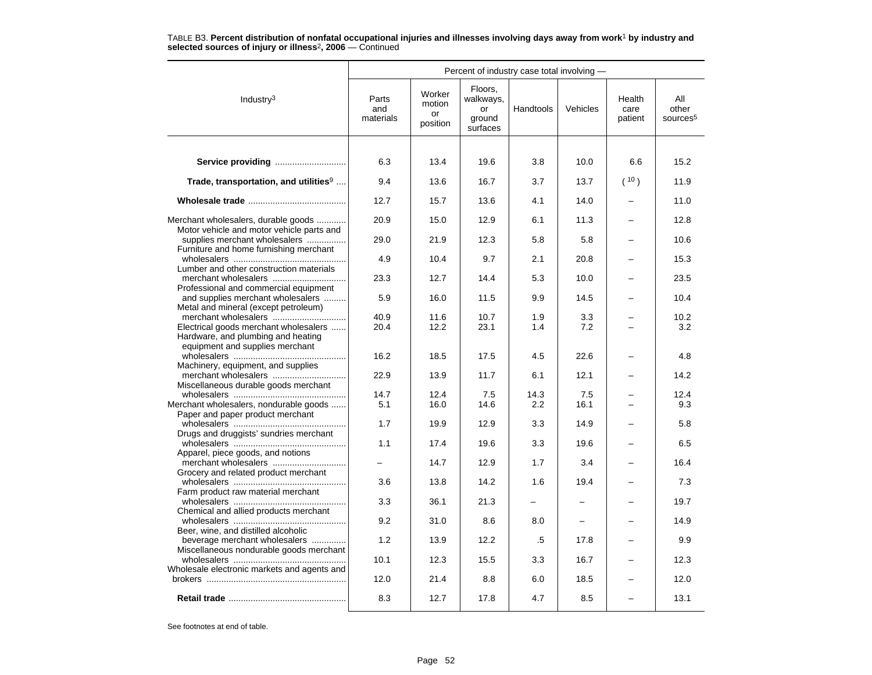|                                                                                  |                           |                                    |                                                  | Percent of industry case total involving - |            |                           |                                      |
|----------------------------------------------------------------------------------|---------------------------|------------------------------------|--------------------------------------------------|--------------------------------------------|------------|---------------------------|--------------------------------------|
| Industry <sup>3</sup>                                                            | Parts<br>and<br>materials | Worker<br>motion<br>or<br>position | Floors.<br>walkways,<br>or<br>ground<br>surfaces | Handtools                                  | Vehicles   | Health<br>care<br>patient | All<br>other<br>sources <sup>5</sup> |
|                                                                                  |                           |                                    |                                                  |                                            |            |                           |                                      |
| Service providing                                                                | 6.3                       | 13.4                               | 19.6                                             | 3.8                                        | 10.0       | 6.6                       | 15.2                                 |
| Trade, transportation, and utilities <sup>9</sup>                                | 9.4                       | 13.6                               | 16.7                                             | 3.7                                        | 13.7       | (10)                      | 11.9                                 |
|                                                                                  | 12.7                      | 15.7                               | 13.6                                             | 4.1                                        | 14.0       |                           | 11.0                                 |
| Merchant wholesalers, durable goods<br>Motor vehicle and motor vehicle parts and | 20.9                      | 15.0                               | 12.9                                             | 6.1                                        | 11.3       |                           | 12.8                                 |
| supplies merchant wholesalers<br>Furniture and home furnishing merchant          | 29.0                      | 21.9                               | 12.3                                             | 5.8                                        | 5.8        |                           | 10.6                                 |
| Lumber and other construction materials                                          | 4.9                       | 10.4                               | 9.7                                              | 2.1                                        | 20.8       |                           | 15.3                                 |
| Professional and commercial equipment                                            | 23.3                      | 12.7                               | 14.4                                             | 5.3                                        | 10.0       |                           | 23.5                                 |
| and supplies merchant wholesalers<br>Metal and mineral (except petroleum)        | 5.9                       | 16.0                               | 11.5                                             | 9.9                                        | 14.5       |                           | 10.4                                 |
| merchant wholesalers<br>Electrical goods merchant wholesalers                    | 40.9<br>20.4              | 11.6<br>12.2                       | 10.7<br>23.1                                     | 1.9<br>1.4                                 | 3.3<br>7.2 |                           | 10.2<br>3.2                          |
| Hardware, and plumbing and heating<br>equipment and supplies merchant            |                           |                                    |                                                  |                                            |            |                           |                                      |
| Machinery, equipment, and supplies                                               | 16.2                      | 18.5                               | 17.5                                             | 4.5                                        | 22.6       |                           | 4.8                                  |
| merchant wholesalers<br>Miscellaneous durable goods merchant                     | 22.9                      | 13.9                               | 11.7                                             | 6.1                                        | 12.1       |                           | 14.2                                 |
|                                                                                  | 14.7                      | 12.4                               | 7.5                                              | 14.3                                       | 7.5        |                           | 12.4                                 |
| Merchant wholesalers, nondurable goods                                           | 5.1                       | 16.0                               | 14.6                                             | $2.2\phantom{0}$                           | 16.1       |                           | 9.3                                  |
| Paper and paper product merchant                                                 |                           |                                    |                                                  |                                            |            |                           |                                      |
| Drugs and druggists' sundries merchant                                           | 1.7                       | 19.9                               | 12.9                                             | 3.3                                        | 14.9       |                           | 5.8                                  |
| Apparel, piece goods, and notions                                                | 1.1                       | 17.4                               | 19.6                                             | 3.3                                        | 19.6       |                           | 6.5                                  |
| merchant wholesalers<br>Grocery and related product merchant                     |                           | 14.7                               | 12.9                                             | 1.7                                        | 3.4        |                           | 16.4                                 |
| Farm product raw material merchant                                               | 3.6                       | 13.8                               | 14.2                                             | 1.6                                        | 19.4       |                           | 7.3                                  |
| Chemical and allied products merchant                                            | 3.3                       | 36.1                               | 21.3                                             |                                            |            |                           | 19.7                                 |
| Beer, wine, and distilled alcoholic                                              | 9.2                       | 31.0                               | 8.6                                              | 8.0                                        |            |                           | 14.9                                 |
| beverage merchant wholesalers<br>Miscellaneous nondurable goods merchant         | 1.2                       | 13.9                               | 12.2                                             | .5                                         | 17.8       |                           | 9.9                                  |
| Wholesale electronic markets and agents and                                      | 10.1                      | 12.3                               | 15.5                                             | 3.3                                        | 16.7       |                           | 12.3                                 |
|                                                                                  | 12.0                      | 21.4                               | 8.8                                              | 6.0                                        | 18.5       |                           | 12.0                                 |
|                                                                                  | 8.3                       | 12.7                               | 17.8                                             | 4.7                                        | 8.5        |                           | 13.1                                 |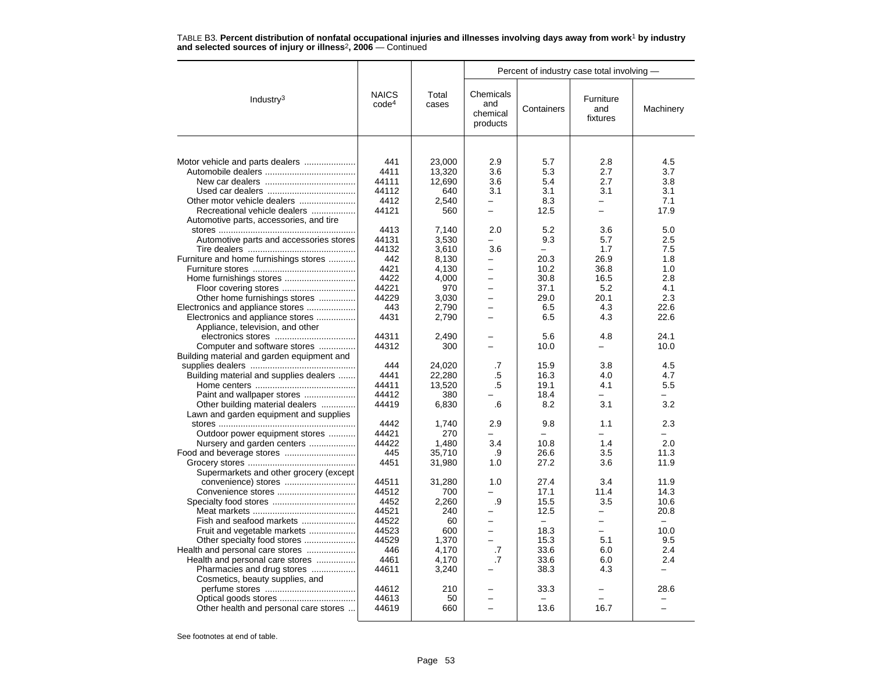|                                                                                  |                                                |                                                   | Percent of industry case total involving -                       |                                         |                                                           |                                         |  |
|----------------------------------------------------------------------------------|------------------------------------------------|---------------------------------------------------|------------------------------------------------------------------|-----------------------------------------|-----------------------------------------------------------|-----------------------------------------|--|
| Industry $3$                                                                     | <b>NAICS</b><br>code <sup>4</sup>              | Total<br>cases                                    | Chemicals<br>and<br>chemical<br>products                         | Containers                              | Furniture<br>and<br>fixtures                              | Machinery                               |  |
|                                                                                  |                                                |                                                   |                                                                  |                                         |                                                           |                                         |  |
| Other motor vehicle dealers<br>Recreational vehicle dealers                      | 441<br>4411<br>44111<br>44112<br>4412<br>44121 | 23,000<br>13,320<br>12,690<br>640<br>2,540<br>560 | 2.9<br>3.6<br>3.6<br>3.1<br>$\overline{\phantom{0}}$<br>$\equiv$ | 5.7<br>5.3<br>5.4<br>3.1<br>8.3<br>12.5 | 2.8<br>2.7<br>2.7<br>3.1<br>$\overline{\phantom{0}}$<br>- | 4.5<br>3.7<br>3.8<br>3.1<br>7.1<br>17.9 |  |
| Automotive parts, accessories, and tire                                          |                                                |                                                   |                                                                  |                                         |                                                           |                                         |  |
| Automotive parts and accessories stores<br>Furniture and home furnishings stores | 4413<br>44131<br>44132<br>442                  | 7,140<br>3,530<br>3,610<br>8,130                  | 2.0<br>3.6<br>-                                                  | 5.2<br>9.3<br>20.3                      | 3.6<br>5.7<br>1.7<br>26.9                                 | 5.0<br>2.5<br>7.5<br>1.8                |  |
|                                                                                  | 4421                                           | 4,130                                             |                                                                  | 10.2                                    | 36.8                                                      | 1.0                                     |  |
|                                                                                  | 4422<br>44221                                  | 4,000<br>970                                      | $\overline{\phantom{0}}$<br>$\overline{\phantom{0}}$             | 30.8<br>37.1                            | 16.5<br>5.2                                               | 2.8<br>4.1                              |  |
| Other home furnishings stores                                                    | 44229                                          | 3,030                                             |                                                                  | 29.0                                    | 20.1                                                      | 2.3                                     |  |
| Electronics and appliance stores<br>Electronics and appliance stores             | 443<br>4431                                    | 2,790<br>2,790                                    | $\overline{\phantom{0}}$<br>-                                    | 6.5<br>6.5                              | 4.3<br>4.3                                                | 22.6<br>22.6                            |  |
| Appliance, television, and other<br>Computer and software stores                 | 44311<br>44312                                 | 2,490<br>300                                      |                                                                  | 5.6<br>10.0                             | 4.8<br>-                                                  | 24.1<br>10.0                            |  |
| Building material and garden equipment and                                       |                                                |                                                   |                                                                  |                                         |                                                           |                                         |  |
| Building material and supplies dealers                                           | 444<br>4441                                    | 24,020<br>22,280                                  | .7<br>.5                                                         | 15.9<br>16.3                            | 3.8<br>4.0                                                | 4.5<br>4.7                              |  |
|                                                                                  | 44411                                          | 13,520                                            | .5                                                               | 19.1                                    | 4.1                                                       | 5.5                                     |  |
| Paint and wallpaper stores                                                       | 44412                                          | 380                                               |                                                                  | 18.4                                    |                                                           |                                         |  |
| Other building material dealers                                                  | 44419                                          | 6,830                                             | .6                                                               | 8.2                                     | 3.1                                                       | 3.2                                     |  |
| Lawn and garden equipment and supplies                                           |                                                |                                                   |                                                                  |                                         |                                                           |                                         |  |
|                                                                                  | 4442                                           | 1,740                                             | 2.9                                                              | 9.8                                     | 1.1                                                       | 2.3                                     |  |
| Outdoor power equipment stores                                                   | 44421                                          | 270                                               |                                                                  |                                         |                                                           |                                         |  |
| Nursery and garden centers                                                       | 44422<br>445                                   | 1,480<br>35,710                                   | 3.4<br>.9                                                        | 10.8<br>26.6                            | 1.4<br>3.5                                                | 2.0<br>11.3                             |  |
|                                                                                  | 4451                                           | 31,980                                            | 1.0                                                              | 27.2                                    | 3.6                                                       | 11.9                                    |  |
| Supermarkets and other grocery (except                                           |                                                |                                                   |                                                                  |                                         |                                                           |                                         |  |
|                                                                                  | 44511                                          | 31,280                                            | 1.0                                                              | 27.4                                    | 3.4                                                       | 11.9                                    |  |
| Convenience stores                                                               | 44512                                          | 700                                               |                                                                  | 17.1                                    | 11.4                                                      | 14.3                                    |  |
|                                                                                  | 4452                                           | 2,260                                             | .9                                                               | 15.5                                    | 3.5                                                       | 10.6                                    |  |
|                                                                                  | 44521                                          | 240                                               | $\overline{\phantom{0}}$                                         | 12.5                                    | -                                                         | 20.8                                    |  |
| Fish and seafood markets                                                         | 44522                                          | 60                                                | $\overline{\phantom{0}}$                                         | $\overline{\phantom{m}}$                | ÷                                                         | $\overline{\phantom{m}}$                |  |
| Fruit and vegetable markets<br>Other specialty food stores                       | 44523<br>44529                                 | 600<br>1,370                                      | $\overline{\phantom{0}}$                                         | 18.3<br>15.3                            | 5.1                                                       | 10.0<br>9.5                             |  |
| Health and personal care stores                                                  | 446                                            | 4,170                                             | .7                                                               | 33.6                                    | 6.0                                                       | 2.4                                     |  |
| Health and personal care stores                                                  | 4461                                           | 4,170                                             | $\cdot$ 7                                                        | 33.6                                    | 6.0                                                       | 2.4                                     |  |
| Pharmacies and drug stores                                                       | 44611                                          | 3,240                                             |                                                                  | 38.3                                    | 4.3                                                       |                                         |  |
| Cosmetics, beauty supplies, and                                                  |                                                |                                                   |                                                                  |                                         |                                                           |                                         |  |
|                                                                                  | 44612                                          | 210                                               |                                                                  | 33.3                                    |                                                           | 28.6                                    |  |
|                                                                                  | 44613                                          | 50                                                |                                                                  |                                         |                                                           |                                         |  |
| Other health and personal care stores                                            | 44619                                          | 660                                               |                                                                  | 13.6                                    | 16.7                                                      |                                         |  |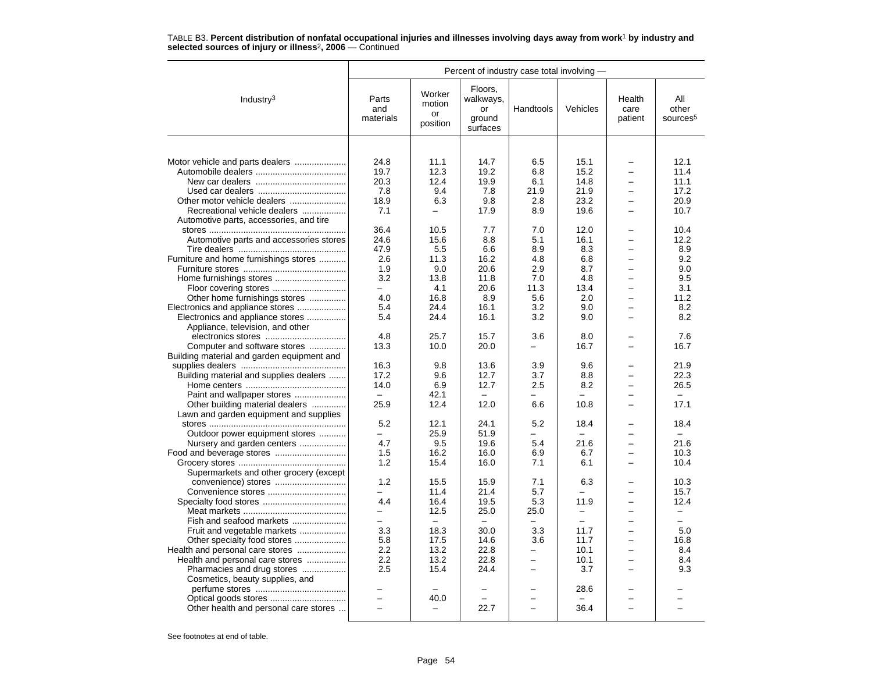|                                                                      | Percent of industry case total involving - |                                    |                                                  |                          |                          |                                      |                                      |  |  |
|----------------------------------------------------------------------|--------------------------------------------|------------------------------------|--------------------------------------------------|--------------------------|--------------------------|--------------------------------------|--------------------------------------|--|--|
| Industry <sup>3</sup>                                                | Parts<br>and<br>materials                  | Worker<br>motion<br>or<br>position | Floors,<br>walkways,<br>or<br>ground<br>surfaces | Handtools                | Vehicles                 | Health<br>care<br>patient            | All<br>other<br>sources <sup>5</sup> |  |  |
|                                                                      |                                            |                                    |                                                  |                          |                          |                                      |                                      |  |  |
| Motor vehicle and parts dealers                                      | 24.8                                       | 11.1                               | 14.7                                             | 6.5                      | 15.1                     |                                      | 12.1                                 |  |  |
|                                                                      | 19.7                                       | 12.3                               | 19.2                                             | 6.8                      | 15.2                     | $\overline{\phantom{0}}$             | 11.4                                 |  |  |
|                                                                      | 20.3                                       | 12.4                               | 19.9                                             | 6.1                      | 14.8                     |                                      | 11.1                                 |  |  |
|                                                                      | 7.8                                        | 9.4                                | 7.8                                              | 21.9                     | 21.9                     | -                                    | 17.2                                 |  |  |
|                                                                      | 18.9                                       | 6.3                                | 9.8                                              | 2.8                      | 23.2                     | $\overline{\phantom{0}}$             | 20.9                                 |  |  |
| Recreational vehicle dealers                                         | 7.1                                        |                                    | 17.9                                             | 8.9                      | 19.6                     | $\overline{a}$                       | 10.7                                 |  |  |
| Automotive parts, accessories, and tire                              |                                            |                                    |                                                  |                          |                          |                                      |                                      |  |  |
|                                                                      | 36.4                                       | 10.5                               | 7.7                                              | 7.0                      | 12.0                     |                                      | 10.4                                 |  |  |
| Automotive parts and accessories stores                              | 24.6                                       | 15.6                               | 8.8                                              | 5.1                      | 16.1                     |                                      | 12.2                                 |  |  |
|                                                                      | 47.9                                       | 5.5                                | 6.6                                              | 8.9                      | 8.3                      | -                                    | 8.9                                  |  |  |
| Furniture and home furnishings stores                                | 2.6                                        | 11.3                               | 16.2                                             | 4.8                      | 6.8                      | $\overline{\phantom{0}}$             | 9.2                                  |  |  |
|                                                                      | 1.9                                        | 9.0                                | 20.6                                             | 2.9                      | 8.7                      | $\overline{\phantom{0}}$<br>$\equiv$ | 9.0                                  |  |  |
| Home furnishings stores                                              | 3.2                                        | 13.8                               | 11.8                                             | 7.0                      | 4.8                      |                                      | 9.5                                  |  |  |
|                                                                      | -<br>4.0                                   | 4.1<br>16.8                        | 20.6<br>8.9                                      | 11.3<br>5.6              | 13.4<br>2.0              | -                                    | 3.1<br>11.2                          |  |  |
| Other home furnishings stores                                        | 5.4                                        | 24.4                               | 16.1                                             |                          | 9.0                      | $\overline{\phantom{0}}$             | 8.2                                  |  |  |
| Electronics and appliance stores<br>Electronics and appliance stores | 5.4                                        | 24.4                               | 16.1                                             | 3.2<br>3.2               | 9.0                      | $\overline{\phantom{0}}$             | 8.2                                  |  |  |
| Appliance, television, and other                                     |                                            |                                    |                                                  |                          |                          |                                      |                                      |  |  |
|                                                                      | 4.8                                        | 25.7                               | 15.7                                             | 3.6                      | 8.0                      | $\overline{\phantom{0}}$             | 7.6                                  |  |  |
| Computer and software stores                                         | 13.3                                       | 10.0                               | 20.0                                             |                          | 16.7                     |                                      | 16.7                                 |  |  |
| Building material and garden equipment and                           |                                            |                                    |                                                  |                          |                          |                                      |                                      |  |  |
|                                                                      | 16.3                                       | 9.8                                | 13.6                                             | 3.9                      | 9.6                      | -                                    | 21.9                                 |  |  |
| Building material and supplies dealers                               | 17.2                                       | 9.6                                | 12.7                                             | 3.7                      | 8.8                      | $\overline{\phantom{0}}$             | 22.3                                 |  |  |
|                                                                      | 14.0                                       | 6.9                                | 12.7                                             | 2.5                      | 8.2                      | $\overline{\phantom{0}}$             | 26.5                                 |  |  |
| Paint and wallpaper stores                                           | $-$                                        | 42.1                               | $\overline{\phantom{0}}$                         |                          | $\overline{\phantom{0}}$ |                                      |                                      |  |  |
| Other building material dealers                                      | 25.9                                       | 12.4                               | 12.0                                             | 6.6                      | 10.8                     | $\overline{\phantom{0}}$             | 17.1                                 |  |  |
| Lawn and garden equipment and supplies                               |                                            |                                    |                                                  |                          |                          |                                      |                                      |  |  |
|                                                                      | 5.2                                        | 12.1                               | 24.1                                             | 5.2                      | 18.4                     |                                      | 18.4                                 |  |  |
| Outdoor power equipment stores                                       | -                                          | 25.9                               | 51.9                                             | -                        | $\overline{\phantom{0}}$ | $\overline{\phantom{0}}$             | $\equiv$                             |  |  |
| Nursery and garden centers                                           | 4.7                                        | 9.5                                | 19.6                                             | 5.4                      | 21.6                     | $\equiv$                             | 21.6                                 |  |  |
| Food and beverage stores                                             | 1.5                                        | 16.2                               | 16.0                                             | 6.9                      | 6.7                      | $\overline{\phantom{0}}$             | 10.3                                 |  |  |
|                                                                      | 1.2                                        | 15.4                               | 16.0                                             | 7.1                      | 6.1                      | $\overline{\phantom{0}}$             | 10.4                                 |  |  |
| Supermarkets and other grocery (except                               |                                            |                                    |                                                  |                          |                          |                                      |                                      |  |  |
| convenience) stores                                                  | 1.2                                        | 15.5                               | 15.9                                             | 7.1                      | 6.3                      | -                                    | 10.3                                 |  |  |
| Convenience stores                                                   |                                            | 11.4                               | 21.4                                             | 5.7                      |                          |                                      | 15.7                                 |  |  |
|                                                                      | 4.4                                        | 16.4                               | 19.5                                             | 5.3                      | 11.9                     | -                                    | 12.4                                 |  |  |
|                                                                      |                                            | 12.5                               | 25.0                                             | 25.0                     | $\overline{\phantom{0}}$ | $\overline{\phantom{0}}$             |                                      |  |  |
| Fish and seafood markets                                             | $\overline{\phantom{0}}$                   |                                    | $\sim$                                           |                          | $\equiv$                 | $\overline{\phantom{0}}$             | $\equiv$                             |  |  |
| Fruit and vegetable markets                                          | 3.3                                        | 18.3                               | 30.0                                             | 3.3                      | 11.7                     | $\overline{\phantom{0}}$             | 5.0                                  |  |  |
| Other specialty food stores                                          | 5.8                                        | 17.5                               | 14.6                                             | 3.6                      | 11.7                     | $\equiv$                             | 16.8                                 |  |  |
| Health and personal care stores                                      | 2.2                                        | 13.2                               | 22.8                                             | $\overline{\phantom{0}}$ | 10.1                     | $\overline{\phantom{0}}$             | 8.4                                  |  |  |
| Health and personal care stores                                      | 2.2                                        | 13.2                               | 22.8                                             |                          | 10.1                     | $\overline{\phantom{0}}$             | 8.4                                  |  |  |
| Pharmacies and drug stores                                           | 2.5                                        | 15.4                               | 24.4                                             |                          | 3.7                      |                                      | 9.3                                  |  |  |
| Cosmetics, beauty supplies, and                                      |                                            |                                    |                                                  |                          |                          |                                      |                                      |  |  |
|                                                                      |                                            |                                    |                                                  |                          | 28.6                     |                                      |                                      |  |  |
|                                                                      | $\overline{\phantom{0}}$                   | 40.0                               |                                                  |                          | $\overline{\phantom{0}}$ |                                      |                                      |  |  |
| Other health and personal care stores                                |                                            |                                    | 22.7                                             |                          | 36.4                     |                                      |                                      |  |  |
|                                                                      |                                            |                                    |                                                  |                          |                          |                                      |                                      |  |  |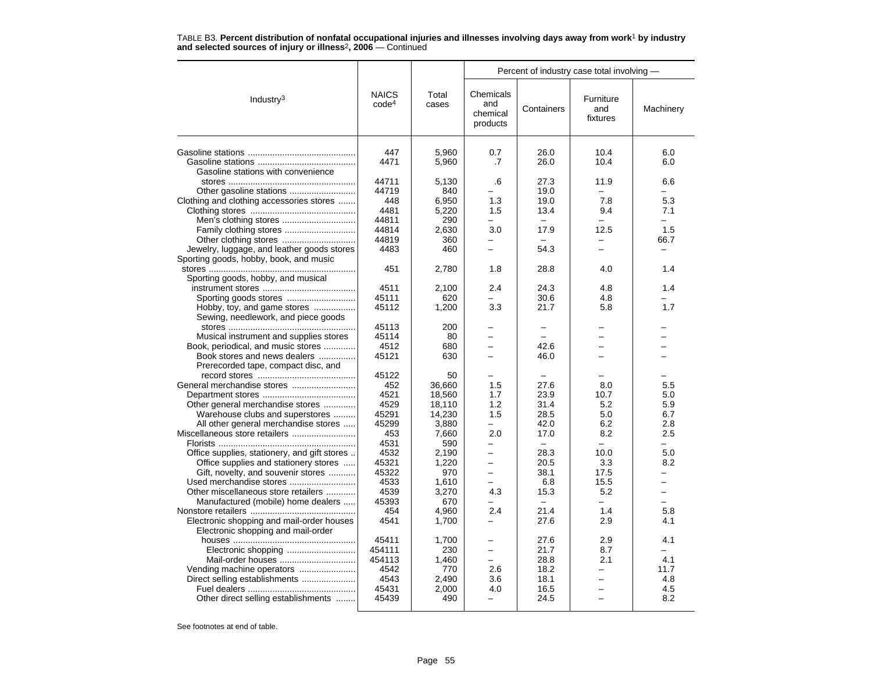|                                              |                                   |                | Percent of industry case total involving - |                                  |                              |                          |  |
|----------------------------------------------|-----------------------------------|----------------|--------------------------------------------|----------------------------------|------------------------------|--------------------------|--|
| Industry <sup>3</sup>                        | <b>NAICS</b><br>code <sup>4</sup> | Total<br>cases | Chemicals<br>and<br>chemical<br>products   | Containers                       | Furniture<br>and<br>fixtures | Machinery                |  |
|                                              | 447                               | 5,960          | 0.7                                        | 26.0                             | 10.4                         | 6.0                      |  |
|                                              | 4471                              | 5,960          | .7                                         | 26.0                             | 10.4                         | 6.0                      |  |
| Gasoline stations with convenience           |                                   |                |                                            |                                  |                              |                          |  |
|                                              | 44711                             | 5,130          | .6                                         | 27.3                             | 11.9                         | 6.6                      |  |
| Other gasoline stations                      | 44719                             | 840            |                                            | 19.0                             | $\overline{\phantom{0}}$     | $\equiv$                 |  |
| Clothing and clothing accessories stores     | 448                               | 6,950          | 1.3                                        | 19.0                             | 7.8                          | 5.3                      |  |
|                                              | 4481                              | 5,220          | 1.5                                        | 13.4                             | 9.4                          | 7.1                      |  |
|                                              | 44811                             | 290            |                                            | $\overline{\phantom{m}}$         | $\overline{\phantom{0}}$     |                          |  |
| Family clothing stores                       | 44814                             | 2.630          | 3.0                                        | 17.9                             | 12.5                         | 1.5                      |  |
|                                              | 44819                             | 360            | $\overline{\phantom{0}}$                   |                                  |                              | 66.7                     |  |
| Jewelry, luggage, and leather goods stores   | 4483                              | 460            | $\overline{\phantom{0}}$                   | 54.3                             |                              |                          |  |
| Sporting goods, hobby, book, and music       |                                   |                |                                            |                                  |                              |                          |  |
|                                              | 451                               | 2.780          | 1.8                                        | 28.8                             | 4.0                          | 1.4                      |  |
| Sporting goods, hobby, and musical           |                                   |                |                                            |                                  |                              |                          |  |
|                                              | 4511                              | 2,100          | 2.4                                        | 24.3                             | 4.8                          | 1.4                      |  |
|                                              | 45111                             | 620            |                                            | 30.6                             | 4.8                          |                          |  |
| Hobby, toy, and game stores                  | 45112                             | 1,200          | 3.3                                        | 21.7                             | 5.8                          | 1.7                      |  |
| Sewing, needlework, and piece goods          |                                   |                |                                            |                                  |                              |                          |  |
|                                              | 45113                             | 200            | -                                          | $\overline{\phantom{0}}$         |                              |                          |  |
| Musical instrument and supplies stores       | 45114                             | 80             |                                            | $\overline{\phantom{0}}$         |                              |                          |  |
| Book, periodical, and music stores           | 4512                              | 680            |                                            | 42.6                             |                              |                          |  |
| Book stores and news dealers                 | 45121                             | 630            | -                                          | 46.0                             |                              |                          |  |
| Prerecorded tape, compact disc, and          |                                   |                |                                            |                                  |                              |                          |  |
|                                              | 45122                             | 50             |                                            |                                  |                              |                          |  |
|                                              | 452                               | 36,660         | 1.5                                        | 27.6                             | 8.0                          | 5.5                      |  |
|                                              | 4521                              | 18,560         | 1.7                                        | 23.9                             | 10.7                         | 5.0                      |  |
| Other general merchandise stores             | 4529                              | 18,110         | 1.2                                        | 31.4                             | 5.2                          | 5.9                      |  |
| Warehouse clubs and superstores              | 45291                             | 14,230         | 1.5                                        | 28.5                             | 5.0                          | 6.7                      |  |
| All other general merchandise stores         | 45299                             | 3,880          | $\overline{\phantom{0}}$                   | 42.0                             | 6.2                          | 2.8                      |  |
| Miscellaneous store retailers                | 453                               | 7,660          | 2.0                                        | 17.0                             | 8.2                          | 2.5                      |  |
|                                              | 4531                              | 590            |                                            |                                  |                              |                          |  |
| Office supplies, stationery, and gift stores | 4532                              | 2.190          | $\equiv$                                   | 28.3                             | 10.0                         | 5.0                      |  |
| Office supplies and stationery stores        | 45321                             | 1,220          | $\overline{\phantom{0}}$                   | 20.5                             | 3.3                          | 8.2                      |  |
| Gift, novelty, and souvenir stores           | 45322                             | 970            |                                            | 38.1                             | 17.5                         |                          |  |
| Used merchandise stores                      | 4533<br>4539                      | 1,610          | -                                          | 6.8                              | 15.5                         | $\overline{\phantom{0}}$ |  |
| Other miscellaneous store retailers          | 45393                             | 3,270<br>670   | 4.3                                        | 15.3<br>$\overline{\phantom{0}}$ | 5.2                          | $\overline{\phantom{0}}$ |  |
| Manufactured (mobile) home dealers           | 454                               | 4.960          | 2.4                                        | 21.4                             | 1.4                          | 5.8                      |  |
| Electronic shopping and mail-order houses    | 4541                              | 1,700          | $\overline{\phantom{0}}$                   | 27.6                             | 2.9                          | 4.1                      |  |
| Electronic shopping and mail-order           |                                   |                |                                            |                                  |                              |                          |  |
|                                              | 45411                             | 1,700          |                                            | 27.6                             | 2.9                          | 4.1                      |  |
|                                              | 454111                            | 230            | $\overline{\phantom{0}}$                   | 21.7                             | 8.7                          |                          |  |
| Mail-order houses                            | 454113                            | 1,460          |                                            | 28.8                             | 2.1                          | 4.1                      |  |
| Vending machine operators                    | 4542                              | 770            | 2.6                                        | 18.2                             | $\overline{\phantom{0}}$     | 11.7                     |  |
| Direct selling establishments                | 4543                              | 2,490          | 3.6                                        | 18.1                             | $\equiv$                     | 4.8                      |  |
|                                              | 45431                             | 2,000          | 4.0                                        | 16.5                             |                              | 4.5                      |  |
| Other direct selling establishments          | 45439                             | 490            | $\equiv$                                   | 24.5                             |                              | 8.2                      |  |
|                                              |                                   |                |                                            |                                  |                              |                          |  |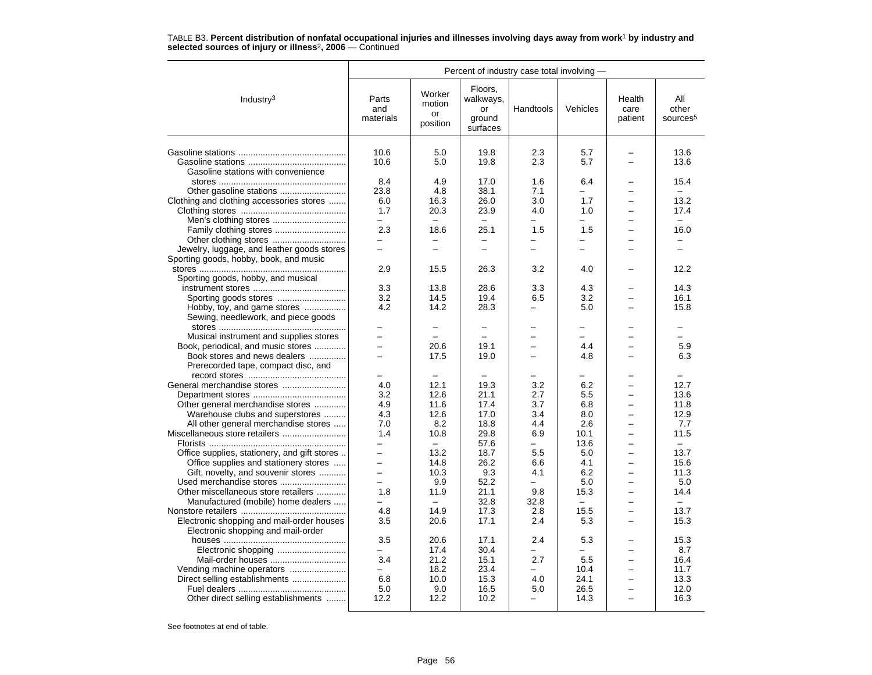|                                                                                      | Percent of industry case total involving - |                                    |                                                  |                          |                          |                           |                                      |  |
|--------------------------------------------------------------------------------------|--------------------------------------------|------------------------------------|--------------------------------------------------|--------------------------|--------------------------|---------------------------|--------------------------------------|--|
| Industry <sup>3</sup>                                                                | Parts<br>and<br>materials                  | Worker<br>motion<br>or<br>position | Floors,<br>walkways,<br>or<br>ground<br>surfaces | Handtools                | Vehicles                 | Health<br>care<br>patient | All<br>other<br>sources <sup>5</sup> |  |
|                                                                                      | 10.6                                       | 5.0                                | 19.8                                             | 2.3                      | 5.7                      |                           | 13.6                                 |  |
|                                                                                      |                                            |                                    |                                                  |                          |                          | $\overline{\phantom{0}}$  |                                      |  |
|                                                                                      | 10.6                                       | 5.0                                | 19.8                                             | 2.3                      | 5.7                      |                           | 13.6                                 |  |
| Gasoline stations with convenience                                                   |                                            |                                    |                                                  |                          |                          |                           |                                      |  |
|                                                                                      | 8.4<br>23.8                                | 4.9<br>4.8                         | 17.0<br>38.1                                     | 1.6<br>7.1               | 6.4<br>$\equiv$          | $\equiv$                  | 15.4<br>$\equiv$                     |  |
|                                                                                      | 6.0                                        | 16.3                               | 26.0                                             | 3.0                      | 1.7                      |                           | 13.2                                 |  |
| Clothing and clothing accessories stores                                             | 1.7                                        | 20.3                               | 23.9                                             | 4.0                      | 1.0                      |                           | 17.4                                 |  |
|                                                                                      | $\equiv$                                   | $\equiv$                           | $\equiv$                                         |                          | $\equiv$                 | -                         | $\equiv$                             |  |
|                                                                                      | 2.3                                        | 18.6                               | 25.1                                             | 1.5                      | 1.5                      |                           | 16.0                                 |  |
|                                                                                      | $\equiv$                                   | $\equiv$                           | $\equiv$                                         | $\overline{\phantom{0}}$ | $\equiv$                 |                           | $\equiv$                             |  |
|                                                                                      | $\overline{\phantom{0}}$                   | $\overline{\phantom{0}}$           | $\overline{\phantom{0}}$                         | $\overline{\phantom{0}}$ | $\overline{\phantom{0}}$ |                           | $\equiv$                             |  |
| Jewelry, luggage, and leather goods stores<br>Sporting goods, hobby, book, and music |                                            |                                    |                                                  |                          |                          |                           |                                      |  |
|                                                                                      | 2.9                                        | 15.5                               | 26.3                                             | 3.2                      | 4.0                      |                           | 12.2                                 |  |
| Sporting goods, hobby, and musical                                                   |                                            |                                    |                                                  |                          |                          |                           |                                      |  |
|                                                                                      | 3.3                                        | 13.8                               | 28.6                                             | 3.3                      | 4.3                      |                           | 14.3                                 |  |
|                                                                                      | 3.2                                        | 14.5                               | 19.4                                             | 6.5                      | 3.2                      |                           | 16.1                                 |  |
| Hobby, toy, and game stores                                                          | 4.2                                        | 14.2                               | 28.3                                             |                          | 5.0                      |                           | 15.8                                 |  |
| Sewing, needlework, and piece goods                                                  |                                            |                                    |                                                  |                          |                          |                           |                                      |  |
|                                                                                      |                                            |                                    |                                                  |                          | $\overline{\phantom{0}}$ |                           |                                      |  |
| Musical instrument and supplies stores                                               | $\equiv$                                   | 20.6                               | 19.1                                             |                          | 4.4                      |                           | 5.9                                  |  |
| Book, periodical, and music stores<br>Book stores and news dealers                   | $\equiv$                                   | 17.5                               | 19.0                                             | ÷                        | 4.8                      | $\equiv$                  | 6.3                                  |  |
| Prerecorded tape, compact disc, and                                                  |                                            |                                    |                                                  |                          |                          |                           |                                      |  |
|                                                                                      |                                            | $\overline{\phantom{0}}$           |                                                  |                          |                          |                           |                                      |  |
| General merchandise stores                                                           | 4.0                                        | 12.1                               | 19.3                                             | 3.2                      | 6.2                      |                           | 12.7                                 |  |
|                                                                                      | 3.2                                        | 12.6                               | 21.1                                             | 2.7                      | 5.5                      |                           | 13.6                                 |  |
| Other general merchandise stores                                                     | 4.9                                        | 11.6                               | 17.4                                             | 3.7                      | 6.8                      |                           | 11.8                                 |  |
| Warehouse clubs and superstores                                                      | 4.3                                        | 12.6                               | 17.0                                             | 3.4                      | 8.0                      | $\overline{\phantom{0}}$  | 12.9                                 |  |
| All other general merchandise stores                                                 | 7.0                                        | 8.2                                | 18.8                                             | 4.4                      | 2.6                      |                           | 7.7                                  |  |
| Miscellaneous store retailers                                                        | 1.4                                        | 10.8                               | 29.8                                             | 6.9                      | 10.1                     |                           | 11.5                                 |  |
|                                                                                      | -                                          | $\overline{\phantom{0}}$           | 57.6                                             | $\overline{\phantom{0}}$ | 13.6                     | $\equiv$                  | $\equiv$                             |  |
| Office supplies, stationery, and gift stores                                         |                                            | 13.2                               | 18.7                                             | 5.5                      | 5.0                      |                           | 13.7                                 |  |
| Office supplies and stationery stores                                                |                                            | 14.8                               | 26.2                                             | 6.6                      | 4.1                      |                           | 15.6                                 |  |
| Gift, novelty, and souvenir stores                                                   | $\overline{\phantom{0}}$                   | 10.3                               | 9.3                                              | 4.1                      | 6.2                      | $\overline{\phantom{0}}$  | 11.3                                 |  |
| Used merchandise stores                                                              |                                            | 9.9                                | 52.2                                             | $\equiv$                 | 5.0                      |                           | 5.0                                  |  |
| Other miscellaneous store retailers                                                  | 1.8                                        | 11.9                               | 21.1                                             | 9.8                      | 15.3                     |                           | 14.4                                 |  |
| Manufactured (mobile) home dealers                                                   | $\overline{\phantom{0}}$                   | $-$                                | 32.8                                             | 32.8                     | $\overline{\phantom{0}}$ | $\overline{\phantom{0}}$  | $\overline{\phantom{0}}$             |  |
|                                                                                      | 4.8                                        | 14.9                               | 17.3                                             | 2.8                      | 15.5                     |                           | 13.7                                 |  |
| Electronic shopping and mail-order houses                                            | 3.5                                        | 20.6                               | 17.1                                             | 2.4                      | 5.3                      |                           | 15.3                                 |  |
| Electronic shopping and mail-order                                                   |                                            |                                    |                                                  |                          |                          |                           |                                      |  |
|                                                                                      | 3.5                                        | 20.6                               | 17.1                                             | 2.4                      | 5.3                      |                           | 15.3                                 |  |
| Electronic shopping                                                                  | -                                          | 17.4                               | 30.4                                             | $\overline{\phantom{0}}$ | $\overline{\phantom{0}}$ |                           | 8.7                                  |  |
| Mail-order houses                                                                    | 3.4                                        | 21.2                               | 15.1                                             | 2.7                      | 5.5                      |                           | 16.4                                 |  |
| Vending machine operators                                                            | ÷                                          | 18.2                               | 23.4                                             | ۰.                       | 10.4                     | $\equiv$                  | 11.7                                 |  |
| Direct selling establishments                                                        | 6.8                                        | 10.0                               | 15.3                                             | 4.0                      | 24.1                     |                           | 13.3                                 |  |
|                                                                                      | 5.0                                        | 9.0                                | 16.5                                             | 5.0                      | 26.5                     |                           | 12.0                                 |  |
| Other direct selling establishments                                                  | 12.2                                       | 12.2                               | 10.2                                             | $\overline{\phantom{0}}$ | 14.3                     | $\equiv$                  | 16.3                                 |  |
|                                                                                      |                                            |                                    |                                                  |                          |                          |                           |                                      |  |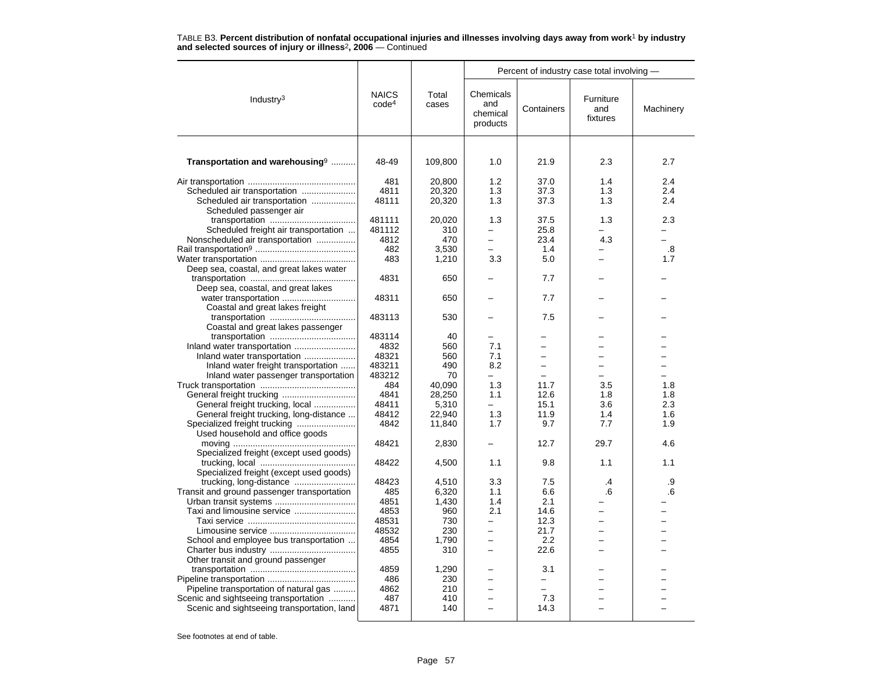|                                             |                                   |                |                                          | Percent of industry case total involving - |                              |                          |
|---------------------------------------------|-----------------------------------|----------------|------------------------------------------|--------------------------------------------|------------------------------|--------------------------|
| Industry <sup>3</sup>                       | <b>NAICS</b><br>code <sup>4</sup> | Total<br>cases | Chemicals<br>and<br>chemical<br>products | Containers                                 | Furniture<br>and<br>fixtures | Machinery                |
| Transportation and warehousing <sup>9</sup> | 48-49                             | 109,800        | 1.0                                      | 21.9                                       | 2.3                          | 2.7                      |
|                                             | 481                               | 20,800         | 1.2                                      | 37.0                                       | 1.4                          | 2.4                      |
|                                             | 4811                              | 20,320         | 1.3                                      | 37.3                                       | 1.3                          | 2.4                      |
| Scheduled air transportation                | 48111                             | 20,320         | 1.3                                      | 37.3                                       | 1.3                          | 2.4                      |
| Scheduled passenger air                     |                                   |                |                                          |                                            |                              |                          |
|                                             | 481111                            | 20,020         | 1.3                                      | 37.5                                       | 1.3                          | 2.3                      |
| Scheduled freight air transportation        | 481112                            | 310            |                                          | 25.8                                       |                              |                          |
| Nonscheduled air transportation             | 4812                              | 470            | $\overline{\phantom{0}}$                 | 23.4                                       | 4.3                          | $\overline{\phantom{0}}$ |
|                                             | 482                               | 3,530          |                                          | 1.4                                        |                              | $\boldsymbol{.8}$        |
|                                             | 483                               | 1,210          | 3.3                                      | 5.0                                        |                              | 1.7                      |
| Deep sea, coastal, and great lakes water    |                                   |                |                                          |                                            |                              |                          |
|                                             | 4831                              | 650            |                                          | 7.7                                        |                              |                          |
| Deep sea, coastal, and great lakes          |                                   |                |                                          |                                            |                              |                          |
|                                             | 48311                             | 650            |                                          | 7.7                                        |                              |                          |
| Coastal and great lakes freight             |                                   |                |                                          |                                            |                              |                          |
|                                             | 483113                            | 530            |                                          | 7.5                                        |                              |                          |
| Coastal and great lakes passenger           |                                   |                |                                          |                                            |                              |                          |
|                                             | 483114                            | 40             | $\equiv$                                 |                                            |                              |                          |
| Inland water transportation                 | 4832                              | 560            | 7.1                                      |                                            |                              |                          |
| Inland water transportation                 | 48321                             | 560            | 7.1                                      |                                            |                              |                          |
| Inland water freight transportation         | 483211                            | 490            | 8.2                                      |                                            |                              |                          |
| Inland water passenger transportation       | 483212                            | 70             | $\overline{\phantom{0}}$                 |                                            |                              |                          |
|                                             | 484                               | 40.090         | 1.3                                      | 11.7                                       | 3.5                          | 1.8                      |
|                                             | 4841                              | 28,250         | 1.1                                      | 12.6                                       | 1.8                          | 1.8                      |
| General freight trucking, local             | 48411                             | 5,310          | $\equiv$                                 | 15.1                                       | 3.6                          | 2.3                      |
| General freight trucking, long-distance     | 48412                             | 22,940         | 1.3                                      | 11.9                                       | 1.4                          | 1.6                      |
|                                             | 4842                              | 11,840         | 1.7                                      | 9.7                                        | 7.7                          | 1.9                      |
| Used household and office goods             | 48421                             |                |                                          | 12.7                                       | 29.7                         | 4.6                      |
|                                             |                                   | 2,830          |                                          |                                            |                              |                          |
| Specialized freight (except used goods)     | 48422                             | 4,500          | 1.1                                      | 9.8                                        | 1.1                          | 1.1                      |
| Specialized freight (except used goods)     |                                   |                |                                          |                                            |                              |                          |
|                                             | 48423                             | 4,510          | 3.3                                      | 7.5                                        | .4                           | .9                       |
| Transit and ground passenger transportation | 485                               | 6,320          | 1.1                                      | 6.6                                        | .6                           | .6                       |
|                                             | 4851                              | 1,430          | 1.4                                      | 2.1                                        |                              |                          |
| Taxi and limousine service                  | 4853                              | 960            | 2.1                                      | 14.6                                       |                              |                          |
|                                             | 48531                             | 730            | $\equiv$                                 | 12.3                                       |                              |                          |
|                                             | 48532                             | 230            | $\overline{\phantom{0}}$                 | 21.7                                       |                              |                          |
| School and employee bus transportation      | 4854                              | 1.790          | $\overline{\phantom{0}}$                 | 2.2                                        |                              |                          |
|                                             | 4855                              | 310            | $\overline{a}$                           | 22.6                                       |                              |                          |
| Other transit and ground passenger          |                                   |                |                                          |                                            |                              |                          |
|                                             | 4859                              | 1,290          |                                          | 3.1                                        |                              |                          |
|                                             | 486                               | 230            | $\overline{\phantom{0}}$                 | -                                          |                              |                          |
| Pipeline transportation of natural gas      | 4862                              | 210            | ÷                                        | ÷                                          |                              |                          |
| Scenic and sightseeing transportation       | 487                               | 410            |                                          | 7.3                                        |                              |                          |
| Scenic and sightseeing transportation, land | 4871                              | 140            |                                          | 14.3                                       |                              |                          |
|                                             |                                   |                |                                          |                                            |                              |                          |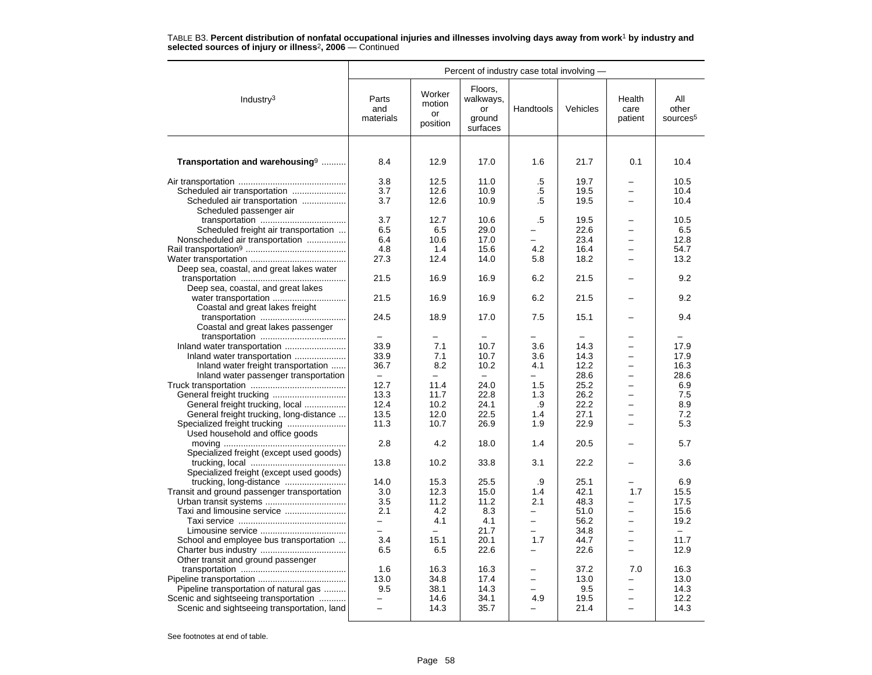|                                                                                 |                           |                                    |                                                  | Percent of industry case total involving - |                      |                           |                                      |
|---------------------------------------------------------------------------------|---------------------------|------------------------------------|--------------------------------------------------|--------------------------------------------|----------------------|---------------------------|--------------------------------------|
| Industry $3$                                                                    | Parts<br>and<br>materials | Worker<br>motion<br>or<br>position | Floors,<br>walkways,<br>or<br>ground<br>surfaces | Handtools                                  | Vehicles             | Health<br>care<br>patient | All<br>other<br>sources <sup>5</sup> |
| Transportation and warehousing <sup>9</sup>                                     | 8.4                       | 12.9                               | 17.0                                             | 1.6                                        | 21.7                 | 0.1                       | 10.4                                 |
| Scheduled air transportation                                                    | 3.8<br>3.7<br>3.7         | 12.5<br>12.6<br>12.6               | 11.0<br>10.9<br>10.9                             | .5<br>.5<br>.5                             | 19.7<br>19.5<br>19.5 | $\overline{\phantom{0}}$  | 10.5<br>10.4<br>10.4                 |
| Scheduled passenger air                                                         | 3.7                       | 12.7                               | 10.6                                             | .5                                         | 19.5                 |                           | 10.5                                 |
| Scheduled freight air transportation                                            | 6.5                       | 6.5                                | 29.0                                             |                                            | 22.6                 |                           | 6.5                                  |
| Nonscheduled air transportation                                                 | 6.4                       | 10.6                               | 17.0                                             |                                            | 23.4                 |                           | 12.8                                 |
|                                                                                 | 4.8                       | 1.4                                | 15.6                                             | 4.2                                        | 16.4                 | $\overline{\phantom{0}}$  | 54.7                                 |
|                                                                                 | 27.3                      | 12.4                               | 14.0                                             | 5.8                                        | 18.2                 | $\equiv$                  | 13.2                                 |
| Deep sea, coastal, and great lakes water                                        |                           |                                    |                                                  |                                            |                      |                           |                                      |
|                                                                                 | 21.5                      | 16.9                               | 16.9                                             | 6.2                                        | 21.5                 |                           | 9.2                                  |
| Deep sea, coastal, and great lakes                                              |                           |                                    |                                                  |                                            |                      |                           |                                      |
| water transportation                                                            | 21.5                      | 16.9                               | 16.9                                             | 6.2                                        | 21.5                 |                           | 9.2                                  |
| Coastal and great lakes freight                                                 |                           |                                    |                                                  |                                            |                      |                           |                                      |
|                                                                                 | 24.5                      | 18.9                               | 17.0                                             | 7.5                                        | 15.1                 |                           | 9.4                                  |
| Coastal and great lakes passenger                                               |                           |                                    |                                                  |                                            |                      |                           |                                      |
|                                                                                 |                           | $\equiv$                           |                                                  |                                            |                      |                           |                                      |
|                                                                                 | 33.9                      | 7.1                                | 10.7                                             | 3.6                                        | 14.3                 | $\equiv$                  | 17.9                                 |
| Inland water transportation                                                     | 33.9                      | 7.1                                | 10.7                                             | 3.6                                        | 14.3                 |                           | 17.9                                 |
| Inland water freight transportation                                             | 36.7                      | 8.2                                | 10.2                                             | 4.1                                        | 12.2                 |                           | 16.3                                 |
| Inland water passenger transportation                                           | $\equiv$                  |                                    |                                                  |                                            | 28.6                 |                           | 28.6                                 |
|                                                                                 | 12.7                      | 11.4                               | 24.0                                             | 1.5                                        | 25.2                 | $\overline{\phantom{0}}$  | 6.9                                  |
|                                                                                 | 13.3                      | 11.7                               | 22.8                                             | 1.3                                        | 26.2                 | $\overline{\phantom{0}}$  | 7.5                                  |
| General freight trucking, local                                                 | 12.4                      | 10.2                               | 24.1                                             | .9                                         | 22.2                 |                           | 8.9                                  |
| General freight trucking, long-distance                                         | 13.5<br>11.3              | 12.0<br>10.7                       | 22.5<br>26.9                                     | 1.4<br>1.9                                 | 27.1<br>22.9         |                           | 7.2<br>5.3                           |
| Used household and office goods                                                 |                           |                                    |                                                  |                                            |                      |                           |                                      |
|                                                                                 | 2.8                       | 4.2                                | 18.0                                             | 1.4                                        | 20.5                 |                           | 5.7                                  |
| Specialized freight (except used goods)                                         |                           |                                    |                                                  |                                            |                      |                           |                                      |
|                                                                                 | 13.8                      | 10.2                               | 33.8                                             | 3.1                                        | 22.2                 |                           | 3.6                                  |
| Specialized freight (except used goods)                                         |                           |                                    |                                                  |                                            |                      |                           |                                      |
|                                                                                 | 14.0                      | 15.3                               | 25.5                                             | .9                                         | 25.1                 |                           | 6.9                                  |
| Transit and ground passenger transportation                                     | 3.0                       | 12.3                               | 15.0                                             | 1.4                                        | 42.1                 | 1.7                       | 15.5                                 |
|                                                                                 | 3.5                       | 11.2                               | 11.2                                             | 2.1                                        | 48.3                 |                           | 17.5                                 |
| Taxi and limousine service                                                      | 2.1                       | 4.2                                | 8.3                                              | $\equiv$                                   | 51.0                 |                           | 15.6                                 |
|                                                                                 | $-$                       | 4.1                                | 4.1                                              | $\equiv$                                   | 56.2                 | $\equiv$                  | 19.2                                 |
|                                                                                 |                           |                                    | 21.7                                             |                                            | 34.8                 |                           |                                      |
| School and employee bus transportation                                          | 3.4                       | 15.1                               | 20.1                                             | 1.7                                        | 44.7                 | $\overline{\phantom{0}}$  | 11.7                                 |
|                                                                                 | 6.5                       | 6.5                                | 22.6                                             |                                            | 22.6                 |                           | 12.9                                 |
| Other transit and ground passenger                                              |                           |                                    |                                                  |                                            |                      |                           |                                      |
|                                                                                 | 1.6                       | 16.3                               | 16.3                                             |                                            | 37.2                 | 7.0                       | 16.3                                 |
|                                                                                 | 13.0<br>9.5               | 34.8<br>38.1                       | 17.4<br>14.3                                     |                                            | 13.0                 |                           | 13.0<br>14.3                         |
| Pipeline transportation of natural gas<br>Scenic and sightseeing transportation |                           | 14.6                               | 34.1                                             | 4.9                                        | 9.5<br>19.5          |                           | 12.2                                 |
| Scenic and sightseeing transportation, land                                     | $\overline{a}$            | 14.3                               | 35.7                                             |                                            | 21.4                 | $\equiv$                  | 14.3                                 |
|                                                                                 |                           |                                    |                                                  |                                            |                      |                           |                                      |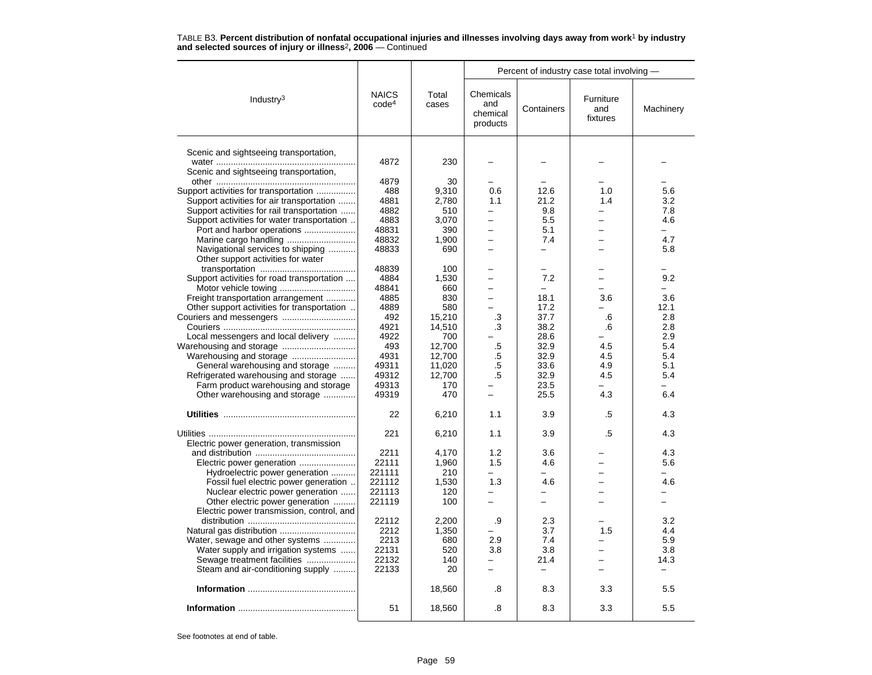|                                                                      |                                   |                | Percent of industry case total involving - |                          |                              |           |  |  |
|----------------------------------------------------------------------|-----------------------------------|----------------|--------------------------------------------|--------------------------|------------------------------|-----------|--|--|
| Industry <sup>3</sup>                                                | <b>NAICS</b><br>code <sup>4</sup> | Total<br>cases | Chemicals<br>and<br>chemical<br>products   | Containers               | Furniture<br>and<br>fixtures | Machinery |  |  |
|                                                                      |                                   |                |                                            |                          |                              |           |  |  |
| Scenic and sightseeing transportation,                               |                                   |                |                                            |                          |                              |           |  |  |
| Scenic and sightseeing transportation,                               | 4872                              | 230            |                                            |                          |                              |           |  |  |
|                                                                      | 4879                              | 30             |                                            |                          |                              |           |  |  |
| Support activities for transportation                                | 488                               | 9,310          | 0.6                                        | 12.6                     | 1.0                          | 5.6       |  |  |
| Support activities for air transportation                            | 4881                              | 2,780          | 1.1                                        | 21.2                     | 1.4                          | 3.2       |  |  |
| Support activities for rail transportation                           | 4882                              | 510            |                                            | 9.8                      |                              | 7.8       |  |  |
| Support activities for water transportation                          | 4883                              | 3.070          | -                                          | 5.5                      | -                            | 4.6       |  |  |
| Port and harbor operations                                           | 48831                             | 390            | $\overline{\phantom{0}}$                   | 5.1                      |                              |           |  |  |
|                                                                      | 48832                             | 1.900          |                                            | 7.4                      |                              | 4.7       |  |  |
| Navigational services to shipping                                    | 48833                             | 690            | -                                          | -                        | -                            | 5.8       |  |  |
| Other support activities for water                                   |                                   |                |                                            |                          |                              |           |  |  |
|                                                                      | 48839                             | 100            |                                            |                          |                              |           |  |  |
| Support activities for road transportation                           | 4884                              | 1,530          | $\overline{\phantom{0}}$                   | 7.2<br>$\equiv$          |                              | 9.2       |  |  |
| Freight transportation arrangement                                   | 48841<br>4885                     | 660<br>830     | $\overline{\phantom{0}}$                   | 18.1                     | 3.6                          | 3.6       |  |  |
| Other support activities for transportation                          | 4889                              | 580            |                                            | 17.2                     |                              | 12.1      |  |  |
| Couriers and messengers                                              | 492                               | 15.210         | .3                                         | 37.7                     | .6                           | 2.8       |  |  |
|                                                                      | 4921                              | 14,510         | .3                                         | 38.2                     | .6                           | 2.8       |  |  |
| Local messengers and local delivery                                  | 4922                              | 700            |                                            | 28.6                     |                              | 2.9       |  |  |
| Warehousing and storage                                              | 493                               | 12.700         | .5                                         | 32.9                     | 4.5                          | 5.4       |  |  |
| Warehousing and storage                                              | 4931                              | 12.700         | .5                                         | 32.9                     | 4.5                          | 5.4       |  |  |
| General warehousing and storage                                      | 49311                             | 11,020         | .5                                         | 33.6                     | 4.9                          | 5.1       |  |  |
| Refrigerated warehousing and storage                                 | 49312                             | 12,700         | .5                                         | 32.9                     | 4.5                          | 5.4       |  |  |
| Farm product warehousing and storage                                 | 49313                             | 170            |                                            | 23.5                     |                              |           |  |  |
| Other warehousing and storage                                        | 49319                             | 470            | $\overline{\phantom{0}}$                   | 25.5                     | 4.3                          | 6.4       |  |  |
|                                                                      | 22                                | 6,210          | 1.1                                        | 3.9                      | .5                           | 4.3       |  |  |
|                                                                      | 221                               | 6,210          | 1.1                                        | 3.9                      | .5                           | 4.3       |  |  |
| Electric power generation, transmission                              |                                   |                |                                            |                          |                              |           |  |  |
|                                                                      | 2211                              | 4.170          | 1.2                                        | 3.6                      |                              | 4.3       |  |  |
|                                                                      | 22111                             | 1,960          | 1.5                                        | 4.6                      |                              | 5.6       |  |  |
| Hydroelectric power generation                                       | 221111                            | 210            |                                            |                          |                              |           |  |  |
| Fossil fuel electric power generation                                | 221112                            | 1,530          | 1.3                                        | 4.6                      | $\overline{\phantom{0}}$     | 4.6       |  |  |
| Nuclear electric power generation<br>Other electric power generation | 221113<br>221119                  | 120<br>100     | -                                          |                          |                              |           |  |  |
| Electric power transmission, control, and                            |                                   |                |                                            |                          |                              |           |  |  |
|                                                                      | 22112                             | 2,200          | .9                                         | 2.3                      |                              | 3.2       |  |  |
| Natural gas distribution                                             | 2212                              | 1,350          |                                            | 3.7                      | 1.5                          | 4.4       |  |  |
| Water, sewage and other systems                                      | 2213                              | 680            | 2.9                                        | 7.4                      | -                            | 5.9       |  |  |
| Water supply and irrigation systems                                  | 22131                             | 520            | 3.8                                        | 3.8                      |                              | 3.8       |  |  |
| Sewage treatment facilities                                          | 22132                             | 140            | ÷                                          | 21.4                     |                              | 14.3      |  |  |
| Steam and air-conditioning supply                                    | 22133                             | 20             | $\overline{\phantom{0}}$                   | $\overline{\phantom{0}}$ |                              |           |  |  |
|                                                                      |                                   | 18,560         | .8                                         | 8.3                      | 3.3                          | 5.5       |  |  |
|                                                                      | 51                                | 18,560         | .8                                         | 8.3                      | 3.3                          | 5.5       |  |  |
|                                                                      |                                   |                |                                            |                          |                              |           |  |  |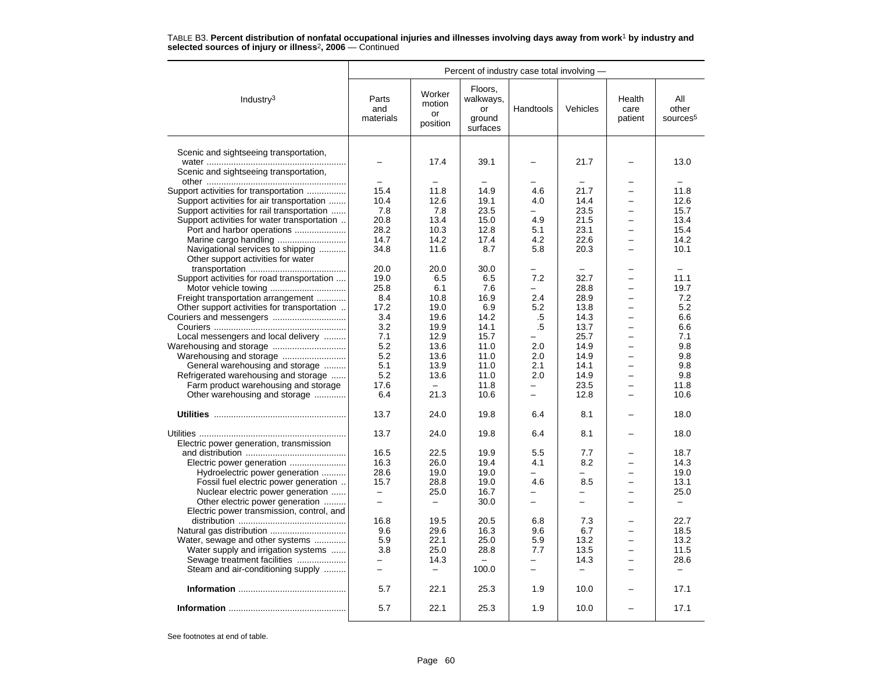|                                                                         |                           |                                    |                                                  | Percent of industry case total involving - |                          |                           |                                      |
|-------------------------------------------------------------------------|---------------------------|------------------------------------|--------------------------------------------------|--------------------------------------------|--------------------------|---------------------------|--------------------------------------|
| Industry $3$                                                            | Parts<br>and<br>materials | Worker<br>motion<br>or<br>position | Floors,<br>walkways,<br>or<br>ground<br>surfaces | Handtools                                  | Vehicles                 | Health<br>care<br>patient | All<br>other<br>sources <sup>5</sup> |
| Scenic and sightseeing transportation,                                  |                           | 17.4                               | 39.1                                             |                                            | 21.7                     |                           | 13.0                                 |
| Scenic and sightseeing transportation,                                  |                           |                                    |                                                  |                                            |                          |                           |                                      |
|                                                                         |                           |                                    |                                                  |                                            |                          | $\overline{\phantom{0}}$  |                                      |
| Support activities for transportation                                   | 15.4                      | 11.8                               | 14.9                                             | 4.6                                        | 21.7                     |                           | 11.8                                 |
| Support activities for air transportation                               | 10.4                      | 12.6                               | 19.1                                             | 4.0                                        | 14.4                     | $\overline{\phantom{0}}$  | 12.6                                 |
| Support activities for rail transportation                              | 7.8                       | 7.8                                | 23.5                                             |                                            | 23.5                     |                           | 15.7                                 |
| Support activities for water transportation                             | 20.8                      | 13.4                               | 15.0                                             | 4.9                                        | 21.5                     |                           | 13.4                                 |
| Port and harbor operations                                              | 28.2                      | 10.3                               | 12.8                                             | 5.1                                        | 23.1                     |                           | 15.4                                 |
|                                                                         | 14.7                      | 14.2                               | 17.4                                             | 4.2                                        | 22.6                     | $\equiv$                  | 14.2                                 |
| Navigational services to shipping<br>Other support activities for water | 34.8                      | 11.6                               | 8.7                                              | 5.8                                        | 20.3                     | $\overline{\phantom{0}}$  | 10.1                                 |
|                                                                         | 20.0                      | 20.0                               | 30.0                                             |                                            |                          |                           |                                      |
| Support activities for road transportation                              | 19.0                      | 6.5                                | 6.5                                              | 7.2                                        | 32.7                     |                           | 11.1                                 |
|                                                                         | 25.8                      | 6.1                                | 7.6                                              |                                            | 28.8                     | $\overline{\phantom{0}}$  | 19.7                                 |
| Freight transportation arrangement                                      | 8.4                       | 10.8                               | 16.9                                             | 2.4                                        | 28.9                     | $\overline{\phantom{0}}$  | 7.2                                  |
| Other support activities for transportation                             | 17.2                      | 19.0                               | 6.9                                              | 5.2                                        | 13.8                     |                           | 5.2                                  |
|                                                                         | 3.4                       | 19.6                               | 14.2                                             | .5                                         | 14.3                     | $\overline{\phantom{0}}$  | 6.6                                  |
|                                                                         | 3.2                       | 19.9                               | 14.1                                             | .5                                         | 13.7                     | $\overline{\phantom{0}}$  | 6.6                                  |
| Local messengers and local delivery                                     | 7.1                       | 12.9                               | 15.7                                             |                                            | 25.7                     | $\equiv$                  | 7.1                                  |
| Warehousing and storage                                                 | 5.2                       | 13.6                               | 11.0                                             | 2.0                                        | 14.9                     |                           | 9.8                                  |
|                                                                         | 5.2                       | 13.6                               | 11.0                                             | 2.0                                        | 14.9                     |                           | 9.8                                  |
| General warehousing and storage                                         | 5.1                       | 13.9                               | 11.0                                             | 2.1                                        | 14.1                     | ÷                         | 9.8                                  |
| Refrigerated warehousing and storage                                    | 5.2                       | 13.6                               | 11.0                                             | 2.0                                        | 14.9                     | $\overline{\phantom{0}}$  | 9.8                                  |
| Farm product warehousing and storage                                    | 17.6                      |                                    | 11.8                                             |                                            | 23.5                     |                           | 11.8                                 |
| Other warehousing and storage                                           | 6.4                       | 21.3                               | 10.6                                             | -                                          | 12.8                     |                           | 10.6                                 |
|                                                                         | 13.7                      | 24.0                               | 19.8                                             | 6.4                                        | 8.1                      |                           | 18.0                                 |
|                                                                         |                           |                                    |                                                  |                                            |                          |                           |                                      |
|                                                                         | 13.7                      | 24.0                               | 19.8                                             | 6.4                                        | 8.1                      |                           | 18.0                                 |
| Electric power generation, transmission                                 |                           |                                    |                                                  |                                            |                          |                           |                                      |
|                                                                         | 16.5                      | 22.5                               | 19.9                                             | 5.5                                        | 7.7                      |                           | 18.7                                 |
|                                                                         | 16.3                      | 26.0                               | 19.4                                             | 4.1                                        | 8.2                      |                           | 14.3                                 |
| Hydroelectric power generation                                          | 28.6                      | 19.0                               | 19.0                                             | $\overline{\phantom{0}}$                   | $=$                      | $\overline{\phantom{0}}$  | 19.0                                 |
| Fossil fuel electric power generation                                   | 15.7                      | 28.8                               | 19.0                                             | 4.6                                        | 8.5                      |                           | 13.1                                 |
| Nuclear electric power generation                                       | $\equiv$                  | 25.0                               | 16.7                                             |                                            | ▃                        |                           | 25.0                                 |
| Other electric power generation                                         | $\overline{\phantom{0}}$  |                                    | 30.0                                             |                                            | -                        |                           | $\overline{\phantom{m}}$             |
| Electric power transmission, control, and                               |                           |                                    |                                                  |                                            |                          |                           |                                      |
|                                                                         | 16.8                      | 19.5                               | 20.5                                             | 6.8                                        | 7.3                      |                           | 22.7                                 |
|                                                                         | 9.6                       | 29.6                               | 16.3                                             | 9.6                                        | 6.7                      |                           | 18.5                                 |
| Water, sewage and other systems                                         | 5.9                       | 22.1                               | 25.0                                             | 5.9                                        | 13.2                     |                           | 13.2                                 |
| Water supply and irrigation systems                                     | 3.8                       | 25.0                               | 28.8                                             | 7.7                                        | 13.5                     | $\overline{\phantom{0}}$  | 11.5                                 |
| Sewage treatment facilities                                             |                           | 14.3                               |                                                  |                                            | 14.3                     |                           | 28.6                                 |
| Steam and air-conditioning supply                                       | $\overline{\phantom{0}}$  | $\overline{\phantom{0}}$           | 100.0                                            | $\overline{\phantom{0}}$                   | $\overline{\phantom{m}}$ | $\overline{\phantom{0}}$  | $\overline{\phantom{a}}$             |
|                                                                         | 5.7                       | 22.1                               | 25.3                                             | 1.9                                        | 10.0                     |                           | 17.1                                 |
|                                                                         | 5.7                       | 22.1                               | 25.3                                             | 1.9                                        | 10.0                     |                           | 17.1                                 |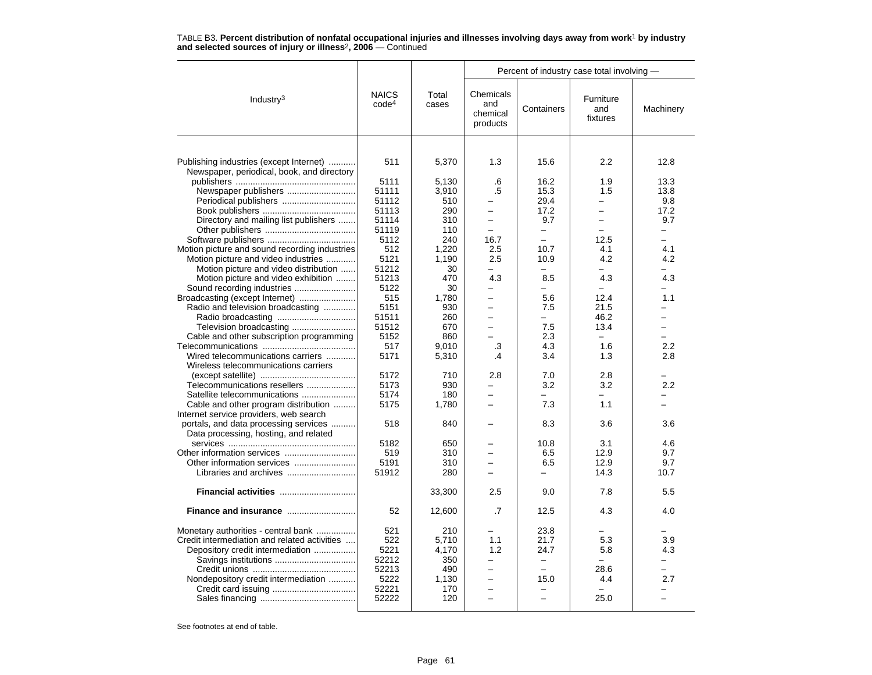|                                                                                       |                                   |                |                                          | Percent of industry case total involving - |                              |                          |
|---------------------------------------------------------------------------------------|-----------------------------------|----------------|------------------------------------------|--------------------------------------------|------------------------------|--------------------------|
| Industry $3$                                                                          | <b>NAICS</b><br>code <sup>4</sup> | Total<br>cases | Chemicals<br>and<br>chemical<br>products | Containers                                 | Furniture<br>and<br>fixtures | Machinery                |
|                                                                                       |                                   |                |                                          |                                            |                              |                          |
| Publishing industries (except Internet)<br>Newspaper, periodical, book, and directory | 511                               | 5,370          | 1.3                                      | 15.6                                       | 2.2                          | 12.8                     |
|                                                                                       | 5111                              | 5,130          | .6                                       | 16.2                                       | 1.9                          | 13.3                     |
| Newspaper publishers                                                                  | 51111                             | 3,910          | .5                                       | 15.3                                       | 1.5                          | 13.8                     |
| Periodical publishers                                                                 | 51112                             | 510            |                                          | 29.4                                       |                              | 9.8                      |
|                                                                                       | 51113                             | 290            |                                          | 17.2                                       | $\overline{\phantom{0}}$     | 17.2                     |
| Directory and mailing list publishers                                                 | 51114                             | 310            | $\overline{\phantom{0}}$                 | 9.7                                        | $\overline{\phantom{0}}$     | 9.7                      |
|                                                                                       | 51119                             | 110            | $\equiv$                                 | $\overline{\phantom{0}}$                   | -                            | $\overline{\phantom{0}}$ |
|                                                                                       | 5112                              | 240            | 16.7                                     | $\overline{a}$                             | 12.5                         | $\equiv$                 |
| Motion picture and sound recording industries                                         | 512                               | 1,220          | 2.5                                      | 10.7                                       | 4.1                          | 4.1                      |
| Motion picture and video industries                                                   | 5121                              | 1,190          | 2.5                                      | 10.9                                       | 4.2                          | 4.2                      |
| Motion picture and video distribution                                                 | 51212                             | 30             | $\equiv$                                 | -                                          | $\overline{\phantom{0}}$     | -                        |
| Motion picture and video exhibition                                                   | 51213                             | 470            | 4.3                                      | 8.5                                        | 4.3                          | 4.3                      |
|                                                                                       | 5122                              | 30             | $\overline{\phantom{0}}$                 | ÷                                          |                              | ÷.                       |
| Broadcasting (except Internet)                                                        | 515                               | 1,780          | $\overline{\phantom{0}}$                 | 5.6                                        | 12.4                         | 1.1                      |
| Radio and television broadcasting                                                     | 5151                              | 930            |                                          | 7.5                                        | 21.5                         |                          |
|                                                                                       | 51511                             | 260            | $\overline{a}$                           | $\equiv$                                   | 46.2                         | $\overline{\phantom{0}}$ |
| Television broadcasting                                                               | 51512                             | 670            | $\equiv$                                 | 7.5                                        | 13.4                         | $\overline{\phantom{0}}$ |
| Cable and other subscription programming                                              | 5152                              | 860            |                                          | 2.3                                        |                              |                          |
|                                                                                       | 517                               | 9,010          | .3                                       | 4.3                                        | 1.6                          | 2.2                      |
| Wired telecommunications carriers                                                     | 5171                              | 5,310          | $\cdot$ 4                                | 3.4                                        | 1.3                          | 2.8                      |
| Wireless telecommunications carriers                                                  |                                   |                |                                          |                                            |                              |                          |
|                                                                                       | 5172                              | 710            | 2.8                                      | 7.0                                        | 2.8                          |                          |
| Telecommunications resellers                                                          | 5173                              | 930            | -                                        | 3.2                                        | 3.2                          | 2.2                      |
| Satellite telecommunications                                                          | 5174                              | 180            |                                          |                                            |                              |                          |
| Cable and other program distribution                                                  | 5175                              | 1,780          | $\equiv$                                 | 7.3                                        | 1.1                          |                          |
| Internet service providers, web search                                                |                                   |                |                                          |                                            |                              |                          |
| portals, and data processing services                                                 | 518                               | 840            |                                          | 8.3                                        | 3.6                          | 3.6                      |
| Data processing, hosting, and related                                                 |                                   |                |                                          |                                            |                              |                          |
|                                                                                       | 5182                              | 650            | $\overline{\phantom{0}}$                 | 10.8                                       | 3.1                          | 4.6                      |
|                                                                                       | 519                               | 310            |                                          | 6.5                                        | 12.9                         | 9.7                      |
| Other information services                                                            | 5191                              | 310            | $\overline{\phantom{0}}$                 | 6.5                                        | 12.9                         | 9.7                      |
|                                                                                       | 51912                             | 280            | -                                        | -                                          | 14.3                         | 10.7                     |
|                                                                                       |                                   | 33,300         | 2.5                                      | 9.0                                        | 7.8                          | 5.5                      |
|                                                                                       | 52                                | 12,600         | $\cdot$                                  | 12.5                                       | 4.3                          | 4.0                      |
|                                                                                       |                                   | 210            |                                          |                                            |                              |                          |
| Monetary authorities - central bank                                                   | 521<br>522                        |                |                                          | 23.8                                       |                              |                          |
| Credit intermediation and related activities                                          | 5221                              | 5,710<br>4,170 | 1.1<br>1.2                               | 21.7<br>24.7                               | 5.3<br>5.8                   | 3.9<br>4.3               |
| Depository credit intermediation                                                      | 52212                             |                | $\overline{\phantom{0}}$                 | $\qquad \qquad -$                          |                              | $\overline{\phantom{0}}$ |
|                                                                                       | 52213                             | 350<br>490     |                                          | $\overline{\phantom{0}}$                   | 28.6                         | $\overline{\phantom{0}}$ |
|                                                                                       | 5222                              | 1,130          | $\overline{a}$                           | 15.0                                       | 4.4                          | 2.7                      |
| Nondepository credit intermediation                                                   | 52221                             | 170            | $\overline{\phantom{0}}$                 | -                                          | $\overline{\phantom{0}}$     | -                        |
|                                                                                       | 52222                             | 120            | $\equiv$                                 | $\equiv$                                   | 25.0                         | $\equiv$                 |
|                                                                                       |                                   |                |                                          |                                            |                              |                          |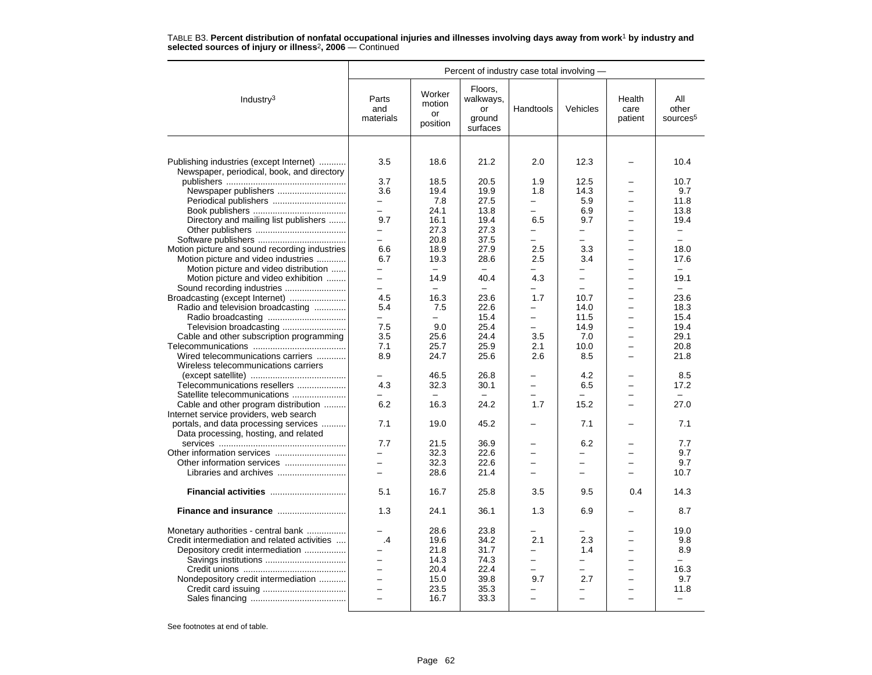|                                                                                       | Percent of industry case total involving - |                                    |                                                  |                          |                                                      |                           |                                      |  |  |
|---------------------------------------------------------------------------------------|--------------------------------------------|------------------------------------|--------------------------------------------------|--------------------------|------------------------------------------------------|---------------------------|--------------------------------------|--|--|
| Industry <sup>3</sup>                                                                 | Parts<br>and<br>materials                  | Worker<br>motion<br>or<br>position | Floors,<br>walkways,<br>or<br>ground<br>surfaces | Handtools                | Vehicles                                             | Health<br>care<br>patient | All<br>other<br>sources <sup>5</sup> |  |  |
|                                                                                       |                                            |                                    |                                                  |                          |                                                      |                           |                                      |  |  |
| Publishing industries (except Internet)<br>Newspaper, periodical, book, and directory | 3.5                                        | 18.6                               | 21.2                                             | 2.0                      | 12.3                                                 |                           | 10.4                                 |  |  |
|                                                                                       | 3.7                                        | 18.5                               | 20.5                                             | 1.9                      | 12.5                                                 |                           | 10.7                                 |  |  |
| Newspaper publishers                                                                  | 3.6                                        | 19.4                               | 19.9                                             | 1.8                      | 14.3                                                 |                           | 9.7                                  |  |  |
| Periodical publishers                                                                 | $\qquad \qquad -$                          | 7.8                                | 27.5                                             |                          | 5.9                                                  |                           | 11.8                                 |  |  |
|                                                                                       | $\equiv$                                   | 24.1                               | 13.8                                             | $\overline{\phantom{0}}$ | 6.9                                                  |                           | 13.8                                 |  |  |
| Directory and mailing list publishers                                                 | 9.7                                        | 16.1<br>27.3                       | 19.4<br>27.3                                     | 6.5                      | 9.7                                                  | $\overline{\phantom{0}}$  | 19.4                                 |  |  |
|                                                                                       | $\overline{\phantom{0}}$                   |                                    |                                                  | $\overline{\phantom{0}}$ | $\overline{\phantom{0}}$                             |                           | -<br>$\overline{\phantom{0}}$        |  |  |
|                                                                                       |                                            | 20.8                               | 37.5                                             | 2.5                      | 3.3                                                  |                           |                                      |  |  |
| Motion picture and sound recording industries                                         | 6.6<br>6.7                                 | 18.9<br>19.3                       | 27.9<br>28.6                                     | 2.5                      | 3.4                                                  | $\overline{\phantom{0}}$  | 18.0<br>17.6                         |  |  |
| Motion picture and video industries                                                   |                                            | $\equiv$                           | $\equiv$                                         |                          |                                                      |                           | $\equiv$                             |  |  |
| Motion picture and video distribution                                                 | $\overline{\phantom{0}}$<br>$\overline{a}$ | 14.9                               |                                                  | 4.3                      | $\overline{\phantom{0}}$<br>$\overline{\phantom{0}}$ |                           | 19.1                                 |  |  |
| Motion picture and video exhibition                                                   | $\equiv$                                   | $\equiv$                           | 40.4                                             |                          | $\equiv$                                             |                           | $\equiv$                             |  |  |
|                                                                                       | 4.5                                        | 16.3                               | 23.6                                             | 1.7                      | 10.7                                                 |                           | 23.6                                 |  |  |
| Broadcasting (except Internet)<br>Radio and television broadcasting                   | 5.4                                        | 7.5                                | 22.6                                             | $\overline{\phantom{0}}$ | 14.0                                                 |                           | 18.3                                 |  |  |
|                                                                                       | $\equiv$                                   |                                    | 15.4                                             | $\equiv$                 | 11.5                                                 | -                         | 15.4                                 |  |  |
|                                                                                       | 7.5                                        | 9.0                                | 25.4                                             | -                        | 14.9                                                 |                           | 19.4                                 |  |  |
| Cable and other subscription programming                                              | 3.5                                        | 25.6                               | 24.4                                             | 3.5                      | 7.0                                                  |                           | 29.1                                 |  |  |
|                                                                                       | 7.1                                        | 25.7                               | 25.9                                             | 2.1                      | 10.0                                                 |                           | 20.8                                 |  |  |
| Wired telecommunications carriers                                                     | 8.9                                        | 24.7                               | 25.6                                             | 2.6                      | 8.5                                                  | $\overline{\phantom{0}}$  | 21.8                                 |  |  |
| Wireless telecommunications carriers                                                  |                                            |                                    |                                                  |                          |                                                      |                           |                                      |  |  |
|                                                                                       |                                            | 46.5                               | 26.8                                             |                          | 4.2                                                  |                           | 8.5                                  |  |  |
| Telecommunications resellers                                                          | 4.3                                        | 32.3                               | 30.1                                             | $\overline{\phantom{0}}$ | 6.5                                                  |                           | 17.2                                 |  |  |
| Satellite telecommunications                                                          |                                            |                                    |                                                  |                          |                                                      |                           |                                      |  |  |
| Cable and other program distribution                                                  | 6.2                                        | 16.3                               | 24.2                                             | 1.7                      | 15.2                                                 |                           | 27.0                                 |  |  |
| Internet service providers, web search                                                |                                            |                                    |                                                  |                          |                                                      |                           |                                      |  |  |
| portals, and data processing services                                                 | 7.1                                        | 19.0                               | 45.2                                             |                          | 7.1                                                  |                           | 7.1                                  |  |  |
| Data processing, hosting, and related                                                 |                                            |                                    |                                                  |                          |                                                      |                           |                                      |  |  |
|                                                                                       | 7.7                                        | 21.5                               | 36.9                                             |                          | 6.2                                                  |                           | 7.7                                  |  |  |
|                                                                                       |                                            | 32.3                               | 22.6                                             |                          |                                                      |                           | 9.7                                  |  |  |
| Other information services                                                            | $\equiv$                                   | 32.3                               | 22.6                                             |                          | $\overline{\phantom{0}}$                             |                           | 9.7                                  |  |  |
|                                                                                       | $\overline{\phantom{0}}$                   | 28.6                               | 21.4                                             |                          | $\overline{\phantom{0}}$                             |                           | 10.7                                 |  |  |
|                                                                                       |                                            |                                    |                                                  |                          |                                                      |                           |                                      |  |  |
|                                                                                       | 5.1                                        | 16.7                               | 25.8                                             | 3.5                      | 9.5                                                  | 0.4                       | 14.3                                 |  |  |
|                                                                                       | 1.3                                        | 24.1                               | 36.1                                             | 1.3                      | 6.9                                                  |                           | 8.7                                  |  |  |
| Monetary authorities - central bank                                                   |                                            | 28.6                               | 23.8                                             |                          |                                                      |                           | 19.0                                 |  |  |
| Credit intermediation and related activities                                          | .4                                         | 19.6                               | 34.2                                             | 2.1                      | 2.3                                                  |                           | 9.8                                  |  |  |
| Depository credit intermediation                                                      | $\overline{\phantom{0}}$                   | 21.8                               | 31.7                                             |                          | 1.4                                                  |                           | 8.9                                  |  |  |
|                                                                                       | $\overline{a}$                             | 14.3                               | 74.3                                             | $\overline{\phantom{0}}$ | —                                                    |                           | -                                    |  |  |
|                                                                                       | $\equiv$                                   | 20.4                               | 22.4                                             | $\equiv$                 | ÷                                                    | $\equiv$                  | 16.3                                 |  |  |
| Nondepository credit intermediation                                                   | $\overline{\phantom{0}}$                   | 15.0                               | 39.8                                             | 9.7                      | 2.7                                                  |                           | 9.7                                  |  |  |
|                                                                                       |                                            | 23.5                               | 35.3                                             |                          |                                                      |                           | 11.8                                 |  |  |
|                                                                                       | $\overline{\phantom{a}}$                   | 16.7                               | 33.3                                             | $\equiv$                 | $\equiv$                                             | $\equiv$                  | $\overline{\phantom{0}}$             |  |  |
|                                                                                       |                                            |                                    |                                                  |                          |                                                      |                           |                                      |  |  |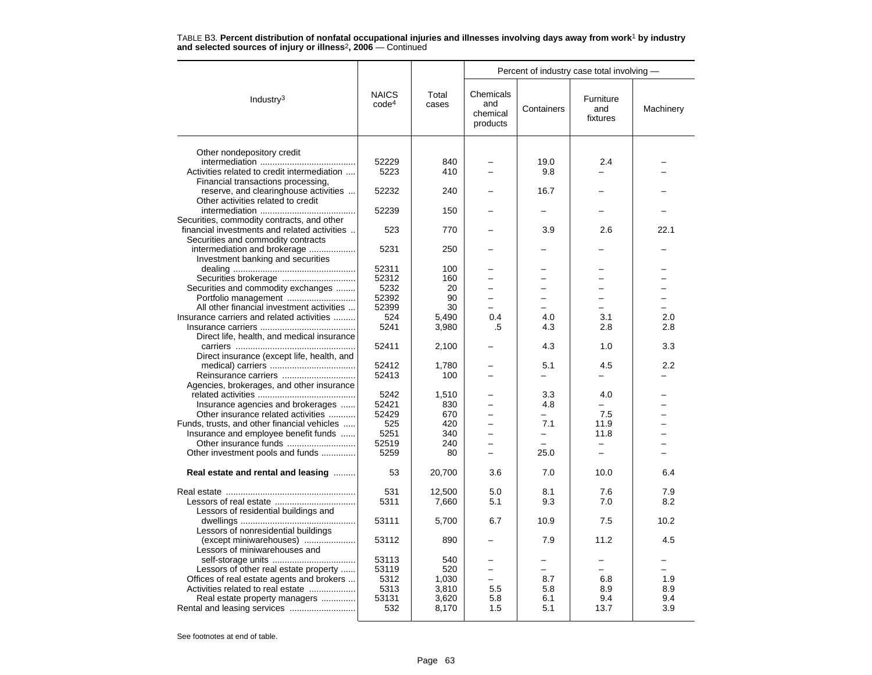|                                              |                                   |                | Percent of industry case total involving - |            |                              |           |  |  |
|----------------------------------------------|-----------------------------------|----------------|--------------------------------------------|------------|------------------------------|-----------|--|--|
| Industry <sup>3</sup>                        | <b>NAICS</b><br>code <sup>4</sup> | Total<br>cases | Chemicals<br>and<br>chemical<br>products   | Containers | Furniture<br>and<br>fixtures | Machinery |  |  |
|                                              |                                   |                |                                            |            |                              |           |  |  |
| Other nondepository credit                   |                                   |                |                                            |            |                              |           |  |  |
|                                              | 52229                             | 840            |                                            | 19.0       | 2.4                          |           |  |  |
| Activities related to credit intermediation  | 5223                              | 410            |                                            | 9.8        |                              |           |  |  |
| Financial transactions processing,           |                                   |                |                                            |            |                              |           |  |  |
| reserve, and clearinghouse activities        | 52232                             | 240            |                                            | 16.7       |                              |           |  |  |
| Other activities related to credit           |                                   |                |                                            |            |                              |           |  |  |
|                                              | 52239                             | 150            |                                            |            |                              |           |  |  |
| Securities, commodity contracts, and other   |                                   |                |                                            |            |                              |           |  |  |
| financial investments and related activities | 523                               | 770            |                                            | 3.9        | 2.6                          | 22.1      |  |  |
| Securities and commodity contracts           |                                   |                |                                            |            |                              |           |  |  |
| intermediation and brokerage                 | 5231                              | 250            |                                            |            |                              |           |  |  |
| Investment banking and securities            |                                   |                |                                            |            |                              |           |  |  |
|                                              | 52311                             | 100            |                                            |            |                              |           |  |  |
|                                              | 52312                             | 160            |                                            |            |                              |           |  |  |
| Securities and commodity exchanges           | 5232                              | 20             |                                            |            |                              |           |  |  |
| Portfolio management                         | 52392                             | 90             | $\equiv$                                   | $\equiv$   | $\equiv$                     | -         |  |  |
| All other financial investment activities    | 52399                             | 30             |                                            |            |                              |           |  |  |
| Insurance carriers and related activities    | 524                               | 5,490          | 0.4                                        | 4.0        | 3.1                          | 2.0       |  |  |
|                                              | 5241                              | 3,980          | .5                                         | 4.3        | 2.8                          | 2.8       |  |  |
| Direct life, health, and medical insurance   |                                   |                |                                            |            |                              |           |  |  |
|                                              | 52411                             | 2,100          |                                            | 4.3        | 1.0                          | 3.3       |  |  |
| Direct insurance (except life, health, and   |                                   |                |                                            |            |                              |           |  |  |
|                                              | 52412                             | 1,780          |                                            | 5.1        | 4.5                          | 2.2       |  |  |
| Reinsurance carriers                         | 52413                             | 100            |                                            |            |                              |           |  |  |
| Agencies, brokerages, and other insurance    |                                   |                |                                            |            |                              |           |  |  |
|                                              | 5242                              | 1.510          |                                            | 3.3        | 4.0                          |           |  |  |
| Insurance agencies and brokerages            | 52421                             | 830            |                                            | 4.8        |                              |           |  |  |
| Other insurance related activities           | 52429                             | 670            |                                            |            | 7.5                          |           |  |  |
| Funds, trusts, and other financial vehicles  | 525                               | 420            |                                            | 7.1        | 11.9                         |           |  |  |
| Insurance and employee benefit funds         | 5251                              | 340            |                                            |            | 11.8                         |           |  |  |
| Other insurance funds                        | 52519                             | 240            |                                            |            | -                            |           |  |  |
| Other investment pools and funds             | 5259                              | 80             |                                            | 25.0       |                              |           |  |  |
|                                              |                                   |                |                                            |            |                              |           |  |  |
| Real estate and rental and leasing           | 53                                | 20,700         | 3.6                                        | 7.0        | 10.0                         | 6.4       |  |  |
|                                              | 531                               |                | 5.0                                        |            | 7.6                          | 7.9       |  |  |
|                                              |                                   | 12,500         |                                            | 8.1        |                              |           |  |  |
|                                              | 5311                              | 7,660          | 5.1                                        | 9.3        | 7.0                          | 8.2       |  |  |
| Lessors of residential buildings and         |                                   |                |                                            |            |                              |           |  |  |
|                                              | 53111                             | 5,700          | 6.7                                        | 10.9       | 7.5                          | 10.2      |  |  |
| Lessors of nonresidential buildings          |                                   |                |                                            |            |                              |           |  |  |
| (except miniwarehouses)                      | 53112                             | 890            |                                            | 7.9        | 11.2                         | 4.5       |  |  |
| Lessors of miniwarehouses and                |                                   |                |                                            |            |                              |           |  |  |
|                                              | 53113                             | 540            |                                            |            |                              |           |  |  |
| Lessors of other real estate property        | 53119                             | 520            | $\overline{\phantom{0}}$                   |            |                              |           |  |  |
| Offices of real estate agents and brokers    | 5312                              | 1.030          |                                            | 8.7        | 6.8                          | 1.9       |  |  |
| Activities related to real estate            | 5313                              | 3,810          | 5.5                                        | 5.8        | 8.9                          | 8.9       |  |  |
| Real estate property managers                | 53131                             | 3,620          | 5.8                                        | 6.1        | 9.4                          | 9.4       |  |  |
|                                              | 532                               | 8,170          | 1.5                                        | 5.1        | 13.7                         | 3.9       |  |  |
|                                              |                                   |                |                                            |            |                              |           |  |  |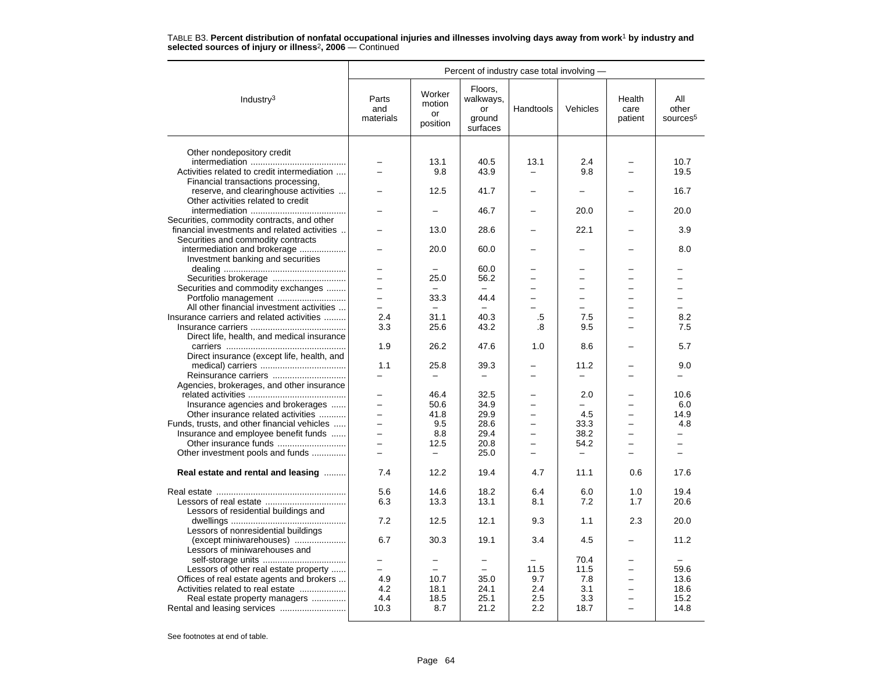|                                              | Percent of industry case total involving - |                                    |                                                  |                          |                          |                           |                                      |  |  |
|----------------------------------------------|--------------------------------------------|------------------------------------|--------------------------------------------------|--------------------------|--------------------------|---------------------------|--------------------------------------|--|--|
| Industry $3$                                 | Parts<br>and<br>materials                  | Worker<br>motion<br>or<br>position | Floors,<br>walkways,<br>or<br>ground<br>surfaces | Handtools                | Vehicles                 | Health<br>care<br>patient | All<br>other<br>sources <sup>5</sup> |  |  |
|                                              |                                            |                                    |                                                  |                          |                          |                           |                                      |  |  |
| Other nondepository credit                   |                                            | 13.1                               | 40.5                                             | 13.1                     | 2.4                      |                           | 10.7                                 |  |  |
| Activities related to credit intermediation  |                                            | 9.8                                | 43.9                                             |                          | 9.8                      |                           | 19.5                                 |  |  |
| Financial transactions processing,           |                                            |                                    |                                                  |                          |                          |                           |                                      |  |  |
| reserve, and clearinghouse activities        |                                            | 12.5                               | 41.7                                             |                          | $\overline{\phantom{0}}$ |                           | 16.7                                 |  |  |
| Other activities related to credit           |                                            |                                    |                                                  |                          |                          |                           |                                      |  |  |
|                                              |                                            |                                    | 46.7                                             |                          | 20.0                     |                           | 20.0                                 |  |  |
| Securities, commodity contracts, and other   |                                            |                                    |                                                  |                          |                          |                           |                                      |  |  |
| financial investments and related activities |                                            | 13.0                               | 28.6                                             |                          | 22.1                     |                           | 3.9                                  |  |  |
| Securities and commodity contracts           |                                            |                                    |                                                  |                          |                          |                           |                                      |  |  |
| intermediation and brokerage                 |                                            | 20.0                               | 60.0                                             |                          |                          |                           | 8.0                                  |  |  |
| Investment banking and securities            |                                            |                                    |                                                  |                          |                          |                           |                                      |  |  |
|                                              |                                            |                                    | 60.0                                             |                          |                          |                           |                                      |  |  |
|                                              |                                            | 25.0                               | 56.2                                             |                          | $\overline{\phantom{0}}$ |                           |                                      |  |  |
| Securities and commodity exchanges           | $\overline{a}$                             | $\overline{\phantom{0}}$           | $\equiv$                                         |                          | $\overline{\phantom{0}}$ |                           | L.                                   |  |  |
| Portfolio management                         | -                                          | 33.3                               | 44.4                                             | $\overline{\phantom{0}}$ | -                        |                           | -                                    |  |  |
| All other financial investment activities    |                                            |                                    |                                                  |                          |                          |                           |                                      |  |  |
| Insurance carriers and related activities    | 2.4<br>3.3                                 | 31.1<br>25.6                       | 40.3<br>43.2                                     | .5                       | 7.5                      | $\equiv$                  | 8.2                                  |  |  |
| Direct life, health, and medical insurance   |                                            |                                    |                                                  | .8                       | 9.5                      |                           | 7.5                                  |  |  |
|                                              | 1.9                                        | 26.2                               | 47.6                                             | 1.0                      | 8.6                      |                           | 5.7                                  |  |  |
| Direct insurance (except life, health, and   |                                            |                                    |                                                  |                          |                          |                           |                                      |  |  |
|                                              | 1.1                                        | 25.8                               | 39.3                                             |                          | 11.2                     |                           | 9.0                                  |  |  |
| Reinsurance carriers                         | $\overline{\phantom{0}}$                   | $\overline{\phantom{0}}$           | $=$                                              | $\equiv$                 | $\overline{\phantom{0}}$ | $\equiv$                  | $\overline{\phantom{0}}$             |  |  |
| Agencies, brokerages, and other insurance    |                                            |                                    |                                                  |                          |                          |                           |                                      |  |  |
|                                              |                                            | 46.4                               | 32.5                                             |                          | 2.0                      |                           | 10.6                                 |  |  |
| Insurance agencies and brokerages            |                                            | 50.6                               | 34.9                                             |                          |                          |                           | 6.0                                  |  |  |
| Other insurance related activities           | $\equiv$                                   | 41.8                               | 29.9                                             |                          | 4.5                      |                           | 14.9                                 |  |  |
| Funds, trusts, and other financial vehicles  | $\overline{\phantom{0}}$                   | 9.5                                | 28.6                                             | $\overline{\phantom{0}}$ | 33.3                     | $\overline{\phantom{0}}$  | 4.8                                  |  |  |
| Insurance and employee benefit funds         |                                            | 8.8                                | 29.4                                             |                          | 38.2                     |                           |                                      |  |  |
|                                              | $\overline{\phantom{0}}$                   | 12.5                               | 20.8                                             | $\equiv$                 | 54.2                     |                           | $\overline{\phantom{0}}$             |  |  |
| Other investment pools and funds             | $\equiv$                                   | $\equiv$                           | 25.0                                             | $\equiv$                 | $\overline{\phantom{0}}$ | $\equiv$                  | $\overline{\phantom{0}}$             |  |  |
| Real estate and rental and leasing           | 7.4                                        | 12.2                               | 19.4                                             | 4.7                      | 11.1                     | 0.6                       | 17.6                                 |  |  |
|                                              |                                            |                                    |                                                  |                          |                          |                           |                                      |  |  |
|                                              | 5.6                                        | 14.6                               | 18.2                                             | 6.4                      | 6.0                      | 1.0                       | 19.4                                 |  |  |
|                                              | 6.3                                        | 13.3                               | 13.1                                             | 8.1                      | 7.2                      | 1.7                       | 20.6                                 |  |  |
| Lessors of residential buildings and         |                                            |                                    |                                                  |                          |                          |                           |                                      |  |  |
|                                              | 7.2                                        | 12.5                               | 12.1                                             | 9.3                      | 1.1                      | 2.3                       | 20.0                                 |  |  |
| Lessors of nonresidential buildings          |                                            |                                    |                                                  |                          |                          |                           |                                      |  |  |
| (except miniwarehouses)                      | 6.7                                        | 30.3                               | 19.1                                             | 3.4                      | 4.5                      |                           | 11.2                                 |  |  |
| Lessors of miniwarehouses and                |                                            |                                    |                                                  |                          |                          |                           |                                      |  |  |
|                                              |                                            |                                    |                                                  |                          | 70.4                     |                           |                                      |  |  |
| Lessors of other real estate property        |                                            | $\overline{\phantom{0}}$           | $\equiv$                                         | 11.5                     | 11.5                     |                           | 59.6                                 |  |  |
| Offices of real estate agents and brokers    | 4.9                                        | 10.7                               | 35.0                                             | 9.7                      | 7.8                      | $\equiv$                  | 13.6                                 |  |  |
| Activities related to real estate            | 4.2                                        | 18.1                               | 24.1                                             | 2.4                      | 3.1                      |                           | 18.6                                 |  |  |
| Real estate property managers                | 4.4                                        | 18.5                               | 25.1                                             | 2.5                      | 3.3                      |                           | 15.2                                 |  |  |
|                                              | 10.3                                       | 8.7                                | 21.2                                             | 2.2                      | 18.7                     |                           | 14.8                                 |  |  |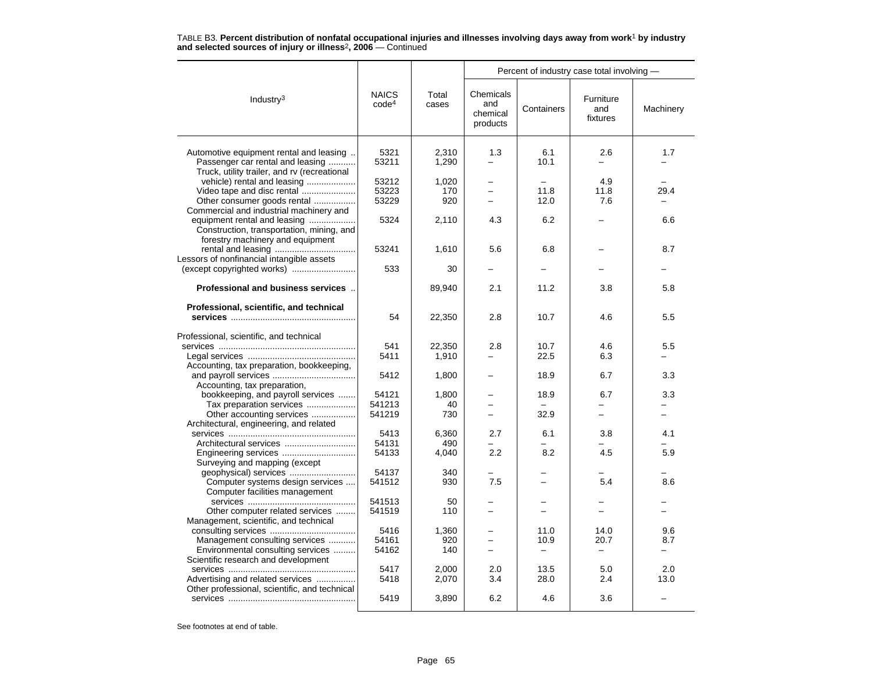|                                                                                  |                                   |                | Percent of industry case total involving - |            |                              |           |  |  |  |
|----------------------------------------------------------------------------------|-----------------------------------|----------------|--------------------------------------------|------------|------------------------------|-----------|--|--|--|
| Industry $3$                                                                     | <b>NAICS</b><br>code <sup>4</sup> | Total<br>cases | Chemicals<br>and<br>chemical<br>products   | Containers | Furniture<br>and<br>fixtures | Machinery |  |  |  |
|                                                                                  |                                   |                |                                            |            |                              |           |  |  |  |
| Automotive equipment rental and leasing                                          | 5321                              | 2,310          | 1.3<br>$\equiv$                            | 6.1        | 2.6<br>$\equiv$              | 1.7       |  |  |  |
| Passenger car rental and leasing<br>Truck, utility trailer, and rv (recreational | 53211                             | 1,290          |                                            | 10.1       |                              |           |  |  |  |
| vehicle) rental and leasing                                                      | 53212                             | 1,020          |                                            |            | 4.9                          |           |  |  |  |
| Video tape and disc rental                                                       | 53223                             | 170            | $\overline{\phantom{0}}$                   | 11.8       | 11.8                         | 29.4      |  |  |  |
| Other consumer goods rental                                                      | 53229                             | 920            |                                            | 12.0       | 7.6                          |           |  |  |  |
| Commercial and industrial machinery and                                          |                                   |                |                                            |            |                              |           |  |  |  |
| equipment rental and leasing                                                     | 5324                              | 2,110          | 4.3                                        | 6.2        |                              | 6.6       |  |  |  |
| Construction, transportation, mining, and                                        |                                   |                |                                            |            |                              |           |  |  |  |
| forestry machinery and equipment                                                 |                                   |                |                                            |            |                              |           |  |  |  |
|                                                                                  | 53241                             | 1,610          | 5.6                                        | 6.8        |                              | 8.7       |  |  |  |
| Lessors of nonfinancial intangible assets                                        |                                   |                |                                            |            |                              |           |  |  |  |
|                                                                                  | 533                               | 30             |                                            |            |                              |           |  |  |  |
|                                                                                  |                                   |                |                                            |            |                              |           |  |  |  |
| Professional and business services                                               |                                   | 89,940         | 2.1                                        | 11.2       | 3.8                          | 5.8       |  |  |  |
|                                                                                  |                                   |                |                                            |            |                              |           |  |  |  |
| Professional, scientific, and technical                                          |                                   |                |                                            |            |                              |           |  |  |  |
|                                                                                  | 54                                | 22,350         | 2.8                                        | 10.7       | 4.6                          | 5.5       |  |  |  |
|                                                                                  |                                   |                |                                            |            |                              |           |  |  |  |
| Professional, scientific, and technical                                          |                                   |                |                                            |            |                              |           |  |  |  |
|                                                                                  | 541                               | 22,350         | 2.8                                        | 10.7       | 4.6                          | 5.5       |  |  |  |
|                                                                                  | 5411                              | 1,910          |                                            | 22.5       | 6.3                          |           |  |  |  |
| Accounting, tax preparation, bookkeeping,                                        |                                   |                |                                            |            |                              |           |  |  |  |
|                                                                                  | 5412                              | 1,800          |                                            | 18.9       | 6.7                          | 3.3       |  |  |  |
| Accounting, tax preparation,                                                     |                                   |                |                                            |            |                              |           |  |  |  |
| bookkeeping, and payroll services                                                | 54121                             | 1,800          |                                            | 18.9       | 6.7                          | 3.3       |  |  |  |
| Tax preparation services                                                         | 541213                            | 40             |                                            |            |                              |           |  |  |  |
| Other accounting services                                                        | 541219                            | 730            |                                            | 32.9       |                              |           |  |  |  |
| Architectural, engineering, and related                                          |                                   |                |                                            |            |                              |           |  |  |  |
|                                                                                  | 5413                              | 6,360          | 2.7                                        | 6.1        | 3.8                          | 4.1       |  |  |  |
|                                                                                  | 54131                             | 490            |                                            |            |                              |           |  |  |  |
|                                                                                  | 54133                             | 4,040          | 2.2                                        | 8.2        | 4.5                          | 5.9       |  |  |  |
| Surveying and mapping (except                                                    |                                   |                |                                            |            |                              |           |  |  |  |
| geophysical) services                                                            | 54137                             | 340            |                                            |            |                              |           |  |  |  |
| Computer systems design services                                                 | 541512                            | 930            | 7.5                                        |            | 5.4                          | 8.6       |  |  |  |
| Computer facilities management                                                   |                                   |                |                                            |            |                              |           |  |  |  |
|                                                                                  | 541513                            | 50             |                                            |            |                              |           |  |  |  |
| Other computer related services                                                  | 541519                            | 110            |                                            |            |                              |           |  |  |  |
| Management, scientific, and technical                                            |                                   |                |                                            |            |                              |           |  |  |  |
|                                                                                  | 5416                              | 1,360          |                                            | 11.0       | 14.0                         | 9.6       |  |  |  |
| Management consulting services                                                   | 54161                             | 920            | -                                          | 10.9       | 20.7                         | 8.7       |  |  |  |
| Environmental consulting services                                                | 54162                             | 140            |                                            | -          | $\overline{\phantom{0}}$     |           |  |  |  |
| Scientific research and development                                              |                                   |                |                                            | 13.5       |                              | 2.0       |  |  |  |
|                                                                                  | 5417                              | 2,000          | 2.0                                        |            | 5.0                          |           |  |  |  |
| Advertising and related services                                                 | 5418                              | 2,070          | 3.4                                        | 28.0       | 2.4                          | 13.0      |  |  |  |
| Other professional, scientific, and technical                                    | 5419                              | 3,890          | 6.2                                        | 4.6        | 3.6                          | -         |  |  |  |
|                                                                                  |                                   |                |                                            |            |                              |           |  |  |  |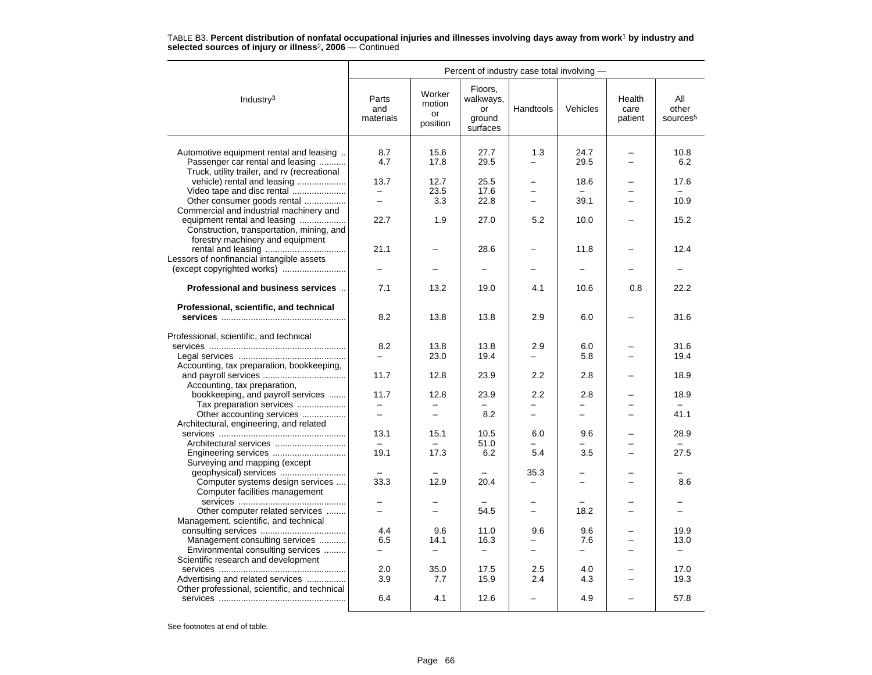|                                                                                                                                                          | Percent of industry case total involving - |                                    |                                                  |                                 |                                 |                           |                                          |  |  |  |
|----------------------------------------------------------------------------------------------------------------------------------------------------------|--------------------------------------------|------------------------------------|--------------------------------------------------|---------------------------------|---------------------------------|---------------------------|------------------------------------------|--|--|--|
| Industry <sup>3</sup>                                                                                                                                    | Parts<br>and<br>materials                  | Worker<br>motion<br>or<br>position | Floors,<br>walkways,<br>or<br>ground<br>surfaces | Handtools                       | Vehicles                        | Health<br>care<br>patient | All<br>other<br>sources <sup>5</sup>     |  |  |  |
| Automotive equipment rental and leasing<br>Passenger car rental and leasing<br>Truck, utility trailer, and rv (recreational                              | 8.7<br>4.7                                 | 15.6<br>17.8                       | 27.7<br>29.5                                     | 1.3                             | 24.7<br>29.5                    | $\overline{\phantom{0}}$  | 10.8<br>6.2                              |  |  |  |
| vehicle) rental and leasing                                                                                                                              | 13.7                                       | 12.7                               | 25.5                                             |                                 | 18.6                            |                           | 17.6                                     |  |  |  |
| Video tape and disc rental                                                                                                                               | -                                          | 23.5                               | 17.6                                             | -                               | $\qquad \qquad -$               | -                         |                                          |  |  |  |
| Other consumer goods rental                                                                                                                              | $\equiv$                                   | 3.3                                | 22.8                                             |                                 | 39.1                            |                           | 10.9                                     |  |  |  |
| Commercial and industrial machinery and<br>equipment rental and leasing<br>Construction, transportation, mining, and<br>forestry machinery and equipment | 22.7                                       | 1.9                                | 27.0                                             | 5.2                             | 10.0                            |                           | 15.2                                     |  |  |  |
| Lessors of nonfinancial intangible assets                                                                                                                | 21.1                                       |                                    | 28.6                                             |                                 | 11.8                            |                           | 12.4                                     |  |  |  |
|                                                                                                                                                          |                                            |                                    |                                                  |                                 |                                 |                           |                                          |  |  |  |
| Professional and business services                                                                                                                       | 7.1                                        | 13.2                               | 19.0                                             | 4.1                             | 10.6                            | 0.8                       | 22.2                                     |  |  |  |
| Professional, scientific, and technical                                                                                                                  | 8.2                                        | 13.8                               | 13.8                                             | 2.9                             | 6.0                             |                           | 31.6                                     |  |  |  |
| Professional, scientific, and technical                                                                                                                  | 8.2<br>$\overline{\phantom{0}}$            | 13.8<br>23.0                       | 13.8<br>19.4                                     | 2.9<br>$\overline{\phantom{0}}$ | 6.0<br>5.8                      |                           | 31.6<br>19.4                             |  |  |  |
| Accounting, tax preparation, bookkeeping,                                                                                                                | 11.7                                       | 12.8                               | 23.9                                             | 2.2                             | 2.8                             |                           | 18.9                                     |  |  |  |
| Accounting, tax preparation,<br>bookkeeping, and payroll services<br>Tax preparation services                                                            | 11.7                                       | 12.8                               | 23.9                                             | 2.2                             | 2.8<br>L.                       |                           | 18.9<br>$=$                              |  |  |  |
| Other accounting services<br>Architectural, engineering, and related                                                                                     | $\equiv$                                   | $\overline{\phantom{0}}$           | 8.2                                              | $\overline{\phantom{0}}$        | $\equiv$                        | $\overline{\phantom{0}}$  | 41.1                                     |  |  |  |
| Architectural services                                                                                                                                   | 13.1<br>$-$                                | 15.1                               | 10.5<br>51.0                                     | 6.0                             | 9.6                             |                           | 28.9                                     |  |  |  |
| Surveying and mapping (except                                                                                                                            | 19.1                                       | 17.3                               | 6.2                                              | 5.4                             | 3.5                             |                           | 27.5                                     |  |  |  |
| Computer systems design services<br>Computer facilities management                                                                                       | 33.3                                       | 12.9                               | 20.4                                             | 35.3                            |                                 |                           | 8.6                                      |  |  |  |
| Other computer related services                                                                                                                          |                                            | -                                  | 54.5                                             | $\overline{\phantom{0}}$        | 18.2                            |                           |                                          |  |  |  |
| Management, scientific, and technical<br>Management consulting services<br>Environmental consulting services                                             | 4.4<br>6.5<br>$\equiv$                     | 9.6<br>14.1<br>—                   | 11.0<br>16.3<br>$\overline{\phantom{0}}$         | 9.6<br>-                        | 9.6<br>7.6<br>$\qquad \qquad -$ | $\equiv$                  | 19.9<br>13.0<br>$\overline{\phantom{0}}$ |  |  |  |
| Scientific research and development                                                                                                                      | 2.0                                        | 35.0                               | 17.5                                             | 2.5                             | 4.0                             |                           | 17.0                                     |  |  |  |
| Advertising and related services<br>Other professional, scientific, and technical                                                                        | 3.9<br>6.4                                 | 7.7<br>4.1                         | 15.9<br>12.6                                     | 2.4                             | 4.3<br>4.9                      |                           | 19.3<br>57.8                             |  |  |  |
|                                                                                                                                                          |                                            |                                    |                                                  |                                 |                                 |                           |                                          |  |  |  |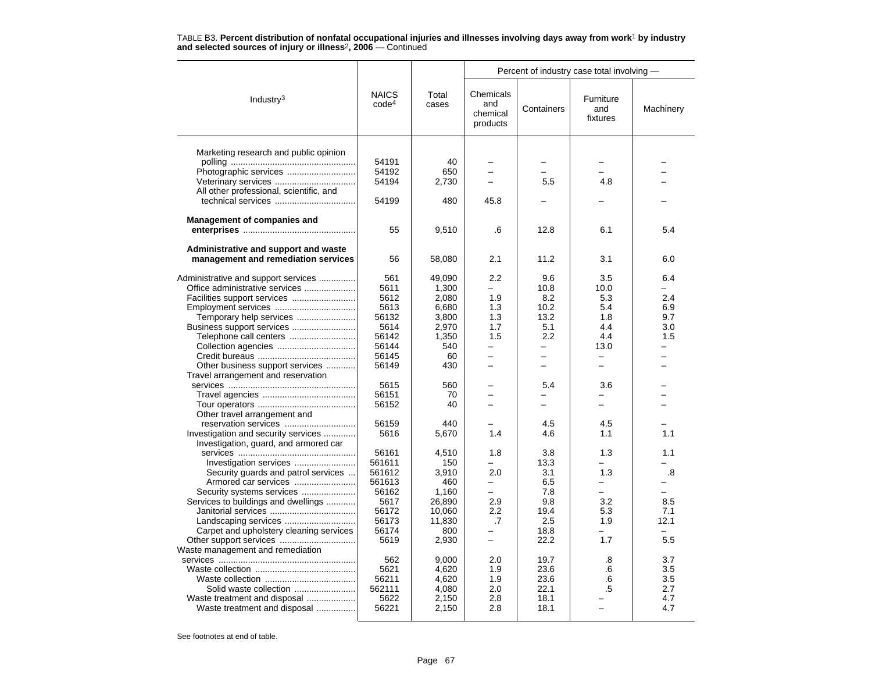|                                         |                                   |                | Percent of industry case total involving - |                          |                              |           |  |
|-----------------------------------------|-----------------------------------|----------------|--------------------------------------------|--------------------------|------------------------------|-----------|--|
| Industry <sup>3</sup>                   | <b>NAICS</b><br>code <sup>4</sup> | Total<br>cases | Chemicals<br>and<br>chemical<br>products   | Containers               | Furniture<br>and<br>fixtures | Machinery |  |
|                                         |                                   |                |                                            |                          |                              |           |  |
| Marketing research and public opinion   | 54191                             | 40             |                                            |                          |                              |           |  |
|                                         | 54192                             | 650            |                                            |                          |                              |           |  |
| Veterinary services                     | 54194                             | 2,730          |                                            | 5.5                      | 4.8                          |           |  |
| All other professional, scientific, and |                                   |                |                                            |                          |                              |           |  |
|                                         | 54199                             | 480            | 45.8                                       |                          |                              |           |  |
| <b>Management of companies and</b>      |                                   |                |                                            |                          |                              |           |  |
|                                         | 55                                | 9,510          | .6                                         | 12.8                     | 6.1                          | 5.4       |  |
| Administrative and support and waste    |                                   |                |                                            |                          |                              |           |  |
| management and remediation services     | 56                                | 58,080         | 2.1                                        | 11.2                     | 3.1                          | 6.0       |  |
| Administrative and support services     | 561                               | 49,090         | 2.2                                        | 9.6                      | 3.5                          | 6.4       |  |
| Office administrative services          | 5611                              | 1.300          | $\overline{\phantom{0}}$                   | 10.8                     | 10.0                         |           |  |
|                                         | 5612                              | 2,080          | 1.9                                        | 8.2                      | 5.3                          | 2.4       |  |
|                                         | 5613                              | 6,680          | 1.3                                        | 10.2                     | 5.4                          | 6.9       |  |
| Temporary help services                 | 56132                             | 3,800          | 1.3                                        | 13.2                     | 1.8                          | 9.7       |  |
| Business support services               | 5614                              | 2,970          | 1.7                                        | 5.1                      | 4.4                          | 3.0       |  |
| Telephone call centers                  | 56142                             | 1,350          | 1.5                                        | 2.2                      | 4.4                          | 1.5       |  |
| Collection agencies                     | 56144                             | 540            | $\overline{\phantom{0}}$                   | $\overline{\phantom{0}}$ | 13.0                         |           |  |
|                                         | 56145                             | 60             | $\overline{\phantom{0}}$                   |                          |                              |           |  |
| Other business support services         | 56149                             | 430            |                                            |                          |                              |           |  |
| Travel arrangement and reservation      |                                   |                |                                            |                          |                              |           |  |
|                                         | 5615                              | 560            |                                            | 5.4                      | 3.6                          |           |  |
|                                         | 56151                             | 70             | $\overline{\phantom{0}}$                   | -                        | $\overline{\phantom{0}}$     |           |  |
|                                         | 56152                             | 40             |                                            | ⋍                        |                              |           |  |
| Other travel arrangement and            |                                   |                |                                            |                          |                              |           |  |
|                                         | 56159                             | 440            |                                            | 4.5                      | 4.5                          |           |  |
| Investigation and security services     | 5616                              | 5,670          | 1.4                                        | 4.6                      | 1.1                          | 1.1       |  |
| Investigation, guard, and armored car   |                                   |                |                                            |                          |                              |           |  |
|                                         | 56161                             | 4.510          | 1.8                                        | 3.8                      | 1.3                          | 1.1       |  |
| Investigation services                  | 561611                            | 150            |                                            | 13.3                     |                              |           |  |
| Security guards and patrol services     | 561612                            | 3,910          | 2.0                                        | 3.1                      | 1.3                          | .8        |  |
| Armored car services                    | 561613                            | 460            | $\overline{\phantom{0}}$                   | 6.5                      | $\equiv$                     |           |  |
| Security systems services               | 56162                             | 1,160          | $=$                                        | 7.8                      | $\equiv$                     |           |  |
| Services to buildings and dwellings     | 5617                              | 26,890         | 2.9                                        | 9.8                      | 3.2                          | 8.5       |  |
|                                         | 56172                             | 10,060         | 2.2                                        | 19.4                     | 5.3                          | 7.1       |  |
|                                         | 56173                             | 11,830         | .7                                         | 2.5                      | 1.9                          | 12.1      |  |
| Carpet and upholstery cleaning services | 56174<br>5619                     | 800<br>2,930   | $\overline{\phantom{0}}$                   | 18.8<br>22.2             | 1.7                          | 5.5       |  |
| Waste management and remediation        |                                   |                |                                            |                          |                              |           |  |
|                                         | 562                               | 9,000          | 2.0                                        | 19.7                     | .8                           | 3.7       |  |
|                                         | 5621                              | 4,620          | 1.9                                        | 23.6                     | .6                           | 3.5       |  |
|                                         | 56211                             | 4,620          | 1.9                                        | 23.6                     | .6                           | 3.5       |  |
| Solid waste collection                  | 562111                            | 4,080          | 2.0                                        | 22.1                     | .5                           | 2.7       |  |
| Waste treatment and disposal            | 5622                              | 2,150          | 2.8                                        | 18.1                     |                              | 4.7       |  |
| Waste treatment and disposal            | 56221                             | 2,150          | 2.8                                        | 18.1                     |                              | 4.7       |  |
|                                         |                                   |                |                                            |                          |                              |           |  |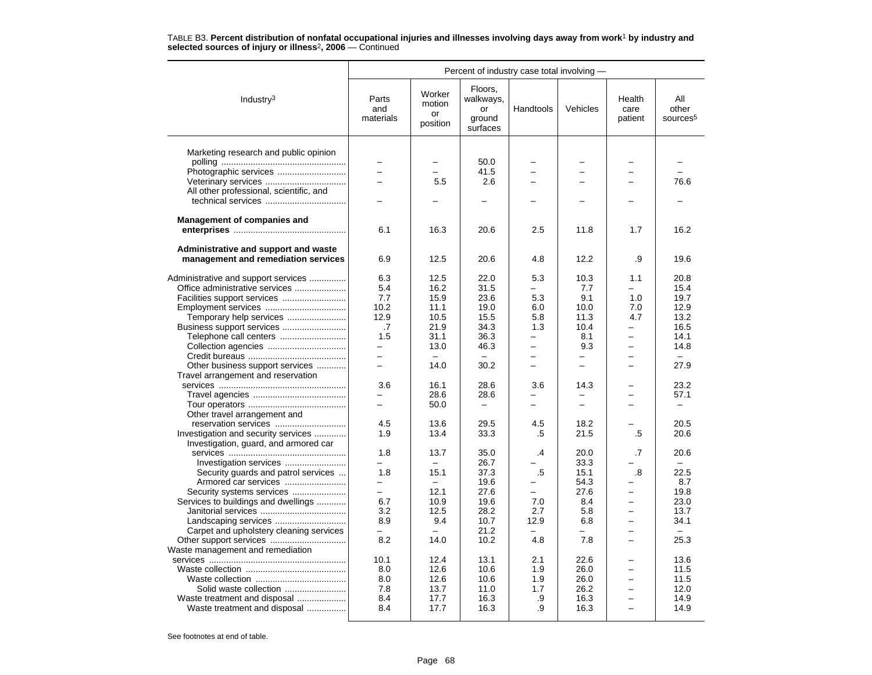|                                         |                           |                                    |                                                  | Percent of industry case total involving - |                          |                           |                                      |
|-----------------------------------------|---------------------------|------------------------------------|--------------------------------------------------|--------------------------------------------|--------------------------|---------------------------|--------------------------------------|
| Industry <sup>3</sup>                   | Parts<br>and<br>materials | Worker<br>motion<br>or<br>position | Floors,<br>walkways,<br>or<br>ground<br>surfaces | Handtools                                  | Vehicles                 | Health<br>care<br>patient | All<br>other<br>sources <sup>5</sup> |
| Marketing research and public opinion   |                           |                                    |                                                  |                                            |                          |                           |                                      |
|                                         |                           |                                    | 50.0                                             |                                            |                          |                           |                                      |
| Photographic services                   |                           |                                    | 41.5                                             |                                            |                          |                           |                                      |
| Veterinary services                     |                           | 5.5                                | 2.6                                              |                                            |                          |                           | 76.6                                 |
| All other professional, scientific, and |                           |                                    |                                                  |                                            |                          |                           |                                      |
|                                         | $\overline{\phantom{0}}$  |                                    |                                                  |                                            |                          |                           |                                      |
| Management of companies and             |                           |                                    |                                                  |                                            |                          |                           |                                      |
|                                         | 6.1                       | 16.3                               | 20.6                                             | 2.5                                        | 11.8                     | 1.7                       | 16.2                                 |
| Administrative and support and waste    |                           |                                    |                                                  |                                            |                          |                           |                                      |
| management and remediation services     | 6.9                       | 12.5                               | 20.6                                             | 4.8                                        | 12.2                     | .9                        | 19.6                                 |
| Administrative and support services     | 6.3                       | 12.5                               | 22.0                                             | 5.3                                        | 10.3                     | 1.1                       | 20.8                                 |
| Office administrative services          | 5.4                       | 16.2                               | 31.5                                             | $\overline{\phantom{a}}$                   | 7.7                      |                           | 15.4                                 |
|                                         | 7.7                       | 15.9                               | 23.6                                             | 5.3                                        | 9.1                      | 1.0                       | 19.7                                 |
| Employment services                     | 10.2                      | 11.1                               | 19.0                                             | 6.0                                        | 10.0                     | 7.0                       | 12.9                                 |
| Temporary help services                 | 12.9                      | 10.5                               | 15.5                                             | 5.8                                        | 11.3                     | 4.7                       | 13.2                                 |
| Business support services               | .7                        | 21.9                               | 34.3                                             | 1.3                                        | 10.4                     |                           | 16.5                                 |
| Telephone call centers                  | 1.5                       | 31.1                               | 36.3                                             | ÷                                          | 8.1                      |                           | 14.1                                 |
|                                         | $-$                       | 13.0                               | 46.3                                             | $\overline{\phantom{0}}$                   | 9.3                      | -                         | 14.8                                 |
|                                         | $\equiv$                  | $\equiv$                           |                                                  | $\equiv$                                   |                          |                           |                                      |
| Other business support services         | $\overline{\phantom{0}}$  | 14.0                               | 30.2                                             | $\overline{\phantom{0}}$                   | $\overline{\phantom{0}}$ | -                         | 27.9                                 |
| Travel arrangement and reservation      |                           |                                    |                                                  |                                            |                          |                           |                                      |
|                                         | 3.6                       | 16.1                               | 28.6                                             | 3.6                                        | 14.3                     |                           | 23.2                                 |
|                                         | -                         | 28.6                               | 28.6                                             | -                                          |                          |                           | 57.1                                 |
|                                         |                           | 50.0                               |                                                  | $\overline{\phantom{0}}$                   | $\equiv$                 |                           |                                      |
| Other travel arrangement and            |                           |                                    |                                                  |                                            |                          |                           |                                      |
| reservation services                    | 4.5                       | 13.6                               | 29.5                                             | 4.5                                        | 18.2                     |                           | 20.5                                 |
| Investigation and security services     | 1.9                       | 13.4                               | 33.3                                             | .5                                         | 21.5                     | .5                        | 20.6                                 |
| Investigation, guard, and armored car   |                           |                                    |                                                  |                                            |                          |                           |                                      |
|                                         | 1.8                       | 13.7                               | 35.0                                             | .4                                         | 20.0                     | .7                        | 20.6                                 |
|                                         |                           | $\overline{\phantom{0}}$           | 26.7                                             |                                            | 33.3                     |                           |                                      |
| Security guards and patrol services     | 1.8                       | 15.1                               | 37.3                                             | .5                                         | 15.1                     | .8                        | 22.5                                 |
| Armored car services                    | $\overline{a}$            | $\equiv$                           | 19.6                                             |                                            | 54.3                     |                           | 8.7                                  |
| Security systems services               | $\equiv$                  | 12.1                               | 27.6                                             | ÷                                          | 27.6                     | -                         | 19.8                                 |
| Services to buildings and dwellings     | 6.7                       | 10.9                               | 19.6                                             | 7.0                                        | 8.4                      |                           | 23.0                                 |
|                                         | 3.2                       | 12.5                               | 28.2                                             | 2.7                                        | 5.8                      | <u>.</u>                  | 13.7                                 |
|                                         | 8.9                       | 9.4                                | 10.7                                             | 12.9                                       | 6.8                      |                           | 34.1                                 |
| Carpet and upholstery cleaning services |                           | $\equiv$                           | 21.2                                             |                                            |                          |                           |                                      |
| Waste management and remediation        | 8.2                       | 14.0                               | 10.2                                             | 4.8                                        | 7.8                      | $\overline{\phantom{0}}$  | 25.3                                 |
|                                         | 10.1                      | 12.4                               | 13.1                                             | 2.1                                        | 22.6                     |                           | 13.6                                 |
|                                         | 8.0                       | 12.6                               | 10.6                                             | 1.9                                        | 26.0                     |                           | 11.5                                 |
|                                         | 8.0                       | 12.6                               | 10.6                                             | 1.9                                        | 26.0                     |                           | 11.5                                 |
|                                         | 7.8                       | 13.7                               | 11.0                                             | 1.7                                        | 26.2                     | $\overline{\phantom{0}}$  | 12.0                                 |
| Waste treatment and disposal            | 8.4                       | 17.7                               | 16.3                                             | .9                                         | 16.3                     |                           | 14.9                                 |
| Waste treatment and disposal            | 8.4                       | 17.7                               | 16.3                                             | .9                                         | 16.3                     | -                         | 14.9                                 |
|                                         |                           |                                    |                                                  |                                            |                          |                           |                                      |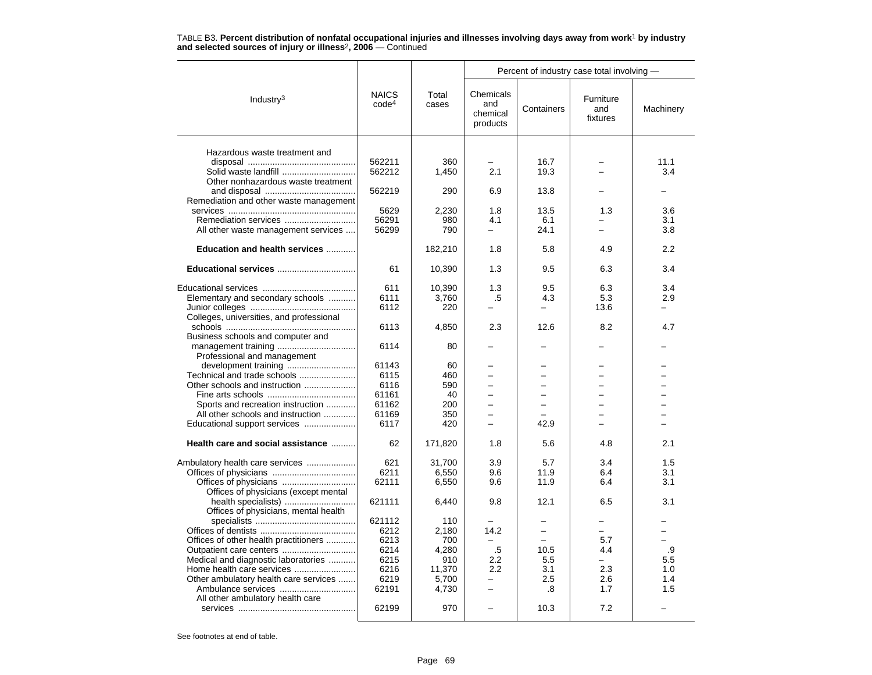|                                                            |                                   |                | Percent of industry case total involving - |            |                              |           |  |  |
|------------------------------------------------------------|-----------------------------------|----------------|--------------------------------------------|------------|------------------------------|-----------|--|--|
| Industry <sup>3</sup>                                      | <b>NAICS</b><br>code <sup>4</sup> | Total<br>cases | Chemicals<br>and<br>chemical<br>products   | Containers | Furniture<br>and<br>fixtures | Machinery |  |  |
|                                                            |                                   |                |                                            |            |                              |           |  |  |
| Hazardous waste treatment and                              | 562211                            |                |                                            | 16.7       |                              | 11.1      |  |  |
|                                                            | 562212                            | 360            | 2.1                                        | 19.3       |                              | 3.4       |  |  |
| Solid waste landfill<br>Other nonhazardous waste treatment |                                   | 1,450          |                                            |            |                              |           |  |  |
|                                                            | 562219                            | 290            | 6.9                                        | 13.8       |                              |           |  |  |
| Remediation and other waste management                     |                                   |                |                                            |            |                              |           |  |  |
|                                                            | 5629                              | 2,230          | 1.8                                        | 13.5       | 1.3                          | 3.6       |  |  |
|                                                            | 56291                             | 980            | 4.1                                        | 6.1        |                              | 3.1       |  |  |
| All other waste management services                        | 56299                             | 790            | $\overline{\phantom{0}}$                   | 24.1       |                              | 3.8       |  |  |
|                                                            |                                   |                |                                            |            |                              |           |  |  |
| Education and health services                              |                                   | 182,210        | 1.8                                        | 5.8        | 4.9                          | 2.2       |  |  |
| Educational services                                       | 61                                | 10,390         | 1.3                                        | 9.5        | 6.3                          | 3.4       |  |  |
|                                                            |                                   |                |                                            |            |                              |           |  |  |
|                                                            | 611                               | 10,390         | 1.3                                        | 9.5        | 6.3                          | 3.4       |  |  |
| Elementary and secondary schools                           | 6111                              | 3,760          | .5                                         | 4.3        | 5.3                          | 2.9       |  |  |
|                                                            | 6112                              | 220            |                                            |            | 13.6                         |           |  |  |
| Colleges, universities, and professional                   |                                   |                |                                            |            |                              |           |  |  |
|                                                            | 6113                              | 4,850          | 2.3                                        | 12.6       | 8.2                          | 4.7       |  |  |
| Business schools and computer and                          |                                   |                |                                            |            |                              |           |  |  |
|                                                            | 6114                              | 80             |                                            |            |                              |           |  |  |
| Professional and management                                |                                   |                |                                            |            |                              |           |  |  |
|                                                            | 61143                             | 60             |                                            |            |                              |           |  |  |
| Technical and trade schools                                | 6115                              | 460            | $\overline{\phantom{0}}$                   |            |                              |           |  |  |
| Other schools and instruction                              | 6116                              | 590            | L.                                         |            |                              |           |  |  |
|                                                            | 61161                             | 40             | $\overline{\phantom{0}}$                   |            |                              |           |  |  |
| Sports and recreation instruction                          | 61162                             | 200            |                                            |            |                              |           |  |  |
| All other schools and instruction                          | 61169                             | 350            | $\overline{\phantom{0}}$                   |            | ÷                            |           |  |  |
| Educational support services                               | 6117                              | 420            |                                            | 42.9       |                              |           |  |  |
|                                                            |                                   |                |                                            |            |                              |           |  |  |
| Health care and social assistance                          | 62                                | 171,820        | 1.8                                        | 5.6        | 4.8                          | 2.1       |  |  |
| Ambulatory health care services                            | 621                               | 31,700         | 3.9                                        | 5.7        | 3.4                          | 1.5       |  |  |
|                                                            | 6211                              | 6.550          | 9.6                                        | 11.9       | 6.4                          | 3.1       |  |  |
| Offices of physicians                                      | 62111                             | 6,550          | 9.6                                        | 11.9       | 6.4                          | 3.1       |  |  |
| Offices of physicians (except mental                       |                                   |                |                                            |            |                              |           |  |  |
|                                                            | 621111                            | 6,440          | 9.8                                        | 12.1       | 6.5                          | 3.1       |  |  |
| Offices of physicians, mental health                       |                                   |                |                                            |            |                              |           |  |  |
|                                                            | 621112                            | 110            |                                            |            | -                            |           |  |  |
|                                                            | 6212                              | 2,180          | 14.2                                       |            |                              |           |  |  |
| Offices of other health practitioners                      | 6213                              | 700            |                                            | $\equiv$   | 5.7                          |           |  |  |
|                                                            | 6214                              | 4,280          | $.5\,$                                     | 10.5       | 4.4                          | .9        |  |  |
| Medical and diagnostic laboratories                        | 6215                              | 910            | 2.2                                        | 5.5        | $\equiv$                     | 5.5       |  |  |
|                                                            | 6216                              | 11,370         | 2.2                                        | 3.1        | 2.3                          | 1.0       |  |  |
| Other ambulatory health care services                      | 6219                              | 5.700          |                                            | 2.5        | 2.6                          | 1.4       |  |  |
| Ambulance services                                         | 62191                             | 4,730          | $\overline{\phantom{0}}$                   | .8         | 1.7                          | 1.5       |  |  |
| All other ambulatory health care                           |                                   |                |                                            |            |                              |           |  |  |
|                                                            | 62199                             | 970            |                                            | 10.3       | 7.2                          |           |  |  |
|                                                            |                                   |                |                                            |            |                              |           |  |  |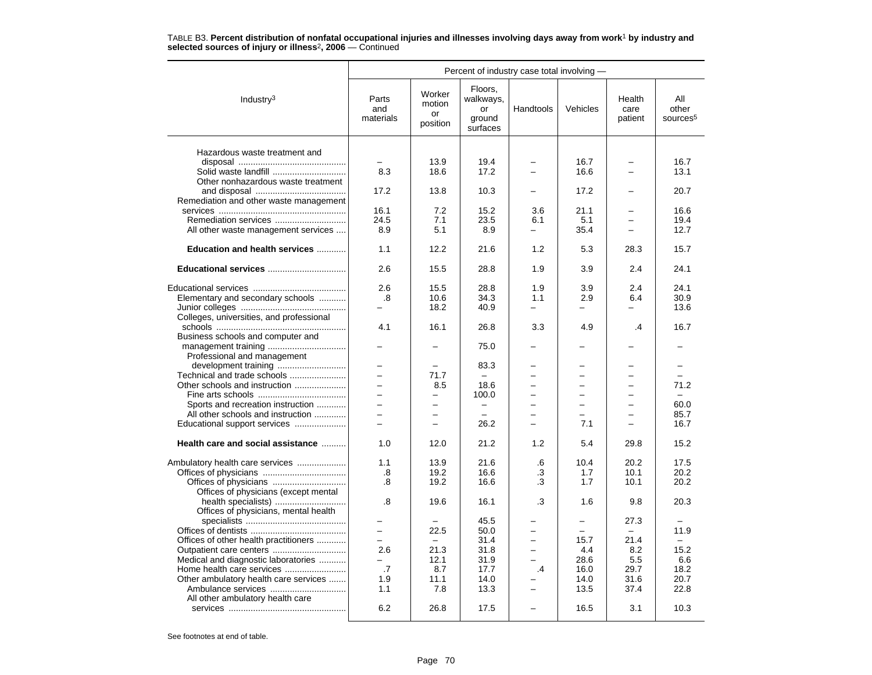|                                          | Percent of industry case total involving - |                                    |                                                  |                          |          |                           |                                      |  |  |  |
|------------------------------------------|--------------------------------------------|------------------------------------|--------------------------------------------------|--------------------------|----------|---------------------------|--------------------------------------|--|--|--|
| Industry <sup>3</sup>                    | Parts<br>and<br>materials                  | Worker<br>motion<br>or<br>position | Floors,<br>walkways,<br>or<br>ground<br>surfaces | Handtools                | Vehicles | Health<br>care<br>patient | All<br>other<br>sources <sup>5</sup> |  |  |  |
| Hazardous waste treatment and            |                                            |                                    |                                                  |                          |          |                           |                                      |  |  |  |
|                                          |                                            | 13.9                               | 19.4                                             |                          | 16.7     |                           | 16.7                                 |  |  |  |
| Solid waste landfill                     | 8.3                                        | 18.6                               | 17.2                                             |                          | 16.6     |                           | 13.1                                 |  |  |  |
| Other nonhazardous waste treatment       |                                            |                                    |                                                  |                          |          |                           |                                      |  |  |  |
|                                          | 17.2                                       | 13.8                               | 10.3                                             |                          | 17.2     |                           | 20.7                                 |  |  |  |
| Remediation and other waste management   |                                            |                                    |                                                  |                          |          |                           |                                      |  |  |  |
|                                          | 16.1                                       | 7.2                                | 15.2                                             | 3.6                      | 21.1     |                           | 16.6                                 |  |  |  |
|                                          | 24.5                                       | 7.1                                | 23.5                                             | 6.1                      | 5.1      |                           | 19.4                                 |  |  |  |
|                                          | 8.9                                        | 5.1                                | 8.9                                              | $\overline{\phantom{0}}$ | 35.4     |                           | 12.7                                 |  |  |  |
| All other waste management services      |                                            |                                    |                                                  |                          |          |                           |                                      |  |  |  |
| Education and health services            | 1.1                                        | 12.2                               | 21.6                                             | 1.2                      | 5.3      | 28.3                      | 15.7                                 |  |  |  |
| Educational services                     | 2.6                                        | 15.5                               | 28.8                                             | 1.9                      | 3.9      | 2.4                       | 24.1                                 |  |  |  |
|                                          | 2.6                                        | 15.5                               | 28.8                                             | 1.9                      | 3.9      | 2.4                       | 24.1                                 |  |  |  |
| Elementary and secondary schools         | .8                                         | 10.6                               | 34.3                                             | 1.1                      | 2.9      | 6.4                       | 30.9                                 |  |  |  |
|                                          |                                            | 18.2                               | 40.9                                             |                          |          |                           | 13.6                                 |  |  |  |
| Colleges, universities, and professional |                                            |                                    |                                                  |                          |          |                           |                                      |  |  |  |
|                                          | 4.1                                        | 16.1                               | 26.8                                             | 3.3                      | 4.9      | .4                        | 16.7                                 |  |  |  |
| Business schools and computer and        |                                            |                                    |                                                  |                          |          |                           |                                      |  |  |  |
| Professional and management              |                                            |                                    | 75.0                                             |                          |          |                           |                                      |  |  |  |
|                                          |                                            |                                    | 83.3                                             |                          |          |                           |                                      |  |  |  |
| Technical and trade schools              | $\overline{\phantom{0}}$                   | 71.7                               | $\equiv$                                         |                          | -        | $\overline{\phantom{0}}$  |                                      |  |  |  |
| Other schools and instruction            |                                            | 8.5                                | 18.6                                             |                          |          |                           | 71.2                                 |  |  |  |
|                                          | $\overline{\phantom{0}}$                   | $\overline{\phantom{0}}$           | 100.0                                            |                          |          |                           | ÷.                                   |  |  |  |
| Sports and recreation instruction        |                                            |                                    |                                                  |                          |          |                           | 60.0                                 |  |  |  |
| All other schools and instruction        | $\overline{\phantom{0}}$                   | $\overline{\phantom{0}}$           | $\equiv$                                         | $\equiv$                 | $\equiv$ |                           | 85.7                                 |  |  |  |
| Educational support services             | $\equiv$                                   | $\overline{\phantom{0}}$           | 26.2                                             | $\equiv$                 | 7.1      | $\equiv$                  | 16.7                                 |  |  |  |
|                                          |                                            |                                    |                                                  |                          |          |                           |                                      |  |  |  |
| Health care and social assistance        | 1.0                                        | 12.0                               | 21.2                                             | 1.2                      | 5.4      | 29.8                      | 15.2                                 |  |  |  |
| Ambulatory health care services          | 1.1                                        | 13.9                               | 21.6                                             | .6                       | 10.4     | 20.2                      | 17.5                                 |  |  |  |
|                                          | .8                                         | 19.2                               | 16.6                                             | .3                       | 1.7      | 10.1                      | 20.2                                 |  |  |  |
|                                          | .8                                         | 19.2                               | 16.6                                             | .3                       | 1.7      | 10.1                      | 20.2                                 |  |  |  |
| Offices of physicians (except mental     |                                            |                                    |                                                  |                          |          |                           |                                      |  |  |  |
| health specialists)                      | .8                                         | 19.6                               | 16.1                                             | .3                       | 1.6      | 9.8                       | 20.3                                 |  |  |  |
| Offices of physicians, mental health     |                                            |                                    |                                                  |                          |          |                           |                                      |  |  |  |
|                                          |                                            |                                    | 45.5                                             |                          |          | 27.3                      |                                      |  |  |  |
|                                          |                                            | 22.5                               | 50.0                                             |                          |          |                           | 11.9                                 |  |  |  |
| Offices of other health practitioners    | $\overline{\phantom{0}}$                   | $\equiv$                           | 31.4                                             | $\overline{a}$           | 15.7     | 21.4                      | $\equiv$                             |  |  |  |
|                                          | 2.6                                        | 21.3                               | 31.8                                             | $\equiv$                 | 4.4      | 8.2                       | 15.2                                 |  |  |  |
| Medical and diagnostic laboratories      |                                            | 12.1                               | 31.9                                             |                          | 28.6     | 5.5                       | 6.6                                  |  |  |  |
| Home health care services                | .7                                         | 8.7                                | 17.7                                             | $\cdot$                  | 16.0     | 29.7                      | 18.2                                 |  |  |  |
| Other ambulatory health care services    | 1.9                                        | 11.1                               | 14.0                                             |                          | 14.0     | 31.6                      | 20.7                                 |  |  |  |
| Ambulance services                       | 1.1                                        | 7.8                                | 13.3                                             |                          | 13.5     | 37.4                      | 22.8                                 |  |  |  |
| All other ambulatory health care         |                                            |                                    |                                                  |                          |          |                           |                                      |  |  |  |
|                                          | 6.2                                        | 26.8                               | 17.5                                             |                          | 16.5     | 3.1                       | 10.3                                 |  |  |  |
|                                          |                                            |                                    |                                                  |                          |          |                           |                                      |  |  |  |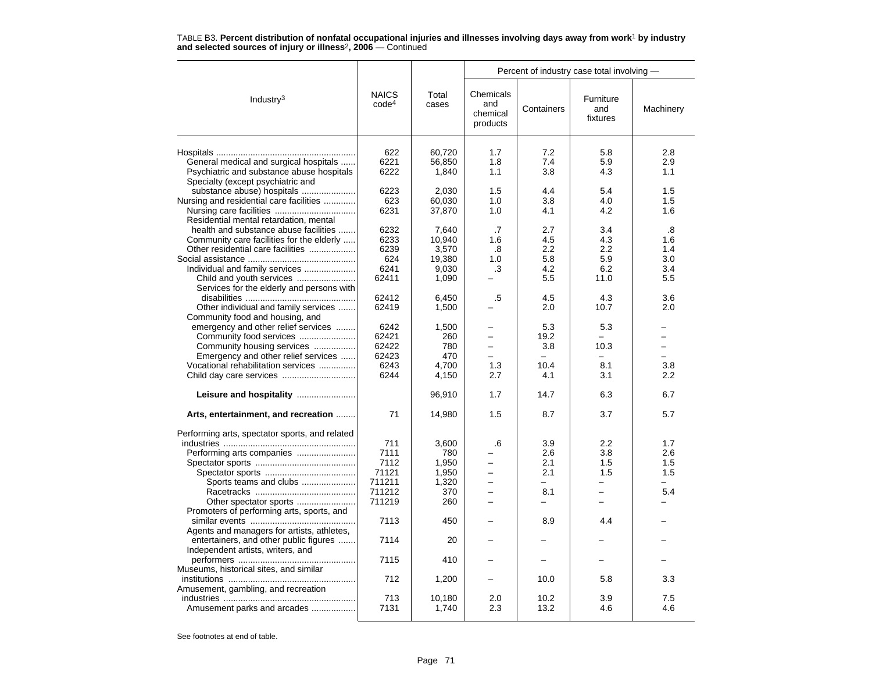|                                                |                                   |                | Percent of industry case total involving - |            |                              |           |  |
|------------------------------------------------|-----------------------------------|----------------|--------------------------------------------|------------|------------------------------|-----------|--|
| Industry $3$                                   | <b>NAICS</b><br>code <sup>4</sup> | Total<br>cases | Chemicals<br>and<br>chemical<br>products   | Containers | Furniture<br>and<br>fixtures | Machinery |  |
|                                                | 622                               | 60,720         | 1.7                                        | 7.2        | 5.8                          | 2.8       |  |
| General medical and surgical hospitals         | 6221                              | 56,850         | 1.8                                        | 7.4        | 5.9                          | 2.9       |  |
| Psychiatric and substance abuse hospitals      | 6222                              | 1,840          | 1.1                                        | 3.8        | 4.3                          | 1.1       |  |
| Specialty (except psychiatric and              |                                   |                |                                            |            |                              |           |  |
|                                                | 6223                              |                | 1.5                                        | 4.4        | 5.4                          | 1.5       |  |
| substance abuse) hospitals                     |                                   | 2,030          |                                            |            |                              |           |  |
| Nursing and residential care facilities        | 623                               | 60,030         | 1.0                                        | 3.8        | 4.0                          | 1.5       |  |
|                                                | 6231                              | 37,870         | 1.0                                        | 4.1        | 4.2                          | 1.6       |  |
| Residential mental retardation, mental         |                                   |                |                                            |            |                              |           |  |
| health and substance abuse facilities          | 6232                              | 7.640          | .7                                         | 2.7        | 3.4                          | .8        |  |
| Community care facilities for the elderly      | 6233                              | 10.940         | 1.6                                        | 4.5        | 4.3                          | 1.6       |  |
| Other residential care facilities              | 6239                              | 3,570          | .8                                         | 2.2        | 2.2                          | 1.4       |  |
|                                                | 624                               | 19,380         | 1.0                                        | 5.8        | 5.9                          | 3.0       |  |
| Individual and family services                 | 6241                              | 9,030          | .3                                         | 4.2        | 6.2                          | 3.4       |  |
|                                                | 62411                             | 1,090          |                                            | 5.5        | 11.0                         | 5.5       |  |
| Services for the elderly and persons with      |                                   |                |                                            |            |                              |           |  |
|                                                | 62412                             | 6,450          | .5                                         | 4.5        | 4.3                          | 3.6       |  |
| Other individual and family services           | 62419                             | 1,500          |                                            | 2.0        | 10.7                         | 2.0       |  |
| Community food and housing, and                |                                   |                |                                            |            |                              |           |  |
| emergency and other relief services            | 6242                              | 1,500          |                                            | 5.3        | 5.3                          |           |  |
| Community food services                        | 62421                             | 260            | $\overline{\phantom{0}}$                   | 19.2       | $\equiv$                     | -         |  |
| Community housing services                     | 62422                             | 780            |                                            | 3.8        | 10.3                         |           |  |
| Emergency and other relief services            | 62423                             | 470            | $\overline{\phantom{0}}$                   |            |                              |           |  |
| Vocational rehabilitation services             | 6243                              | 4.700          | 1.3                                        | 10.4       | 8.1                          | 3.8       |  |
|                                                | 6244                              | 4,150          | 2.7                                        | 4.1        | 3.1                          | 2.2       |  |
|                                                |                                   | 96,910         | 1.7                                        | 14.7       | 6.3                          | 6.7       |  |
| Arts, entertainment, and recreation            | 71                                | 14,980         | 1.5                                        | 8.7        | 3.7                          | 5.7       |  |
| Performing arts, spectator sports, and related |                                   |                |                                            |            |                              |           |  |
|                                                | 711                               | 3.600          | .6                                         | 3.9        | 2.2                          | 1.7       |  |
|                                                | 7111                              | 780            |                                            | 2.6        | 3.8                          | 2.6       |  |
|                                                | 7112                              | 1,950          | $\overline{\phantom{0}}$                   | 2.1        | 1.5                          | 1.5       |  |
|                                                | 71121                             | 1,950          | $\overline{\phantom{0}}$                   | 2.1        | 1.5                          | 1.5       |  |
| Sports teams and clubs                         | 711211                            | 1,320          | $\overline{\phantom{0}}$                   | -          | -                            |           |  |
|                                                | 711212                            | 370            | $\overline{\phantom{0}}$                   | 8.1        |                              | 5.4       |  |
| Other spectator sports                         | 711219                            | 260            | -                                          |            |                              |           |  |
| Promoters of performing arts, sports, and      |                                   |                |                                            |            |                              |           |  |
|                                                |                                   |                |                                            |            |                              |           |  |
|                                                | 7113                              | 450            |                                            | 8.9        | 4.4                          |           |  |
| Agents and managers for artists, athletes,     |                                   |                |                                            |            |                              |           |  |
| entertainers, and other public figures         | 7114                              | 20             |                                            |            |                              |           |  |
| Independent artists, writers, and              |                                   |                |                                            |            |                              |           |  |
|                                                | 7115                              | 410            |                                            |            |                              |           |  |
| Museums, historical sites, and similar         |                                   |                |                                            |            |                              |           |  |
|                                                | 712                               | 1,200          |                                            | 10.0       | 5.8                          | 3.3       |  |
| Amusement, gambling, and recreation            |                                   |                |                                            |            |                              |           |  |
|                                                | 713                               | 10,180         | 2.0                                        | 10.2       | 3.9                          | 7.5       |  |
| Amusement parks and arcades                    | 7131                              | 1,740          | 2.3                                        | 13.2       | 4.6                          | 4.6       |  |
|                                                |                                   |                |                                            |            |                              |           |  |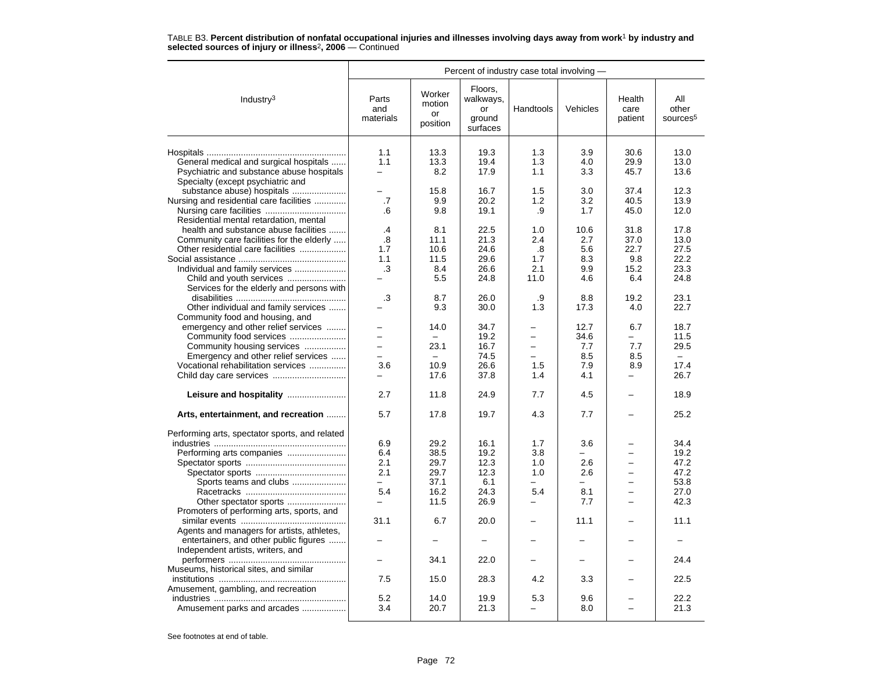|                                                | Percent of industry case total involving - |                                    |                                                  |                          |          |                           |                                      |  |  |
|------------------------------------------------|--------------------------------------------|------------------------------------|--------------------------------------------------|--------------------------|----------|---------------------------|--------------------------------------|--|--|
| Industry $3$                                   | Parts<br>and<br>materials                  | Worker<br>motion<br>or<br>position | Floors,<br>walkways,<br>or<br>ground<br>surfaces | Handtools                | Vehicles | Health<br>care<br>patient | All<br>other<br>sources <sup>5</sup> |  |  |
|                                                | 1.1                                        | 13.3                               | 19.3                                             | 1.3                      | 3.9      | 30.6                      | 13.0                                 |  |  |
| General medical and surgical hospitals         | 1.1                                        | 13.3                               | 19.4                                             | 1.3                      | 4.0      | 29.9                      | 13.0                                 |  |  |
| Psychiatric and substance abuse hospitals      | $\overline{\phantom{0}}$                   | 8.2                                | 17.9                                             | 1.1                      | 3.3      | 45.7                      | 13.6                                 |  |  |
| Specialty (except psychiatric and              |                                            |                                    |                                                  |                          |          |                           |                                      |  |  |
| substance abuse) hospitals                     | $\equiv$                                   | 15.8                               | 16.7                                             | 1.5                      | 3.0      | 37.4                      | 12.3                                 |  |  |
| Nursing and residential care facilities        | .7                                         | 9.9                                | 20.2                                             | 1.2                      | 3.2      | 40.5                      | 13.9                                 |  |  |
|                                                | .6                                         | 9.8                                | 19.1                                             | .9                       | 1.7      | 45.0                      | 12.0                                 |  |  |
| Residential mental retardation, mental         |                                            |                                    |                                                  |                          |          |                           |                                      |  |  |
| health and substance abuse facilities          | .4                                         | 8.1                                | 22.5                                             | 1.0                      | 10.6     | 31.8                      | 17.8                                 |  |  |
| Community care facilities for the elderly      | .8                                         | 11.1                               | 21.3                                             | 2.4                      | 2.7      | 37.0                      | 13.0                                 |  |  |
| Other residential care facilities              | 1.7                                        | 10.6                               | 24.6                                             | .8                       | 5.6      | 22.7                      | 27.5                                 |  |  |
|                                                | 1.1                                        | 11.5                               | 29.6                                             | 1.7                      | 8.3      | 9.8                       | 22.2                                 |  |  |
| Individual and family services                 | .3                                         | 8.4                                | 26.6                                             | 2.1                      | 9.9      | 15.2                      | 23.3                                 |  |  |
| Child and youth services                       |                                            | 5.5                                | 24.8                                             | 11.0                     | 4.6      | 6.4                       | 24.8                                 |  |  |
| Services for the elderly and persons with      |                                            |                                    |                                                  |                          |          |                           |                                      |  |  |
|                                                | .3                                         | 8.7                                | 26.0                                             | .9                       | 8.8      | 19.2                      | 23.1                                 |  |  |
| Other individual and family services           |                                            | 9.3                                | 30.0                                             | 1.3                      | 17.3     | 4.0                       | 22.7                                 |  |  |
| Community food and housing, and                |                                            |                                    |                                                  |                          |          |                           |                                      |  |  |
| emergency and other relief services            |                                            | 14.0                               | 34.7                                             |                          | 12.7     | 6.7                       | 18.7                                 |  |  |
| Community food services                        | $\equiv$                                   |                                    | 19.2                                             | $\overline{\phantom{0}}$ | 34.6     |                           | 11.5                                 |  |  |
| Community housing services                     | $\equiv$                                   | 23.1                               | 16.7                                             | $\overline{\phantom{0}}$ | 7.7      | 7.7                       | 29.5                                 |  |  |
| Emergency and other relief services            | $\equiv$                                   |                                    | 74.5                                             | $\overline{\phantom{0}}$ | 8.5      | 8.5                       | $\equiv$                             |  |  |
| Vocational rehabilitation services             | 3.6                                        | 10.9                               | 26.6                                             | 1.5                      | 7.9      | 8.9                       | 17.4                                 |  |  |
|                                                |                                            | 17.6                               | 37.8                                             | 1.4                      | 4.1      |                           | 26.7                                 |  |  |
| Leisure and hospitality                        | 2.7                                        | 11.8                               | 24.9                                             | 7.7                      | 4.5      | -                         | 18.9                                 |  |  |
| Arts, entertainment, and recreation            | 5.7                                        | 17.8                               | 19.7                                             | 4.3                      | 7.7      |                           | 25.2                                 |  |  |
|                                                |                                            |                                    |                                                  |                          |          |                           |                                      |  |  |
| Performing arts, spectator sports, and related |                                            |                                    |                                                  |                          |          |                           |                                      |  |  |
|                                                | 6.9                                        | 29.2                               | 16.1                                             | 1.7                      | 3.6      |                           | 34.4                                 |  |  |
|                                                | 6.4                                        | 38.5                               | 19.2                                             | 3.8                      |          |                           | 19.2                                 |  |  |
|                                                | 2.1                                        | 29.7                               | 12.3                                             | 1.0                      | 2.6      |                           | 47.2                                 |  |  |
|                                                | 2.1                                        | 29.7                               | 12.3                                             | 1.0                      | 2.6      | $\overline{\phantom{0}}$  | 47.2                                 |  |  |
| Sports teams and clubs                         | $\equiv$                                   | 37.1                               | 6.1                                              | ۰.                       | $=$      |                           | 53.8                                 |  |  |
|                                                | 5.4                                        | 16.2                               | 24.3                                             | 5.4                      | 8.1      |                           | 27.0                                 |  |  |
| Other spectator sports                         |                                            | 11.5                               | 26.9                                             |                          | 7.7      |                           | 42.3                                 |  |  |
| Promoters of performing arts, sports, and      |                                            |                                    |                                                  |                          |          |                           |                                      |  |  |
|                                                | 31.1                                       | 6.7                                | 20.0                                             | $\overline{\phantom{0}}$ | 11.1     |                           | 11.1                                 |  |  |
| Agents and managers for artists, athletes,     |                                            |                                    |                                                  |                          |          |                           |                                      |  |  |
| entertainers, and other public figures         |                                            |                                    |                                                  |                          |          |                           |                                      |  |  |
| Independent artists, writers, and              |                                            |                                    |                                                  |                          |          |                           |                                      |  |  |
|                                                |                                            | 34.1                               | 22.0                                             |                          |          |                           | 24.4                                 |  |  |
| Museums, historical sites, and similar         |                                            |                                    |                                                  |                          |          |                           |                                      |  |  |
|                                                | 7.5                                        | 15.0                               | 28.3                                             | 4.2                      | 3.3      |                           | 22.5                                 |  |  |
| Amusement, gambling, and recreation            |                                            |                                    |                                                  |                          |          |                           |                                      |  |  |
|                                                | 5.2                                        | 14.0                               | 19.9                                             | 5.3                      | 9.6      |                           | 22.2                                 |  |  |
| Amusement parks and arcades                    | 3.4                                        | 20.7                               | 21.3                                             | -                        | 8.0      |                           | 21.3                                 |  |  |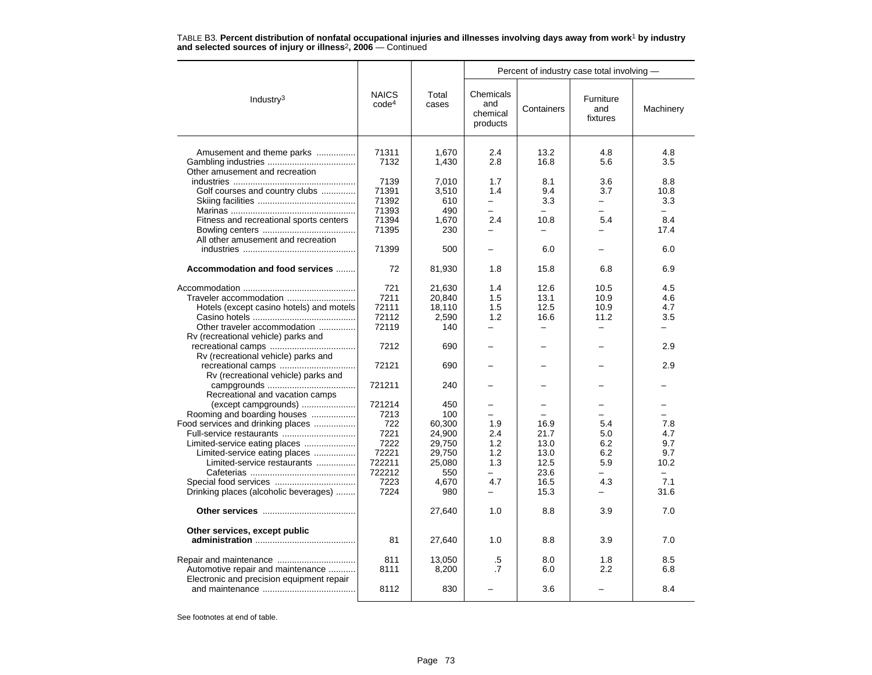|                                           |                                   |                |                                          |                          | Percent of industry case total involving - |                          |
|-------------------------------------------|-----------------------------------|----------------|------------------------------------------|--------------------------|--------------------------------------------|--------------------------|
| Industry $3$                              | <b>NAICS</b><br>code <sup>4</sup> | Total<br>cases | Chemicals<br>and<br>chemical<br>products | Containers               | Furniture<br>and<br>fixtures               | Machinery                |
|                                           |                                   |                |                                          |                          |                                            |                          |
| Amusement and theme parks                 | 71311                             | 1,670          | 2.4                                      | 13.2                     | 4.8                                        | 4.8                      |
| Other amusement and recreation            | 7132                              | 1,430          | 2.8                                      | 16.8                     | 5.6                                        | 3.5                      |
|                                           | 7139                              | 7,010          | 1.7                                      | 8.1                      | 3.6                                        | 8.8                      |
| Golf courses and country clubs            | 71391                             | 3,510          | 1.4                                      | 9.4                      | 3.7                                        | 10.8                     |
|                                           | 71392                             | 610            | $\overline{\phantom{0}}$                 | 3.3                      |                                            | 3.3                      |
|                                           | 71393                             | 490            | $\overline{\phantom{0}}$                 | $\overline{\phantom{0}}$ |                                            | $\overline{\phantom{0}}$ |
| Fitness and recreational sports centers   | 71394                             | 1,670          | 2.4                                      | 10.8                     | 5.4                                        | 8.4                      |
|                                           | 71395                             | 230            |                                          | -                        |                                            | 17.4                     |
| All other amusement and recreation        |                                   |                |                                          |                          |                                            |                          |
|                                           | 71399                             | 500            |                                          | 6.0                      |                                            | 6.0                      |
| Accommodation and food services           | 72                                | 81,930         | 1.8                                      | 15.8                     | 6.8                                        | 6.9                      |
|                                           | 721                               | 21,630         | 1.4                                      | 12.6                     | 10.5                                       | 4.5                      |
| Traveler accommodation                    | 7211                              | 20,840         | 1.5                                      | 13.1                     | 10.9                                       | 4.6                      |
| Hotels (except casino hotels) and motels  | 72111                             | 18,110         | 1.5                                      | 12.5                     | 10.9                                       | 4.7                      |
|                                           | 72112                             | 2,590          | 1.2                                      | 16.6                     | 11.2                                       | 3.5                      |
| Other traveler accommodation              | 72119                             | 140            | -                                        | -                        |                                            |                          |
|                                           |                                   |                |                                          |                          |                                            |                          |
| Rv (recreational vehicle) parks and       | 7212                              |                |                                          |                          |                                            | 2.9                      |
|                                           |                                   | 690            |                                          |                          |                                            |                          |
| Rv (recreational vehicle) parks and       |                                   |                |                                          |                          |                                            |                          |
|                                           | 72121                             | 690            |                                          |                          |                                            | 2.9                      |
| Rv (recreational vehicle) parks and       |                                   |                |                                          |                          |                                            |                          |
|                                           | 721211                            | 240            |                                          |                          |                                            |                          |
| Recreational and vacation camps           |                                   |                |                                          |                          |                                            |                          |
| (except campgrounds)                      | 721214                            | 450            |                                          |                          |                                            |                          |
| Rooming and boarding houses               | 7213                              | 100            |                                          |                          |                                            |                          |
| Food services and drinking places         | 722                               | 60,300         | 1.9                                      | 16.9                     | 5.4                                        | 7.8                      |
| Full-service restaurants                  | 7221                              | 24,900         | 2.4                                      | 21.7                     | 5.0                                        | 4.7                      |
| Limited-service eating places             | 7222                              | 29,750         | 1.2                                      | 13.0                     | 6.2                                        | 9.7                      |
| Limited-service eating places             | 72221                             | 29,750         | 1.2                                      | 13.0                     | 6.2                                        | 9.7                      |
| Limited-service restaurants               | 722211                            | 25,080         | 1.3                                      | 12.5                     | 5.9                                        | 10.2                     |
|                                           | 722212                            | 550            |                                          | 23.6                     |                                            |                          |
|                                           | 7223                              | 4,670          | 4.7                                      | 16.5                     | 4.3                                        | 7.1                      |
| Drinking places (alcoholic beverages)     | 7224                              | 980            | $\overline{\phantom{0}}$                 | 15.3                     | —                                          | 31.6                     |
|                                           |                                   | 27,640         | 1.0                                      | 8.8                      | 3.9                                        | 7.0                      |
| Other services, except public             |                                   |                |                                          |                          |                                            |                          |
|                                           | 81                                | 27,640         | 1.0                                      | 8.8                      | 3.9                                        | 7.0                      |
|                                           | 811                               | 13,050         |                                          | 8.0                      | 1.8                                        | 8.5                      |
|                                           | 8111                              |                | .5<br>$\cdot$ 7                          |                          | 2.2                                        |                          |
| Automotive repair and maintenance         |                                   | 8,200          |                                          | 6.0                      |                                            | 6.8                      |
| Electronic and precision equipment repair | 8112                              | 830            |                                          | 3.6                      |                                            | 8.4                      |
|                                           |                                   |                |                                          |                          |                                            |                          |

TABLE B3. **Percent distribution of nonfatal occupational injuries and illnesses involving days away from work**<sup>1</sup> **by industry and selected sources of injury or illness**<sup>2</sup>**, 2006** — Continued

See footnotes at end of table.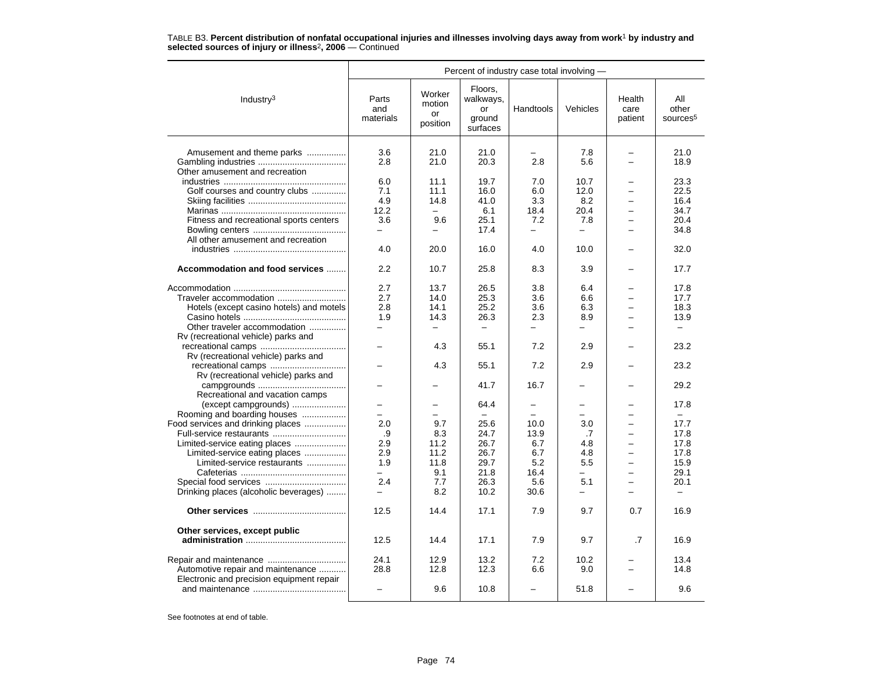TABLE B3. **Percent distribution of nonfatal occupational injuries and illnesses involving days away from work**<sup>1</sup> **by industry and selected sources of injury or illness**<sup>2</sup>**, 2006** — Continued

|                                           | Percent of industry case total involving - |                                    |                                                  |           |                          |                           |                                      |  |
|-------------------------------------------|--------------------------------------------|------------------------------------|--------------------------------------------------|-----------|--------------------------|---------------------------|--------------------------------------|--|
| Industry <sup>3</sup>                     | Parts<br>and<br>materials                  | Worker<br>motion<br>or<br>position | Floors,<br>walkways,<br>or<br>ground<br>surfaces | Handtools | Vehicles                 | Health<br>care<br>patient | All<br>other<br>sources <sup>5</sup> |  |
| Amusement and theme parks                 | 3.6<br>2.8                                 | 21.0<br>21.0                       | 21.0<br>20.3                                     | 2.8       | 7.8<br>5.6               |                           | 21.0<br>18.9                         |  |
| Other amusement and recreation            | 6.0                                        | 11.1                               | 19.7                                             | 7.0       | 10.7                     | -                         | 23.3                                 |  |
| Golf courses and country clubs            | 7.1                                        | 11.1                               | 16.0                                             | 6.0       | 12.0                     |                           | 22.5                                 |  |
|                                           | 4.9                                        | 14.8                               | 41.0                                             | 3.3       | 8.2                      |                           | 16.4                                 |  |
|                                           | 12.2                                       | $\overline{\phantom{0}}$           | 6.1                                              | 18.4      | 20.4                     | $\equiv$                  | 34.7                                 |  |
| Fitness and recreational sports centers   | 3.6                                        | 9.6                                | 25.1                                             | 7.2       | 7.8                      |                           | 20.4                                 |  |
|                                           | $\equiv$                                   |                                    | 17.4                                             | $\equiv$  | $\overline{\phantom{0}}$ | -                         | 34.8                                 |  |
| All other amusement and recreation        |                                            |                                    |                                                  |           |                          |                           |                                      |  |
|                                           | 4.0                                        | 20.0                               | 16.0                                             | 4.0       | 10.0                     |                           | 32.0                                 |  |
| Accommodation and food services           | 2.2                                        | 10.7                               | 25.8                                             | 8.3       | 3.9                      |                           | 17.7                                 |  |
|                                           | 2.7                                        | 13.7                               | 26.5                                             | 3.8       | 6.4                      |                           | 17.8                                 |  |
|                                           | 2.7                                        | 14.0                               |                                                  | 3.6       | 6.6                      |                           | 17.7                                 |  |
| Traveler accommodation                    |                                            |                                    | 25.3                                             |           |                          |                           |                                      |  |
| Hotels (except casino hotels) and motels  | 2.8                                        | 14.1                               | 25.2                                             | 3.6       | 6.3                      |                           | 18.3                                 |  |
|                                           | 1.9                                        | 14.3                               | 26.3                                             | 2.3       | 8.9                      |                           | 13.9                                 |  |
| Other traveler accommodation              | $\equiv$                                   |                                    |                                                  |           | -                        |                           | $\equiv$                             |  |
| Rv (recreational vehicle) parks and       |                                            |                                    |                                                  |           |                          |                           |                                      |  |
| Rv (recreational vehicle) parks and       |                                            | 4.3                                | 55.1                                             | 7.2       | 2.9                      |                           | 23.2                                 |  |
|                                           |                                            | 4.3                                | 55.1                                             | 7.2       | 2.9                      |                           | 23.2                                 |  |
| Rv (recreational vehicle) parks and       |                                            |                                    | 41.7                                             | 16.7      |                          |                           | 29.2                                 |  |
| Recreational and vacation camps           |                                            |                                    |                                                  |           |                          |                           |                                      |  |
| (except campgrounds)                      | -                                          |                                    | 64.4                                             |           | —                        |                           | 17.8                                 |  |
| Rooming and boarding houses               |                                            |                                    |                                                  |           |                          |                           |                                      |  |
| Food services and drinking places         | 2.0                                        | 9.7                                | 25.6                                             | 10.0      | 3.0                      | $\overline{\phantom{0}}$  | 17.7                                 |  |
| Full-service restaurants                  | .9                                         | 8.3                                | 24.7                                             | 13.9      | .7                       |                           | 17.8                                 |  |
| Limited-service eating places             | 2.9                                        | 11.2                               | 26.7                                             | 6.7       | 4.8                      |                           | 17.8                                 |  |
| Limited-service eating places             | 2.9                                        | 11.2                               | 26.7                                             | 6.7       | 4.8                      |                           | 17.8                                 |  |
| Limited-service restaurants               | 1.9                                        | 11.8                               | 29.7                                             | 5.2       | 5.5                      |                           | 15.9                                 |  |
|                                           |                                            | 9.1                                | 21.8                                             | 16.4      | ÷                        | $\overline{\phantom{0}}$  | 29.1                                 |  |
|                                           | 2.4                                        | 7.7                                | 26.3                                             | 5.6       | 5.1                      | $\overline{\phantom{0}}$  | 20.1                                 |  |
|                                           | $\equiv$                                   | 8.2                                | 10.2                                             | 30.6      | $\overline{\phantom{0}}$ |                           | $\overline{\phantom{0}}$             |  |
| Drinking places (alcoholic beverages)     |                                            |                                    |                                                  |           |                          |                           |                                      |  |
|                                           | 12.5                                       | 14.4                               | 17.1                                             | 7.9       | 9.7                      | 0.7                       | 16.9                                 |  |
| Other services, except public             |                                            |                                    |                                                  |           |                          |                           |                                      |  |
|                                           | 12.5                                       | 14.4                               | 17.1                                             | 7.9       | 9.7                      | .7                        | 16.9                                 |  |
|                                           | 24.1                                       | 12.9                               | 13.2                                             | 7.2       | 10.2                     |                           | 13.4                                 |  |
| Automotive repair and maintenance         | 28.8                                       | 12.8                               | 12.3                                             | 6.6       | 9.0                      |                           | 14.8                                 |  |
| Electronic and precision equipment repair |                                            | 9.6                                | 10.8                                             |           | 51.8                     |                           | 9.6                                  |  |
|                                           |                                            |                                    |                                                  |           |                          |                           |                                      |  |

See footnotes at end of table.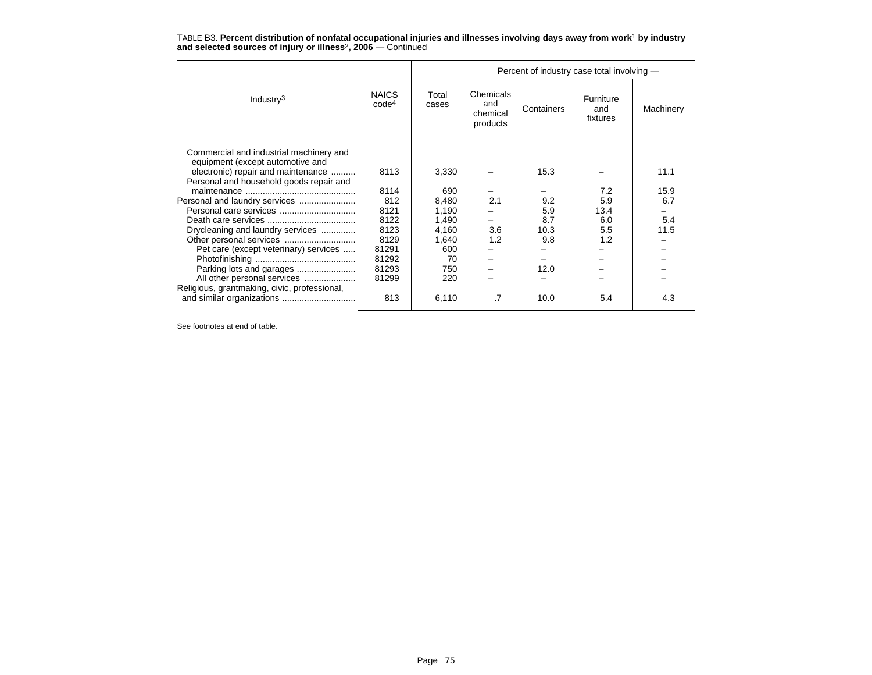|                                                                             |                                   |                | Percent of industry case total involving - |            |                              |           |
|-----------------------------------------------------------------------------|-----------------------------------|----------------|--------------------------------------------|------------|------------------------------|-----------|
| Industry $3$                                                                | <b>NAICS</b><br>code <sup>4</sup> | Total<br>cases | Chemicals<br>and<br>chemical<br>products   | Containers | Furniture<br>and<br>fixtures | Machinery |
| Commercial and industrial machinery and<br>equipment (except automotive and |                                   |                |                                            |            |                              |           |
| electronic) repair and maintenance                                          | 8113                              | 3,330          |                                            | 15.3       |                              | 11.1      |
| Personal and household goods repair and                                     |                                   |                |                                            |            |                              |           |
|                                                                             | 8114                              | 690            |                                            |            | 7.2                          | 15.9      |
| Personal and laundry services                                               | 812                               | 8,480          | 2.1                                        | 9.2        | 5.9                          | 6.7       |
|                                                                             | 8121                              | 1,190          |                                            | 5.9        | 13.4                         |           |
|                                                                             | 8122                              | 1,490          |                                            | 8.7        | 6.0                          | 5.4       |
| Drycleaning and laundry services                                            | 8123                              | 4,160          | 3.6                                        | 10.3       | 5.5                          | 11.5      |
| Other personal services                                                     | 8129                              | 1,640          | 1.2                                        | 9.8        | 1.2                          |           |
| Pet care (except veterinary) services                                       | 81291                             | 600            |                                            |            |                              |           |
|                                                                             | 81292                             | 70             |                                            |            |                              |           |
|                                                                             | 81293                             | 750            |                                            | 12.0       |                              |           |
| All other personal services                                                 | 81299                             | 220            |                                            |            |                              |           |
| Religious, grantmaking, civic, professional,                                |                                   |                |                                            |            |                              |           |
|                                                                             | 813                               | 6,110          | .7                                         | 10.0       | 5.4                          | 4.3       |

TABLE B3. **Percent distribution of nonfatal occupational injuries and illnesses involving days away from work**<sup>1</sup> **by industry and selected sources of injury or illness**<sup>2</sup>**, 2006** — Continued

See footnotes at end of table.